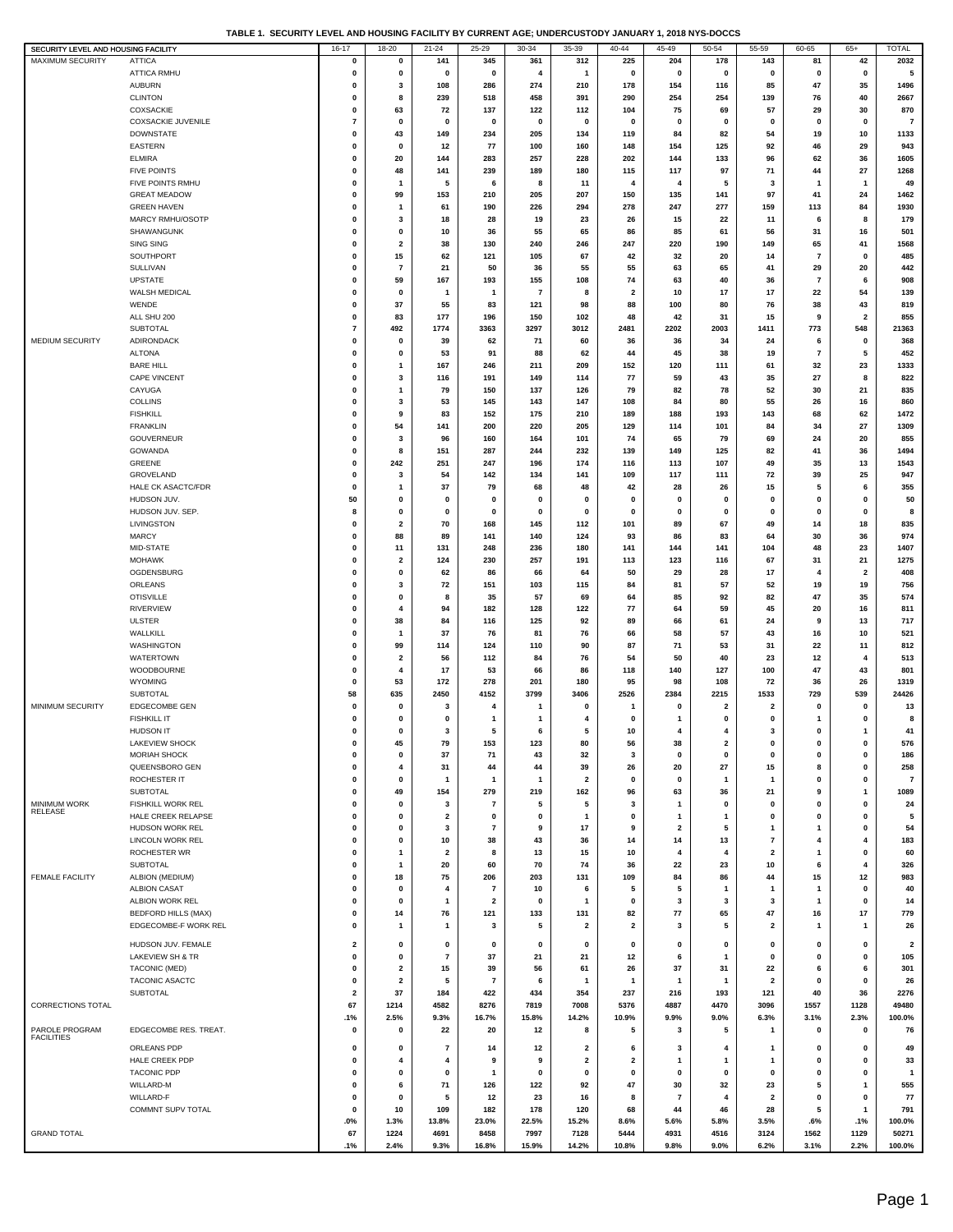|  | TABLE 1.  SECURITY LEVEL AND HOUSING FACILITY BY CURRENT AGE: UNDERCUSTODY JANUARY 1. 2018 NYS-DOCCS |  |  |
|--|------------------------------------------------------------------------------------------------------|--|--|
|  |                                                                                                      |  |  |

| SECURITY LEVEL AND HOUSING FACILITY |                             | 16-17                   | 18-20                   | $21 - 24$               | 25-29                   | 30-34          | 35-39       | 40-44                   | 45-49                   | 50-54                   | 55-59                   | 60-65            | $65+$                   | <b>TOTAL</b>            |
|-------------------------------------|-----------------------------|-------------------------|-------------------------|-------------------------|-------------------------|----------------|-------------|-------------------------|-------------------------|-------------------------|-------------------------|------------------|-------------------------|-------------------------|
| <b>MAXIMUM SECURITY</b>             | <b>ATTICA</b>               | 0                       | 0                       | 141                     | 345                     | 361            | 312         | 225                     | 204                     | 178                     | 143                     | 81               | 42                      | 2032                    |
|                                     |                             |                         |                         |                         |                         |                |             |                         |                         |                         |                         |                  |                         |                         |
|                                     | ATTICA RMHU                 | $\pmb{0}$               | 0                       | $\mathbf 0$             | 0                       | $\overline{4}$ | 1           | $\pmb{0}$               | 0                       | 0                       | 0                       | 0                | $\bf{0}$                | 5                       |
|                                     | <b>AUBURN</b>               | 0                       | 3                       | 108                     | 286                     | 274            | 210         | 178                     | 154                     | 116                     | 85                      | 47               | 35                      | 1496                    |
|                                     | <b>CLINTON</b>              | $\mathbf 0$             | 8                       | 239                     | 518                     | 458            | 391         | 290                     | 254                     | 254                     | 139                     | 76               | 40                      | 2667                    |
|                                     |                             |                         |                         |                         |                         |                |             |                         |                         |                         |                         |                  |                         |                         |
|                                     | COXSACKIE                   | $\mathbf 0$             | 63                      | 72                      | 137                     | 122            | 112         | 104                     | 75                      | 69                      | 57                      | 29               | 30                      | 870                     |
|                                     | <b>COXSACKIE JUVENILE</b>   | $\overline{7}$          | $\pmb{0}$               | $\mathbf 0$             | 0                       | $\mathbf 0$    | 0           | 0                       | $\mathbf 0$             | 0                       | 0                       | 0                | 0                       | $\overline{7}$          |
|                                     | <b>DOWNSTATE</b>            | 0                       | 43                      | 149                     | 234                     | 205            | 134         | 119                     | 84                      | 82                      | 54                      | 19               | 10                      | 1133                    |
|                                     |                             |                         |                         |                         |                         |                |             |                         |                         |                         |                         |                  |                         |                         |
|                                     | EASTERN                     | 0                       | 0                       | 12                      | 77                      | 100            | 160         | 148                     | 154                     | 125                     | 92                      | 46               | 29                      | 943                     |
|                                     | <b>ELMIRA</b>               | $\mathbf 0$             | 20                      | 144                     | 283                     | 257            | 228         | 202                     | 144                     | 133                     | 96                      | 62               | 36                      | 1605                    |
|                                     | <b>FIVE POINTS</b>          | $\mathbf 0$             | 48                      | 141                     | 239                     | 189            | 180         | 115                     | 117                     | 97                      | 71                      | 44               | 27                      | 1268                    |
|                                     | FIVE POINTS RMHU            | $\pmb{0}$               | 1                       | 5                       | 6                       | -8             | 11          | 4                       | 4                       | 5                       | 3                       | $\mathbf{1}$     | $\overline{1}$          | 49                      |
|                                     |                             |                         |                         |                         |                         |                |             |                         |                         |                         |                         |                  |                         |                         |
|                                     | <b>GREAT MEADOW</b>         | $\mathbf 0$             | 99                      | 153                     | 210                     | 205            | 207         | 150                     | 135                     | 141                     | 97                      | 41               | 24                      | 1462                    |
|                                     | <b>GREEN HAVEN</b>          | 0                       | $\mathbf{1}$            | 61                      | 190                     | 226            | 294         | 278                     | 247                     | 277                     | 159                     | 113              | 84                      | 1930                    |
|                                     | MARCY RMHU/OSOTP            | $\mathbf 0$             | 3                       | 18                      | 28                      | 19             | 23          | 26                      | 15                      | 22                      | 11                      | 6                | 8                       | 179                     |
|                                     |                             |                         |                         |                         |                         |                |             |                         |                         |                         |                         |                  |                         |                         |
|                                     | SHAWANGUNK                  | $\pmb{0}$               | 0                       | 10                      | 36                      | 55             | 65          | 86                      | 85                      | 61                      | 56                      | 31               | 16                      | 501                     |
|                                     | <b>SING SING</b>            | 0                       | $\overline{\mathbf{2}}$ | 38                      | 130                     | 240            | 246         | 247                     | 220                     | 190                     | 149                     | 65               | 41                      | 1568                    |
|                                     | SOUTHPORT                   | $\mathbf 0$             | 15                      | 62                      | 121                     | 105            | 67          | 42                      | 32                      | 20                      | 14                      | $\overline{7}$   | 0                       | 485                     |
|                                     | SULLIVAN                    | 0                       | 7                       | 21                      | 50                      | 36             | 55          | 55                      | 63                      | 65                      | 41                      | 29               | 20                      | 442                     |
|                                     |                             |                         |                         |                         |                         |                |             |                         |                         |                         |                         |                  |                         |                         |
|                                     | <b>UPSTATE</b>              | $\mathbf 0$             | 59                      | 167                     | 193                     | 155            | 108         | 74                      | 63                      | 40                      | 36                      | $\overline{7}$   | 6                       | 908                     |
|                                     | WALSH MEDICAL               | $\mathbf 0$             | 0                       | $\mathbf{1}$            | $\mathbf{1}$            | $\overline{7}$ | 8           | $\overline{\mathbf{2}}$ | 10                      | 17                      | 17                      | 22               | 54                      | 139                     |
|                                     | WENDE                       | 0                       | 37                      | 55                      | 83                      | 121            | 98          | 88                      | 100                     | 80                      | 76                      | 38               | 43                      | 819                     |
|                                     |                             |                         |                         |                         |                         |                |             |                         |                         |                         |                         |                  |                         |                         |
|                                     | ALL SHU 200                 | $\mathbf 0$             | 83                      | 177                     | 196                     | 150            | 102         | 48                      | 42                      | 31                      | 15                      | 9                | $\overline{2}$          | 855                     |
|                                     | <b>SUBTOTAL</b>             | $\overline{7}$          | 492                     | 1774                    | 3363                    | 3297           | 3012        | 2481                    | 2202                    | 2003                    | 1411                    | 773              | 548                     | 21363                   |
| MEDIUM SECURITY                     | ADIRONDACK                  | $\pmb{0}$               | $\pmb{0}$               | 39                      | 62                      | 71             | 60          | 36                      | 36                      | 34                      | 24                      | 6                | 0                       | 368                     |
|                                     | <b>ALTONA</b>               | $\mathbf 0$             | 0                       | 53                      | 91                      | 88             | 62          | 44                      | 45                      |                         | 19                      | $\overline{7}$   | 5                       | 452                     |
|                                     |                             |                         |                         |                         |                         |                |             |                         |                         | 38                      |                         |                  |                         |                         |
|                                     | <b>BARE HILL</b>            | 0                       | 1                       | 167                     | 246                     | 211            | 209         | 152                     | 120                     | 111                     | 61                      | 32               | 23                      | 1333                    |
|                                     | CAPE VINCENT                | $\mathbf 0$             | 3                       | 116                     | 191                     | 149            | 114         | 77                      | 59                      | 43                      | 35                      | 27               | 8                       | 822                     |
|                                     | CAYUGA                      | $\mathbf 0$             | $\overline{1}$          | 79                      | 150                     | 137            | 126         | 79                      | 82                      | 78                      | 52                      | 30               | 21                      | 835                     |
|                                     | COLLINS                     | $\pmb{0}$               | 3                       | 53                      | 145                     | 143            | 147         | 108                     | 84                      | 80                      | 55                      | 26               | 16                      | 860                     |
|                                     |                             |                         |                         |                         |                         |                |             |                         |                         |                         |                         |                  |                         |                         |
|                                     | <b>FISHKILL</b>             | $\mathbf 0$             | 9                       | 83                      | 152                     | 175            | 210         | 189                     | 188                     | 193                     | 143                     | 68               | 62                      | 1472                    |
|                                     | <b>FRANKLIN</b>             | 0                       | 54                      | 141                     | 200                     | 220            | 205         | 129                     | 114                     | 101                     | 84                      | 34               | 27                      | 1309                    |
|                                     | <b>GOUVERNEUR</b>           | $\mathbf 0$             | 3                       | 96                      | 160                     | 164            | 101         | 74                      | 65                      | 79                      | 69                      | 24               | 20                      | 855                     |
|                                     |                             |                         |                         |                         |                         |                |             |                         |                         |                         |                         |                  |                         |                         |
|                                     | GOWANDA                     | $\mathbf 0$             | 8                       | 151                     | 287                     | 244            | 232         | 139                     | 149                     | 125                     | 82                      | 41               | 36                      | 1494                    |
|                                     | GREENE                      | $\pmb{0}$               | 242                     | 251                     | 247                     | 196            | 174         | 116                     | 113                     | 107                     | 49                      | 35               | 13                      | 1543                    |
|                                     | GROVELAND                   | $\mathbf 0$             | 3                       | 54                      | 142                     | 134            | 141         | 109                     | 117                     | 111                     | 72                      | 39               | 25                      | 947                     |
|                                     | HALE CK ASACTC/FDR          | $\mathbf 0$             | 1                       | 37                      | 79                      | 68             | 48          | 42                      | 28                      | 26                      | 15                      | 5                | 6                       | 355                     |
|                                     |                             |                         |                         |                         |                         |                |             |                         |                         |                         |                         |                  |                         |                         |
|                                     | HUDSON JUV.                 | 50                      | $\mathbf 0$             | $\mathbf 0$             | 0                       | $\bf{0}$       | $\mathbf 0$ | 0                       | 0                       | $\mathbf 0$             | 0                       | 0                | 0                       | 50                      |
|                                     | HUDSON JUV. SEP.            | 8                       | 0                       | $\mathbf 0$             | $\Omega$                | $\mathbf{0}$   | 0           | 0                       | $\mathbf 0$             | $\mathbf 0$             | 0                       | 0                | $\bf{0}$                | 8                       |
|                                     | LIVINGSTON                  | 0                       | $\overline{\mathbf{2}}$ | 70                      | 168                     | 145            | 112         | 101                     | 89                      | 67                      | 49                      | 14               | 18                      | 835                     |
|                                     | <b>MARCY</b>                | $\mathbf 0$             | 88                      | 89                      | 141                     | 140            | 124         | 93                      | 86                      | 83                      | 64                      | 30               | 36                      | 974                     |
|                                     |                             |                         |                         |                         |                         |                |             |                         |                         |                         |                         |                  |                         |                         |
|                                     | MID-STATE                   | $\mathbf 0$             | 11                      | 131                     | 248                     | 236            | 180         | 141                     | 144                     | 141                     | 104                     | 48               | 23                      | 1407                    |
|                                     | <b>MOHAWK</b>               | $\mathbf 0$             | $\overline{\mathbf{2}}$ | 124                     | 230                     | 257            | 191         | 113                     | 123                     | 116                     | 67                      | 31               | 21                      | 1275                    |
|                                     | OGDENSBURG                  | $\pmb{0}$               | 0                       | 62                      | 86                      | 66             | 64          | 50                      | 29                      | 28                      | 17                      | $\boldsymbol{4}$ | $\overline{\mathbf{2}}$ | 408                     |
|                                     | ORLEANS                     | 0                       | 3                       | 72                      | 151                     | 103            | 115         | 84                      | 81                      | 57                      | 52                      | 19               | 19                      | 756                     |
|                                     |                             |                         |                         |                         |                         |                |             |                         |                         |                         |                         |                  |                         |                         |
|                                     | <b>OTISVILLE</b>            | $\mathbf 0$             | 0                       | 8                       | 35                      | 57             | 69          | 64                      | 85                      | 92                      | 82                      | 47               | 35                      | 574                     |
|                                     | <b>RIVERVIEW</b>            | $\mathbf 0$             | 4                       | 94                      | 182                     | 128            | 122         | 77                      | 64                      | 59                      | 45                      | 20               | 16                      | 811                     |
|                                     | <b>ULSTER</b>               | $\pmb{0}$               | 38                      | 84                      | 116                     | 125            | 92          | 89                      | 66                      | 61                      | 24                      | 9                | 13                      | 717                     |
|                                     |                             |                         |                         |                         |                         |                |             |                         |                         |                         |                         |                  |                         |                         |
|                                     | WALLKILL                    | $\mathbf 0$             | $\mathbf{1}$            | 37                      | 76                      | 81             | 76          | 66                      | 58                      | 57                      | 43                      | 16               | 10                      | 521                     |
|                                     | WASHINGTON                  | 0                       | 99                      | 114                     | 124                     | 110            | 90          | 87                      | 71                      | 53                      | 31                      | 22               | 11                      | 812                     |
|                                     | WATERTOWN                   | $\mathbf 0$             | $\overline{\mathbf{2}}$ | 56                      | 112                     | 84             | 76          | 54                      | 50                      | 40                      | 23                      | 12               | 4                       | 513                     |
|                                     | WOODBOURNE                  | $\mathbf 0$             | 4                       | 17                      | 53                      | 66             | 86          | 118                     | 140                     | 127                     | 100                     | 47               | 43                      | 801                     |
|                                     |                             |                         |                         |                         |                         |                |             |                         |                         |                         |                         |                  |                         |                         |
|                                     | WYOMING                     | $\pmb{0}$               | 53                      | 172                     | 278                     | 201            | 180         | 95                      | 98                      | 108                     | 72                      | 36               | 26                      | 1319                    |
|                                     | SUBTOTAL                    | 58                      | 635                     | 2450                    | 4152                    | 3799           | 3406        | 2526                    | 2384                    | 2215                    | 1533                    | 729              | 539                     | 24426                   |
| MINIMUM SECURITY                    | EDGECOMBE GEN               | $\mathbf 0$             | 0                       | 3                       | 4                       |                | 0           |                         | $\mathbf 0$             | 2                       | $\overline{\mathbf{2}}$ | $\mathbf 0$      | 0                       | 13                      |
|                                     |                             |                         |                         |                         |                         |                |             |                         |                         |                         |                         |                  |                         |                         |
|                                     | <b>FISHKILL IT</b>          | $\mathbf 0$             | 0                       | 0                       | 1                       | $\overline{1}$ | 4           | 0                       | 1                       | 0                       | 0                       | $\mathbf{1}$     | $\mathbf 0$             | 8                       |
|                                     | <b>HUDSON IT</b>            | $\mathbf 0$             | $\mathbf 0$             | 3                       | 5                       | 6              | 5           | 10                      | 4                       | $\overline{\mathbf{4}}$ | 3                       | $\mathbf 0$      | $\mathbf{1}$            | 41                      |
|                                     | <b>LAKEVIEW SHOCK</b>       | 0                       | 45                      | 79                      | 153                     | 123            | 80          | 56                      | 38                      | 2                       | 0                       | 0                | 0                       | 576                     |
|                                     | <b>MORIAH SHOCK</b>         | 0                       | 0                       | 37                      | 71                      | 43             | 32          | 3                       | 0                       | 0                       | 0                       | 0                | 0                       | 186                     |
|                                     |                             |                         | 4                       |                         |                         |                |             |                         |                         |                         |                         | 8                | $\mathbf 0$             |                         |
|                                     | QUEENSBORO GEN              | 0                       |                         | 31                      | 44                      | 44             | 39          | 26                      | 20                      | 27                      | 15                      |                  |                         | 258                     |
|                                     | ROCHESTER IT                | $\mathbf 0$             | $\mathbf{0}$            | $\mathbf{1}$            | 1                       | $\overline{1}$ | 2           | 0                       | 0                       | $\mathbf{1}$            | -1                      | 0                | $\mathbf 0$             | $\overline{7}$          |
|                                     | <b>SUBTOTAL</b>             | $\pmb{0}$               | 49                      | 154                     | 279                     | 219            | 162         | 96                      | 63                      | 36                      | 21                      | 9                | 1                       | 1089                    |
| MINIMUM WORK                        | <b>FISHKILL WORK REL</b>    | 0                       | 0                       | 3                       | $\bf 7$                 | 5              | 5           | 3                       | 1                       | $\mathbf 0$             | 0                       | 0                | 0                       | 24                      |
| <b>RELEASE</b>                      | HALE CREEK RELAPSE          | 0                       | $\mathbf{0}$            |                         | $\mathbf 0$             | $\mathbf 0$    | 1           | 0                       | 1                       | $\mathbf{1}$            |                         | $\mathbf 0$      | $\mathbf 0$             | 5                       |
|                                     |                             |                         |                         | $\overline{\mathbf{2}}$ |                         |                |             |                         |                         |                         | 0                       |                  |                         |                         |
|                                     | HUDSON WORK REL             | $\mathbf 0$             | $\mathbf{0}$            | 3                       | 7                       | 9              | 17          | 9                       | 2                       | 5                       | 1                       | 1                | $\mathbf 0$             | 54                      |
|                                     | <b>LINCOLN WORK REL</b>     | 0                       | $\pmb{0}$               | 10                      | 38                      | 43             | 36          | 14                      | 14                      | 13                      | $\scriptstyle\rm 7$     | 4                | 4                       | 183                     |
|                                     | ROCHESTER WR                | $\mathbf 0$             | 1                       | $\overline{\mathbf{2}}$ | 8                       | 13             | 15          | 10                      | 4                       | 4                       | 2                       | $\mathbf{1}$     | 0                       | 60                      |
|                                     | SUBTOTAL                    |                         | 1                       |                         |                         |                |             |                         | 22                      |                         |                         | 6                | 4                       | 326                     |
|                                     |                             | 0                       |                         | 20                      | 60                      | 70             | 74          | 36                      |                         | 23                      | 10                      |                  |                         |                         |
| <b>FEMALE FACILITY</b>              | ALBION (MEDIUM)             | 0                       | 18                      | 75                      | 206                     | 203            | 131         | 109                     | 84                      | 86                      | 44                      | 15               | 12                      | 983                     |
|                                     | <b>ALBION CASAT</b>         | 0                       | $\mathbf{0}$            | $\overline{4}$          | 7                       | 10             | 6           | 5                       | 5                       | -1                      | $\mathbf{1}$            | $\mathbf{1}$     | 0                       | 40                      |
|                                     | ALBION WORK REL             | $\mathbf 0$             | $\mathbf{0}$            | $\mathbf{1}$            | $\overline{\mathbf{2}}$ | $\mathbf 0$    | 1           | 0                       | 3                       | 3                       | 3                       | $\mathbf{1}$     | $\mathbf 0$             | 14                      |
|                                     |                             |                         |                         |                         |                         |                |             |                         |                         |                         |                         |                  |                         |                         |
|                                     | <b>BEDFORD HILLS (MAX)</b>  | 0                       | 14                      | 76                      | 121                     | 133            | 131         | 82                      | 77                      | 65                      | 47                      | 16               | 17                      | 779                     |
|                                     | EDGECOMBE-F WORK REL        | 0                       | 1                       | $\mathbf{1}$            | 3                       | 5              | 2           | $\overline{\mathbf{2}}$ | 3                       | 5                       | 2                       | 1                | 1                       | 26                      |
|                                     |                             |                         |                         |                         |                         |                |             |                         |                         |                         |                         |                  |                         |                         |
|                                     | HUDSON JUV. FEMALE          | $\overline{\mathbf{2}}$ | $\mathbf{0}$            | 0                       | 0                       | $\mathbf 0$    | 0           | 0                       | 0                       | $\mathbf 0$             | 0                       | 0                | $\mathbf 0$             | $\overline{\mathbf{2}}$ |
|                                     | <b>LAKEVIEW SH &amp; TR</b> | $\mathbf 0$             | $\mathbf{0}$            | $\overline{7}$          | 37                      | 21             | 21          | 12                      | 6                       | $\mathbf{1}$            | 0                       | 0                | 0                       | 105                     |
|                                     | TACONIC (MED)               | 0                       | $\overline{\mathbf{2}}$ | 15                      | 39                      | 56             | 61          | 26                      | 37                      | 31                      | 22                      | 6                | 6                       | 301                     |
|                                     | TACONIC ASACTC              | 0                       | $\overline{\mathbf{2}}$ | 5                       | $\bf 7$                 |                | 1           | $\mathbf{1}$            | 1                       | $\mathbf{1}$            | $\overline{\mathbf{2}}$ | 0                | 0                       | 26                      |
|                                     |                             |                         |                         |                         |                         | 6              |             |                         |                         |                         |                         |                  |                         |                         |
|                                     | SUBTOTAL                    | $\overline{\mathbf{2}}$ | 37                      | 184                     | 422                     | 434            | 354         | 237                     | 216                     | 193                     | 121                     | 40               | 36                      | 2276                    |
| CORRECTIONS TOTAL                   |                             | 67                      | 1214                    | 4582                    | 8276                    | 7819           | 7008        | 5376                    | 4887                    | 4470                    | 3096                    | 1557             | 1128                    | 49480                   |
|                                     |                             | .1%                     | 2.5%                    | 9.3%                    | 16.7%                   | 15.8%          | 14.2%       | 10.9%                   | 9.9%                    | 9.0%                    | 6.3%                    | 3.1%             | 2.3%                    | 100.0%                  |
| PAROLE PROGRAM                      | EDGECOMBE RES. TREAT.       | 0                       | 0                       | 22                      | 20                      | 12             | 8           | 5                       | 3                       | 5                       | $\mathbf{1}$            | 0                | 0                       | 76                      |
| <b>FACILITIES</b>                   |                             |                         |                         |                         |                         |                |             |                         |                         |                         |                         |                  |                         |                         |
|                                     | ORLEANS PDP                 | 0                       | $\mathbf 0$             | $\overline{7}$          | 14                      | 12             | 2           | 6                       | 3                       | 4                       | 1                       | 0                | 0                       | 49                      |
|                                     | HALE CREEK PDP              | 0                       | 4                       | 4                       | 9                       | 9              | 2           | $\overline{\mathbf{2}}$ | 1                       | $\mathbf{1}$            | 1                       | 0                | 0                       | 33                      |
|                                     |                             |                         |                         |                         |                         |                |             |                         |                         |                         |                         |                  |                         |                         |
|                                     | <b>TACONIC PDP</b>          | $\mathbf 0$             | $\mathbf 0$             | $\mathbf 0$             | $\mathbf{1}$            | $\mathbf 0$    | 0           | 0                       | 0                       | 0                       | 0                       | 0                | $\mathbf 0$             | $\mathbf{1}$            |
|                                     | WILLARD-M                   | $\mathbf 0$             | 6                       | 71                      | 126                     | 122            | 92          | 47                      | 30                      | 32                      | 23                      | 5                | 1                       | 555                     |
|                                     | WILLARD-F                   | $\mathbf 0$             | $\mathbf{0}$            | 5                       | 12                      | 23             | 16          | 8                       | $\overline{\mathbf{r}}$ | 4                       | $\overline{\mathbf{2}}$ | $\pmb{0}$        | $\mathbf 0$             | 77                      |
|                                     | COMMNT SUPV TOTAL           | 0                       | 10                      | 109                     | 182                     | 178            | 120         | 68                      | 44                      | 46                      | 28                      | 5                | $\mathbf{1}$            | 791                     |
|                                     |                             |                         |                         |                         |                         |                |             |                         |                         |                         |                         |                  |                         |                         |
|                                     |                             | .0%                     | 1.3%                    | 13.8%                   | 23.0%                   | 22.5%          | 15.2%       | 8.6%                    | 5.6%                    | 5.8%                    | 3.5%                    | .6%              | .1%                     | 100.0%                  |
| <b>GRAND TOTAL</b>                  |                             | 67                      | 1224                    | 4691                    | 8458                    | 7997           | 7128        | 5444                    | 4931                    | 4516                    | 3124                    | 1562             | 1129                    | 50271                   |
|                                     |                             | .1%                     | 2.4%                    | 9.3%                    | 16.8%                   | 15.9%          | 14.2%       | 10.8%                   | 9.8%                    | 9.0%                    | 6.2%                    | 3.1%             | 2.2%                    | 100.0%                  |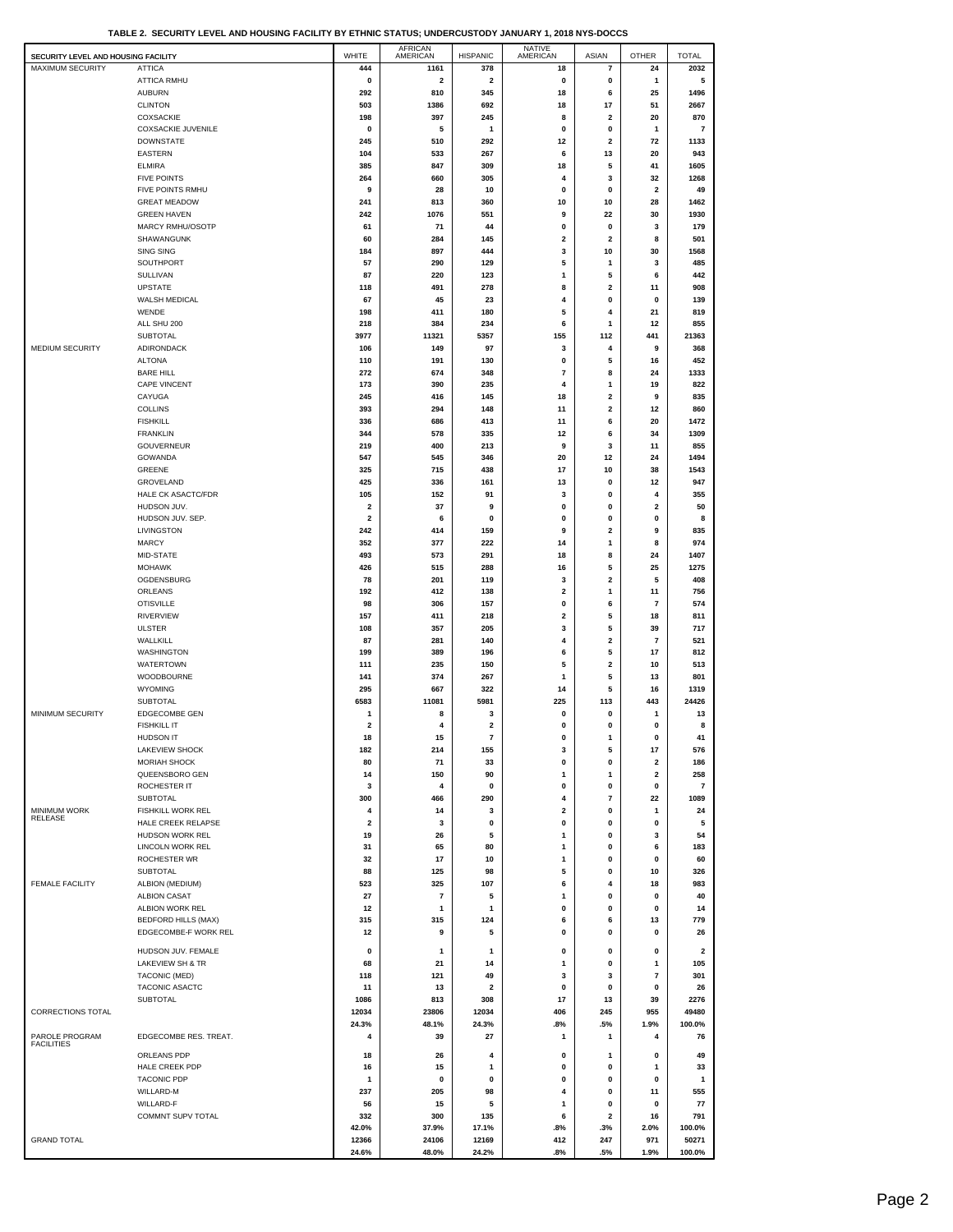| TABLE 2. SECURITY LEVEL AND HOUSING FACILITY BY ETHNIC STATUS: UNDERCUSTODY JANUARY 1, 2018 NYS-DOCCS |  |
|-------------------------------------------------------------------------------------------------------|--|
|                                                                                                       |  |

| SECURITY LEVEL AND HOUSING FACILITY   |                                        | WHITE          | AFRICAN<br>AMERICAN     | <b>HISPANIC</b>         | NATIVE<br>AMERICAN | ASIAN                   | <b>OTHER</b>            | <b>TOTAL</b> |
|---------------------------------------|----------------------------------------|----------------|-------------------------|-------------------------|--------------------|-------------------------|-------------------------|--------------|
| <b>MAXIMUM SECURITY</b>               | <b>ATTICA</b>                          | 444            | 1161                    | 378                     | 18                 | 7                       | 24                      | 2032         |
|                                       | <b>ATTICA RMHU</b>                     | 0              | $\overline{\mathbf{2}}$ | $\overline{\mathbf{2}}$ | 0                  | 0                       | 1                       | 5            |
|                                       | <b>AUBURN</b>                          | 292            | 810                     | 345                     | 18                 | 6                       | 25                      | 1496         |
|                                       | <b>CLINTON</b>                         | 503            | 1386                    | 692                     | 18                 | 17                      | 51                      | 2667         |
|                                       | COXSACKIE                              | 198            | 397                     | 245                     | 8                  | 2                       | 20                      | 870          |
|                                       | <b>COXSACKIE JUVENILE</b>              | 0              | 5                       | 1                       | 0                  | 0                       | 1                       | 7            |
|                                       | <b>DOWNSTATE</b>                       | 245            | 510                     | 292                     | 12                 | $\mathbf{2}$            | 72                      | 1133         |
|                                       | <b>EASTERN</b>                         | 104            | 533                     | 267                     | 6                  | 13                      | 20                      | 943          |
|                                       | <b>ELMIRA</b>                          | 385            | 847                     | 309                     | 18                 | 5                       | 41                      | 1605         |
|                                       | <b>FIVE POINTS</b><br>FIVE POINTS RMHU | 264<br>9       | 660<br>28               | 305<br>10               | 4<br>0             | 3<br>0                  | 32<br>2                 | 1268<br>49   |
|                                       | <b>GREAT MEADOW</b>                    | 241            | 813                     | 360                     | 10                 | 10                      | 28                      | 1462         |
|                                       | <b>GREEN HAVEN</b>                     | 242            | 1076                    | 551                     | 9                  | 22                      | 30                      | 1930         |
|                                       | MARCY RMHU/OSOTP                       | 61             | 71                      | 44                      | 0                  | 0                       | 3                       | 179          |
|                                       | SHAWANGUNK                             | 60             | 284                     | 145                     | 2                  | 2                       | 8                       | 501          |
|                                       | <b>SING SING</b>                       | 184            | 897                     | 444                     | 3                  | 10                      | 30                      | 1568         |
|                                       | SOUTHPORT                              | 57             | 290                     | 129                     | 5                  | 1                       | 3                       | 485          |
|                                       | SULLIVAN                               | 87             | 220                     | 123                     | 1                  | 5                       | 6                       | 442          |
|                                       | <b>UPSTATE</b>                         | 118            | 491                     | 278                     | 8                  | 2                       | 11                      | 908          |
|                                       | WALSH MEDICAL                          | 67             | 45                      | 23                      | 4                  | 0                       | 0                       | 139          |
|                                       | WENDE                                  | 198            | 411                     | 180                     | 5                  | $\overline{4}$          | 21                      | 819          |
|                                       | ALL SHU 200                            | 218            | 384                     | 234                     | 6                  | -1                      | 12                      | 855          |
|                                       | <b>SUBTOTAL</b>                        | 3977           | 11321                   | 5357                    | 155                | 112                     | 441                     | 21363        |
| MEDIUM SECURITY                       | ADIRONDACK                             | 106            | 149                     | 97                      | 3                  | 4                       | 9                       | 368          |
|                                       | <b>ALTONA</b>                          | 110            | 191                     | 130                     | 0                  | 5                       | 16                      | 452          |
|                                       | <b>BARE HILL</b>                       | 272            | 674                     | 348                     | $\overline{7}$     | 8                       | 24                      | 1333         |
|                                       | <b>CAPE VINCENT</b>                    | 173            | 390                     | 235                     | 4                  | 1                       | 19                      | 822          |
|                                       | CAYUGA                                 | 245            | 416                     | 145                     | 18                 | $\mathbf{2}$            | 9                       | 835          |
|                                       | <b>COLLINS</b>                         | 393            | 294                     | 148                     | 11                 | 2                       | 12                      | 860          |
|                                       | <b>FISHKILL</b>                        | 336            | 686                     | 413                     | 11                 | 6                       | 20                      | 1472         |
|                                       | <b>FRANKLIN</b>                        | 344            | 578                     | 335                     | 12                 | 6                       | 34                      | 1309         |
|                                       | GOUVERNEUR                             | 219            | 400                     | 213                     | 9                  | 3                       | 11                      | 855          |
|                                       | GOWANDA                                | 547            | 545                     | 346                     | 20                 | 12                      | 24                      | 1494         |
|                                       | GREENE                                 | 325            | 715                     | 438                     | 17                 | 10                      | 38                      | 1543         |
|                                       | GROVELAND                              | 425            | 336                     | 161                     | 13                 | 0                       | 12                      | 947          |
|                                       | HALE CK ASACTC/FDR                     | 105            | 152                     | 91                      | 3                  | $\Omega$                | 4                       | 355          |
|                                       | HUDSON JUV.                            | 2              | 37                      | 9                       | 0                  | 0                       | 2                       | 50           |
|                                       | HUDSON JUV. SEP.<br>LIVINGSTON         | 2<br>242       | 6<br>414                | 0<br>159                | 0<br>9             | 0<br>2                  | 0<br>9                  | 8<br>835     |
|                                       | <b>MARCY</b>                           | 352            | 377                     | 222                     | 14                 | -1                      | 8                       | 974          |
|                                       |                                        | 493            |                         | 291                     | 18                 | 8                       | 24                      | 1407         |
|                                       | MID-STATE<br><b>MOHAWK</b>             | 426            | 573<br>515              | 288                     | 16                 | 5                       | 25                      | 1275         |
|                                       | OGDENSBURG                             | 78             | 201                     | 119                     | 3                  | 2                       | 5                       | 408          |
|                                       | ORLEANS                                | 192            | 412                     | 138                     | 2                  | 1                       | 11                      | 756          |
|                                       | <b>OTISVILLE</b>                       | 98             | 306                     | 157                     | 0                  | 6                       | 7                       | 574          |
|                                       | <b>RIVERVIEW</b>                       | 157            | 411                     | 218                     | 2                  | 5                       | 18                      | 811          |
|                                       | <b>ULSTER</b>                          | 108            | 357                     | 205                     | 3                  | 5                       | 39                      | 717          |
|                                       | WALLKILL                               | 87             | 281                     | 140                     | 4                  | 2                       | 7                       | 521          |
|                                       | <b>WASHINGTON</b>                      | 199            | 389                     | 196                     | 6                  | 5                       | 17                      | 812          |
|                                       | WATERTOWN                              | 111            | 235                     | 150                     | 5                  | $\overline{\mathbf{2}}$ | 10                      | 513          |
|                                       | WOODBOURNE                             | 141            | 374                     | 267                     | 1                  | 5                       | 13                      | 801          |
|                                       | WYOMING                                | 295            | 667                     | 322                     | 14                 | 5                       | 16                      | 1319         |
|                                       | <b>SUBTOTAL</b>                        | 6583           | 11081                   | 5981                    | 225                | 113                     | 443                     | 24426        |
| MINIMUM SECURITY                      | <b>EDGECOMBE GEN</b>                   | 1              | 8                       | 3                       | 0                  | $\Omega$                | 1                       | 13           |
|                                       | <b>FISHKILL IT</b>                     | 2              | 4                       | $\overline{\mathbf{2}}$ | $\mathbf 0$        | $\mathbf 0$             | 0                       | 8            |
|                                       | HUDSON IT                              | 18             | 15                      | $\overline{\mathbf{r}}$ | 0                  | 1                       | 0                       | 41           |
|                                       | LAKEVIEW SHOCK                         | 182            | 214                     | 155                     | 3                  | 5                       | 17                      | 576          |
|                                       | <b>MORIAH SHOCK</b>                    | 80             | 71                      | 33                      | 0                  | 0                       | 2                       | 186          |
|                                       | QUEENSBORO GEN                         | 14             | 150                     | 90                      | 1                  | 1                       | $\overline{\mathbf{2}}$ | 258          |
|                                       | ROCHESTER IT                           | 3              | 4                       | 0                       | $\mathbf 0$        | $\mathbf 0$             | 0                       | 7            |
|                                       | <b>SUBTOTAL</b>                        | 300            | 466                     | 290                     | 4                  | 7                       | 22                      | 1089         |
| <b>MINIMUM WORK</b><br><b>RELEASE</b> | <b>FISHKILL WORK REL</b>               | 4              | 14                      | 3                       | 2                  | 0                       | 1                       | 24           |
|                                       | HALE CREEK RELAPSE                     | $\overline{2}$ | 3                       | 0                       | 0                  | 0                       | 0                       | 5            |
|                                       | HUDSON WORK REL                        | 19             | 26                      | 5                       | $\mathbf{1}$       | $\mathbf{0}$            | 3                       | 54           |
|                                       | LINCOLN WORK REL<br>ROCHESTER WR       | 31<br>32       | 65<br>17                | 80<br>10                | 1<br>1             | 0<br>0                  | 6<br>0                  | 183<br>60    |
|                                       | <b>SUBTOTAL</b>                        | 88             | 125                     | 98                      | 5                  | 0                       | 10                      | 326          |
| <b>FEMALE FACILITY</b>                | ALBION (MEDIUM)                        | 523            | 325                     | 107                     | 6                  | 4                       | 18                      | 983          |
|                                       | <b>ALBION CASAT</b>                    | 27             | $\overline{7}$          | 5                       | 1                  | 0                       | 0                       | 40           |
|                                       | ALBION WORK REL                        | 12             | $\mathbf{1}$            | 1                       | 0                  | 0                       | 0                       | 14           |
|                                       | <b>BEDFORD HILLS (MAX)</b>             | 315            | 315                     | 124                     | 6                  | 6                       | 13                      | 779          |
|                                       | EDGECOMBE-F WORK REL                   | 12             | 9                       | 5                       | 0                  | 0                       | 0                       | 26           |
|                                       |                                        |                |                         |                         |                    |                         |                         |              |
|                                       | HUDSON JUV. FEMALE                     | 0              | $\mathbf{1}$            | 1                       | 0                  | 0                       | 0                       | $\mathbf{2}$ |
|                                       | LAKEVIEW SH & TR                       | 68             | 21                      | 14                      | -1                 | 0                       | 1                       | 105          |
|                                       | TACONIC (MED)                          | 118            | 121                     | 49                      | 3                  | 3                       | 7                       | 301          |
|                                       | TACONIC ASACTC                         | 11             | 13                      | $\overline{\mathbf{2}}$ | 0                  | 0                       | 0                       | 26           |
|                                       | <b>SUBTOTAL</b>                        | 1086           | 813                     | 308                     | 17                 | 13                      | 39                      | 2276         |
| CORRECTIONS TOTAL                     |                                        | 12034          | 23806                   | 12034                   | 406                | 245                     | 955                     | 49480        |
| PAROLE PROGRAM                        | EDGECOMBE RES. TREAT.                  | 24.3%<br>4     | 48.1%<br>39             | 24.3%<br>27             | .8%<br>1           | .5%<br>1                | 1.9%<br>4               | 100.0%<br>76 |
| <b>FACILITIES</b>                     |                                        |                |                         |                         |                    |                         |                         |              |
|                                       | ORLEANS PDP                            | 18             | 26                      | 4                       | 0                  | 1                       | 0                       | 49           |
|                                       | HALE CREEK PDP                         | 16             | 15                      | 1                       | 0                  | 0                       | 1                       | 33           |
|                                       | <b>TACONIC PDP</b>                     | 1              | 0                       | 0                       | 0                  | 0                       | 0                       | 1            |
|                                       | WILLARD-M                              | 237            | 205                     | 98                      | $\overline{4}$     | $\mathbf{0}$            | 11                      | 555          |
|                                       | WILLARD-F                              | 56             | 15                      | 5                       | 1                  | $\mathbf 0$             | 0                       | 77           |
|                                       | COMMNT SUPV TOTAL                      | 332            | 300                     | 135                     | 6                  | 2                       | 16                      | 791          |
|                                       |                                        | 42.0%          | 37.9%                   | 17.1%                   | .8%                | .3%                     | 2.0%                    | 100.0%       |
| <b>GRAND TOTAL</b>                    |                                        | 12366          | 24106                   | 12169                   | 412                | 247                     | 971                     | 50271        |
|                                       |                                        | 24.6%          | 48.0%                   | 24.2%                   | .8%                | .5%                     | 1.9%                    | 100.0%       |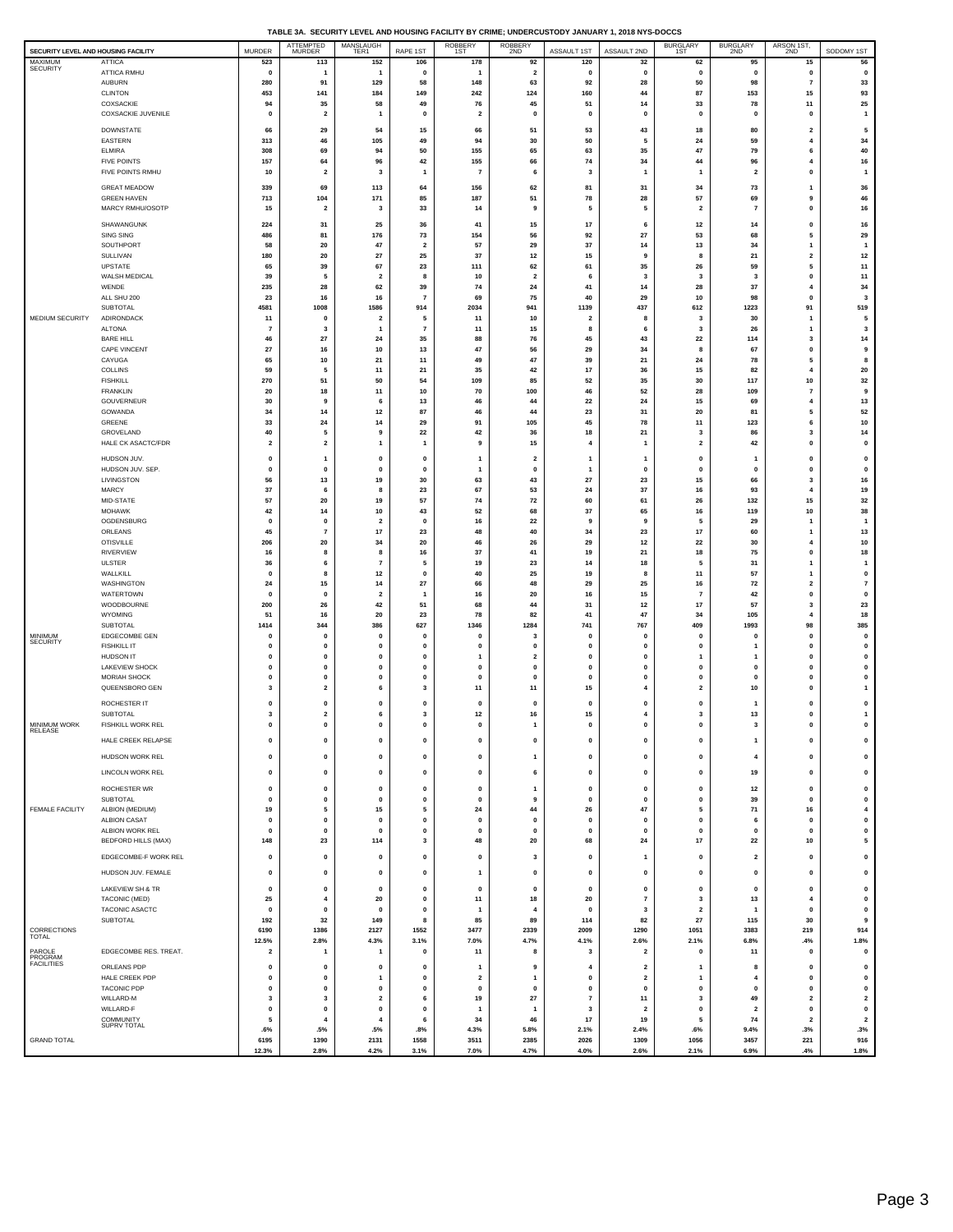|  |  | TABLE 3A. SECURITY LEVEL AND HOUSING FACILITY BY CRIME: UNDERCUSTODY JANUARY 1, 2018 NYS-DOCCS |
|--|--|------------------------------------------------------------------------------------------------|
|  |  |                                                                                                |

|                                                            |                                        |                                        | <b>ATTEMPTED</b>                     | MANSLAUGH               |                                        | ROBBERY<br>1ST               | <b>ROBBERY</b>                |                             | $\cdot$ , $\sim$        | BURGLARY<br>1ST              | <b>BURGLARY</b>          | ARSON 1ST,                           |                                      |
|------------------------------------------------------------|----------------------------------------|----------------------------------------|--------------------------------------|-------------------------|----------------------------------------|------------------------------|-------------------------------|-----------------------------|-------------------------|------------------------------|--------------------------|--------------------------------------|--------------------------------------|
| SECURITY LEVEL AND HOUSING FACILITY<br>MAXIMUM<br>SECURITY | <b>ATTICA</b>                          | <b>MURDER</b><br>523                   | <b>MURDER</b><br>113                 | TER1<br>152             | RAPE 1ST<br>106                        | 178                          | 2ND<br>92                     | ASSAULT 1ST<br>120          | ASSAULT 2ND<br>32       | 62                           | 2ND<br>95                | 2ND<br>15                            | SODOMY 1ST<br>56                     |
|                                                            | ATTICA RMHU                            | $\mathbf 0$                            | -1                                   | -1                      | $\mathbf{0}$                           | -1                           | $\overline{\mathbf{2}}$       | $\mathbf{0}$                | 0                       | $\mathbf{0}$                 | $\mathbf 0$              | 0                                    | $\pmb{0}$                            |
|                                                            | <b>AUBURN</b>                          | 280                                    | 91                                   | 129<br>184              | 58                                     | 148                          | 63                            | 92                          | 28<br>44                | 50                           | 98                       | $\overline{7}$                       | 33                                   |
|                                                            | <b>CLINTON</b><br>COXSACKIE            | 453<br>94                              | 141<br>35                            | 58                      | 149<br>49                              | 242<br>76                    | 124<br>45                     | 160<br>51                   | 14                      | 87<br>33                     | 153<br>78                | 15<br>11                             | 93<br>25                             |
|                                                            | COXSACKIE JUVENILE                     | 0                                      | $\overline{\mathbf{z}}$              | $\overline{1}$          | $\mathbf{0}$                           | $\overline{\mathbf{2}}$      | $\mathbf{0}$                  | $\mathbf{0}$                | 0                       | $\mathbf 0$                  | $\mathbf 0$              | 0                                    | $\overline{1}$                       |
|                                                            | <b>DOWNSTATE</b>                       | 66                                     | 29                                   | 54                      | 15                                     | 66                           | 51                            | 53                          | 43                      | 18                           | 80                       | $\overline{\mathbf{2}}$              | ${\bf 5}$                            |
|                                                            | EASTERN                                | 313                                    | 46                                   | 105                     | 49                                     | 94                           | 30                            | 50                          | 5                       | 24                           | 59                       | 4                                    | 34                                   |
|                                                            | <b>ELMIRA</b><br><b>FIVE POINTS</b>    | 308<br>157                             | 69<br>64                             | 94<br>96                | 50<br>42                               | 155<br>155                   | 65<br>66                      | 63<br>74                    | 35<br>34                | 47<br>44                     | 79<br>96                 | 6<br>$\overline{4}$                  | 40<br>16                             |
|                                                            | FIVE POINTS RMHU                       | 10                                     | $\overline{2}$                       | $\overline{\mathbf{3}}$ | $\mathbf{1}$                           | $\overline{7}$               | 6                             | $\overline{\mathbf{3}}$     | $\mathbf{1}$            | -1                           | $\overline{2}$           | $\pmb{\mathsf{o}}$                   | $\mathbf{1}$                         |
|                                                            | <b>GREAT MEADOW</b>                    | 339                                    | 69                                   | 113                     | 64                                     | 156                          | 62                            | 81                          | 31                      | 34                           | 73                       | 1                                    | 36                                   |
|                                                            | <b>GREEN HAVEN</b>                     | 713                                    | 104                                  | 171                     | 85                                     | 187                          | 51                            | 78                          | 28                      | 57                           | 69                       | 9                                    | 46                                   |
|                                                            | MARCY RMHU/OSOTP                       | 15                                     | $\overline{2}$                       | 3                       | 33                                     | 14                           | 9                             | 5                           | 5                       | $\overline{2}$               | $\overline{7}$           | $\pmb{0}$                            | 16                                   |
|                                                            | SHAWANGUNK                             | 224                                    | 31                                   | 25                      | 36                                     | 41                           | 15                            | 17                          | 6                       | 12                           | 14                       | $\pmb{0}$                            | 16                                   |
|                                                            | SING SING<br>SOUTHPORT                 | 486<br>58                              | 81<br>20                             | 176<br>47               | 73<br>$\overline{\mathbf{2}}$          | 154<br>57                    | 56<br>29                      | 92<br>37                    | 27<br>14                | 53<br>13                     | 68<br>34                 | 5<br>$\mathbf{1}$                    | 29<br>$\mathbf{1}$                   |
|                                                            | SULLIVAN                               | 180                                    | 20                                   | 27                      | 25                                     | 37                           | $12$                          | 15                          | 9                       | 8                            | ${\bf 21}$               | $\mathbf 2$                          | $12\,$                               |
|                                                            | UPSTATE                                | 65                                     | 39                                   | 67                      | 23                                     | 111                          | 62                            | 61                          | 35                      | 26                           | 59                       | 5                                    | $11$                                 |
|                                                            | WALSH MEDICAL<br>WENDE                 | 39<br>235                              | 5<br>28                              | $\overline{2}$<br>62    | 8<br>39                                | 10<br>74                     | $\overline{\mathbf{2}}$<br>24 | 6<br>41                     | 3<br>14                 | 3<br>28                      | 3<br>37                  | $\pmb{0}$<br>$\overline{4}$          | 11<br>34                             |
|                                                            | ALL SHU 200                            | 23                                     | 16                                   | 16                      | $\overline{7}$                         | 69                           | 75                            | 40                          | 29                      | 10                           | 98                       | $\pmb{0}$                            | 3                                    |
|                                                            | SUBTOTAL                               | 4581                                   | 1008                                 | 1586                    | 914                                    | 2034                         | 941                           | 1139                        | 437                     | 612                          | 1223                     | 91                                   | 519                                  |
| MEDIUM SECURITY                                            | ADIRONDACK<br><b>ALTONA</b>            | 11<br>-7                               | $\mathbf 0$<br>-3                    | $\overline{2}$<br>1     | 5<br>$\overline{7}$                    | 11<br>11                     | 10<br>15                      | $\overline{2}$<br>8         | 8<br>6                  | 3<br>3                       | 30<br>26                 | 1<br>$\mathbf{1}$                    | 5<br>3                               |
|                                                            | <b>BARE HILL</b>                       | 46                                     | 27                                   | 24                      | 35                                     | 88                           | 76                            | 45                          | 43                      | 22                           | 114                      | 3                                    | 14                                   |
|                                                            | CAPE VINCENT                           | 27                                     | 16                                   | 10                      | 13                                     | 47                           | 56                            | 29                          | 34                      | 8                            | 67                       | $\pmb{\mathsf{o}}$                   | 9                                    |
|                                                            | CAYUGA<br>COLLINS                      | 65<br>59                               | 10<br>5                              | 21<br>11                | 11<br>21                               | 49<br>35                     | 47<br>42                      | 39<br>17                    | 21<br>36                | 24<br>15                     | 78<br>82                 | 5<br>$\overline{4}$                  | 8<br>20                              |
|                                                            | <b>FISHKILL</b>                        | 270                                    | 51                                   | 50                      | 54                                     | 109                          | 85                            | 52                          | 35                      | 30                           | 117                      | 10                                   | 32                                   |
|                                                            | <b>FRANKLIN</b>                        | 20                                     | 18                                   | 11                      | $10$                                   | 70                           | 100                           | 46                          | 52                      | 28                           | 109                      | $\overline{7}$                       | 9                                    |
|                                                            | GOUVERNEUR<br>GOWANDA                  | 30<br>34                               | 9<br>14                              | 6<br>$12$               | 13<br>87                               | 46<br>46                     | 44<br>44                      | 22<br>23                    | 24<br>31                | 15<br>20                     | 69<br>81                 | 4<br>5                               | 13<br>52                             |
|                                                            | GREENE                                 | 33                                     | 24                                   | 14                      | 29                                     | 91                           | 105                           | 45                          | 78                      | 11                           | 123                      | 6                                    | $10\,$                               |
|                                                            | GROVELAND                              | 40                                     | 5                                    | 9                       | 22                                     | 42                           | 36                            | 18                          | 21                      | 3                            | 86                       | $\mathbf 3$                          | 14                                   |
|                                                            | HALE CK ASACTC/FDR                     | $\overline{\mathbf{2}}$                | $\overline{\mathbf{2}}$              | 1                       | $\mathbf{1}$                           | 9                            | 15                            | $\overline{4}$              | 1                       | $\overline{2}$               | 42                       | $\pmb{0}$                            | $\pmb{0}$                            |
|                                                            | HUDSON JUV.                            | $\mathbf{0}$<br>$\mathbf 0$            | -1<br>$\mathbf 0$                    | 0<br>0                  | $\mathbf 0$<br>$\mathbf{0}$            | $\mathbf{1}$<br>$\mathbf{1}$ | $\overline{2}$                | -1<br>$\mathbf{1}$          | $\mathbf{1}$<br>0       | $\mathbf 0$<br>$\mathbf 0$   | 1<br>$\mathbf{0}$        | $\pmb{\mathsf{o}}$                   | $\pmb{0}$                            |
|                                                            | HUDSON JUV. SEP.<br>LIVINGSTON         | 56                                     | 13                                   | 19                      | 30                                     | 63                           | $\pmb{0}$<br>43               | ${\bf 27}$                  | 23                      | 15                           | 66                       | $\pmb{0}$<br>3                       | $\pmb{0}$<br>${\bf 16}$              |
|                                                            | MARCY                                  | 37                                     | 6                                    | 8                       | 23                                     | 67                           | 53                            | 24                          | 37                      | 16                           | 93                       | 4                                    | 19                                   |
|                                                            | MID-STATE                              | 57                                     | 20                                   | 19<br>10                | 57                                     | 74<br>52                     | 72<br>68                      | 60                          | 61<br>65                | 26                           | 132<br>119               | 15                                   | 32                                   |
|                                                            | <b>MOHAWK</b><br>OGDENSBURG            | 42<br>0                                | 14<br>$\mathbf 0$                    | $\overline{2}$          | 43<br>$\mathbf{0}$                     | 16                           | 22                            | 37<br>9                     | 9                       | 16<br>5                      | 29                       | 10<br>$\mathbf{1}$                   | 38<br>$\mathbf{1}$                   |
|                                                            | ORLEANS                                | 45                                     | $\overline{7}$                       | 17                      | 23                                     | 48                           | 40                            | 34                          | 23                      | 17                           | 60                       | 1                                    | 13                                   |
|                                                            | <b>OTISVILLE</b>                       | 206                                    | 20                                   | 34                      | 20                                     | 46                           | 26                            | 29                          | 12                      | 22                           | 30                       | 4                                    | 10                                   |
|                                                            | RIVERVIEW<br><b>ULSTER</b>             | 16<br>36                               | 8<br>6                               | 8<br>$\overline{7}$     | 16<br>5                                | 37<br>19                     | 41<br>23                      | 19<br>14                    | 21<br>18                | 18<br>5                      | 75<br>31                 | $\mathbf{0}$<br>$\mathbf{1}$         | $18\,$<br>$\mathbf{1}$               |
|                                                            | WALLKILL                               | $\mathbf{0}$                           | 8                                    | $12$                    | $\mathbf{0}$                           | 40                           | 25                            | 19                          | 8                       | 11                           | 57                       | $\overline{1}$                       | $\pmb{0}$                            |
|                                                            | WASHINGTON                             | 24                                     | 15                                   | 14                      | 27                                     | 66                           | 48                            | 29                          | 25                      | 16                           | 72                       | $\overline{\mathbf{2}}$              | $\scriptstyle\rm 7$                  |
|                                                            | WATERTOWN<br>WOODBOURNE                | $\mathbf 0$<br>200                     | $\mathbf 0$<br>26                    | $\overline{2}$<br>42    | -1<br>51                               | 16<br>68                     | 20<br>44                      | 16<br>31                    | 15<br>12                | $\overline{7}$<br>17         | 42<br>57                 | $\pmb{\mathsf{o}}$<br>3              | $\pmb{\mathsf{o}}$<br>23             |
|                                                            | WYOMING                                | 51                                     | 16                                   | 20                      | 23                                     | 78                           | 82                            | 41                          | 47                      | 34                           | 105                      | 4                                    | 18                                   |
|                                                            | SUBTOTAL                               | 1414                                   | 344                                  | 386                     | 627                                    | 1346                         | 1284                          | 741                         | 767                     | 409                          | 1993                     | 98                                   | 385                                  |
| MINIMUM<br>SECURITY                                        | EDGECOMBE GEN<br><b>FISHKILL IT</b>    | $\mathbf 0$<br>$\mathbf{o}$            | $\mathbf 0$<br>$\mathbf{0}$          | $\mathbf 0$<br>$\Omega$ | $\mathbf{0}$<br>$\mathbf{0}$           | 0<br>0                       | 3<br>$\mathbf{0}$             | $\mathbf 0$<br>$\mathbf 0$  | 0<br>0                  | $\Omega$                     | $\mathbf 0$<br>1         | $\pmb{0}$<br>0                       | $\mathbf 0$<br>$\pmb{0}$             |
|                                                            | <b>HUDSON IT</b>                       | $\mathbf 0$                            | $\pmb{0}$                            | $\mathbf 0$             | $\mathbf{0}$                           | $\mathbf{1}$                 | $\overline{\mathbf{2}}$       | $\mathbf 0$                 | $\pmb{0}$               |                              |                          | $\pmb{0}$                            | $\pmb{0}$                            |
|                                                            | <b>LAKEVIEW SHOCK</b>                  | 0                                      | $\pmb{0}$                            | $\mathbf 0$             | $\mathbf{0}$                           | 0                            | 0                             | $\mathbf 0$                 | 0                       | $\mathbf 0$                  | $\mathbf 0$              | $\pmb{0}$                            | $\pmb{0}$                            |
|                                                            | MORIAH SHOCK<br>QUEENSBORO GEN         | $\mathbf 0$<br>$\overline{\mathbf{3}}$ | $\pmb{0}$<br>$\overline{\mathbf{2}}$ | $\mathbf 0$<br>6        | $\mathbf 0$<br>$\overline{\mathbf{3}}$ | 0<br>11                      | $\pmb{0}$<br>11               | $\mathbf 0$<br>15           | 0<br>4                  | $\mathbf{0}$<br>$\mathbf{2}$ | $\mathbf{0}$<br>10       | $\pmb{0}$<br>$\mathbf{0}$            | $\pmb{0}$<br>$\mathbf{1}$            |
|                                                            | ROCHESTER IT                           | $\mathbf{0}$                           | $\mathbf 0$                          | 0                       | $\mathbf 0$                            | $\mathbf{0}$                 | $\mathbf{0}$                  | $\mathbf{0}$                | $\mathbf{0}$            | $\mathbf 0$                  |                          | $\pmb{0}$                            | $\pmb{0}$                            |
|                                                            | SUBTOTAL                               | 3                                      | $\overline{\mathbf{2}}$              | 6                       | 3                                      | $12$                         | 16                            | 15                          | 4                       | 3                            | 13                       | $\pmb{0}$                            | $\mathbf{1}$                         |
| MINIMUM WORK<br>RELEASE                                    | <b>FISHKILL WORK REL</b>               | $\pmb{0}$                              | $\mathbf 0$                          | $\mathbf{0}$            | $\mathbf{0}$                           | $\mathbf{0}$                 | $\mathbf{1}$                  | $\mathbf{0}$                | $\mathbf{0}$            | $\mathbf 0$                  | $\overline{\mathbf{3}}$  | $\pmb{\mathsf{o}}$                   | $\pmb{0}$                            |
|                                                            | HALE CREEK RELAPSE                     | $\pmb{0}$                              | $\pmb{0}$                            | 0                       | $\pmb{0}$                              | 0                            | $\pmb{0}$                     | $\mathbf 0$                 | $\mathbf 0$             | $\pmb{0}$                    | $\overline{\phantom{a}}$ | $\pmb{0}$                            | $\mathbf 0$                          |
|                                                            | HUDSON WORK REL                        | $\pmb{0}$                              | $\pmb{0}$                            | 0                       | $\pmb{0}$                              | 0                            | $\mathbf{1}$                  | $\mathbf 0$                 | 0                       | $\pmb{0}$                    | $\overline{\mathbf{4}}$  | $\pmb{0}$                            | $\pmb{0}$                            |
|                                                            | LINCOLN WORK REL                       | $\pmb{0}$                              | $\pmb{0}$                            | 0                       | $\pmb{0}$                              | 0                            | 6                             | $\mathbf 0$                 | $\pmb{0}$               | $\pmb{0}$                    | 19                       | $\pmb{0}$                            | $\pmb{0}$                            |
|                                                            | ROCHESTER WR                           | $\pmb{0}$                              | $\pmb{0}$                            | 0                       | 0                                      | $\mathbf 0$                  | $\mathbf{1}$                  | $\mathbf 0$                 | 0                       | $\mathbf 0$                  | $12$                     | $\bf{0}$                             | $\pmb{0}$                            |
|                                                            | SUBTOTAL                               | $\pmb{0}$                              | $\pmb{0}$                            | $\mathbf 0$             | $\pmb{0}$                              | $\pmb{0}$                    | 9                             | $\pmb{0}$                   | $\pmb{0}$               | $\pmb{0}$                    | 39                       | $\pmb{0}$                            | $\pmb{0}$                            |
| FEMALE FACILITY                                            | ALBION (MEDIUM)                        | 19                                     | 5                                    | 15                      | 5                                      | 24                           | 44                            | 26                          | 47                      | 5                            | 71                       | 16                                   | 4                                    |
|                                                            | <b>ALBION CASAT</b><br>ALBION WORK REL | $\pmb{0}$<br>$\mathbf{o}$              | $\pmb{0}$<br>$\mathbf 0$             | 0<br>0                  | $\pmb{0}$<br>$\pmb{0}$                 | 0<br>$\pmb{0}$               | $\pmb{0}$<br>0                | $\mathbf 0$<br>$\mathbf{0}$ | $\pmb{0}$<br>0          | $\mathbf 0$<br>$\mathbf{0}$  | 6<br>0                   | $\pmb{0}$<br>$\pmb{0}$               | $\pmb{0}$<br>$\mathbf 0$             |
|                                                            | <b>BEDFORD HILLS (MAX)</b>             | 148                                    | 23                                   | 114                     | 3                                      | 48                           | 20                            | 68                          | 24                      | 17                           | 22                       | $10\,$                               | 5                                    |
|                                                            | EDGECOMBE-F WORK REL                   | $\pmb{0}$                              | $\pmb{0}$                            | 0                       | $\pmb{0}$                              | 0                            | 3                             | $\mathbf 0$                 | $\overline{1}$          | $\pmb{0}$                    | $\overline{\mathbf{2}}$  | $\pmb{0}$                            | $\pmb{0}$                            |
|                                                            | HUDSON JUV. FEMALE                     | $\pmb{0}$                              | $\pmb{0}$                            | 0                       | $\pmb{0}$                              | $\overline{\phantom{a}}$     | $\pmb{0}$                     | $\mathbf 0$                 | 0                       | $\pmb{0}$                    | $\mathbf 0$              | $\pmb{0}$                            | $\pmb{0}$                            |
|                                                            | LAKEVIEW SH & TR                       | $\mathbf{o}$                           | $\pmb{0}$                            | $\mathbf 0$             | 0                                      | $\mathbf 0$                  | $\mathbf{0}$                  | $\mathbf{0}$                | 0                       | $\mathbf 0$                  | $\mathbf 0$              | $\pmb{0}$                            | $\pmb{0}$                            |
|                                                            | TACONIC (MED)                          | 25                                     | $\pmb{4}$                            | 20                      | $\pmb{0}$                              | 11                           | 18                            | 20                          | $\overline{\mathbf{z}}$ | 3                            | 13                       | $\pmb{4}$                            | $\pmb{0}$                            |
|                                                            | TACONIC ASACTC                         | $\mathbf{o}$                           | $\mathbf 0$                          | $\mathbf 0$             | $\pmb{0}$                              | $\mathbf{1}$                 | $\boldsymbol{4}$              | $\mathbf{0}$                | 3                       | $\overline{2}$               | 1                        | $\pmb{0}$                            | $\pmb{0}$                            |
| CORRECTIONS                                                | SUBTOTAL                               | 192<br>6190                            | 32<br>1386                           | 149<br>2127             | 8<br>1552                              | 85<br>3477                   | 89<br>2339                    | 114<br>2009                 | 82<br>1290              | ${\bf 27}$<br>1051           | 115<br>3383              | 30<br>219                            | 9<br>914                             |
| <b>TOTAL</b>                                               |                                        | 12.5%                                  | 2.8%                                 | 4.3%                    | 3.1%                                   | 7.0%                         | 4.7%                          | 4.1%                        | 2.6%                    | 2.1%                         | 6.8%                     | .4%                                  | 1.8%                                 |
| PAROLE<br>PROGRAM                                          | EDGECOMBE RES. TREAT.                  | $\overline{\mathbf{2}}$                | -1                                   | 1                       | $\mathbf{0}$                           | 11                           | 8                             | $\overline{\mathbf{3}}$     | $\overline{2}$          | $\mathbf 0$                  | 11                       | $\mathbf{0}$                         | $\pmb{0}$                            |
| <b>FACILITIES</b>                                          | ORLEANS PDP                            | $\pmb{0}$                              | $\pmb{\mathsf{o}}$                   | $\mathbf 0$             | $\mathbf{0}$                           | $\mathbf{1}$                 | 9                             | $\overline{4}$              | $\overline{\mathbf{2}}$ | -1                           | 8                        | $\pmb{\mathsf{o}}$                   | $\pmb{\mathsf{o}}$                   |
|                                                            | HALE CREEK PDP                         | $\mathbf{o}$                           | $\mathbf 0$                          | 1                       | $\mathbf 0$                            | $\overline{2}$               | $\mathbf{1}$                  | $\mathbf{0}$                | $\overline{2}$          | $\mathbf{1}$                 | $\overline{4}$           | $\mathbf 0$                          | $\pmb{0}$                            |
|                                                            | <b>TACONIC PDP</b><br>WILLARD-M        | $\pmb{0}$<br>3                         | $\pmb{0}$<br>3                       | 0<br>$\overline{2}$     | $\pmb{0}$<br>6                         | $\mathbf 0$<br>19            | $\pmb{0}$<br>${\bf 27}$       | $\pmb{0}$<br>$\overline{7}$ | $\pmb{0}$<br>$11$       | $\mathbf 0$<br>3             | $\mathbf 0$<br>49        | $\pmb{0}$<br>$\overline{\mathbf{2}}$ | $\pmb{0}$<br>$\overline{\mathbf{2}}$ |
|                                                            | WILLARD-F                              | $\pmb{0}$                              | $\pmb{0}$                            | $\mathbf 0$             | $\pmb{0}$                              | $\overline{1}$               | $\mathbf{1}$                  | 3                           | $\overline{\mathbf{2}}$ | $\mathbf 0$                  | $\overline{\mathbf{2}}$  | $\pmb{0}$                            | $\pmb{0}$                            |
|                                                            | <b>COMMUNITY</b><br><b>SUPRV TOTAL</b> | 5                                      | $\overline{4}$                       | $\overline{4}$          | 6                                      | 34                           | 46                            | 17                          | 19                      | 5                            | 74                       | $\overline{2}$                       | $\mathbf{2}$                         |
| <b>GRAND TOTAL</b>                                         |                                        | .6%<br>6195                            | .5%<br>1390                          | .5%<br>2131             | .8%<br>1558                            | 4.3%<br>3511                 | 5.8%<br>2385                  | 2.1%<br>2026                | 2.4%<br>1309            | .6%<br>1056                  | 9.4%<br>3457             | .3%<br>221                           | .3%<br>916                           |
|                                                            |                                        | 12.3%                                  | 2.8%                                 | 4.2%                    | 3.1%                                   | 7.0%                         | 4.7%                          | 4.0%                        | 2.6%                    | 2.1%                         | 6.9%                     | .4%                                  | 1.8%                                 |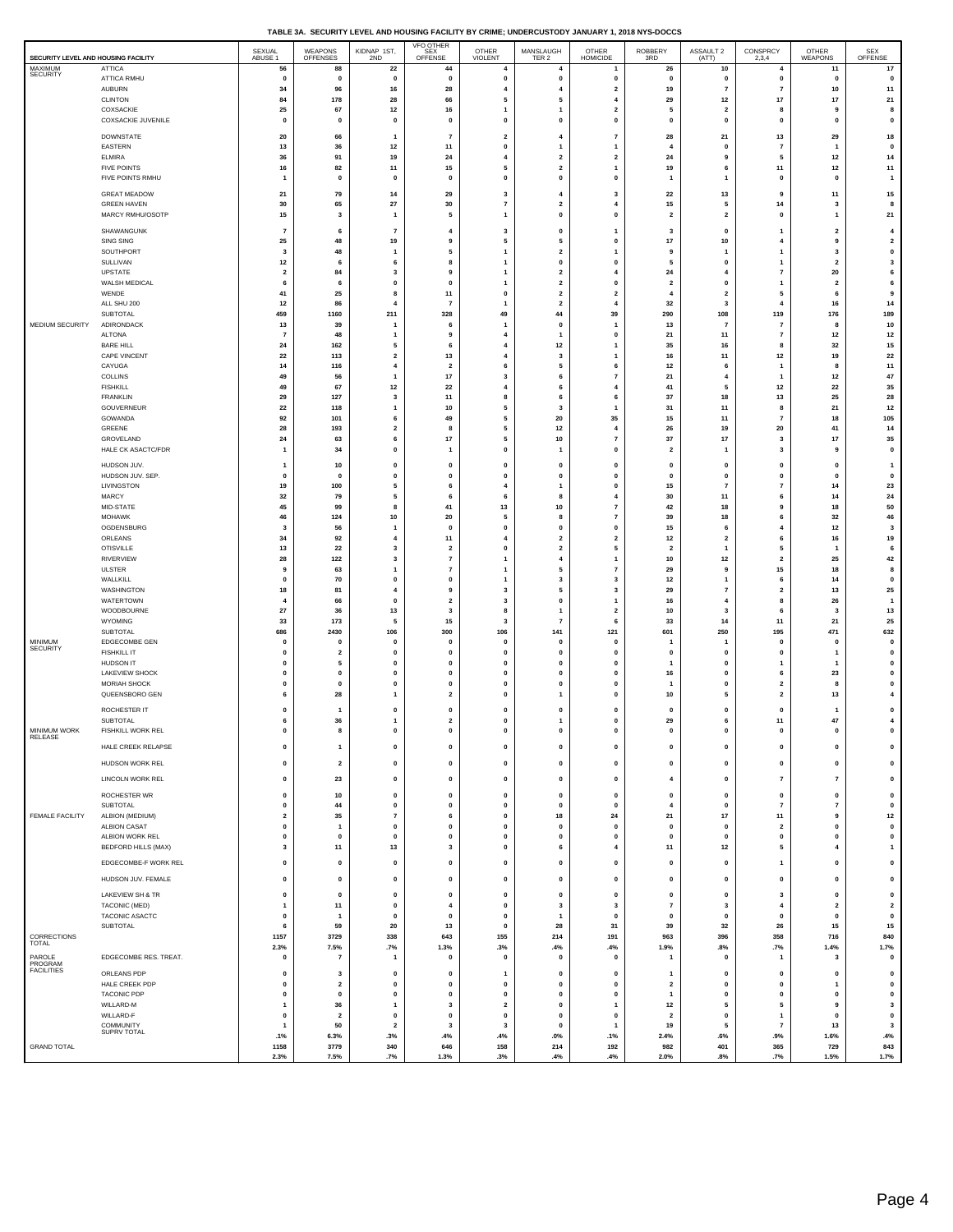|  |  | TABLE 3A. SECURITY LEVEL AND HOUSING FACILITY BY CRIME: UNDERCUSTODY JANUARY 1, 2018 NYS-DOCCS |
|--|--|------------------------------------------------------------------------------------------------|
|  |  |                                                                                                |

| SECURITY LEVEL AND HOUSING FACILITY    |                                               | SEXUAL<br>ABUSE 1             | WEAPONS<br>OFFENSES           | KIDNAP 1ST,<br>2ND            | <b>VFO OTHER</b><br>SEX<br>OFFENSE            | OTHER<br>VIOLENT                          | MANSLAUGH<br>TER 2                      | OTHER<br>HOMICIDE                          | ROBBERY<br>3RD                | ASSAULT 2<br>(ATT)               | CONSPRCY<br>2,3,4              | OTHER<br>WEAPONS                 | SEX<br>OFFENSE                       |
|----------------------------------------|-----------------------------------------------|-------------------------------|-------------------------------|-------------------------------|-----------------------------------------------|-------------------------------------------|-----------------------------------------|--------------------------------------------|-------------------------------|----------------------------------|--------------------------------|----------------------------------|--------------------------------------|
| MAXIMUM<br><b>SECURITY</b>             | ATTICA<br><b>ATTICA RMHU</b>                  | 56<br>0                       | 88<br>$\mathbf 0$             | 22<br>$\pmb{0}$               | 44<br>$\mathbf 0$                             | $\overline{4}$<br>0                       | 4<br>$\pmb{0}$                          | 1<br>0                                     | 26<br>0                       | 10<br>0                          | $\overline{4}$<br>$\mathbf 0$  | 11<br>$\pmb{0}$                  | 17<br>$\pmb{0}$                      |
|                                        | <b>AUBURN</b>                                 | 34                            | 96                            | 16                            | 28                                            | $\overline{4}$                            | $\overline{\mathbf{4}}$                 | $\overline{2}$                             | 19                            | $\overline{7}$                   | $\overline{7}$                 | 10                               | 11                                   |
|                                        | <b>CLINTON</b>                                | 84                            | 178                           | 28                            | 66                                            | 5                                         | 5                                       | $\overline{4}$                             | 29                            | 12                               | 17                             | $17$                             | 21                                   |
|                                        | COXSACKIE<br>COXSACKIE JUVENILE               | 25<br>0                       | 67<br>$\mathbf 0$             | $12$<br>$\mathbf 0$           | 16<br>$\pmb{\mathsf{o}}$                      | $\mathbf{1}$<br>$\pmb{0}$                 | 1<br>$\pmb{0}$                          | $\overline{\mathbf{2}}$<br>$\pmb{0}$       | 5<br>$\pmb{0}$                | $\overline{\mathbf{2}}$<br>0     | 8<br>$\mathbf 0$               | 9<br>$\mathbf 0$                 | 8<br>$\pmb{0}$                       |
|                                        | DOWNSTATE                                     | 20                            | 66                            | $\mathbf{1}$                  | $\overline{7}$                                | $\overline{\mathbf{2}}$                   | $\overline{4}$                          | $\overline{7}$                             | 28                            | 21                               | 13                             | 29                               | 18                                   |
|                                        | EASTERN                                       | 13                            | 36                            | 12                            | 11                                            | $\mathbf{0}$                              | $\mathbf{1}$                            | $\overline{1}$                             | $\overline{4}$                | $\mathbf 0$                      | $\overline{7}$                 | $\overline{\mathbf{1}}$          | $\pmb{0}$                            |
|                                        | <b>ELMIRA</b>                                 | 36                            | 91                            | 19                            | 24                                            | $\overline{\mathbf{4}}$                   | $\overline{\mathbf{2}}$                 | $\overline{\mathbf{2}}$                    | 24                            | 9                                | 5                              | 12                               | 14                                   |
|                                        | <b>FIVE POINTS</b><br>FIVE POINTS RMHU        | 16<br>$\mathbf{1}$            | 82<br>$\mathbf 0$             | 11<br>$\mathbf{0}$            | 15<br>$\Omega$                                | 5<br>$\mathbf{o}$                         | $\overline{\mathbf{2}}$<br>$\mathbf 0$  | 1<br>$\Omega$                              | 19<br>$\mathbf{1}$            | 6<br>$\mathbf{1}$                | 11<br>0                        | 12<br>$\Omega$                   | 11<br>$\overline{1}$                 |
|                                        | <b>GREAT MEADOW</b>                           | 21                            | 79                            | 14                            | 29                                            | 3                                         | 4                                       | 3                                          | 22                            | 13                               | 9                              | $11$                             | 15                                   |
|                                        | <b>GREEN HAVEN</b>                            | 30                            | 65                            | 27                            | 30                                            | $\overline{7}$                            | $\overline{\mathbf{2}}$                 | $\overline{4}$                             | 15                            | 5                                | 14                             | $\overline{\mathbf{3}}$          | 8                                    |
|                                        | MARCY RMHU/OSOTP                              | 15                            | 3                             | $\mathbf{1}$                  | -5                                            | $\mathbf{1}$                              | $\mathbf{0}$                            | $\Omega$                                   | $\overline{\mathbf{2}}$       | $\overline{\mathbf{2}}$          | 0                              | $\overline{\mathbf{1}}$          | $\bf 21$                             |
|                                        | SHAWANGUNK                                    | $\overline{7}$                | 6                             | $\overline{7}$                | $\overline{4}$                                | 3                                         | $\mathbf{0}$                            | 1                                          | 3                             | $\mathbf 0$                      | $\mathbf{1}$                   | $\overline{2}$                   | $\overline{4}$                       |
|                                        | SING SING<br>SOUTHPORT                        | 25<br>$\overline{\mathbf{3}}$ | 48<br>48                      | 19<br>$\overline{1}$          | 9<br>5                                        | 5<br>$\overline{1}$                       | 5<br>$\mathbf 2$                        | 0<br>1                                     | 17<br>9                       | 10<br>-1                         | $\overline{4}$<br>$\mathbf{1}$ | 9<br>3                           | $\overline{\mathbf{2}}$<br>$\pmb{0}$ |
|                                        | SULLIVAN                                      | 12                            | 6                             | 6                             | 8                                             | $\mathbf{1}$                              | $\mathbf{0}$                            | $\Omega$                                   | 5                             | $\mathbf 0$                      | $\mathbf{1}$                   | $\overline{2}$                   | $\mathbf{3}$                         |
|                                        | UPSTATE<br>WALSH MEDICAL                      | $\overline{\mathbf{2}}$<br>6  | 84<br>6                       | 3<br>0                        | 9<br>$\mathbf 0$                              | $\overline{1}$<br>$\overline{1}$          | $\mathbf{2}$<br>$\overline{\mathbf{2}}$ | $\overline{4}$<br>$\mathbf{0}$             | 24<br>$\overline{\mathbf{2}}$ | 4<br>$\mathbf 0$                 | $\overline{7}$<br>1            | 20<br>$\overline{\mathbf{2}}$    | 6<br>6                               |
|                                        | WENDE                                         | 41                            | 25                            | 8                             | 11                                            | 0                                         | $\overline{\mathbf{2}}$                 | $\overline{\mathbf{2}}$                    | 4                             | $\overline{2}$                   | 5                              | 6                                | 9                                    |
|                                        | ALL SHU 200<br>SUBTOTAL                       | 12<br>459                     | 86<br>1160                    | $\overline{4}$<br>211         | $\overline{7}$<br>328                         | $\mathbf{1}$<br>49                        | $\overline{\mathbf{2}}$<br>44           | $\overline{\bf{4}}$<br>39                  | 32<br>290                     | 3<br>108                         | $\overline{4}$<br>119          | 16<br>176                        | 14<br>189                            |
| MEDIUM SECURITY                        | ADIRONDACK                                    | 13                            | 39                            | $\mathbf{1}$                  | 6                                             | $\mathbf{1}$                              | $\mathbf{0}$                            | $\mathbf{1}$                               | 13                            | $\overline{7}$                   | $\overline{7}$                 | 8                                | 10                                   |
|                                        | <b>ALTONA</b><br><b>BARE HILL</b>             | $\overline{7}$<br>24          | 48<br>162                     | $\mathbf{1}$<br>5             | 9<br>6                                        | $\overline{\mathbf{4}}$<br>$\overline{4}$ | $\mathbf{1}$<br>12                      | $\pmb{0}$<br>$\overline{1}$                | 21<br>35                      | 11<br>16                         | $\overline{7}$<br>8            | 12<br>32                         | $12$<br>15                           |
|                                        | CAPE VINCENT                                  | 22                            | 113                           | $\overline{\mathbf{2}}$       | 13                                            | $\overline{4}$                            | 3                                       | 1                                          | 16                            | 11                               | 12                             | 19                               | 22                                   |
|                                        | CAYUGA                                        | 14                            | 116                           | $\overline{4}$                | $\overline{\mathbf{2}}$                       | 6                                         | 5                                       | 6                                          | 12                            | 6                                | $\mathbf{1}$                   | 8                                | 11                                   |
|                                        | <b>COLLINS</b><br><b>FISHKILL</b>             | 49<br>49                      | 56<br>67                      | $\mathbf{1}$<br>12            | 17<br>22                                      | 3<br>$\overline{4}$                       | 6<br>6                                  | $\overline{7}$<br>$\overline{4}$           | 21<br>41                      | $\overline{4}$<br>5              | $\overline{1}$<br>12           | 12<br>22                         | 47<br>35                             |
|                                        | <b>FRANKLIN</b>                               | 29                            | 127                           | 3                             | 11                                            | 8                                         | 6                                       | 6                                          | 37                            | 18                               | 13                             | 25                               | 28                                   |
|                                        | GOUVERNEUR<br>GOWANDA                         | 22<br>92                      | 118<br>101                    | $\mathbf{1}$<br>6             | 10<br>49                                      | 5<br>5                                    | $\mathbf{3}$<br>20                      | 1<br>35                                    | 31<br>15                      | 11<br>11                         | 8<br>$\overline{7}$            | 21<br>18                         | $12$<br>105                          |
|                                        | GREENE                                        | 28                            | 193                           | $\overline{2}$                | 8                                             | 5                                         | 12                                      | $\overline{4}$                             | 26                            | 19                               | 20                             | 41                               | 14                                   |
|                                        | GROVELAND<br>HALE CK ASACTC/FDR               | 24<br>1                       | 63<br>34                      | 6<br>0                        | $17$<br>$\overline{1}$                        | 5<br>0                                    | 10<br>$\overline{1}$                    | $\overline{7}$<br>$\mathbf{0}$             | 37<br>$\overline{2}$          | 17<br>$\mathbf{1}$               | 3<br>3                         | 17<br>9                          | 35<br>0                              |
|                                        | HUDSON JUV.                                   | 1                             |                               | 0                             | $\pmb{0}$                                     | 0                                         | $\pmb{0}$                               | 0                                          | $\pmb{0}$                     | 0                                | 0                              | $\pmb{0}$                        | $\overline{1}$                       |
|                                        | HUDSON JUV. SEP.                              | $\mathbf 0$                   | 10<br>$\mathbf{0}$            | $\mathbf 0$                   | $\pmb{0}$                                     | $\mathbf{0}$                              | $\mathbf{0}$                            | $\mathbf 0$                                | $\mathbf{0}$                  | $\mathbf 0$                      | $\mathbf{0}$                   | $\pmb{\mathsf{o}}$               | $\pmb{0}$                            |
|                                        | LIVINGSTON                                    | 19                            | 100                           | 5                             | 6<br>6                                        | $\overline{4}$                            | $\mathbf{1}$                            | 0                                          | 15                            | $\overline{7}$                   | $\overline{7}$                 | 14                               | 23                                   |
|                                        | MARCY<br>MID-STATE                            | 32<br>45                      | 79<br>99                      | 5<br>8                        | 41                                            | 6<br>13                                   | 8<br>10                                 | $\overline{4}$<br>$\overline{\mathbf{r}}$  | 30<br>42                      | 11<br>18                         | 6<br>9                         | 14<br>18                         | 24<br>50                             |
|                                        | MOHAWK                                        | 46                            | 124                           | $10\,$                        | 20                                            | 5                                         | 8                                       | $\overline{7}$                             | 39                            | 18                               | 6                              | 32                               | 46                                   |
|                                        | OGDENSBURG<br>ORLEANS                         | 3<br>34                       | 56<br>92                      | $\mathbf{1}$<br>4             | $\Omega$<br>11                                | $\mathbf{o}$<br>$\overline{4}$            | $\pmb{0}$<br>$\mathbf{2}$               | $\mathbf 0$<br>$\overline{2}$              | 15<br>12                      | 6<br>$\overline{2}$              | $\overline{4}$<br>6            | 12<br>$16\,$                     | $\mathbf{3}$<br>19                   |
|                                        | <b>OTISVILLE</b>                              | 13                            | 22                            | 3                             | $\overline{\mathbf{2}}$                       | $\mathbf{o}$                              | $\overline{\mathbf{2}}$                 | 5                                          | $\overline{\mathbf{2}}$       | $\mathbf{1}$                     | 5                              | $\overline{\mathbf{1}}$          | 6                                    |
|                                        | RIVERVIEW<br><b>ULSTER</b>                    | 28<br>9                       | 122<br>63                     | 3<br>$\mathbf{1}$             | $\overline{7}$<br>$\overline{7}$              | $\overline{1}$<br>$\mathbf{1}$            | $\overline{\mathbf{4}}$<br>5            | $\overline{\phantom{a}}$<br>$\overline{7}$ | 10<br>29                      | 12<br>9                          | $\overline{\mathbf{2}}$<br>15  | 25<br>18                         | 42<br>8                              |
|                                        | WALLKILL                                      | 0                             | 70                            | 0                             | $\mathbf 0$                                   | $\overline{1}$                            | 3                                       | 3                                          | 12                            | 1                                | 6                              | 14                               | 0                                    |
|                                        | WASHINGTON<br>WATERTOWN                       | 18<br>4                       | 81<br>66                      | $\overline{4}$<br>$\mathbf 0$ | 9<br>$\overline{\mathbf{2}}$                  | $\overline{\mathbf{3}}$<br>3              | 5<br>$\pmb{0}$                          | 3<br>$\overline{\phantom{a}}$              | 29<br>16                      | $\overline{7}$<br>$\overline{4}$ | $\overline{\mathbf{2}}$<br>8   | 13<br>26                         | 25<br>$\overline{1}$                 |
|                                        | WOODBOURNE                                    | 27                            | 36                            | 13                            | $\overline{\mathbf{3}}$                       | 8                                         | $\overline{1}$                          | $\overline{\mathbf{2}}$                    | 10                            | 3                                | 6                              | $\overline{\mathbf{3}}$          | 13                                   |
|                                        | WYOMING<br>SUBTOTAL                           | 33<br>686                     | 173<br>2430                   | 5<br>106                      | 15<br>300                                     | 3<br>106                                  | $\overline{7}$<br>141                   | 6<br>121                                   | 33<br>601                     | 14<br>250                        | 11<br>195                      | 21<br>471                        | 25<br>632                            |
| <b>MINIMUM</b>                         | EDGECOMBE GEN                                 | 0                             | $\mathbf 0$                   | $\mathbf 0$                   | $\mathbf{0}$                                  | $\mathbf{0}$                              | $\mathbf 0$                             | $\mathbf{0}$                               | 1                             | 1                                | $\mathbf 0$                    | $\mathbf{0}$                     | 0                                    |
| SECURITY                               | <b>FISHKILL IT</b><br>HUDSON IT               | 0<br>$\pmb{0}$                | $\overline{\mathbf{2}}$<br>5  | $\mathbf 0$<br>0              | $\pmb{\mathsf{o}}$<br>$\Omega$                | 0<br>$\mathbf{o}$                         | $\pmb{0}$<br>0                          | $\mathbf{0}$<br>$\Omega$                   | 0<br>1                        | 0<br>$\mathbf 0$                 | 0<br>$\mathbf{1}$              | $\overline{1}$<br>$\overline{1}$ | $\pmb{0}$                            |
|                                        | LAKEVIEW SHOCK                                | $\pmb{0}$                     | $\mathbf 0$                   | $\mathbf 0$                   | $\pmb{\mathsf{o}}$                            | $\mathbf{0}$                              | $\pmb{0}$                               | $\mathbf{0}$                               | 16                            | 0                                | 6                              | 23                               | $\mathbf 0$<br>$\pmb{0}$             |
|                                        | MORIAH SHOCK                                  | $\pmb{0}$                     | $\mathbf{0}$                  | $\mathbf{0}$                  | $\mathbf 0$                                   | $\mathbf{0}$                              | $\mathbf 0$                             | $\mathbf{0}$                               | -1                            | $\mathbf 0$                      | $\overline{2}$                 | 8                                | $\pmb{0}$                            |
|                                        | QUEENSBORO GEN                                | 6                             | 28                            | 1                             | $\overline{\mathbf{2}}$                       | 0                                         | $\mathbf{1}$                            | 0                                          | 10                            | 5                                | $\overline{\mathbf{2}}$        | 13                               | $\overline{\mathbf{4}}$              |
|                                        | ROCHESTER IT<br>SUBTOTAL                      | 0<br>6                        | 1<br>36                       | 0<br>1                        | $\mathbf 0$<br>$\mathbf{2}$                   | 0<br>0                                    | $\pmb{0}$<br>$\mathbf{1}$               | $\pmb{0}$<br>$\mathbf{0}$                  | 0<br>29                       | 0<br>6                           | 0<br>11                        | $\mathbf{1}$<br>47               | 0<br>$\boldsymbol{4}$                |
| MINIMUM WORK<br>RELEASE                | FISHKILL WORK REL                             | $\mathbf 0$                   | 8                             | $\Omega$                      | $\Omega$                                      | $\Omega$                                  | $\Omega$                                | $\mathbf{0}$                               | $\mathbf{0}$                  | $\Omega$                         | $\Omega$                       | $\Omega$                         | $\pmb{0}$                            |
|                                        | HALE CREEK RELAPSE                            | $\pmb{0}$                     | $\overline{\mathbf{1}}$       | $\mathbf 0$                   | $\mathbf 0$                                   | 0                                         | $\mathbf 0$                             | $\mathbf 0$                                | $\pmb{0}$                     | 0                                | 0                              | $\mathbf{0}$                     | 0                                    |
|                                        | HUDSON WORK REL                               | $\mathbf 0$                   | $\overline{\mathbf{2}}$       | $\pmb{0}$                     | $\pmb{\mathsf{o}}$                            | $\pmb{0}$                                 | $\pmb{0}$                               | $\mathbf 0$                                | $\mathbf 0$                   | $\pmb{0}$                        | $\pmb{0}$                      | $\pmb{\mathsf{o}}$               | $\pmb{0}$                            |
|                                        | LINCOLN WORK REL                              | $\pmb{0}$                     | 23                            | $\pmb{0}$                     | $\pmb{\mathsf{o}}$                            | $\pmb{0}$                                 | $\pmb{0}$                               | $\pmb{0}$                                  | 4                             | $\mathbf{0}$                     | $\scriptstyle\rm 7$            | $\overline{7}$                   | $\pmb{0}$                            |
|                                        | ROCHESTER WR                                  | $\mathbf 0$                   | 10                            | $\mathbf 0$                   | $\pmb{0}$                                     | $\pmb{0}$                                 | $\pmb{\mathsf{o}}$                      | 0                                          | $\pmb{0}$                     | $\mathbf 0$                      | $\pmb{0}$                      | $\pmb{\mathsf{o}}$               | $\pmb{0}$                            |
| FEMALE FACILITY                        | SUBTOTAL<br>ALBION (MEDIUM)                   | 0<br>$\mathbf{2}$             | 44<br>35                      | $\pmb{0}$<br>$\overline{7}$   | $\pmb{0}$<br>6                                | $\pmb{0}$<br>$\pmb{0}$                    | $\pmb{0}$<br>18                         | $\mathbf{0}$<br>${\bf 24}$                 | 4<br>21                       | 0<br>17                          | $\overline{7}$<br>11           | $\overline{7}$<br>$\mathbf{9}$   | $\pmb{0}$<br>$12$                    |
|                                        | <b>ALBION CASAT</b>                           | $\mathbf 0$                   | $\overline{1}$                | $\pmb{0}$                     | $\pmb{0}$                                     | $\mathbf{0}$                              | $\mathbf 0$                             | $\mathbf{0}$                               | $\mathbf{0}$                  | $\mathbf{0}$                     | $\overline{\mathbf{2}}$        | $\mathbf{0}$                     | $\pmb{0}$                            |
|                                        | ALBION WORK REL<br><b>BEDFORD HILLS (MAX)</b> | $\mathbf 0$<br>3              | $\pmb{0}$<br>11               | $\pmb{\mathsf{o}}$<br>13      | $\pmb{\mathsf{o}}$<br>$\overline{\mathbf{3}}$ | $\pmb{0}$<br>$\pmb{0}$                    | $\pmb{\mathsf{o}}$<br>6                 | 0<br>$\overline{4}$                        | $\pmb{0}$<br>11               | $\mathbf 0$<br>12                | $\pmb{0}$<br>5                 | $\mathbf 0$<br>$\overline{4}$    | $\pmb{0}$<br>$\mathbf{1}$            |
|                                        | EDGECOMBE-F WORK REL                          | $\mathbf{0}$                  | $\pmb{0}$                     | $\pmb{0}$                     | $\pmb{0}$                                     | $\pmb{0}$                                 | $\pmb{0}$                               | $\pmb{0}$                                  | $\mathbf{0}$                  | $\mathbf{0}$                     | $\overline{1}$                 | $\pmb{\mathsf{o}}$               | $\pmb{0}$                            |
|                                        | HUDSON JUV. FEMALE                            | $\pmb{0}$                     | $\mathbf 0$                   | $\mathbf 0$                   | $\pmb{0}$                                     | 0                                         | $\pmb{\mathsf{o}}$                      | 0                                          | $\pmb{0}$                     | 0                                | $\pmb{0}$                      | $\mathbf 0$                      | $\pmb{0}$                            |
|                                        | LAKEVIEW SH & TR                              | $\mathbf 0$                   | $\pmb{0}$                     | $\mathbf 0$                   | $\pmb{0}$                                     | $\pmb{0}$                                 | $\pmb{0}$                               | $\pmb{0}$                                  | $\pmb{0}$                     | $\mathbf 0$                      | $\overline{\mathbf{3}}$        | $\pmb{\mathsf{o}}$               | $\pmb{0}$                            |
|                                        | TACONIC (MED)                                 | 1                             | $11$                          | $\mathbf 0$                   | $\overline{4}$                                | $\mathbf{0}$                              | 3                                       | 3                                          | $\scriptstyle\rm 7$           | 3                                | $\overline{4}$                 | $\mathbf{2}$                     | $\mathbf{2}$                         |
|                                        | TACONIC ASACTC<br>SUBTOTAL                    | $\mathbf 0$<br>6              | $\overline{1}$<br>59          | $\pmb{\mathsf{o}}$<br>20      | $\pmb{\mathsf{o}}$<br>13                      | $\pmb{0}$<br>$\mathbf{0}$                 | $\overline{1}$<br>28                    | $\mathbf{0}$<br>31                         | $\pmb{0}$<br>39               | $\mathbf 0$<br>32                | $\mathbf 0$<br>26              | $\pmb{\mathsf{o}}$<br>15         | $\pmb{0}$<br>15                      |
| CORRECTIONS                            |                                               | 1157                          | 3729                          | 338                           | 643                                           | 155                                       | 214                                     | 191                                        | 963                           | 396                              | 358                            | 716                              | 840                                  |
| TOTAL                                  |                                               | 2.3%                          | 7.5%                          | .7%                           | 1.3%                                          | .3%                                       | .4%                                     | .4%                                        | 1.9%                          | .8%                              | .7%                            | 1.4%                             | 1.7%                                 |
| PAROLE<br>PROGRAM<br><b>FACILITIES</b> | EDGECOMBE RES. TREAT.                         | 0                             | $\overline{7}$                | $\mathbf{1}$                  | $\pmb{0}$                                     | 0                                         | $\pmb{0}$                               | 0                                          | 1                             | $\mathbf 0$                      | $\overline{1}$                 | 3                                | 0                                    |
|                                        | ORLEANS PDP<br>HALE CREEK PDP                 | 0<br>$\mathbf 0$              | 3<br>$\overline{\mathbf{2}}$  | $\pmb{0}$<br>$\mathbf 0$      | $\mathbf 0$<br>$\pmb{0}$                      | $\mathbf{1}$<br>$\pmb{0}$                 | $\mathbf 0$<br>$\pmb{0}$                | $\mathbf{0}$<br>0                          | 1<br>$\mathbf{2}$             | 0<br>$\mathbf 0$                 | $\pmb{0}$<br>$\mathbf 0$       | $\pmb{0}$<br>$\mathbf{1}$        | 0<br>$\pmb{0}$                       |
|                                        | <b>TACONIC PDP</b>                            | 0                             | $\mathbf 0$                   | $\mathbf{0}$                  | $\pmb{\mathsf{o}}$                            | $\mathbf{0}$                              | $\pmb{0}$                               | $\mathbf{0}$                               | $\mathbf{1}$                  | $\mathbf{0}$                     | $\pmb{0}$                      | $\mathbf{0}$                     | 0                                    |
|                                        | WILLARD-M<br>WILLARD-F                        | $\mathbf{1}$<br>$\mathbf 0$   | 36<br>$\overline{\mathbf{2}}$ | $\mathbf{1}$<br>$\pmb{0}$     | $\mathbf{3}$<br>$\pmb{0}$                     | $\mathbf{2}$<br>$\pmb{0}$                 | $\pmb{\mathsf{o}}$<br>$\pmb{0}$         | $\overline{1}$<br>$\mathbf{0}$             | 12<br>$\overline{\mathbf{2}}$ | 5<br>0                           | 5<br>$\overline{\mathbf{1}}$   | 9<br>$\mathbf{0}$                | $\mathbf{3}$<br>$\mathbf 0$          |
|                                        | COMMUNITY<br>SUPRV TOTAL                      | $\overline{1}$                | 50                            | $\mathbf{2}$                  | $\mathbf{3}$                                  | $\mathbf{3}$                              | $\pmb{\mathsf{o}}$                      | $\overline{1}$                             | 19                            | 5                                | $\overline{7}$                 | 13                               | $\mathbf{3}$                         |
| <b>GRAND TOTAL</b>                     |                                               | .1%<br>1158                   | 6.3%<br>3779                  | .3%<br>340                    | .4%<br>646                                    | .4%<br>158                                | .0%<br>214                              | .1%<br>192                                 | 2.4%<br>982                   | .6%<br>401                       | .9%<br>365                     | 1.6%<br>729                      | .4%<br>843                           |
|                                        |                                               | 2.3%                          | 7.5%                          | .7%                           | 1.3%                                          | .3%                                       | .4%                                     | .4%                                        | 2.0%                          | .8%                              | .7%                            | 1.5%                             | 1.7%                                 |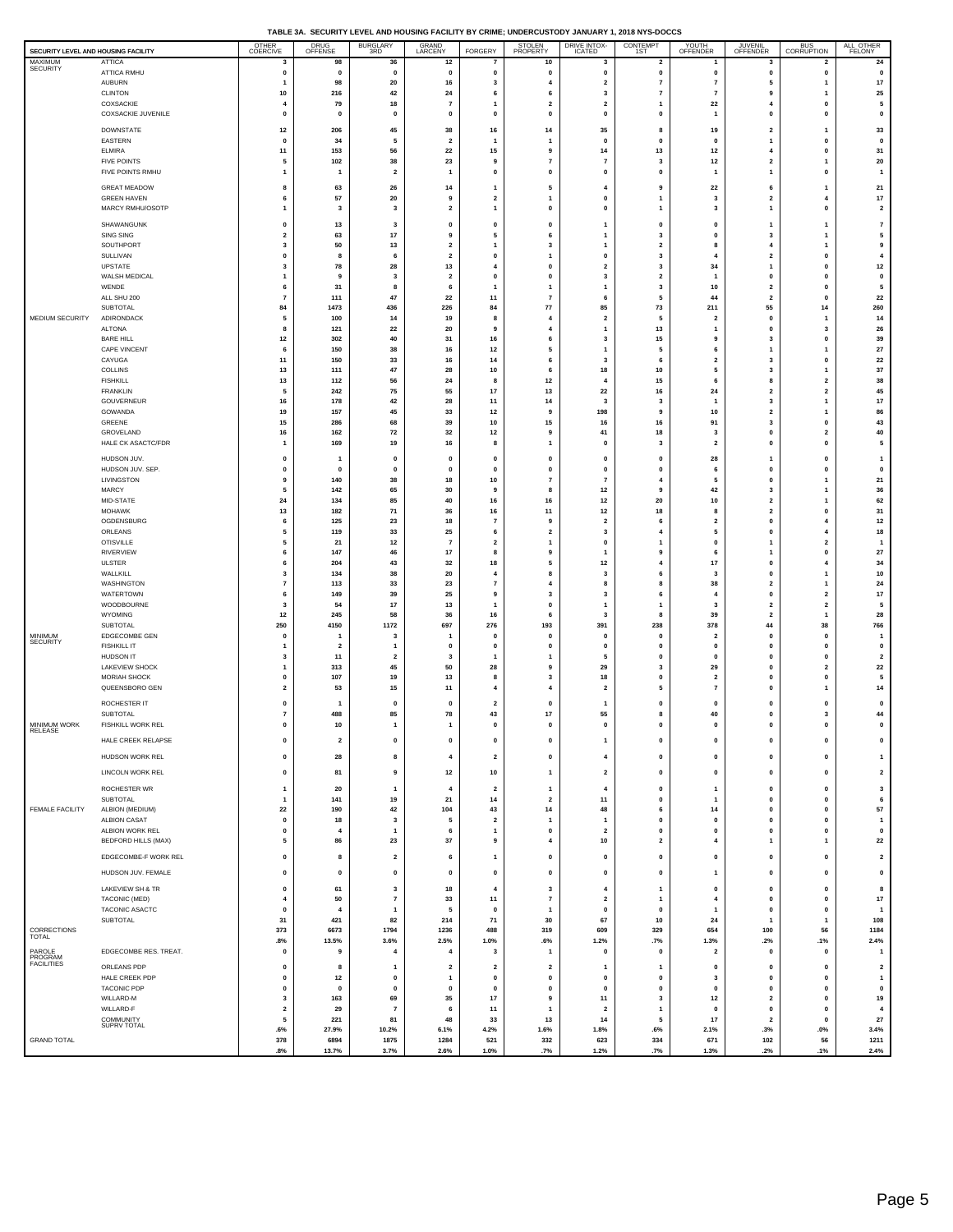| TABLE 3A. SECURITY LEVEL AND HOUSING FACILITY BY CRIME: UNDERCUSTODY JANUARY 1, 2018 NYS-DOCCS |  |
|------------------------------------------------------------------------------------------------|--|
|                                                                                                |  |

| SECURITY LEVEL AND HOUSING FACILITY |                                               | OTHER<br>COERCIVE               | <b>DRUG</b><br>OFFENSE                  | <b>BURGLARY</b><br>3RD  | GRAND<br>LARCENY                          | FORGERY                                 | <b>STOLEN</b><br>PROPERTY    | <b>DRIVE INTOX-</b><br><b>ICATED</b> | CONTEMPT<br>1ST                      | YOUTH<br>OFFENDER               | <b>JUVENIL</b><br>OFFENDER                | <b>BUS</b><br>CORRUPTION             | ALL OTHER<br><b>FELONY</b>    |
|-------------------------------------|-----------------------------------------------|---------------------------------|-----------------------------------------|-------------------------|-------------------------------------------|-----------------------------------------|------------------------------|--------------------------------------|--------------------------------------|---------------------------------|-------------------------------------------|--------------------------------------|-------------------------------|
| <b>MAXIMUM</b><br>SECURITY          | ATTICA                                        | 3                               | 98                                      | 36                      | $12$                                      | 7                                       | 10                           | 3                                    | $\overline{\mathbf{2}}$              | 1                               | 3                                         | 2                                    | ${\bf 24}$                    |
|                                     | ATTICA RMHU<br><b>AUBURN</b>                  | $\pmb{0}$<br>$\mathbf{1}$       | $\mathbf 0$<br>98                       | $\mathbf 0$<br>20       | $\pmb{0}$<br>16                           | 0<br>3                                  | 0<br>4                       | $\pmb{0}$<br>$\overline{\mathbf{2}}$ | 0<br>$\overline{7}$                  | $\pmb{0}$<br>$\overline{7}$     | $\pmb{0}$<br>5                            | 0<br>1                               | $\pmb{0}$<br>$17\,$           |
|                                     | <b>CLINTON</b>                                | 10                              | 216                                     | 42                      | 24                                        | 6                                       | 6                            | 3                                    | 7                                    | 7                               | 9                                         | 1                                    | 25                            |
|                                     | COXSACKIE<br><b>COXSACKIE JUVENILE</b>        | $\overline{4}$<br>$\pmb{0}$     | 79<br>$\pmb{0}$                         | 18<br>$\pmb{0}$         | $\overline{7}$<br>$\pmb{0}$               | $\mathbf{1}$<br>0                       | $\overline{\mathbf{2}}$<br>0 | $\overline{\mathbf{2}}$<br>$\pmb{0}$ | -1<br>0                              | 22<br>1                         | $\overline{4}$<br>$\mathbf{0}$            | $\mathbf{0}$<br>$\pmb{0}$            | 5<br>0                        |
|                                     | DOWNSTATE                                     | $12$                            | 206                                     | 45                      | 38                                        | 16                                      | 14                           | 35                                   | 8                                    | 19                              | $\overline{\mathbf{2}}$                   | $\mathbf{1}$                         | 33                            |
|                                     | EASTERN                                       | $\mathbf{0}$                    | 34                                      | 5                       | $\overline{\mathbf{2}}$                   | 1                                       | $\mathbf{1}$                 | 0                                    | 0                                    | 0                               | $\overline{1}$                            | 0                                    | $\mathbf 0$                   |
|                                     | <b>ELMIRA</b><br><b>FIVE POINTS</b>           | 11<br>5                         | 153<br>102                              | 56<br>38                | 22<br>23                                  | 15<br>9                                 | 9<br>$\overline{7}$          | 14<br>7                              | 13<br>3                              | 12<br>$12$                      | $\overline{4}$<br>$\overline{2}$          | $\mathbf{0}$<br>1                    | 31<br>20                      |
|                                     | FIVE POINTS RMHU                              | $\mathbf{1}$                    | $\overline{1}$                          | $\overline{\mathbf{2}}$ | $\mathbf{1}$                              | 0                                       | $\mathbf 0$                  | 0                                    | 0                                    | 1                               | $\mathbf{1}$                              | 0                                    | $\mathbf{1}$                  |
|                                     | <b>GREAT MEADOW</b>                           | 8                               | 63                                      | 26                      | 14                                        | 1                                       | 5                            | 4                                    | 9                                    | 22                              | 6                                         | -1                                   | 21                            |
|                                     | <b>GREEN HAVEN</b><br>MARCY RMHU/OSOTP        | 6<br>$\mathbf{1}$               | 57<br>3                                 | 20<br>3                 | 9<br>$\overline{\mathbf{2}}$              | $\overline{\mathbf{2}}$<br>$\mathbf{1}$ | $\mathbf 0$                  | 0<br>$\mathbf 0$                     | 1<br>$\mathbf{1}$                    | 3<br>$\overline{\mathbf{3}}$    | $\overline{2}$<br>$\mathbf{1}$            | 4<br>$\mathbf 0$                     | 17<br>$\overline{\mathbf{2}}$ |
|                                     | SHAWANGUNK                                    | $\pmb{0}$                       | 13                                      | 3                       | $\pmb{0}$                                 | $\pmb{0}$                               | 0                            | 1                                    | 0                                    | O                               | 1                                         | 1                                    | 7                             |
|                                     | SING SING                                     | $\overline{\mathbf{2}}$         | 63                                      | 17                      | 9                                         | 5                                       | 6                            | 1                                    | 3                                    | $\mathbf 0$                     | 3                                         | $\mathbf{1}$                         | 5                             |
|                                     | SOUTHPORT<br>SULLIVAN                         | 3<br>$\pmb{0}$                  | 50<br>8                                 | 13<br>6                 | $\overline{\mathbf{2}}$<br>$\overline{2}$ | 1<br>0                                  | 3<br>$\mathbf{1}$            | 1<br>0                               | $\overline{\mathbf{2}}$<br>3         | 8<br>4                          | $\overline{4}$<br>$\overline{\mathbf{2}}$ | 1<br>0                               | 9<br>$\overline{4}$           |
|                                     | <b>UPSTATE</b>                                | 3                               | 78                                      | 28                      | 13                                        | 4                                       | 0                            | $\overline{\mathbf{2}}$              | 3                                    | 34                              | $\overline{1}$                            | $\pmb{0}$                            | $12$                          |
|                                     | WALSH MEDICAL<br>WENDE                        | $\mathbf{1}$<br>6               | 9<br>31                                 | 3<br>8                  | $\overline{2}$<br>6                       | $\mathbf{0}$<br>1                       | 0                            | $\overline{\mathbf{3}}$<br>1         | $\overline{2}$<br>3                  | 1<br>10                         | $\mathbf{0}$<br>$\overline{2}$            | $\mathbf{0}$<br>$\pmb{0}$            | $\mathbf{0}$<br>5             |
|                                     | ALL SHU 200                                   | $\overline{7}$                  | 111                                     | 47                      | 22                                        | 11                                      | $\overline{7}$               | 6                                    | 5                                    | 44                              | $\overline{2}$                            | $\mathbf{0}$                         | 22                            |
| MEDIUM SECURITY                     | SUBTOTAL<br>ADIRONDACK                        | 84<br>5                         | 1473<br>100                             | 436<br>14               | 226<br>19                                 | 84<br>8                                 | 77<br>$\overline{4}$         | 85<br>$\overline{\mathbf{2}}$        | 73<br>5                              | 211<br>$\overline{2}$           | 55<br>$\mathbf{0}$                        | 14<br>1                              | 260<br>14                     |
|                                     | <b>ALTONA</b>                                 | 8                               | 121                                     | 22                      | 20                                        | 9                                       | 4                            | 1                                    | 13                                   | 1                               | $\Omega$                                  | 3                                    | 26                            |
|                                     | <b>BARE HILL</b><br>CAPE VINCENT              | $12$<br>6                       | 302<br>150                              | 40<br>38                | 31<br>16                                  | ${\bf 16}$<br>12                        | 6<br>5                       | 3<br>1                               | 15<br>5                              | 9<br>6                          | 3<br>$\mathbf{1}$                         | 0<br>$\mathbf{1}$                    | 39<br>27                      |
|                                     | CAYUGA                                        | 11                              | 150                                     | 33                      | 16                                        | 14                                      | 6                            | 3                                    | 6                                    | $\overline{\mathbf{2}}$         | 3                                         | 0                                    | 22                            |
|                                     | <b>COLLINS</b><br><b>FISHKILL</b>             | 13<br>13                        | 111<br>112                              | 47<br>56                | 28<br>$\bf 24$                            | 10<br>8                                 | 6<br>12                      | 18<br>4                              | 10<br>15                             | 5<br>6                          | 3<br>8                                    | $\mathbf{1}$<br>$\mathbf 2$          | 37<br>38                      |
|                                     | <b>FRANKLIN</b>                               | 5                               | 242                                     | 75                      | 55                                        | 17                                      | 13                           | 22                                   | 16                                   | 24                              | $\overline{2}$                            | $\overline{\mathbf{2}}$              | 45                            |
|                                     | GOUVERNEUR<br>GOWANDA                         | 16<br>19                        | 178<br>157                              | 42<br>45                | 28<br>33                                  | 11<br>12                                | 14<br>9                      | 3<br>198                             | 3<br>9                               | 10                              | 3<br>$\overline{2}$                       | 1<br>-1                              | 17<br>86                      |
|                                     | GREENE                                        | 15                              | 286                                     | 68                      | 39                                        | 10                                      | 15                           | 16                                   | 16                                   | 91                              | 3                                         | $\pmb{0}$                            | 43                            |
|                                     | GROVELAND<br>HALE CK ASACTC/FDR               | 16                              | 162<br>169                              | 72<br>19                | 32<br>16                                  | 12<br>8                                 | 9                            | 41<br>O                              | 18<br>3                              | 3<br>$\overline{\mathbf{2}}$    | $\mathbf{0}$<br>$\pmb{0}$                 | $\overline{\mathbf{2}}$<br>$\pmb{0}$ | 40<br>5                       |
|                                     | HUDSON JUV.                                   | $\mathbf{0}$                    | $\mathbf{1}$                            | 0                       | $\mathbf 0$                               | 0                                       | $\mathbf 0$                  | 0                                    | 0                                    | 28                              | $\mathbf{1}$                              | $\mathbf{0}$                         | $\overline{1}$                |
|                                     | HUDSON JUV. SEP.                              | $\pmb{0}$                       | $\mathbf{0}$                            | $\mathbf{0}$            | $\mathbf{0}$                              | 0                                       | $\mathbf 0$                  | 0                                    | 0                                    | 6                               | $\mathbf{0}$                              | $\pmb{0}$                            | $\mathbf 0$                   |
|                                     | LIVINGSTON<br>MARCY                           | 9<br>5                          | 140<br>142                              | 38<br>65                | 18<br>30                                  | 10<br>9                                 | $\overline{7}$<br>8          | 7<br>12                              | 4<br>9                               | 5<br>42                         | $\mathbf{0}$<br>3                         | $\mathbf{1}$<br>$\mathbf{1}$         | 21<br>36                      |
|                                     | MID-STATE                                     | 24                              | 134                                     | 85                      | 40                                        | 16                                      | 16                           | 12                                   | 20                                   | 10                              | $\overline{2}$                            | -1                                   | 62                            |
|                                     | <b>MOHAWK</b><br>OGDENSBURG                   | 13<br>6                         | 182<br>125                              | 71<br>23                | 36<br>18                                  | 16<br>$\overline{7}$                    | 11<br>9                      | 12<br>$\overline{\mathbf{2}}$        | 18<br>6                              | 8<br>$\overline{\mathbf{2}}$    | $\overline{\mathbf{2}}$<br>$\mathbf{0}$   | $\pmb{0}$<br>$\overline{4}$          | 31<br>$12$                    |
|                                     | ORLEANS                                       | 5                               | 119                                     | 33                      | 25                                        | 6                                       | $\overline{2}$               | 3                                    | 4                                    | 5                               | 0                                         | 4                                    | 18                            |
|                                     | <b>OTISVILLE</b><br>RIVERVIEW                 | 5<br>6                          | 21<br>147                               | 12<br>46                | $\overline{7}$<br>17                      | $\overline{\mathbf{2}}$<br>8            | -1<br>9                      | $\mathbf{0}$<br>1                    | -1<br>9                              | $\mathbf 0$<br>6                | $\mathbf{1}$<br>1                         | $\overline{\mathbf{2}}$<br>$\pmb{0}$ | $\overline{\mathbf{1}}$<br>27 |
|                                     | ULSTER                                        | 6                               | 204                                     | 43                      | 32                                        | 18                                      | 5                            | 12                                   | $\overline{4}$                       | 17                              | $\mathbf{0}$                              | 4                                    | 34                            |
|                                     | WALLKILL<br>WASHINGTON                        | 3<br>$\overline{7}$             | 134<br>113                              | 38<br>33                | 20<br>23                                  | 4<br>7                                  | 8<br>$\overline{4}$          | 3<br>8                               | 6<br>8                               | 3<br>38                         | $\mathbf{0}$<br>$\overline{\mathbf{2}}$   | $\mathbf{1}$<br>1                    | 10<br>24                      |
|                                     | WATERTOWN                                     | 6                               | 149                                     | 39                      | 25                                        | 9                                       | 3                            | 3                                    | 6                                    | 4                               | $\Omega$                                  | $\overline{\mathbf{2}}$              | 17                            |
|                                     | WOODBOURNE<br><b>WYOMING</b>                  | $\overline{\mathbf{3}}$<br>$12$ | 54<br>245                               | 17<br>58                | 13<br>36                                  | 1<br>16                                 | 0<br>6                       | 1<br>3                               | $\mathbf{1}$<br>8                    | 3<br>39                         | $\overline{2}$<br>$\overline{\mathbf{2}}$ | $\mathbf 2$<br>$\mathbf{1}$          | 5<br>${\bf 28}$               |
|                                     | SUBTOTAL                                      | 250                             | 4150                                    | 1172                    | 697                                       | 276                                     | 193                          | 391                                  | 238                                  | 378                             | 44                                        | 38                                   | 766                           |
| MINIMUM<br>SECURITY                 | EDGECOMBE GEN<br><b>FISHKILL IT</b>           | 0                               | $\mathbf{1}$<br>$\overline{\mathbf{2}}$ | -3<br>$\mathbf{1}$      | -1<br>$\pmb{0}$                           | 0<br>0                                  | $\mathbf 0$<br>0             | 0<br>0                               | $\mathbf 0$<br>0                     | $\overline{2}$<br>$\pmb{0}$     | $\mathbf{0}$<br>$\mathbf{0}$              | $\mathbf{0}$<br>$\pmb{0}$            | -1<br>$\mathbf 0$             |
|                                     | <b>HUDSON IT</b>                              | 3                               | 11                                      | $\overline{2}$          | $\mathbf{3}$                              | 1                                       | 1                            | 5                                    | $\mathbf 0$                          | $\mathbf 0$                     | $\mathbf{0}$                              | $\mathbf{0}$                         | $\overline{2}$                |
|                                     | <b>LAKEVIEW SHOCK</b><br>MORIAH SHOCK         | $\mathbf{1}$<br>$\mathbf{0}$    | 313<br>107                              | 45<br>19                | 50<br>13                                  | 28<br>8                                 | 9<br>3                       | 29<br>18                             | 3<br>$\mathbf{0}$                    | 29<br>$\overline{2}$            | $\pmb{0}$<br>$\mathbf{0}$                 | $\mathbf{2}$<br>$\mathbf{0}$         | 22<br>5                       |
|                                     | QUEENSBORO GEN                                | $\overline{\mathbf{2}}$         | 53                                      | 15                      | 11                                        | 4                                       | 4                            | $\overline{\mathbf{2}}$              | 5                                    | 7                               | $\Omega$                                  | $\mathbf{1}$                         | 14                            |
|                                     | ROCHESTER IT                                  | 0                               | -1                                      | $\mathbf{0}$            | 0                                         | $\overline{\mathbf{2}}$                 | $\mathbf 0$                  | 1                                    | 0                                    | 0                               | $\mathbf 0$                               | 0                                    | 0                             |
| MINIMUM WORK                        | SUBTOTAL<br>FISHKILL WORK REL                 | $\overline{7}$<br>$\mathbf{0}$  | 488<br>10                               | 85<br>$\mathbf{1}$      | 78<br>$\mathbf{1}$                        | 43<br>$\mathbf 0$                       | 17<br>$\Omega$               | 55<br>$\mathbf 0$                    | 8<br>$\mathbf{0}$                    | 40<br>$\mathbf 0$               | 0<br>$\Omega$                             | 3<br>$\mathbf{0}$                    | 44<br>$\mathbf{0}$            |
| RELE/                               | HALE CREEK RELAPSE                            | $\pmb{0}$                       | $\mathbf{2}$                            | $\pmb{0}$               | $\pmb{0}$                                 | $\pmb{0}$                               | $\mathbf{0}$                 | $\mathbf{1}$                         | $\mathbf{0}$                         | $\pmb{0}$                       | $\mathbf{0}$                              | $\pmb{0}$                            | $\pmb{0}$                     |
|                                     | HUDSON WORK REL                               | $\pmb{0}$                       | 28                                      | 8                       | $\sqrt{4}$                                | $\mathbf{2}$                            | $\pmb{0}$                    | $\pmb{4}$                            | 0                                    | $\pmb{0}$                       | $\mathbf 0$                               | $\pmb{0}$                            | $\overline{1}$                |
|                                     | LINCOLN WORK REL                              | $\pmb{0}$                       | 81                                      | 9                       | $12$                                      | 10                                      | $\mathbf{1}$                 | $\mathbf 2$                          | $\pmb{0}$                            | $\pmb{0}$                       | $\pmb{0}$                                 | $\pmb{0}$                            | $\mathbf{2}$                  |
|                                     | ROCHESTER WR                                  | $\mathbf{1}$                    | 20                                      | $\mathbf{1}$            | $\overline{4}$                            | 2                                       | $\overline{1}$               | 4                                    | $\pmb{0}$                            | 1                               | 0                                         | 0                                    | 3                             |
| <b>FEMALE FACILITY</b>              | <b>SUBTOTAL</b><br>ALBION (MEDIUM)            | $\mathbf{1}$<br>22              | 141<br>190                              | 19<br>42                | 21<br>104                                 | 14<br>43                                | $\overline{2}$<br>14         | 11<br>48                             | $\mathbf{0}$<br>6                    | 1<br>14                         | $\pmb{0}$<br>$\pmb{0}$                    | $\mathbf 0$<br>0                     | 6<br>57                       |
|                                     | <b>ALBION CASAT</b>                           | $\mathbf{0}$                    | 18                                      | $\overline{\mathbf{3}}$ | 5                                         | $\mathbf{2}$                            | $\mathbf{1}$                 | 1                                    | $\mathbf{0}$                         | $\mathbf 0$                     | $\pmb{0}$                                 | $\mathbf 0$                          | $\overline{1}$                |
|                                     | ALBION WORK REL<br><b>BEDFORD HILLS (MAX)</b> | $\pmb{0}$<br>5                  | $\overline{4}$<br>86                    | $\mathbf{1}$<br>23      | 6<br>37                                   | 1<br>9                                  | 0<br>$\overline{4}$          | 2<br>10                              | $\pmb{0}$<br>$\overline{\mathbf{2}}$ | $\pmb{0}$<br>$\overline{4}$     | 0<br>$\overline{1}$                       | 0<br>$\mathbf{1}$                    | 0<br>$\bf 22$                 |
|                                     | EDGECOMBE-F WORK REL                          | $\pmb{0}$                       | 8                                       | $\overline{\mathbf{2}}$ | 6                                         | 1                                       | 0                            | 0                                    | 0                                    | $\pmb{0}$                       | $\pmb{0}$                                 | $\pmb{0}$                            | $\overline{\mathbf{2}}$       |
|                                     | HUDSON JUV. FEMALE                            | $\pmb{0}$                       | $\pmb{0}$                               | $\pmb{0}$               | $\pmb{0}$                                 | $\pmb{0}$                               | $\mathbf 0$                  | $\pmb{0}$                            | $\pmb{0}$                            | 1                               | $\pmb{0}$                                 | $\pmb{0}$                            | 0                             |
|                                     | LAKEVIEW SH & TR                              | $\pmb{0}$                       | 61                                      | 3                       | 18                                        | $\overline{4}$                          | 3                            | 4                                    | 1                                    | $\pmb{0}$                       | $\pmb{0}$                                 | 0                                    | 8                             |
|                                     | TACONIC (MED)                                 | $\overline{4}$                  | 50                                      | $\overline{7}$          | 33                                        | 11                                      | $\overline{7}$               | $\mathbf 2$                          | $\mathbf{1}$                         | $\overline{4}$                  | $\mathbf{0}$                              | $\mathbf 0$                          | 17                            |
|                                     | TACONIC ASACTC<br>SUBTOTAL                    | $\pmb{0}$<br>31                 | $\overline{4}$<br>421                   | $\mathbf{1}$<br>82      | 5<br>214                                  | 0<br>71                                 | $\mathbf{1}$<br>30           | 0<br>67                              | $\pmb{0}$<br>10                      | 1<br>24                         | $\pmb{0}$<br>$\mathbf{1}$                 | 0<br>$\mathbf{1}$                    | $\overline{1}$<br>108         |
| CORRECTIONS<br>TOTAL                |                                               | 373                             | 6673                                    | 1794                    | 1236                                      | 488                                     | 319                          | 609                                  | 329                                  | 654                             | 100                                       | 56                                   | 1184                          |
| PAROLE                              | EDGECOMBE RES. TREAT.                         | .8%<br>$\mathbf{0}$             | 13.5%<br>9                              | 3.6%<br>$\overline{4}$  | 2.5%<br>$\overline{4}$                    | 1.0%<br>3                               | .6%<br>$\mathbf{1}$          | 1.2%<br>0                            | .7%<br>$\mathbf 0$                   | 1.3%<br>$\overline{\mathbf{2}}$ | .2%<br>$\mathbf{0}$                       | .1%<br>0                             | 2.4%<br>$\mathbf{1}$          |
| PROGRAM<br><b>FACILITIES</b>        | ORLEANS PDP                                   | 0                               | 8                                       | $\mathbf{1}$            |                                           |                                         | $\overline{\mathbf{2}}$      | 1                                    | $\mathbf{1}$                         | 0                               | $\mathbf{0}$                              | $\pmb{0}$                            | $\overline{\mathbf{2}}$       |
|                                     | HALE CREEK PDP                                | $\pmb{0}$                       | $12$                                    | $\pmb{0}$               | $\overline{\mathbf{z}}$<br>$\mathbf{1}$   | $\overline{\mathbf{2}}$<br>0            | 0                            | 0                                    | 0                                    | 3                               | $\pmb{0}$                                 | 0                                    | $\overline{1}$                |
|                                     | <b>TACONIC PDP</b><br>WILLARD-M               | $\pmb{0}$<br>3                  | $\mathbf{0}$<br>163                     | $\pmb{0}$<br>69         | $\mathbf 0$<br>35                         | $\mathbf 0$<br>17                       | $\mathbf{0}$<br>9            | $\mathbf 0$<br>11                    | $\mathbf{0}$<br>3                    | $\mathbf 0$<br>12               | $\mathbf{0}$<br>$\overline{\mathbf{2}}$   | $\mathbf 0$<br>0                     | $\mathbf 0$<br>19             |
|                                     | WILLARD-F                                     | $\overline{2}$                  | 29                                      | $\overline{7}$          | 6                                         | 11                                      | $\mathbf{1}$                 | $\overline{\mathbf{2}}$              | $\mathbf{1}$                         | $\mathbf 0$                     | $\pmb{0}$                                 | $\mathbf 0$                          | $\overline{4}$                |
|                                     | COMMUNITY<br><b>SUPRV TOTAL</b>               | 5<br>.6%                        | 221<br>27.9%                            | 81<br>10.2%             | 48<br>6.1%                                | 33<br>4.2%                              | 13<br>1.6%                   | 14<br>1.8%                           | 5<br>.6%                             | 17<br>2.1%                      | $\overline{\mathbf{2}}$<br>.3%            | 0<br>$.0\%$                          | 27<br>3.4%                    |
| <b>GRAND TOTAL</b>                  |                                               | 378                             | 6894                                    | 1875                    | 1284                                      | 521                                     | 332                          | 623                                  | 334                                  | 671                             | 102                                       | 56                                   | 1211                          |
|                                     |                                               | .8%                             | 13.7%                                   | 3.7%                    | 2.6%                                      | 1.0%                                    | .7%                          | 1.2%                                 | .7%                                  | 1.3%                            | .2%                                       | .1%                                  | 2.4%                          |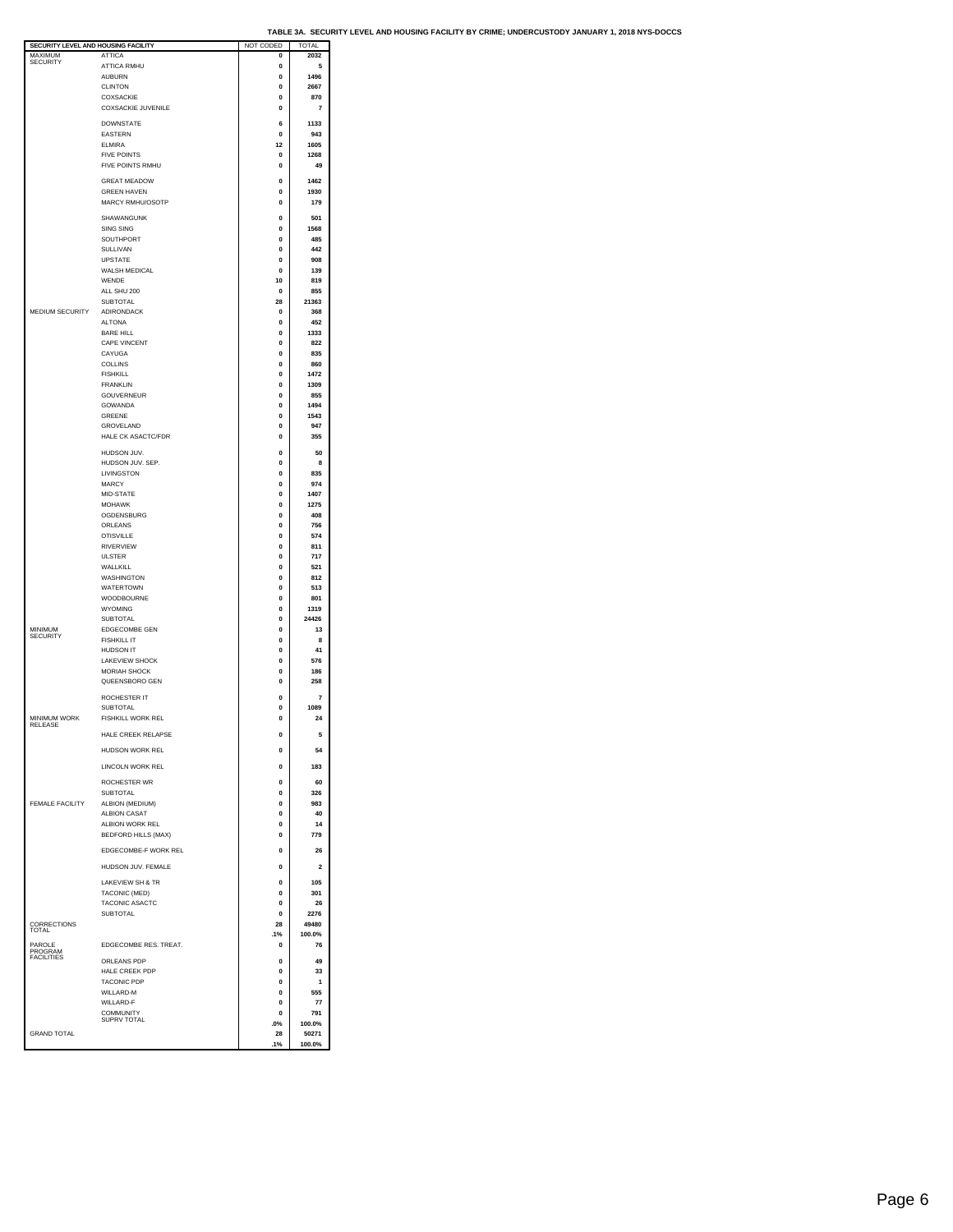| SECURITY LEVEL AND HOUSING FACILITY |                             | NOT CODED   | TOTAL          |
|-------------------------------------|-----------------------------|-------------|----------------|
| MAXIMUM                             | <b>ATTICA</b>               | 0           | 2032           |
| <b>SECURITY</b>                     |                             |             |                |
|                                     | <b>ATTICA RMHU</b>          | 0           | 5              |
|                                     | <b>AUBURN</b>               | $\mathbf 0$ | 1496           |
|                                     |                             |             |                |
|                                     | <b>CLINTON</b>              | 0           | 2667           |
|                                     | COXSACKIE                   | $\Omega$    | 870            |
|                                     | COXSACKIE JUVENILE          | $\mathbf 0$ | $\overline{7}$ |
|                                     |                             |             |                |
|                                     | <b>DOWNSTATE</b>            | 6           | 1133           |
|                                     |                             |             |                |
|                                     | <b>EASTERN</b>              | 0           | 943            |
|                                     | <b>ELMIRA</b>               | 12          | 1605           |
|                                     | <b>FIVE POINTS</b>          | $\mathbf 0$ | 1268           |
|                                     |                             |             |                |
|                                     | FIVE POINTS RMHU            | 0           | 49             |
|                                     |                             |             |                |
|                                     | <b>GREAT MEADOW</b>         | $\Omega$    | 1462           |
|                                     | <b>GREEN HAVEN</b>          | $\mathbf 0$ | 1930           |
|                                     | MARCY RMHU/OSOTP            |             |                |
|                                     |                             | $\mathbf 0$ | 179            |
|                                     |                             |             |                |
|                                     | SHAWANGUNK                  | 0           | 501            |
|                                     | <b>SING SING</b>            | $\mathbf 0$ | 1568           |
|                                     | SOUTHPORT                   | 0           | 485            |
|                                     |                             |             |                |
|                                     | SULLIVAN                    | 0           | 442            |
|                                     | <b>UPSTATE</b>              | 0           | 908            |
|                                     |                             |             |                |
|                                     | WALSH MEDICAL               | $\mathbf 0$ | 139            |
|                                     | WENDE                       | 10          | 819            |
|                                     | ALL SHU 200                 | 0           | 855            |
|                                     |                             |             |                |
|                                     | <b>SUBTOTAL</b>             | 28          | 21363          |
| MEDIUM SECURITY                     | <b>ADIRONDACK</b>           | 0           | 368            |
|                                     |                             |             |                |
|                                     | <b>ALTONA</b>               | $\mathbf 0$ | 452            |
|                                     | <b>BARE HILL</b>            | $\Omega$    | 1333           |
|                                     | CAPE VINCENT                | 0           | 822            |
|                                     |                             |             |                |
|                                     | CAYUGA                      | 0           | 835            |
|                                     | COLLINS                     | 0           | 860            |
|                                     | <b>FISHKILL</b>             | 0           | 1472           |
|                                     |                             |             |                |
|                                     | <b>FRANKLIN</b>             | 0           | 1309           |
|                                     | GOUVERNEUR                  | 0           | 855            |
|                                     |                             | $\Omega$    | 1494           |
|                                     | <b>GOWANDA</b>              |             |                |
|                                     | GREENE                      | $\mathbf 0$ | 1543           |
|                                     | <b>GROVELAND</b>            | $\Omega$    | 947            |
|                                     |                             |             |                |
|                                     | HALE CK ASACTC/FDR          | $\mathbf 0$ | 355            |
|                                     |                             |             |                |
|                                     | HUDSON JUV.                 | $\mathbf 0$ | 50             |
|                                     | HUDSON JUV. SEP.            | 0           | 8              |
|                                     |                             |             |                |
|                                     | LIVINGSTON                  | 0           | 835            |
|                                     | MARCY                       | 0           | 974            |
|                                     | MID-STATE                   | 0           | 1407           |
|                                     |                             |             |                |
|                                     | <b>MOHAWK</b>               | $\mathbf 0$ | 1275           |
|                                     | OGDENSBURG                  | $\mathbf 0$ | 408            |
|                                     | ORLEANS                     | 0           | 756            |
|                                     |                             |             |                |
|                                     | <b>OTISVILLE</b>            | $\Omega$    | 574            |
|                                     | RIVERVIEW                   | $\mathbf 0$ | 811            |
|                                     | <b>ULSTER</b>               | $\Omega$    | 717            |
|                                     |                             |             |                |
|                                     | WALLKILL                    | 0           | 521            |
|                                     | WASHINGTON                  | 0           | 812            |
|                                     |                             |             |                |
|                                     | WATERTOWN                   | 0           | 513            |
|                                     | WOODBOURNE                  | 0           | 801            |
|                                     | WYOMING                     | 0           | 1319           |
|                                     |                             |             |                |
|                                     | <b>SUBTOTAL</b>             | 0           | 24426          |
| MINIMUM                             | EDGECOMBE GEN               | $\Omega$    | 13             |
| <b>SECURITY</b>                     |                             | O           | 8              |
|                                     | <b>FISHKILL IT</b>          |             |                |
|                                     | <b>HUDSON IT</b>            | $\Omega$    | 41             |
|                                     | LAKEVIEW SHOCK              | 0           | 576            |
|                                     |                             |             |                |
|                                     | MORIAH SHOCK                | $\mathbf 0$ | 186            |
|                                     | QUEENSBORO GEN              | $\mathbf 0$ | 258            |
|                                     |                             |             |                |
|                                     | ROCHESTER IT                | 0           | 7              |
|                                     | <b>SUBTOTAL</b>             | $\bf{0}$    | 1089           |
|                                     |                             |             |                |
| <b>MINIMUM WORK</b>                 | FISHKILL WORK REL           | 0           | 24             |
| <b>RELEASE</b>                      |                             |             |                |
|                                     | HALE CREEK RELAPSE          | $\Omega$    | 5              |
|                                     |                             |             |                |
|                                     | HUDSON WORK REL             | 0           | 54             |
|                                     |                             |             |                |
|                                     | LINCOLN WORK REL            | $\mathbf 0$ | 183            |
|                                     |                             |             |                |
|                                     | ROCHESTER WR                | $\mathbf 0$ | 60             |
|                                     | <b>SUBTOTAL</b>             | $\Omega$    | 326            |
|                                     |                             |             |                |
| FEMALE FACILITY                     | ALBION (MEDIUM)             | $\mathbf 0$ | 983            |
|                                     | ALBION CASAT                | 0           | 40             |
|                                     | ALBION WORK REL             | 0           | 14             |
|                                     |                             |             |                |
|                                     | <b>BEDFORD HILLS (MAX)</b>  | $\Omega$    | 779            |
|                                     |                             |             |                |
|                                     | EDGECOMBE-F WORK REL        | $\mathbf 0$ | 26             |
|                                     |                             |             |                |
|                                     | HUDSON JUV. FEMALE          | $\mathbf 0$ | $\overline{2}$ |
|                                     |                             |             |                |
|                                     | <b>LAKEVIEW SH &amp; TR</b> | $\mathbf 0$ | 105            |
|                                     | TACONIC (MED)               | 0           | 301            |
|                                     |                             |             |                |
|                                     | TACONIC ASACTC              | 0           | 26             |
|                                     | SUBTOTAL                    | $\mathbf 0$ | 2276           |
|                                     |                             |             | 49480          |
| CORRECTIONS                         |                             | 28          |                |
|                                     |                             | .1%         | 100.0%         |
| PAROLE                              | EDGECOMBE RES. TREAT.       | 0           | 76             |
| PROGRAM                             |                             |             |                |
| <b>FACILITIES</b>                   | ORLEANS PDP                 | 0           | 49             |
|                                     |                             |             |                |
|                                     | HALE CREEK PDP              | $\mathbf 0$ | 33             |
|                                     | <b>TACONIC PDP</b>          | 0           | 1              |
|                                     | WILLARD-M                   | 0           | 555            |
|                                     |                             |             |                |
|                                     | WILLARD-F                   | 0           | 77             |
|                                     | COMMUNITY                   | $\mathbf 0$ | 791            |
|                                     | SUPRV TOTAL                 | .0%         | 100.0%         |
|                                     |                             |             |                |
| <b>GRAND TOTAL</b>                  |                             | 28          | 50271          |
|                                     |                             | .1%         | 100.0%         |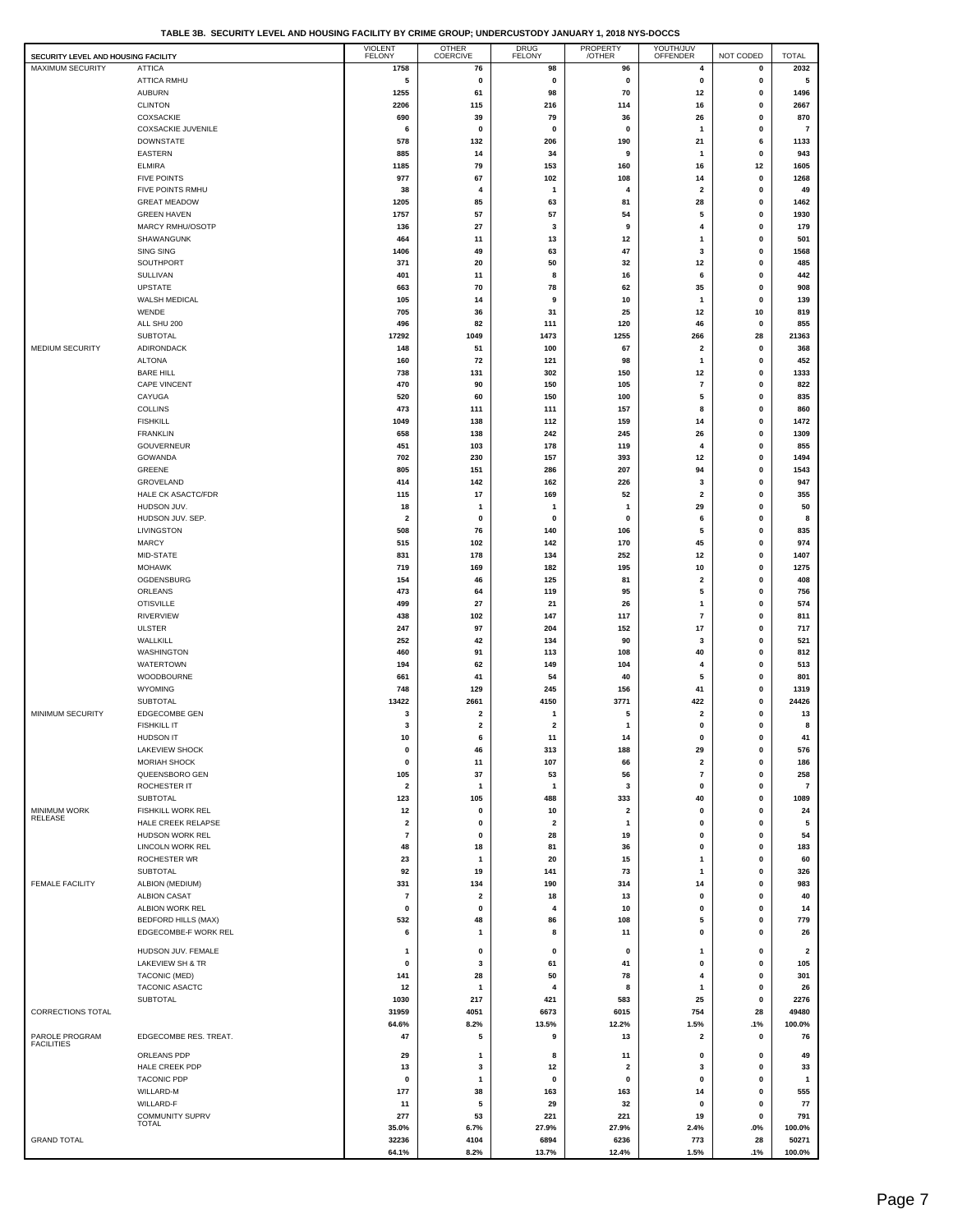|  |  | TABLE 3B. SECURITY LEVEL AND HOUSING FACILITY BY CRIME GROUP: UNDERCUSTODY JANUARY 1, 2018 NYS-DOCCS |
|--|--|------------------------------------------------------------------------------------------------------|
|  |  |                                                                                                      |

| SECURITY LEVEL AND HOUSING FACILITY |                                               | <b>VIOLENT</b><br>FELONY       | OTHER<br>COERCIVE            | DRUG<br>FELONY                | PROPERTY<br>/OTHER      | YOUTH/JUV<br>OFFENDER         | NOT CODED     | <b>TOTAL</b>            |
|-------------------------------------|-----------------------------------------------|--------------------------------|------------------------------|-------------------------------|-------------------------|-------------------------------|---------------|-------------------------|
| MAXIMUM SECURITY                    | <b>ATTICA</b>                                 | 1758                           | 76                           | 98                            | 96                      | 4                             | 0             | 2032                    |
|                                     | ATTICA RMHU                                   | 5                              | 0                            | $\mathbf 0$                   | 0                       | 0                             | 0             | 5                       |
|                                     | AUBURN<br><b>CLINTON</b>                      | 1255<br>2206                   | 61<br>115                    | 98<br>216                     | 70<br>114               | 12<br>16                      | $\bf{0}$<br>0 | 1496<br>2667            |
|                                     | <b>COXSACKIE</b>                              | 690                            | 39                           | 79                            | 36                      | 26                            | 0             | 870                     |
|                                     | <b>COXSACKIE JUVENILE</b>                     | 6                              | 0                            | 0                             | 0                       | $\mathbf{1}$                  | 0             | $\overline{\mathbf{r}}$ |
|                                     | <b>DOWNSTATE</b>                              | 578                            | 132                          | 206                           | 190                     | 21                            | 6             | 1133                    |
|                                     | <b>EASTERN</b>                                | 885                            | 14                           | 34                            | 9                       | $\mathbf{1}$                  | $\bf{0}$      | 943                     |
|                                     | <b>ELMIRA</b><br><b>FIVE POINTS</b>           | 1185<br>977                    | 79<br>67                     | 153<br>102                    | 160<br>108              | 16<br>14                      | 12<br>0       | 1605<br>1268            |
|                                     | FIVE POINTS RMHU                              | 38                             | 4                            | $\mathbf{1}$                  | 4                       | $\overline{\mathbf{2}}$       | 0             | 49                      |
|                                     | <b>GREAT MEADOW</b>                           | 1205                           | 85                           | 63                            | 81                      | 28                            | 0             | 1462                    |
|                                     | <b>GREEN HAVEN</b>                            | 1757                           | 57                           | 57                            | 54                      | 5                             | 0             | 1930                    |
|                                     | MARCY RMHU/OSOTP                              | 136                            | 27                           | 3                             | 9                       | 4<br>$\mathbf{1}$             | 0<br>0        | 179<br>501              |
|                                     | SHAWANGUNK<br><b>SING SING</b>                | 464<br>1406                    | 11<br>49                     | 13<br>63                      | 12<br>47                | 3                             | 0             | 1568                    |
|                                     | SOUTHPORT                                     | 371                            | 20                           | 50                            | 32                      | 12                            | 0             | 485                     |
|                                     | SULLIVAN                                      | 401                            | 11                           | 8                             | 16                      | 6                             | 0             | 442                     |
|                                     | UPSTATE                                       | 663                            | 70                           | 78                            | 62                      | 35                            | 0             | 908                     |
|                                     | WALSH MEDICAL<br>WENDE                        | 105<br>705                     | 14<br>36                     | 9<br>31                       | 10<br>25                | $\mathbf{1}$<br>12            | 0<br>10       | 139<br>819              |
|                                     | ALL SHU 200                                   | 496                            | 82                           | 111                           | 120                     | 46                            | 0             | 855                     |
|                                     | SUBTOTAL                                      | 17292                          | 1049                         | 1473                          | 1255                    | 266                           | 28            | 21363                   |
| MEDIUM SECURITY                     | <b>ADIRONDACK</b>                             | 148                            | 51                           | 100                           | 67                      | $\overline{\mathbf{2}}$       | 0             | 368                     |
|                                     | <b>ALTONA</b><br><b>BARE HILL</b>             | 160                            | 72                           | 121                           | 98                      | $\mathbf{1}$                  | 0             | 452                     |
|                                     | CAPE VINCENT                                  | 738<br>470                     | 131<br>90                    | 302<br>150                    | 150<br>105              | 12<br>$\overline{7}$          | $\bf{0}$<br>0 | 1333<br>822             |
|                                     | CAYUGA                                        | 520                            | 60                           | 150                           | 100                     | 5                             | 0             | 835                     |
|                                     | <b>COLLINS</b>                                | 473                            | 111                          | 111                           | 157                     | 8                             | 0             | 860                     |
|                                     | <b>FISHKILL</b>                               | 1049                           | 138                          | 112                           | 159                     | 14                            | 0             | 1472                    |
|                                     | <b>FRANKLIN</b><br>GOUVERNEUR                 | 658<br>451                     | 138<br>103                   | 242<br>178                    | 245<br>119              | 26<br>4                       | $\bf{0}$<br>0 | 1309<br>855             |
|                                     | GOWANDA                                       | 702                            | 230                          | 157                           | 393                     | 12                            | 0             | 1494                    |
|                                     | <b>GREENE</b>                                 | 805                            | 151                          | 286                           | 207                     | 94                            | 0             | 1543                    |
|                                     | GROVELAND                                     | 414                            | 142                          | 162                           | 226                     | 3                             | 0             | 947                     |
|                                     | HALE CK ASACTC/FDR                            | 115                            | 17                           | 169                           | 52                      | $\overline{\mathbf{2}}$       | $\bf{0}$      | 355                     |
|                                     | HUDSON JUV.<br>HUDSON JUV. SEP.               | 18<br>$\overline{\mathbf{2}}$  | 1<br>0                       | $\mathbf{1}$<br>0             | 1<br>0                  | 29<br>6                       | 0<br>0        | 50<br>8                 |
|                                     | LIVINGSTON                                    | 508                            | 76                           | 140                           | 106                     | 5                             | 0             | 835                     |
|                                     | MARCY                                         | 515                            | 102                          | 142                           | 170                     | 45                            | 0             | 974                     |
|                                     | MID-STATE                                     | 831                            | 178                          | 134                           | 252                     | 12                            | 0             | 1407                    |
|                                     | <b>MOHAWK</b><br>OGDENSBURG                   | 719<br>154                     | 169<br>46                    | 182<br>125                    | 195<br>81               | 10<br>$\overline{\mathbf{2}}$ | 0<br>0        | 1275<br>408             |
|                                     | ORLEANS                                       | 473                            | 64                           | 119                           | 95                      | 5                             | 0             | 756                     |
|                                     | <b>OTISVILLE</b>                              | 499                            | 27                           | 21                            | 26                      | $\mathbf{1}$                  | $\bf{0}$      | 574                     |
|                                     | <b>RIVERVIEW</b>                              | 438                            | 102                          | 147                           | 117                     | $\overline{7}$                | 0             | 811                     |
|                                     | <b>ULSTER</b>                                 | 247                            | 97                           | 204                           | 152                     | 17                            | 0             | 717                     |
|                                     | WALLKILL<br><b>WASHINGTON</b>                 | 252<br>460                     | 42<br>91                     | 134<br>113                    | 90<br>108               | 3<br>40                       | 0<br>0        | 521<br>812              |
|                                     | WATERTOWN                                     | 194                            | 62                           | 149                           | 104                     | 4                             | 0             | 513                     |
|                                     | WOODBOURNE                                    | 661                            | 41                           | 54                            | 40                      | 5                             | 0             | 801                     |
|                                     | <b>WYOMING</b>                                | 748                            | 129                          | 245                           | 156                     | 41                            | 0             | 1319                    |
|                                     | <b>SUBTOTAL</b>                               | 13422                          | 2661                         | 4150                          | 3771                    | 422                           | 0             | 24426                   |
| MINIMUM SECURITY                    | <b>EDGECOMBE GEN</b><br><b>FISHKILL IT</b>    | 3<br>3                         | 2<br>$\overline{\mathbf{2}}$ | -1<br>$\overline{\mathbf{2}}$ | 5<br>1                  | $\overline{\mathbf{2}}$<br>0  | $\bf{0}$<br>0 | 13<br>8                 |
|                                     | HUDSON IT                                     | 10                             | 6                            | 11                            | 14                      |                               | 0             | 41                      |
|                                     | <b>LAKEVIEW SHOCK</b>                         | 0                              | 46                           | 313                           | 188                     | 29                            | 0             | 576                     |
|                                     | <b>MORIAH SHOCK</b>                           | $\pmb{0}$                      | 11                           | 107                           | 66                      | $\overline{\mathbf{2}}$       | 0             | 186                     |
|                                     | QUEENSBORO GEN<br>ROCHESTER IT                | 105<br>$\overline{\mathbf{2}}$ | 37<br>1                      | 53                            | 56<br>3                 | $\overline{7}$<br>0           | $\bf{0}$<br>0 | 258<br>$\overline{7}$   |
|                                     | SUBTOTAL                                      | 123                            | 105                          | $\mathbf{1}$<br>488           | 333                     | 40                            | 0             | 1089                    |
| MINIMUM WORK                        | <b>FISHKILL WORK REL</b>                      | 12                             | 0                            | 10                            | $\overline{\mathbf{2}}$ | 0                             | 0             | 24                      |
| <b>RELEASE</b>                      | HALE CREEK RELAPSE                            | $\overline{\mathbf{2}}$        | 0                            | $\overline{\mathbf{2}}$       | $\mathbf{1}$            | 0                             | $\bf{0}$      | 5                       |
|                                     | HUDSON WORK REL<br>LINCOLN WORK REL           | $\overline{\mathbf{r}}$<br>48  | 0<br>18                      | 28<br>81                      | 19                      | $\mathbf 0$<br>0              | $\bf{0}$<br>0 | 54<br>183               |
|                                     | ROCHESTER WR                                  | 23                             | 1                            | 20                            | 36<br>15                | $\overline{1}$                | 0             | 60                      |
|                                     | <b>SUBTOTAL</b>                               | 92                             | 19                           | 141                           | 73                      | $\mathbf{1}$                  | 0             | 326                     |
| <b>FEMALE FACILITY</b>              | ALBION (MEDIUM)                               | 331                            | 134                          | 190                           | 314                     | 14                            | $\bf{0}$      | 983                     |
|                                     | <b>ALBION CASAT</b>                           | 7                              | 2                            | 18                            | 13                      | 0                             | 0             | 40                      |
|                                     | ALBION WORK REL<br><b>BEDFORD HILLS (MAX)</b> | 0<br>532                       | 0<br>48                      | 4<br>86                       | 10<br>108               | 0<br>5                        | 0<br>0        | 14<br>779               |
|                                     | EDGECOMBE-F WORK REL                          | 6                              | 1                            | 8                             | 11                      | 0                             | 0             | 26                      |
|                                     | HUDSON JUV. FEMALE                            | -1                             | 0                            | 0                             | 0                       | $\mathbf{1}$                  | 0             | $\overline{\mathbf{2}}$ |
|                                     | LAKEVIEW SH & TR                              | $\pmb{0}$                      | 3                            | 61                            | 41                      | $\pmb{0}$                     | 0             | 105                     |
|                                     | TACONIC (MED)                                 | 141                            | 28                           | 50                            | 78                      | 4                             | 0             | 301                     |
|                                     | TACONIC ASACTC                                | 12                             | 1                            | 4                             | 8                       | 1                             | 0             | 26                      |
| <b>CORRECTIONS TOTAL</b>            | <b>SUBTOTAL</b>                               | 1030<br>31959                  | 217<br>4051                  | 421<br>6673                   | 583<br>6015             | 25<br>754                     | 0<br>28       | 2276<br>49480           |
|                                     |                                               | 64.6%                          | 8.2%                         | 13.5%                         | 12.2%                   | 1.5%                          | .1%           | 100.0%                  |
| PAROLE PROGRAM                      | EDGECOMBE RES. TREAT.                         | 47                             | 5                            | 9                             | 13                      | $\overline{\mathbf{2}}$       | 0             | 76                      |
| <b>FACILITIES</b>                   | ORLEANS PDP                                   | 29                             | 1                            | 8                             | 11                      | 0                             | 0             | 49                      |
|                                     | HALE CREEK PDP                                | 13                             | 3                            | 12                            | $\overline{\mathbf{2}}$ | 3                             | 0             | 33                      |
|                                     | <b>TACONIC PDP</b>                            | 0                              | 1                            | $\mathbf 0$                   | 0                       | 0                             | 0             | $\mathbf{1}$            |
|                                     | WILLARD-M                                     | 177                            | 38                           | 163                           | 163                     | 14                            | $\bf{0}$      | 555                     |
|                                     | WILLARD-F<br>COMMUNITY SUPRV                  | 11<br>277                      | 5<br>53                      | 29<br>221                     | 32<br>221               | 0<br>19                       | 0<br>0        | 77<br>791               |
|                                     | <b>TOTAL</b>                                  | 35.0%                          | 6.7%                         | 27.9%                         | 27.9%                   | 2.4%                          | .0%           | 100.0%                  |
| <b>GRAND TOTAL</b>                  |                                               | 32236                          | 4104                         | 6894                          | 6236                    | 773                           | 28            | 50271                   |
|                                     |                                               | 64.1%                          | 8.2%                         | 13.7%                         | 12.4%                   | 1.5%                          | .1%           | 100.0%                  |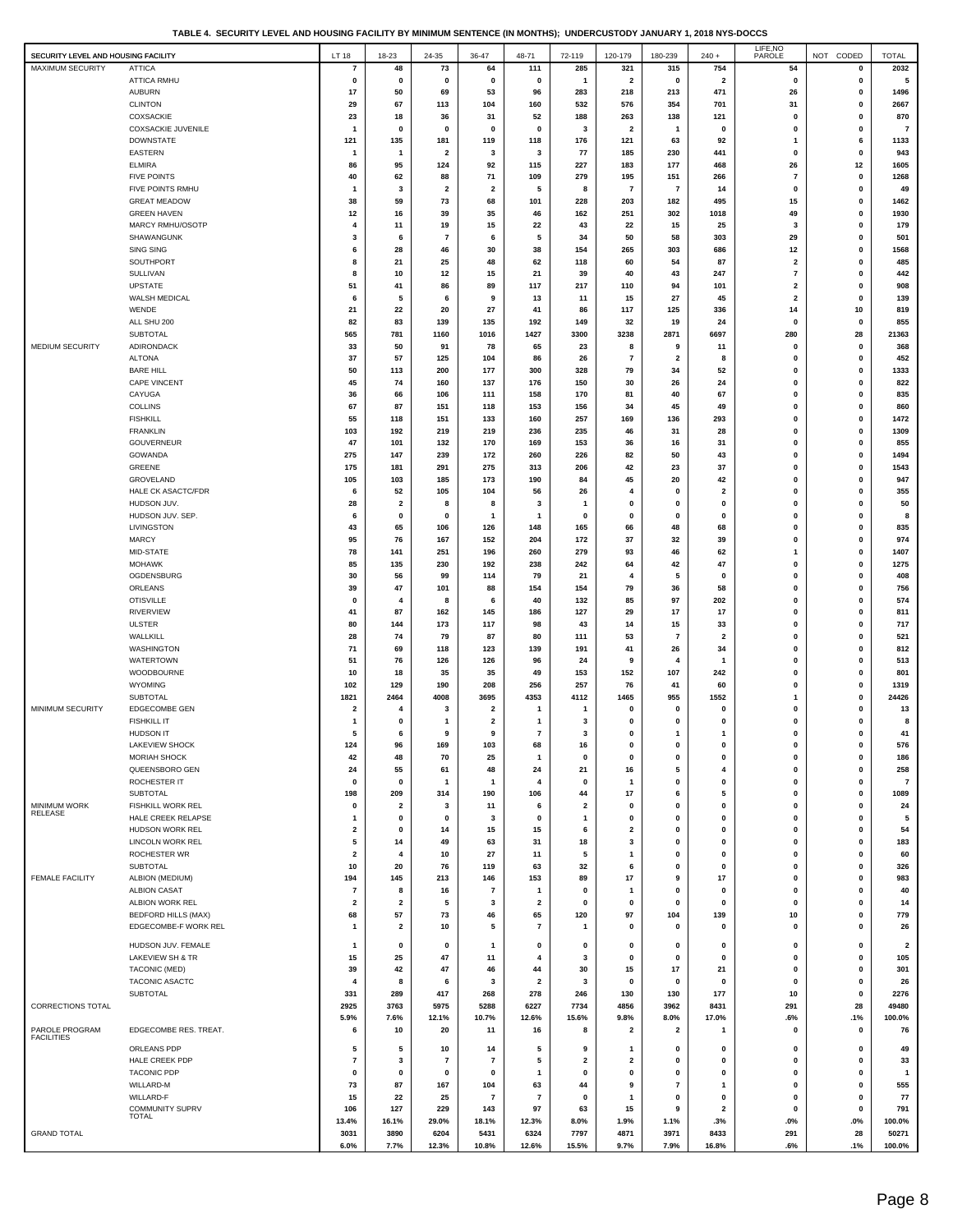| TABLE 4. SECURITY LEVEL AND HOUSING FACILITY BY MINIMUM SENTENCE (IN MONTHS): UNDERCUSTODY JANUARY 1. 2018 NYS-DOCCS |  |
|----------------------------------------------------------------------------------------------------------------------|--|
|                                                                                                                      |  |

| SECURITY LEVEL AND HOUSING FACILITY |                                     | LT 18                   | 18-23                          | 24-35          | 36-47                   | 48-71                    | 72-119                  | 120-179                 | 180-239                 | $240 +$                      | LIFE, NO<br>PAROLE            | NOT CODED      | <b>TOTAL</b>            |
|-------------------------------------|-------------------------------------|-------------------------|--------------------------------|----------------|-------------------------|--------------------------|-------------------------|-------------------------|-------------------------|------------------------------|-------------------------------|----------------|-------------------------|
| <b>MAXIMUM SECURITY</b>             | <b>ATTICA</b>                       | $\overline{7}$          | 48                             | 73             | 64                      | 111                      | 285                     | 321                     | 315                     | 754                          | 54                            | $\pmb{0}$      | 2032                    |
|                                     | ATTICA RMHU                         | 0                       | $\mathbf 0$                    | 0              | 0                       | 0                        | $\mathbf{1}$            | $\overline{\mathbf{2}}$ | 0                       | $\overline{\mathbf{2}}$      | 0                             | $\pmb{0}$      | 5                       |
|                                     | <b>AUBURN</b>                       | 17                      | 50                             | 69             | 53                      | 96                       | 283                     | 218                     | 213                     | 471                          | 26                            | 0              | 1496                    |
|                                     | <b>CLINTON</b>                      | 29                      | 67                             | 113            | 104                     | 160                      | 532                     | 576                     | 354                     | 701                          | 31                            | 0              | 2667                    |
|                                     | COXSACKIE                           | 23                      | 18                             | 36             | 31                      | 52                       | 188                     | 263                     | 138                     | 121                          | $\mathbf 0$                   | $\mathbf 0$    | 870                     |
|                                     | COXSACKIE JUVENILE                  | $\overline{1}$          | $\mathbf 0$                    | $\mathbf 0$    | $\mathbf 0$             | 0                        | 3                       | $\overline{\mathbf{2}}$ | $\mathbf{1}$            | $\mathbf 0$                  | $\mathbf 0$                   | 0              | $\overline{7}$          |
|                                     | <b>DOWNSTATE</b><br>EASTERN         | 121<br>-1               | 135                            | 181            | 119                     | 118<br>3                 | 176<br>77               | 121<br>185              | 63<br>230               | 92<br>441                    | 1<br>0                        | 6<br>0         | 1133<br>943             |
|                                     | <b>ELMIRA</b>                       | 86                      | $\mathbf{1}$<br>95             | 2<br>124       | 3<br>92                 | 115                      | 227                     | 183                     | 177                     | 468                          | 26                            | 12             | 1605                    |
|                                     | <b>FIVE POINTS</b>                  | 40                      | 62                             | 88             | 71                      | 109                      | 279                     | 195                     | 151                     | 266                          | 7                             | 0              | 1268                    |
|                                     | FIVE POINTS RMHU                    | $\overline{1}$          | 3                              | 2              | $\overline{\mathbf{2}}$ | 5                        | 8                       | $\overline{7}$          | $\overline{7}$          | 14                           | $\mathbf 0$                   | $\mathbf 0$    | 49                      |
|                                     | <b>GREAT MEADOW</b>                 | 38                      | 59                             | 73             | 68                      | 101                      | 228                     | 203                     | 182                     | 495                          | 15                            | 0              | 1462                    |
|                                     | <b>GREEN HAVEN</b>                  | 12                      | 16                             | 39             | 35                      | 46                       | 162                     | 251                     | 302                     | 1018                         | 49                            | 0              | 1930                    |
|                                     | MARCY RMHU/OSOTP                    | 4                       | 11                             | 19             | 15                      | 22                       | 43                      | 22                      | 15                      | 25                           | 3                             | 0              | 179                     |
|                                     | SHAWANGUNK                          | 3                       | 6                              | $\overline{7}$ | 6                       | 5                        | 34                      | 50                      | 58                      | 303                          | 29                            | 0              | 501                     |
|                                     | <b>SING SING</b>                    | 6                       | 28                             | 46             | 30                      | 38                       | 154                     | 265                     | 303                     | 686                          | 12                            | 0              | 1568                    |
|                                     | SOUTHPORT                           | 8                       | 21                             | 25             | 48                      | 62                       | 118                     | 60                      | 54                      | 87                           | 2                             | $\mathbf 0$    | 485                     |
|                                     | SULLIVAN                            | 8                       | 10                             | 12             | 15                      | 21                       | 39                      | 40                      | 43                      | 247                          | $\bf 7$                       | $\mathbf 0$    | 442                     |
|                                     | <b>UPSTATE</b>                      | 51                      | 41                             | 86             | 89                      | 117                      | 217                     | 110                     | 94                      | 101                          | 2                             | 0              | 908                     |
|                                     | WALSH MEDICAL<br>WENDE              | 6<br>21                 | -5<br>22                       | 6<br>20        | 9<br>27                 | 13<br>41                 | 11<br>86                | 15<br>117               | 27<br>125               | 45<br>336                    | $\overline{\mathbf{2}}$<br>14 | 0<br>10        | 139<br>819              |
|                                     | ALL SHU 200                         | 82                      | 83                             | 139            | 135                     | 192                      | 149                     | 32                      | 19                      | 24                           | $\mathbf 0$                   | 0              | 855                     |
|                                     | <b>SUBTOTAL</b>                     | 565                     | 781                            | 1160           | 1016                    | 1427                     | 3300                    | 3238                    | 2871                    | 6697                         | 280                           | 28             | 21363                   |
| MEDIUM SECURITY                     | ADIRONDACK                          | 33                      | 50                             | 91             | 78                      | 65                       | 23                      | 8                       | 9                       | 11                           | 0                             | 0              | 368                     |
|                                     | <b>ALTONA</b>                       | 37                      | 57                             | 125            | 104                     | 86                       | 26                      | $\overline{7}$          | $\overline{\mathbf{2}}$ | 8                            | 0                             | 0              | 452                     |
|                                     | <b>BARE HILL</b>                    | 50                      | 113                            | 200            | 177                     | 300                      | 328                     | 79                      | 34                      | 52                           | 0                             | 0              | 1333                    |
|                                     | <b>CAPE VINCENT</b>                 | 45                      | 74                             | 160            | 137                     | 176                      | 150                     | 30                      | 26                      | 24                           | $\mathbf 0$                   | $\mathbf 0$    | 822                     |
|                                     | CAYUGA                              | 36                      | 66                             | 106            | 111                     | 158                      | 170                     | 81                      | 40                      | 67                           | $\mathbf 0$                   | 0              | 835                     |
|                                     | COLLINS                             | 67                      | 87                             | 151            | 118                     | 153                      | 156                     | 34                      | 45                      | 49                           | 0                             | 0              | 860                     |
|                                     | <b>FISHKILL</b>                     | 55                      | 118                            | 151            | 133                     | 160                      | 257                     | 169                     | 136                     | 293                          | 0                             | 0              | 1472                    |
|                                     | <b>FRANKLIN</b>                     | 103                     | 192                            | 219            | 219                     | 236                      | 235                     | 46                      | 31                      | 28                           | 0                             | 0              | 1309                    |
|                                     | GOUVERNEUR<br>GOWANDA               | 47<br>275               | 101<br>147                     | 132<br>239     | 170<br>172              | 169<br>260               | 153<br>226              | 36<br>82                | 16<br>50                | 31<br>43                     | 0<br>$\mathbf 0$              | 0<br>0         | 855<br>1494             |
|                                     | GREENE                              | 175                     | 181                            | 291            | 275                     | 313                      | 206                     | 42                      | 23                      | 37                           | $\mathbf 0$                   | 0              | 1543                    |
|                                     | GROVELAND                           | 105                     | 103                            | 185            | 173                     | 190                      | 84                      | 45                      | 20                      | 42                           | 0                             | 0              | 947                     |
|                                     | HALE CK ASACTC/FDR                  | 6                       | 52                             | 105            | 104                     | 56                       | 26                      | 4                       | $\mathbf 0$             | 2                            | 0                             | 0              | 355                     |
|                                     | HUDSON JUV.                         | 28                      | $\overline{\mathbf{2}}$        | 8              | 8                       | 3                        |                         | 0                       | $\mathbf 0$             | $\mathbf 0$                  | 0                             | 0              | 50                      |
|                                     | HUDSON JUV. SEP.                    | 6                       | $\mathbf 0$                    | $\mathbf 0$    | $\mathbf 1$             | 1                        | 0                       | 0                       | $\mathbf 0$             | $\mathbf 0$                  | $\mathbf 0$                   | 0              | 8                       |
|                                     | LIVINGSTON                          | 43                      | 65                             | 106            | 126                     | 148                      | 165                     | 66                      | 48                      | 68                           | $\mathbf 0$                   | $\mathbf 0$    | 835                     |
|                                     | <b>MARCY</b>                        | 95                      | 76                             | 167            | 152                     | 204                      | 172                     | 37                      | 32                      | 39                           | 0                             | 0              | 974                     |
|                                     | MID-STATE                           | 78                      | 141                            | 251            | 196                     | 260                      | 279                     | 93                      | 46                      | 62                           | 1                             | 0              | 1407                    |
|                                     | <b>MOHAWK</b>                       | 85                      | 135                            | 230            | 192                     | 238                      | 242                     | 64                      | 42                      | 47                           | 0                             | 0              | 1275                    |
|                                     | OGDENSBURG                          | 30                      | 56                             | 99             | 114                     | 79                       | 21                      | 4                       | 5                       | 0                            | 0                             | 0              | 408                     |
|                                     | ORLEANS                             | 39                      | 47                             | 101            | 88                      | 154                      | 154                     | 79                      | 36                      | 58                           | $\mathbf 0$                   | 0              | 756                     |
|                                     | <b>OTISVILLE</b>                    | 0                       | 4                              | 8              | 6                       | 40                       | 132                     | 85                      | 97                      | 202                          | 0                             | $\mathbf 0$    | 574                     |
|                                     | <b>RIVERVIEW</b><br><b>ULSTER</b>   | 41<br>80                | 87<br>144                      | 162<br>173     | 145<br>117              | 186<br>98                | 127<br>43               | 29<br>14                | 17<br>15                | 17<br>33                     | 0<br>0                        | 0<br>0         | 811<br>717              |
|                                     | WALLKILL                            | 28                      | 74                             | 79             | 87                      | 80                       | 111                     | 53                      | $\overline{7}$          | $\overline{\mathbf{2}}$      | 0                             | 0              | 521                     |
|                                     | <b>WASHINGTON</b>                   | 71                      | 69                             | 118            | 123                     | 139                      | 191                     | 41                      | 26                      | 34                           | $\mathbf 0$                   | $\mathbf 0$    | 812                     |
|                                     | <b>WATERTOWN</b>                    | 51                      | 76                             | 126            | 126                     | 96                       | 24                      | 9                       | $\overline{4}$          | -1                           | $\mathbf 0$                   | 0              | 513                     |
|                                     | WOODBOURNE                          | 10                      | 18                             | 35             | 35                      | 49                       | 153                     | 152                     | 107                     | 242                          | $\mathbf 0$                   | 0              | 801                     |
|                                     | <b>WYOMING</b>                      | 102                     | 129                            | 190            | 208                     | 256                      | 257                     | 76                      | 41                      | 60                           | 0                             | 0              | 1319                    |
|                                     | SUBTOTAL                            | 1821                    | 2464                           | 4008           | 3695                    | 4353                     | 4112                    | 1465                    | 955                     | 1552                         | 1                             | 0              | 24426                   |
| MINIMUM SECURITY                    | <b>EDGECOMBE GEN</b>                | $\overline{\mathbf{2}}$ | 4                              | 3              | $\overline{\mathbf{2}}$ | 1                        |                         | $\mathbf 0$             | $\mathbf 0$             | 0                            | 0                             | 0              | 13                      |
|                                     | <b>FISHKILL IT</b>                  | 1                       | 0                              | $\mathbf{1}$   | $\overline{\mathbf{2}}$ | $\mathbf{1}$             | 3                       | 0                       | 0                       | $\mathbf 0$                  | 0                             | $\mathbf 0$    | 8                       |
|                                     | <b>HUDSON IT</b>                    | 5                       | 6                              | 9              | 9                       | $\overline{\phantom{a}}$ | 3                       | 0                       | $\mathbf{1}$            | $\mathbf{1}$                 | 0                             | 0              | 41                      |
|                                     | <b>LAKEVIEW SHOCK</b>               | 124                     | 96                             | 169            | 103                     | 68                       | 16                      | 0                       | 0                       | 0                            | 0                             | 0              | 576                     |
|                                     | <b>MORIAH SHOCK</b>                 | 42                      | 48                             | 70             | 25                      | $\overline{\mathbf{1}}$  | 0                       | 0                       | 0                       | 0                            | 0                             | 0              | 186                     |
|                                     | QUEENSBORO GEN                      | 24                      | 55                             | 61             | 48                      | 24                       | 21                      | 16                      | 5                       | 4                            | 0                             | 0              | 258                     |
|                                     | ROCHESTER IT<br>SUBTOTAL            | $\mathbf 0$<br>198      | $\mathbf 0$                    | 1<br>314       | -1<br>190               | $\overline{4}$<br>106    | 0<br>44                 | $\mathbf{1}$            | 0                       | $\mathbf 0$<br>5             | $\mathbf 0$<br>0              | 0<br>$\pmb{0}$ | $\overline{7}$<br>1089  |
| <b>MINIMUM WORK</b>                 | FISHKILL WORK REL                   | 0                       | 209<br>$\overline{\mathbf{2}}$ | 3              | 11                      | 6                        | $\overline{\mathbf{2}}$ | 17<br>0                 | 6<br>0                  | 0                            | 0                             | $\mathbf 0$    | 24                      |
| RELEASE                             | HALE CREEK RELAPSE                  | $\mathbf{1}$            | $\mathbf 0$                    | 0              | 3                       | 0                        | $\mathbf{1}$            | 0                       | 0                       | 0                            | 0                             | 0              | 5                       |
|                                     | HUDSON WORK REL                     | $\overline{\mathbf{2}}$ | $\mathbf 0$                    | 14             | 15                      | 15                       | 6                       | $\overline{\mathbf{2}}$ | $\mathbf 0$             | $\mathbf 0$                  | 0                             | 0              | 54                      |
|                                     | LINCOLN WORK REL                    | 5                       | 14                             | 49             | 63                      | 31                       | 18                      | 3                       | $\mathbf 0$             | 0                            | 0                             | 0              | 183                     |
|                                     | ROCHESTER WR                        | $\overline{\mathbf{2}}$ | 4                              | 10             | 27                      | 11                       | 5                       | 1                       | 0                       | $\mathbf 0$                  | $\mathbf 0$                   | 0              | 60                      |
|                                     | SUBTOTAL                            | 10                      | 20                             | 76             | 119                     | 63                       | 32                      | 6                       | 0                       | $\mathbf 0$                  | 0                             | 0              | 326                     |
| <b>FEMALE FACILITY</b>              | ALBION (MEDIUM)                     | 194                     | 145                            | 213            | 146                     | 153                      | 89                      | 17                      | 9                       | 17                           | 0                             | 0              | 983                     |
|                                     | <b>ALBION CASAT</b>                 | 7                       | 8                              | 16             | 7                       | 1                        | 0                       | $\mathbf{1}$            | 0                       | 0                            | 0                             | 0              | 40                      |
|                                     | ALBION WORK REL                     | $\overline{\mathbf{2}}$ | $\overline{\mathbf{2}}$        | 5              | 3                       | $\overline{\mathbf{2}}$  | 0                       | 0                       | $\mathbf 0$             | $\mathbf 0$                  | $\mathbf 0$                   | 0              | 14                      |
|                                     | <b>BEDFORD HILLS (MAX)</b>          | 68                      | 57                             | 73             | 46                      | 65                       | 120                     | 97                      | 104                     | 139                          | 10                            | 0              | 779                     |
|                                     | EDGECOMBE-F WORK REL                | -1                      | $\overline{\mathbf{2}}$        | 10             | 5                       | $\overline{7}$           | $\mathbf{1}$            | $\mathbf 0$             | 0                       | 0                            | 0                             | 0              | 26                      |
|                                     | HUDSON JUV. FEMALE                  | $\mathbf{1}$            | $\mathbf 0$                    | 0              | -1                      | 0                        | 0                       | 0                       | 0                       | $\mathbf 0$                  | 0                             | 0              | $\overline{\mathbf{2}}$ |
|                                     | LAKEVIEW SH & TR                    | 15                      | 25                             | 47             | 11                      | 4                        | 3                       | 0                       | 0                       | 0                            | 0                             | 0              | 105                     |
|                                     | TACONIC (MED)                       | 39                      | 42                             | 47             | 46                      | 44                       | 30                      | 15                      | 17                      | 21                           | 0                             | 0              | 301                     |
|                                     | TACONIC ASACTC                      | 4                       | 8                              | 6              | 3                       | 2                        | 3                       | $\mathbf 0$             | $\mathbf 0$             | $\mathbf 0$                  | $\mathbf 0$                   | 0              | 26                      |
|                                     | <b>SUBTOTAL</b>                     | 331                     | 289                            | 417            | 268                     | 278                      | 246                     | 130                     | 130                     | 177                          | 10                            | 0              | 2276                    |
| CORRECTIONS TOTAL                   |                                     | 2925                    | 3763                           | 5975           | 5288                    | 6227                     | 7734                    | 4856                    | 3962                    | 8431                         | 291                           | 28             | 49480                   |
|                                     |                                     | 5.9%                    | 7.6%                           | 12.1%          | 10.7%                   | 12.6%                    | 15.6%                   | 9.8%                    | 8.0%                    | 17.0%                        | .6%                           | .1%            | 100.0%                  |
| PAROLE PROGRAM<br><b>FACILITIES</b> | EDGECOMBE RES. TREAT.               | 6                       | 10                             | 20             | 11                      | 16                       | 8                       | 2                       | 2                       | $\mathbf{1}$                 | 0                             | 0              | 76                      |
|                                     | ORLEANS PDP                         | 5                       | 5                              | 10             | 14                      | 5                        | 9                       | 1                       | $\mathbf 0$             | 0                            | 0                             | 0              | 49                      |
|                                     | HALE CREEK PDP                      | $\overline{7}$          | 3                              | 7              | 7                       | 5                        | $\overline{\mathbf{2}}$ | 2                       | 0                       | 0                            | 0                             | 0              | 33                      |
|                                     | <b>TACONIC PDP</b>                  | 0                       | $\mathbf 0$                    | $\mathbf 0$    | 0                       | 1                        | 0                       | 0                       | $\mathbf 0$             | $\mathbf 0$                  | 0                             | 0              | $\mathbf{1}$            |
|                                     | WILLARD-M                           | 73                      | 87                             | 167            | 104                     | 63                       | 44                      | 9                       | $\overline{7}$          | 1                            | 0                             | 0              | 555                     |
|                                     | WILLARD-F<br><b>COMMUNITY SUPRV</b> | 15<br>106               | 22<br>127                      | 25<br>229      | 7<br>143                | $\overline{7}$<br>97     | 0<br>63                 | 1<br>15                 | 0<br>9                  | 0<br>$\overline{\mathbf{2}}$ | 0<br>0                        | 0<br>0         | 77<br>791               |
|                                     | TOTAL                               | 13.4%                   | 16.1%                          | 29.0%          | 18.1%                   | 12.3%                    | 8.0%                    | 1.9%                    | 1.1%                    | .3%                          | .0%                           | .0%            | 100.0%                  |
| <b>GRAND TOTAL</b>                  |                                     | 3031                    | 3890                           | 6204           | 5431                    | 6324                     | 7797                    | 4871                    | 3971                    | 8433                         | 291                           | 28             | 50271                   |
|                                     |                                     | 6.0%                    | 7.7%                           | 12.3%          | 10.8%                   | 12.6%                    | 15.5%                   | 9.7%                    | 7.9%                    | 16.8%                        | .6%                           | .1%            | 100.0%                  |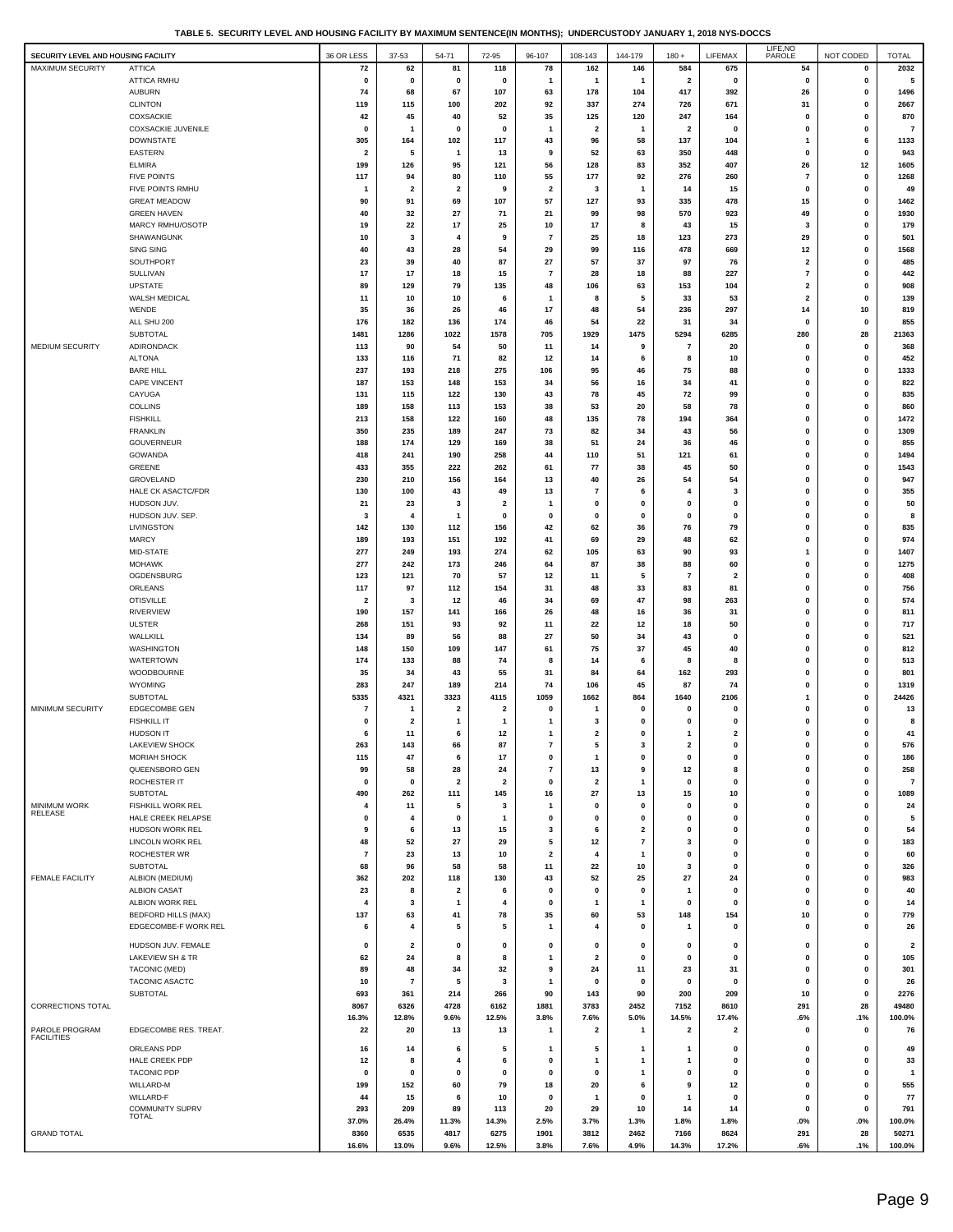|  |  | TABLE 5. SECURITY LEVEL AND HOUSING FACILITY BY MAXIMUM SENTENCE(IN MONTHS): UNDERCUSTODY JANUARY 1, 2018 NYS-DOCCS |
|--|--|---------------------------------------------------------------------------------------------------------------------|
|  |  |                                                                                                                     |

| SECURITY LEVEL AND HOUSING FACILITY |                                        | 36 OR LESS              | 37-53                   | 54-71                          | 72-95                         | 96-107                                 | 108-143                       | 144-179            | $180 +$                        | LIFEMAX                       | LIFE, NO<br>PAROLE          | NOT CODED                | <b>TOTAL</b>            |
|-------------------------------------|----------------------------------------|-------------------------|-------------------------|--------------------------------|-------------------------------|----------------------------------------|-------------------------------|--------------------|--------------------------------|-------------------------------|-----------------------------|--------------------------|-------------------------|
| <b>MAXIMUM SECURITY</b>             | <b>ATTICA</b>                          | 72                      | 62                      | 81                             | 118                           | 78                                     | 162                           | 146                | 584                            | 675                           | 54                          | 0                        | 2032                    |
|                                     | <b>ATTICA RMHU</b>                     | 0                       | $\mathbf 0$             | 0                              | $\mathbf 0$                   | 1                                      | -1                            | -1                 | $\overline{\mathbf{2}}$        | $\mathbf 0$                   | $\mathbf 0$                 | 0                        | 5                       |
|                                     | <b>AUBURN</b>                          | 74                      | 68                      | 67                             | 107                           | 63                                     | 178                           | 104                | 417                            | 392                           | 26                          | 0                        | 1496                    |
|                                     | <b>CLINTON</b>                         | 119                     | 115                     | 100                            | 202                           | 92                                     | 337                           | 274                | 726                            | 671                           | 31                          | 0                        | 2667                    |
|                                     | <b>COXSACKIE</b>                       | 42                      | 45                      | 40                             | 52                            | 35                                     | 125                           | 120                | 247                            | 164                           | 0                           | 0                        | 870                     |
|                                     | COXSACKIE JUVENILE<br><b>DOWNSTATE</b> | 0<br>305                | -1<br>164               | 0<br>102                       | $\mathbf{0}$<br>117           | 1<br>43                                | $\overline{\mathbf{2}}$<br>96 | $\mathbf{1}$<br>58 | $\overline{\mathbf{2}}$<br>137 | $\mathbf 0$<br>104            | 0                           | 0<br>6                   | $\overline{7}$<br>1133  |
|                                     | EASTERN                                | $\overline{\mathbf{2}}$ | 5                       | -1                             | 13                            | 9                                      | 52                            | 63                 | 350                            | 448                           | -1<br>$\Omega$              | $\mathbf 0$              | 943                     |
|                                     | <b>ELMIRA</b>                          | 199                     | 126                     | 95                             | 121                           | 56                                     | 128                           | 83                 | 352                            | 407                           | 26                          | 12                       | 1605                    |
|                                     | <b>FIVE POINTS</b>                     | 117                     | 94                      | 80                             | 110                           | 55                                     | 177                           | 92                 | 276                            | 260                           | $\overline{7}$              | 0                        | 1268                    |
|                                     | FIVE POINTS RMHU                       |                         | $\overline{2}$          | $\overline{\mathbf{2}}$        | 9                             | 2                                      | -3                            | $\mathbf{1}$       | 14                             | 15                            | $\mathbf 0$                 | 0                        | 49                      |
|                                     | <b>GREAT MEADOW</b>                    | 90                      | 91                      | 69                             | 107                           | 57                                     | 127                           | 93                 | 335                            | 478                           | 15                          | 0                        | 1462                    |
|                                     | <b>GREEN HAVEN</b>                     | 40                      | 32                      | 27                             | 71                            | 21                                     | 99                            | 98                 | 570                            | 923                           | 49                          | 0                        | 1930                    |
|                                     | MARCY RMHU/OSOTP                       | 19                      | 22                      | 17                             | 25                            | 10                                     | 17                            | 8                  | 43                             | 15                            | 3                           | $\mathbf 0$              | 179                     |
|                                     | SHAWANGUNK<br>SING SING                | 10<br>40                | 3<br>43                 | 4<br>28                        | 9<br>54                       | 7<br>29                                | 25<br>99                      | 18<br>116          | 123<br>478                     | 273<br>669                    | 29<br>12                    | 0<br>0                   | 501<br>1568             |
|                                     | SOUTHPORT                              | 23                      | 39                      | 40                             | 87                            | 27                                     | 57                            | 37                 | 97                             | 76                            | $\overline{2}$              | 0                        | 485                     |
|                                     | <b>SULLIVAN</b>                        | 17                      | 17                      | 18                             | 15                            | 7                                      | 28                            | 18                 | 88                             | 227                           | $\overline{7}$              | 0                        | 442                     |
|                                     | <b>UPSTATE</b>                         | 89                      | 129                     | 79                             | 135                           | 48                                     | 106                           | 63                 | 153                            | 104                           | 2                           | 0                        | 908                     |
|                                     | WALSH MEDICAL                          | 11                      | 10                      | 10                             | 6                             | 1                                      | 8                             | 5                  | 33                             | 53                            | 2                           | 0                        | 139                     |
|                                     | WENDE                                  | 35                      | 36                      | 26                             | 46                            | 17                                     | 48                            | 54                 | 236                            | 297                           | 14                          | 10                       | 819                     |
|                                     | ALL SHU 200                            | 176                     | 182                     | 136                            | 174                           | 46                                     | 54                            | 22                 | 31                             | 34                            | $\mathbf 0$                 | 0                        | 855                     |
| MEDIUM SECURITY                     | <b>SUBTOTAL</b>                        | 1481                    | 1286<br>90              | 1022                           | 1578<br>50                    | 705                                    | 1929                          | 1475               | 5294<br>$\overline{7}$         | 6285                          | 280<br>$\mathbf 0$          | 28                       | 21363                   |
|                                     | ADIRONDACK<br><b>ALTONA</b>            | 113<br>133              | 116                     | 54<br>71                       | 82                            | 11<br>12                               | 14<br>14                      | 9<br>6             | 8                              | 20<br>10                      | $\Omega$                    | 0<br>$\mathbf 0$         | 368<br>452              |
|                                     | <b>BARE HILL</b>                       | 237                     | 193                     | 218                            | 275                           | 106                                    | 95                            | 46                 | 75                             | 88                            | $\mathbf 0$                 | 0                        | 1333                    |
|                                     | CAPE VINCENT                           | 187                     | 153                     | 148                            | 153                           | 34                                     | 56                            | 16                 | 34                             | 41                            | 0                           | 0                        | 822                     |
|                                     | CAYUGA                                 | 131                     | 115                     | 122                            | 130                           | 43                                     | 78                            | 45                 | 72                             | 99                            | 0                           | 0                        | 835                     |
|                                     | COLLINS                                | 189                     | 158                     | 113                            | 153                           | 38                                     | 53                            | 20                 | 58                             | 78                            | $\mathbf 0$                 | 0                        | 860                     |
|                                     | <b>FISHKILL</b>                        | 213                     | 158                     | 122                            | 160                           | 48                                     | 135                           | 78                 | 194                            | 364                           | $\mathbf{0}$                | $\mathbf 0$              | 1472                    |
|                                     | <b>FRANKLIN</b>                        | 350                     | 235                     | 189                            | 247                           | 73                                     | 82                            | 34                 | 43                             | 56                            | $\mathbf 0$                 | 0                        | 1309                    |
|                                     | <b>GOUVERNEUR</b><br>GOWANDA           | 188<br>418              | 174<br>241              | 129<br>190                     | 169<br>258                    | 38<br>44                               | 51<br>110                     | 24<br>51           | 36<br>121                      | 46<br>61                      | $\mathbf 0$<br>0            | 0<br>0                   | 855<br>1494             |
|                                     | <b>GREENE</b>                          | 433                     | 355                     | 222                            | 262                           | 61                                     | 77                            | 38                 | 45                             | 50                            | $\mathbf 0$                 | 0                        | 1543                    |
|                                     | GROVELAND                              | 230                     | 210                     | 156                            | 164                           | 13                                     | 40                            | 26                 | 54                             | 54                            | $\Omega$                    | $\mathbf 0$              | 947                     |
|                                     | HALE CK ASACTC/FDR                     | 130                     | 100                     | 43                             | 49                            | 13                                     | $\overline{7}$                | 6                  | 4                              | 3                             | $\Omega$                    | 0                        | 355                     |
|                                     | HUDSON JUV.                            | 21                      | 23                      | 3                              | $\overline{\mathbf{2}}$       | 1                                      | 0                             | 0                  | 0                              | $\mathbf 0$                   | 0                           | 0                        | 50                      |
|                                     | HUDSON JUV. SEP.                       | 3                       | 4                       | $\overline{1}$                 | $\mathbf{0}$                  | $\mathbf 0$                            | 0                             | 0                  | 0                              | $\mathbf{0}$                  | 0                           | 0                        | 8                       |
|                                     | LIVINGSTON                             | 142                     | 130                     | 112                            | 156                           | 42                                     | 62                            | 36                 | 76                             | 79                            | $\mathbf 0$                 | 0                        | 835                     |
|                                     | <b>MARCY</b>                           | 189                     | 193                     | 151                            | 192                           | 41                                     | 69                            | 29                 | 48                             | 62                            | $\mathbf 0$                 | $\mathbf 0$              | 974                     |
|                                     | MID-STATE                              | 277                     | 249                     | 193                            | 274                           | 62                                     | 105                           | 63                 | 90                             | 93                            | $\mathbf{1}$<br>$\mathbf 0$ | $\mathbf 0$<br>0         | 1407<br>1275            |
|                                     | <b>MOHAWK</b><br>OGDENSBURG            | 277<br>123              | 242<br>121              | 173<br>70                      | 246<br>57                     | 64<br>12                               | 87<br>11                      | 38<br>5            | 88<br>$\overline{7}$           | 60<br>$\overline{\mathbf{2}}$ | $\mathbf 0$                 | 0                        | 408                     |
|                                     | ORLEANS                                | 117                     | 97                      | 112                            | 154                           | 31                                     | 48                            | 33                 | 83                             | 81                            | $\mathbf 0$                 | 0                        | 756                     |
|                                     | <b>OTISVILLE</b>                       | $\overline{\mathbf{2}}$ | 3                       | 12                             | 46                            | 34                                     | 69                            | 47                 | 98                             | 263                           | 0                           | 0                        | 574                     |
|                                     | RIVERVIEW                              | 190                     | 157                     | 141                            | 166                           | 26                                     | 48                            | 16                 | 36                             | 31                            | $\Omega$                    | $\mathbf 0$              | 811                     |
|                                     | <b>ULSTER</b>                          | 268                     | 151                     | 93                             | 92                            | 11                                     | 22                            | 12                 | 18                             | 50                            | $\mathbf{0}$                | 0                        | 717                     |
|                                     | WALLKILL                               | 134                     | 89                      | 56                             | 88                            | 27                                     | 50                            | 34                 | 43                             | 0                             | $\mathbf 0$                 | 0                        | 521                     |
|                                     | WASHINGTON                             | 148                     | 150                     | 109                            | 147                           | 61                                     | 75                            | 37                 | 45                             | 40                            | $\mathbf 0$                 | 0                        | 812                     |
|                                     | <b>WATERTOWN</b><br>WOODBOURNE         | 174<br>35               | 133<br>34               | 88<br>43                       | 74<br>55                      | 8<br>31                                | 14<br>84                      | 6<br>64            | 8<br>162                       | 8<br>293                      | 0<br>$\mathbf 0$            | 0<br>0                   | 513<br>801              |
|                                     | WYOMING                                | 283                     | 247                     | 189                            | 214                           | 74                                     | 106                           | 45                 | 87                             | 74                            | $\mathbf{0}$                | $\mathbf 0$              | 1319                    |
|                                     | SUBTOTAL                               | 5335                    | 4321                    | 3323                           | 4115                          | 1059                                   | 1662                          | 864                | 1640                           | 2106                          | 1                           | 0                        | 24426                   |
| MINIMUM SECURITY                    | EDGECOMBE GEN                          | 7                       | 1                       | $\overline{\mathbf{2}}$        | $\overline{\mathbf{2}}$       | 0                                      | $\mathbf 1$                   | 0                  | $\mathbf 0$                    | 0                             | 0                           | 0                        | 13                      |
|                                     | <b>FISHKILL IT</b>                     | 0                       | $\overline{\mathbf{2}}$ | $\mathbf{1}$                   | $\mathbf{1}$                  | 1                                      | 3                             | 0                  | 0                              | 0                             | 0                           | 0                        | 8                       |
|                                     | <b>HUDSON IT</b>                       | 6                       | 11                      | 6                              | 12                            | 1                                      | $\overline{\mathbf{2}}$       | 0                  | $\mathbf{1}$                   | $\mathbf{2}$                  | $\bf{0}$                    | $\mathbf 0$              | 41                      |
|                                     | <b>LAKEVIEW SHOCK</b>                  | 263                     | 143                     | 66                             | 87                            | 7                                      | 5                             | 3                  | 2                              | 0                             | 0                           | 0                        | 576                     |
|                                     | <b>MORIAH SHOCK</b>                    | 115                     | 47                      | 6                              | 17                            | 0                                      | $\mathbf{1}$                  | 0                  | 0                              | 0                             | 0                           | $\pmb{0}$                | 186                     |
|                                     | QUEENSBORO GEN<br>ROCHESTER IT         | 99<br>$\mathbf 0$       | 58<br>0                 | 28<br>$\overline{\mathbf{2}}$  | 24<br>$\overline{\mathbf{2}}$ | $\overline{\mathbf{r}}$<br>$\mathbf 0$ | 13<br>$\overline{\mathbf{2}}$ | 9<br>1             | 12<br>$\mathbf 0$              | 8<br>0                        | 0<br>0                      | 0<br>0                   | 258<br>$\overline{7}$   |
|                                     | <b>SUBTOTAL</b>                        | 490                     | 262                     | 111                            | 145                           | 16                                     | 27                            | 13                 | 15                             | 10                            | 0                           | $\pmb{0}$                | 1089                    |
| MINIMUM WORK                        | FISHKILL WORK REL                      | 4                       | 11                      | 5                              | 3                             | $\mathbf{1}$                           | 0                             | 0                  | 0                              | 0                             | 0                           | 0                        | 24                      |
| RELEASE                             | HALE CREEK RELAPSE                     | 0                       | 4                       | 0                              | $\mathbf{1}$                  | 0                                      | 0                             | 0                  | 0                              | 0                             | $\mathbf 0$                 | $\pmb{0}$                | 5                       |
|                                     | HUDSON WORK REL                        | 9                       | 6                       | 13                             | 15                            | 3                                      | 6                             | 2                  | 0                              | 0                             | 0                           | $\mathbf 0$              | 54                      |
|                                     | LINCOLN WORK REL                       | 48                      | 52                      | 27                             | 29                            | 5                                      | 12                            | 7                  | 3                              | 0                             | 0                           | 0                        | 183                     |
|                                     | <b>ROCHESTER WR</b>                    | $\overline{7}$          | 23                      | 13                             | 10                            | 2                                      | $\overline{\bf{4}}$           | 1                  | 0                              | 0                             | 0                           | 0                        | 60                      |
|                                     | SUBTOTAL                               | 68                      | 96                      | 58                             | 58                            | 11                                     | 22                            | 10                 | 3                              | $\mathbf{0}$                  | 0                           | $\mathbf 0$              | 326                     |
| FEMALE FACILITY                     | ALBION (MEDIUM)<br><b>ALBION CASAT</b> | 362<br>23               | 202<br>8                | 118<br>$\overline{\mathbf{2}}$ | 130<br>6                      | 43<br>$\bf{0}$                         | 52<br>0                       | 25<br>0            | 27<br>$\mathbf{1}$             | 24<br>$\mathbf{0}$            | 0<br>$\mathbf{0}$           | $\pmb{0}$<br>$\mathbf 0$ | 983<br>40               |
|                                     | ALBION WORK REL                        | 4                       | 3                       | $\mathbf{1}$                   | $\overline{4}$                | 0                                      |                               | 1                  | 0                              | 0                             | 0                           | 0                        | 14                      |
|                                     | <b>BEDFORD HILLS (MAX)</b>             | 137                     | 63                      | 41                             | 78                            | 35                                     | 60                            | 53                 | 148                            | 154                           | 10                          | 0                        | 779                     |
|                                     | EDGECOMBE-F WORK REL                   | 6                       | $\overline{4}$          | 5                              | 5                             | $\mathbf{1}$                           | 4                             | 0                  | -1                             | 0                             | 0                           | 0                        | 26                      |
|                                     | HUDSON JUV. FEMALE                     | 0                       | $\overline{\mathbf{2}}$ | 0                              | $\mathbf 0$                   | 0                                      | 0                             | $\mathbf 0$        | 0                              | 0                             | $\mathbf 0$                 | 0                        | $\overline{\mathbf{2}}$ |
|                                     | LAKEVIEW SH & TR                       | 62                      | 24                      | 8                              | 8                             | $\mathbf{1}$                           | $\overline{\mathbf{2}}$       | $\mathbf 0$        | 0                              | $\mathbf 0$                   | $\mathbf 0$                 | 0                        | 105                     |
|                                     | TACONIC (MED)                          | 89                      | 48                      | 34                             | 32                            | 9                                      | 24                            | 11                 | 23                             | 31                            | 0                           | 0                        | 301                     |
|                                     | TACONIC ASACTC                         | 10                      | $\overline{7}$          | 5                              | 3                             | $\mathbf{1}$                           | 0                             | 0                  | $\mathbf 0$                    | 0                             | 0                           | 0                        | 26                      |
|                                     | SUBTOTAL                               | 693                     | 361                     | 214                            | 266                           | 90                                     | 143                           | 90                 | 200                            | 209                           | 10                          | $\mathbf 0$              | 2276                    |
| CORRECTIONS TOTAL                   |                                        | 8067                    | 6326                    | 4728                           | 6162                          | 1881                                   | 3783                          | 2452               | 7152                           | 8610                          | 291                         | 28                       | 49480                   |
|                                     |                                        | 16.3%                   | 12.8%                   | 9.6%                           | 12.5%                         | 3.8%                                   | 7.6%                          | 5.0%               | 14.5%                          | 17.4%                         | .6%                         | .1%                      | 100.0%                  |
| PAROLE PROGRAM<br><b>FACILITIES</b> | EDGECOMBE RES. TREAT.                  | 22                      | 20                      | 13                             | 13                            | $\mathbf{1}$                           | $\overline{\mathbf{2}}$       | $\mathbf{1}$       | 2                              | 2                             | 0                           | 0                        | 76                      |
|                                     | ORLEANS PDP                            | 16                      | 14                      | 6                              | 5                             | -1                                     | 5                             | 1                  | -1                             | $\mathbf 0$                   | 0                           | 0                        | 49                      |
|                                     | HALE CREEK PDP                         | 12                      | 8                       | 4                              | 6                             | 0                                      | -1                            | 1                  | -1                             | 0                             | 0                           | 0                        | 33                      |
|                                     | <b>TACONIC PDP</b>                     | 0                       | $\mathbf 0$             | 0                              | $\mathbf 0$                   | 0                                      | 0                             | 1                  | 0                              | 0                             | $\mathbf 0$                 | 0                        | -1                      |
|                                     | WILLARD-M<br>WILLARD-F                 | 199<br>44               | 152<br>15               | 60<br>6                        | 79<br>10                      | 18<br>$\mathbf 0$                      | 20<br>$\mathbf 1$             | 6<br>$\mathbf 0$   | 9<br>1                         | 12<br>$\mathbf 0$             | $\mathbf 0$<br>$\mathbf 0$  | 0<br>0                   | 555<br>77               |
|                                     | <b>COMMUNITY SUPRV</b>                 | 293                     | 209                     | 89                             | 113                           | 20                                     | 29                            | 10                 | 14                             | 14                            | $\mathbf 0$                 | 0                        | 791                     |
|                                     | TOTAL                                  | 37.0%                   | 26.4%                   | 11.3%                          | 14.3%                         | 2.5%                                   | 3.7%                          | 1.3%               | 1.8%                           | 1.8%                          | .0%                         | .0%                      | 100.0%                  |
| <b>GRAND TOTAL</b>                  |                                        | 8360                    | 6535                    | 4817                           | 6275                          | 1901                                   | 3812                          | 2462               | 7166                           | 8624                          | 291                         | 28                       | 50271                   |
|                                     |                                        | 16.6%                   | 13.0%                   | 9.6%                           | 12.5%                         | 3.8%                                   | 7.6%                          | 4.9%               | 14.3%                          | 17.2%                         | .6%                         | .1%                      | 100.0%                  |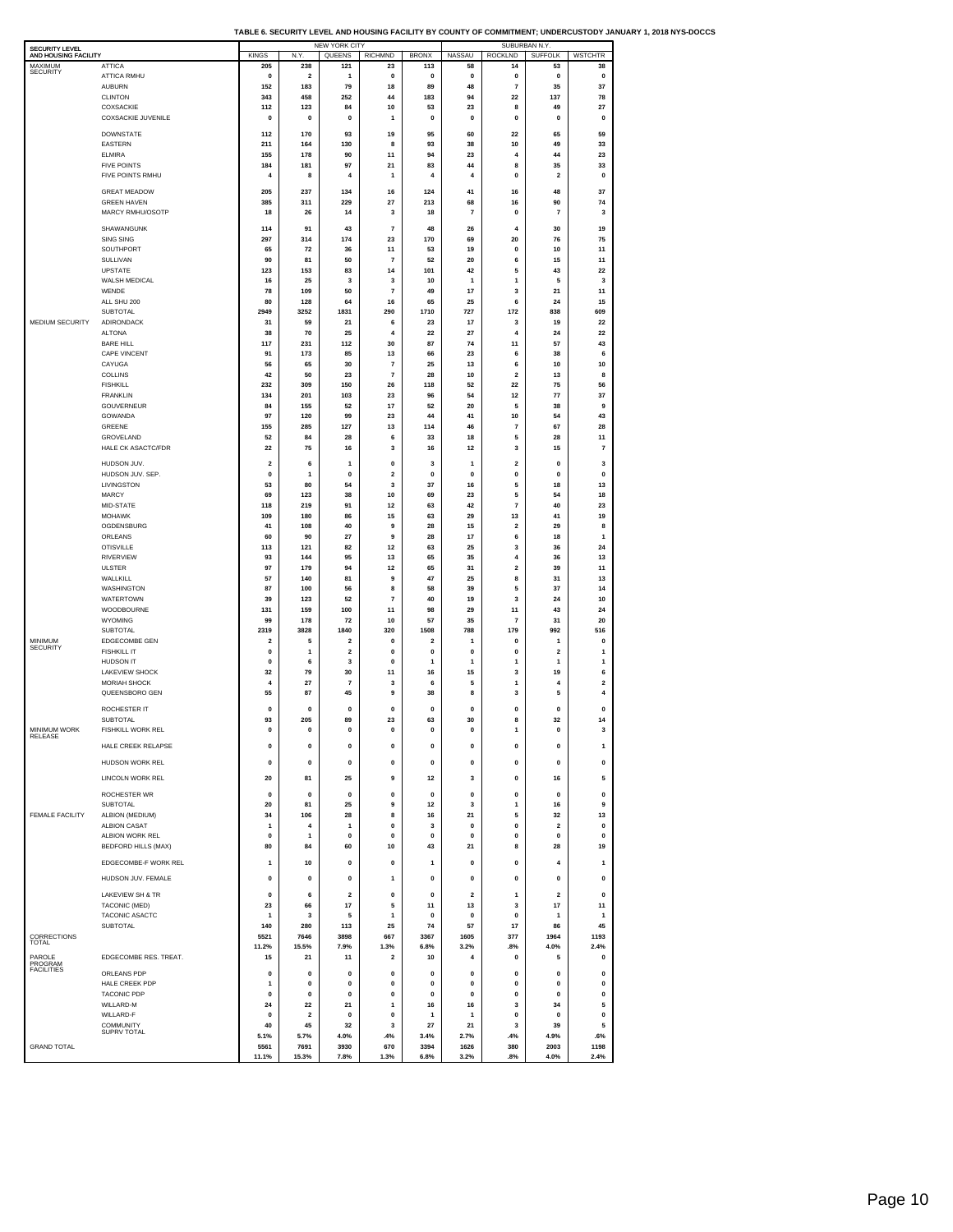|  | TABLE 6. SECURITY LEVEL AND HOUSING FACILITY BY COUNTY OF COMMITMENT: UNDERCUSTODY JANUARY 1. 2018 NYS-DOCCS |  |
|--|--------------------------------------------------------------------------------------------------------------|--|

| <b>SECURITY LEVEL</b><br>AND HOUSING FACILITY |                                        | <b>KINGS</b>                    | N.Y                      | <b>NEW YORK CITY</b><br>QUEENS  | <b>RICHMND</b>          | <b>BRONX</b>                    | NASSAU               | SUBURBAN N.Y.<br>ROCKLND                | <b>SUFFOLK</b>                       | <b>WSTCHTR</b>          |
|-----------------------------------------------|----------------------------------------|---------------------------------|--------------------------|---------------------------------|-------------------------|---------------------------------|----------------------|-----------------------------------------|--------------------------------------|-------------------------|
| MAXIMUM<br><b>SECURITY</b>                    | <b>ATTICA</b>                          | 205                             | 238                      | 121                             | 23                      | 113                             | 58                   | 14                                      | 53                                   | 38                      |
|                                               | ATTICA RMHU<br><b>AUBURN</b>           | $\mathbf 0$<br>152              | $\overline{2}$<br>183    | $\mathbf{1}$<br>79              | 0<br>18                 | 0<br>89                         | 0<br>48              | $\mathbf{0}$<br>$\overline{\mathbf{r}}$ | $\mathbf 0$<br>35                    | 0<br>37                 |
|                                               | <b>CLINTON</b>                         | 343                             | 458                      | 252                             | 44                      | 183                             | 94                   | 22                                      | 137                                  | 78                      |
|                                               | COXSACKIE<br><b>COXSACKIE JUVENILE</b> | 112<br>$\mathbf{0}$             | 123<br>$\mathbf{0}$      | 84<br>$\mathbf{0}$              | 10<br>$\mathbf{1}$      | 53<br>$\mathbf 0$               | 23<br>$\mathbf 0$    | 8<br>$\pmb{0}$                          | 49<br>$\mathbf{0}$                   | 27<br>$\mathbf{0}$      |
|                                               | <b>DOWNSTATE</b>                       | 112                             | 170                      | 93                              | 19                      | 95                              | 60                   | 22                                      | 65                                   | 59                      |
|                                               | <b>EASTERN</b>                         | 211                             | 164                      | 130                             | 8                       | 93                              | 38                   | 10                                      | 49                                   | 33                      |
|                                               | <b>ELMIRA</b><br><b>FIVE POINTS</b>    | 155<br>184                      | 178<br>181               | 90<br>97                        | 11<br>21                | 94<br>83                        | 23<br>44             | $\overline{4}$<br>8                     | 44<br>35                             | 23<br>33                |
|                                               | FIVE POINTS RMHU                       | 4                               | 8                        | $\overline{4}$                  | 1                       | 4                               | 4                    | $\pmb{0}$                               | $\mathbf 2$                          | 0                       |
|                                               | <b>GREAT MEADOW</b>                    | 205                             | 237                      | 134                             | 16                      | 124                             | 41                   | 16                                      | 48                                   | 37                      |
|                                               | <b>GREEN HAVEN</b><br>MARCY RMHU/OSOTP | 385<br>18                       | 311<br>26                | 229<br>14                       | 27<br>3                 | 213<br>18                       | 68<br>$\overline{7}$ | 16<br>0                                 | 90<br>$\overline{7}$                 | 74<br>3                 |
|                                               | SHAWANGUNK                             | 114                             | 91                       | 43                              | 7                       | 48                              | 26                   | 4                                       | 30                                   | 19                      |
|                                               | SING SING                              | 297                             | 314                      | 174                             | 23                      | 170                             | 69                   | 20                                      | 76                                   | 75                      |
|                                               | SOUTHPORT<br>SULLIVAN                  | 65<br>90                        | 72<br>81                 | 36<br>50                        | 11<br>$\overline{7}$    | 53<br>52                        | 19<br>20             | 0<br>6                                  | 10<br>15                             | 11<br>11                |
|                                               | UPSTATE                                | 123                             | 153                      | 83                              | 14                      | 101                             | 42                   | 5                                       | 43                                   | 22                      |
|                                               | WALSH MEDICAL<br>WENDE                 | 16<br>78                        | 25<br>109                | 3<br>50                         | 3<br>$\overline{7}$     | 10<br>49                        | 1<br>17              | 1<br>3                                  | 5<br>21                              | 3<br>11                 |
|                                               | ALL SHU 200                            | 80                              | 128                      | 64                              | 16                      | 65                              | 25                   | 6                                       | 24                                   | 15                      |
| MEDIUM SECURITY                               | SUBTOTAL<br>ADIRONDACK                 | 2949<br>31                      | 3252<br>59               | 1831<br>21                      | 290<br>6                | 1710<br>23                      | 727<br>17            | 172<br>3                                | 838<br>19                            | 609<br>22               |
|                                               | <b>ALTONA</b>                          | 38                              | 70                       | 25                              | $\overline{4}$          | 22                              | 27                   | 4                                       | 24                                   | 22                      |
|                                               | <b>BARE HILL</b><br>CAPE VINCENT       | 117<br>91                       | 231<br>173               | 112<br>85                       | 30<br>13                | 87<br>66                        | 74<br>23             | 11<br>6                                 | 57<br>38                             | 43<br>6                 |
|                                               | CAYUGA                                 | 56                              | 65                       | 30                              | $\overline{7}$          | 25                              | 13                   | 6                                       | 10                                   | 10                      |
|                                               | COLLINS<br><b>FISHKILL</b>             | 42<br>232                       | 50<br>309                | 23<br>150                       | $\overline{7}$<br>26    | 28<br>118                       | 10<br>52             | $\overline{2}$<br>22                    | 13<br>75                             | 8<br>56                 |
|                                               | <b>FRANKLIN</b>                        | 134                             | 201                      | 103                             | 23                      | 96                              | 54                   | 12                                      | 77                                   | 37                      |
|                                               | GOUVERNEUR<br>GOWANDA                  | 84<br>97                        | 155<br>120               | 52<br>99                        | 17<br>23                | 52<br>44                        | 20<br>41             | 5<br>10                                 | 38<br>54                             | 9<br>43                 |
|                                               | GREENE                                 | 155                             | 285                      | 127                             | 13                      | 114                             | 46                   | 7                                       | 67                                   | 28                      |
|                                               | GROVELAND<br><b>HALE CK ASACTC/FDR</b> | 52<br>22                        | 84<br>75                 | 28<br>16                        | 6<br>3                  | 33<br>16                        | 18<br>12             | 5<br>3                                  | 28<br>15                             | 11<br>7                 |
|                                               | HUDSON JUV.                            | $\overline{\mathbf{2}}$         | 6                        | $\mathbf{1}$                    | 0                       | 3                               | 1                    | $\overline{2}$                          | 0                                    | 3                       |
|                                               | HUDSON JUV. SEP.                       | $\pmb{0}$                       | $\mathbf{1}$             | 0<br>54                         | $\overline{\mathbf{2}}$ | 0                               | 0                    | $\pmb{0}$                               | $\pmb{0}$<br>18                      | 0                       |
|                                               | LIVINGSTON<br>MARCY                    | 53<br>69                        | 80<br>123                | 38                              | 3<br>10                 | 37<br>69                        | 16<br>23             | 5<br>5                                  | 54                                   | 13<br>18                |
|                                               | MID-STATE<br><b>MOHAWK</b>             | 118<br>109                      | 219<br>180               | 91<br>86                        | 12<br>15                | 63<br>63                        | 42<br>29             | $\overline{7}$<br>13                    | 40<br>41                             | 23<br>19                |
|                                               | OGDENSBURG                             | 41                              | 108                      | 40                              | 9                       | 28                              | 15                   | $\mathbf 2$                             | 29                                   | 8                       |
|                                               | ORLEANS<br><b>OTISVILLE</b>            | 60<br>113                       | 90<br>121                | 27<br>82                        | 9<br>12                 | 28<br>63                        | 17<br>25             | 6<br>3                                  | 18<br>36                             | 1<br>24                 |
|                                               | RIVERVIEW                              | 93                              | 144                      | 95                              | 13                      | 65                              | 35                   | $\overline{4}$                          | 36                                   | 13                      |
|                                               | <b>ULSTER</b><br>WALLKILL              | 97<br>57                        | 179<br>140               | 94<br>81                        | 12<br>9                 | 65<br>47                        | 31<br>25             | $\mathbf 2$<br>8                        | 39<br>31                             | 11<br>13                |
|                                               | WASHINGTON                             | 87                              | 100                      | 56                              | 8                       | 58                              | 39                   | 5                                       | 37                                   | 14                      |
|                                               | WATERTOWN<br>WOODBOURNE                | 39<br>131                       | 123<br>159               | 52<br>100                       | 7<br>11                 | 40<br>98                        | 19<br>29             | 3<br>11                                 | 24<br>43                             | 10<br>24                |
|                                               | WYOMING                                | 99                              | 178                      | 72                              | 10                      | 57                              | 35                   | $\overline{7}$                          | 31                                   | 20                      |
| <b>MINIMUM</b>                                | SUBTOTAL<br><b>EDGECOMBE GEN</b>       | 2319<br>$\overline{\mathbf{2}}$ | 3828<br>5                | 1840<br>$\overline{\mathbf{2}}$ | 320<br>0                | 1508<br>$\overline{\mathbf{2}}$ | 788<br>1             | 179<br>$\mathbf{0}$                     | 992<br>1                             | 516<br>0                |
| SECURITY                                      | <b>FISHKILL IT</b>                     | $\pmb{0}$                       | $\mathbf{1}$             | $\mathbf 2$                     | 0                       | 0                               | 0                    | 0                                       | $\mathbf 2$                          | 1                       |
|                                               | <b>HUDSON IT</b><br>LAKEVIEW SHOCK     | $\mathbf 0$<br>32               | 6<br>79                  | 3<br>30                         | $\mathbf 0$<br>11       | 1<br>16                         | 1<br>15              | 1<br>3                                  | 1<br>19                              | 1<br>6                  |
|                                               | <b>MORIAH SHOCK</b>                    | $\overline{4}$                  | 27                       | $\overline{7}$                  | 3                       | 6                               | 5                    | 1                                       | 4                                    | $\overline{\mathbf{2}}$ |
|                                               | QUEENSBORO GEN                         | 55                              | 87                       | 45                              | 9                       | 38                              | 8                    | 3                                       | 5                                    | 4                       |
|                                               | ROCHESTER IT<br><b>SUBTOTAL</b>        | 0<br>93                         | 0<br>205                 | 0<br>89                         | 0<br>23                 | 0<br>63                         | 0<br>30              | 0<br>8                                  | 0<br>32                              | 0<br>14                 |
| <b>MINIMUM WORK</b>                           | FISHKILL WORK REL                      | $\mathbf{0}$                    | $\mathbf 0$              | $\mathbf{0}$                    | $\mathbf 0$             | $\mathbf 0$                     | $\mathbf 0$          | 1                                       | $\mathbf{0}$                         | 3                       |
|                                               | HALE CREEK RELAPSE                     | $\mathbf{0}$                    | $\mathbf{0}$             | $\mathbf{0}$                    | 0                       | 0                               | 0                    | $\mathbf 0$                             | 0                                    | 1                       |
|                                               | HUDSON WORK REL                        | $\mathbf{0}$                    | $\mathbf 0$              | $\mathbf{0}$                    | 0                       | 0                               | 0                    | $\mathbf{0}$                            | $\mathbf 0$                          | 0                       |
|                                               | LINCOLN WORK REL                       | 20                              | 81                       | 25                              | 9                       | 12                              | 3                    | $\mathbf{0}$                            | 16                                   | 5                       |
|                                               | ROCHESTER WR                           | $\mathbf{0}$                    | $\mathbf{0}$             | $\pmb{0}$                       | $\pmb{0}$               | $\mathbf 0$                     | $\pmb{0}$            | $\pmb{0}$                               | $\pmb{0}$                            | $\pmb{0}$               |
| <b>FEMALE FACILITY</b>                        | SUBTOTAL<br>ALBION (MEDIUM)            | 20<br>34                        | 81<br>106                | 25<br>28                        | 9<br>8                  | 12<br>16                        | 3<br>21              | 1<br>5                                  | 16<br>32                             | 9<br>13                 |
|                                               | <b>ALBION CASAT</b><br>ALBION WORK REL | 1<br>$\mathbf{0}$               | $\overline{4}$           | 1<br>$\pmb{0}$                  | 0<br>$\pmb{0}$          | 3<br>$\pmb{0}$                  | 0<br>$\pmb{0}$       | 0<br>0                                  | $\overline{\mathbf{2}}$<br>$\pmb{0}$ | 0<br>$\mathbf 0$        |
|                                               | <b>BEDFORD HILLS (MAX)</b>             | 80                              | $\mathbf{1}$<br>84       | 60                              | 10                      | 43                              | 21                   | 8                                       | 28                                   | 19                      |
|                                               | EDGECOMBE-F WORK REL                   | $\mathbf{1}$                    | 10                       | $\mathbf{0}$                    | 0                       | 1                               | $\mathbf 0$          | $\mathbf 0$                             | 4                                    | 1                       |
|                                               | HUDSON JUV. FEMALE                     | $\mathbf{0}$                    | $\mathbf 0$              | $\mathbf{0}$                    | $\mathbf{1}$            | $\mathbf 0$                     | $\mathbf{0}$         | $\mathbf{0}$                            | $\mathbf 0$                          | 0                       |
|                                               | LAKEVIEW SH & TR                       | $\mathbf{0}$                    | 6                        | $\overline{2}$                  | $\pmb{0}$               | $\mathbf{0}$                    | $\overline{2}$       | $\mathbf{1}$                            | $\mathbf 2$                          | $\pmb{0}$               |
|                                               | TACONIC (MED)<br>TACONIC ASACTC        | 23<br>1                         | 66<br>3                  | 17<br>5                         | 5<br>1                  | 11<br>$\mathbf{0}$              | 13<br>$\pmb{0}$      | 3<br>$\pmb{0}$                          | 17<br>1                              | 11<br>1                 |
|                                               | SUBTOTAL                               | 140                             | 280                      | 113                             | 25                      | 74                              | 57                   | 17                                      | 86                                   | 45                      |
| CORRECTIONS<br>TOTAL                          |                                        | 5521<br>11.2%                   | 7646<br>15.5%            | 3898<br>7.9%                    | 667<br>1.3%             | 3367<br>6.8%                    | 1605<br>3.2%         | 377<br>.8%                              | 1964<br>4.0%                         | 1193<br>2.4%            |
| PAROLE<br>PROGRAM                             | EDGECOMBE RES. TREAT.                  | 15                              | 21                       | 11                              | 2                       | 10                              | 4                    | $\pmb{0}$                               | 5                                    | 0                       |
| <b>FACILITIES</b>                             | ORLEANS PDP                            | 0                               | 0                        | 0                               | 0                       | 0                               | 0                    | $\pmb{0}$                               | 0                                    | 0                       |
|                                               | HALE CREEK PDP<br><b>TACONIC PDP</b>   | $\mathbf{1}$<br>0               | $\mathbf 0$<br>$\pmb{0}$ | $\mathbf{0}$<br>0               | 0<br>$\pmb{0}$          | $\mathbf 0$<br>$\bf{0}$         | 0<br>0               | $\mathbf{0}$<br>$\pmb{0}$               | $\mathbf{0}$<br>$\pmb{0}$            | 0<br>$\pmb{0}$          |
|                                               | WILLARD-M                              | 24                              | 22                       | 21                              | $\mathbf{1}$            | 16                              | 16                   | 3                                       | 34                                   | 5                       |
|                                               | WILLARD-F<br>COMMUNITY                 | $\mathbf{0}$<br>40              | $\overline{2}$<br>45     | 0<br>32                         | 0<br>3                  | $\mathbf{1}$<br>27              | $\mathbf{1}$<br>21   | $\pmb{0}$<br>3                          | $\mathbf{0}$<br>39                   | 0<br>5                  |
|                                               | SUPRV TOTAL                            | 5.1%                            | 5.7%                     | 4.0%                            | .4%                     | 3.4%                            | 2.7%                 | .4%                                     | 4.9%                                 | .6%                     |
| <b>GRAND TOTAL</b>                            |                                        | 5561<br>11.1%                   | 7691<br>15.3%            | 3930<br>7.8%                    | 670<br>1.3%             | 3394<br>6.8%                    | 1626<br>3.2%         | 380<br>.8%                              | 2003<br>4.0%                         | 1198<br>2.4%            |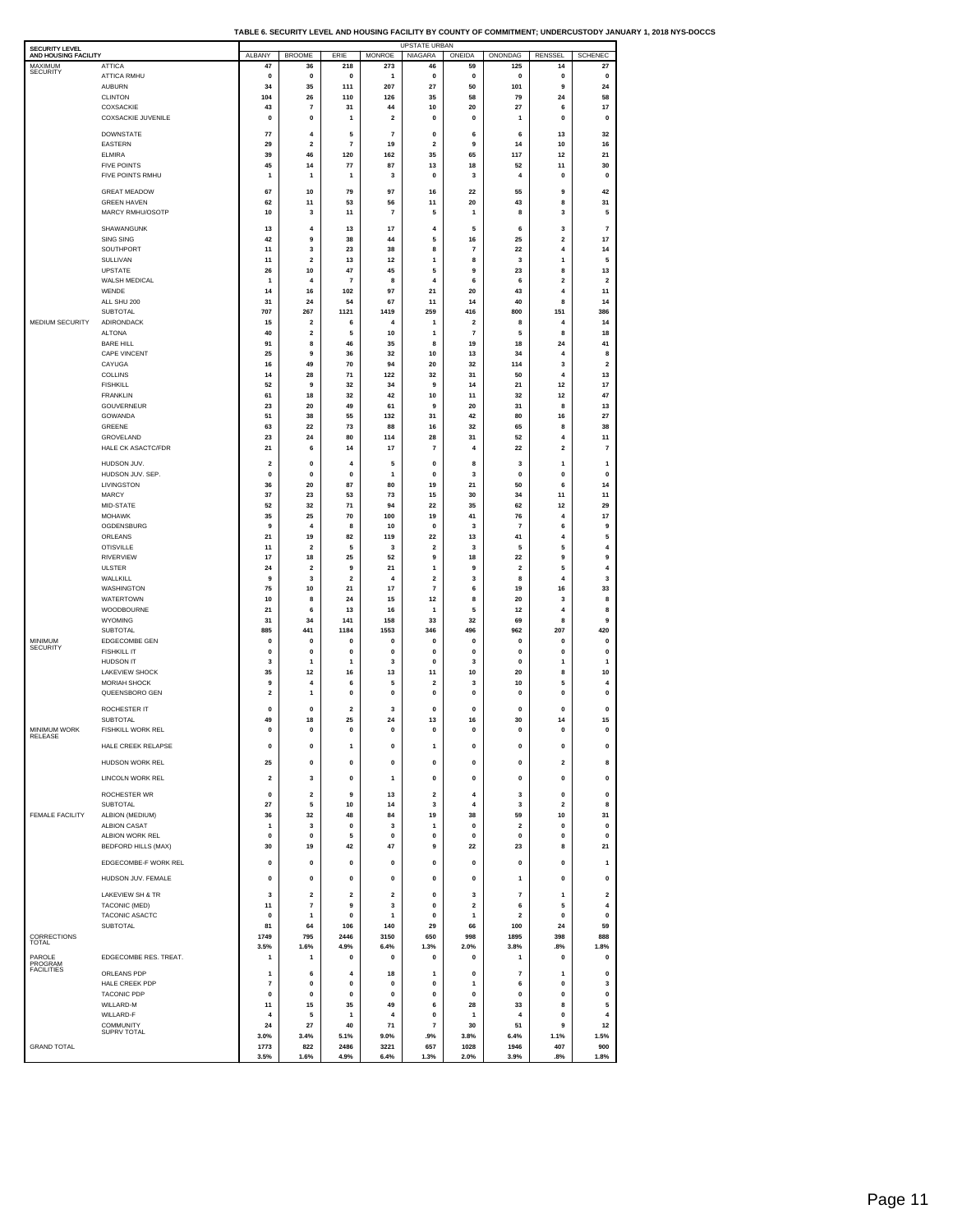|  |  | TABLE 6. SECURITY LEVEL AND HOUSING FACILITY BY COUNTY OF COMMITMENT: UNDERCUSTODY JANUARY 1. 2018 NYS-DOCCS |
|--|--|--------------------------------------------------------------------------------------------------------------|
|  |  |                                                                                                              |

| SECURITY LEVEL<br>AND HOUSING FACILITY |                                              | ALBANY            | <b>BROOME</b>                | ERIE                          | <b>MONROE</b>                 | UPSTATE URBAN<br>NIAGARA     | ONEIDA                                             | ONONDAG               | <b>RENSSEL</b>      | <b>SCHENEC</b>                |
|----------------------------------------|----------------------------------------------|-------------------|------------------------------|-------------------------------|-------------------------------|------------------------------|----------------------------------------------------|-----------------------|---------------------|-------------------------------|
| <b>MAXIMUM</b><br><b>SECURITY</b>      | <b>ATTICA</b>                                | 47                | 36                           | 218                           | 273                           | 46                           | 59                                                 | 125                   | 14                  | 27                            |
|                                        | ATTICA RMHU<br><b>AUBURN</b>                 | 0<br>34           | 0<br>35                      | $\pmb{0}$<br>111              | 1<br>207                      | 0<br>27                      | 0<br>50                                            | 0<br>101              | $\pmb{0}$<br>9      | $\pmb{0}$<br>24               |
|                                        | <b>CLINTON</b>                               | 104               | 26                           | 110                           | 126                           | 35                           | 58                                                 | 79                    | 24                  | 58                            |
|                                        | COXSACKIE<br>COXSACKIE JUVENILE              | 43<br>0           | $\overline{7}$<br>0          | 31<br>1                       | 44<br>$\overline{\mathbf{2}}$ | 10<br>0                      | 20<br>0                                            | 27<br>1               | 6<br>0              | 17<br>0                       |
|                                        | <b>DOWNSTATE</b>                             | 77                | 4                            | 5                             | 7                             | 0                            | 6                                                  | 6                     | 13                  | 32                            |
|                                        | <b>EASTERN</b>                               | 29                | $\overline{\mathbf{2}}$      | $\overline{7}$                | 19                            | $\mathbf 2$                  | 9                                                  | 14                    | 10                  | 16                            |
|                                        | <b>ELMIRA</b><br><b>FIVE POINTS</b>          | 39<br>45          | 46<br>14                     | 120<br>$77\,$                 | 162<br>87                     | 35<br>13                     | 65<br>18                                           | 117<br>52             | 12<br>11            | 21<br>30                      |
|                                        | FIVE POINTS RMHU                             | 1                 | $\mathbf{1}$                 | $\mathbf{1}$                  | 3                             | 0                            | 3                                                  | 4                     | $\mathbf 0$         | $\mathbf 0$                   |
|                                        | <b>GREAT MEADOW</b>                          | 67                | 10                           | 79                            | 97                            | 16                           | 22                                                 | 55                    | 9                   | 42                            |
|                                        | <b>GREEN HAVEN</b>                           | 62                | 11                           | 53                            | 56                            | 11                           | 20                                                 | 43                    | 8                   | 31                            |
|                                        | MARCY RMHU/OSOTP                             | 10                | 3                            | 11                            | $\overline{7}$                | 5                            | $\mathbf{1}$                                       | 8                     | 3                   | 5                             |
|                                        | SHAWANGUNK<br>SING SING                      | 13<br>42          | $\overline{4}$<br>9          | 13<br>38                      | 17<br>44                      | 4<br>5                       | 5<br>16                                            | 6<br>25               | 3<br>2              | $\overline{7}$<br>17          |
|                                        | SOUTHPORT                                    | 11                | 3                            | 23                            | 38                            | 8                            | $\overline{7}$                                     | 22                    | 4                   | 14                            |
|                                        | SULLIVAN<br><b>UPSTATE</b>                   | 11<br>26          | 2<br>10                      | 13<br>47                      | 12<br>45                      | 1<br>5                       | 8<br>9                                             | 3<br>23               | 1<br>8              | 5<br>13                       |
|                                        | WALSH MEDICAL                                | 1                 | 4                            | $\overline{7}$                | 8                             | 4                            | 6                                                  | 6                     | 2                   | $\overline{\mathbf{2}}$       |
|                                        | WENDE<br>ALL SHU 200                         | 14<br>31          | 16<br>24                     | 102<br>54                     | 97<br>67                      | 21<br>11                     | 20<br>14                                           | 43<br>40              | 4<br>8              | 11<br>14                      |
|                                        | SUBTOTAL                                     | 707               | 267                          | 1121                          | 1419                          | 259                          | 416                                                | 800                   | 151                 | 386                           |
| MEDIUM SECURITY                        | ADIRONDACK<br><b>ALTONA</b>                  | 15<br>40          | $\overline{\mathbf{2}}$<br>2 | 6<br>5                        | 4<br>10                       | 1<br>1                       | $\overline{\mathbf{2}}$<br>$\overline{\mathbf{r}}$ | 8<br>5                | 4<br>8              | 14<br>18                      |
|                                        | <b>BARE HILL</b>                             | 91                | 8                            | 46                            | 35                            | 8                            | 19                                                 | 18                    | 24                  | 41                            |
|                                        | CAPE VINCENT                                 | 25                | 9                            | 36                            | 32<br>94                      | 10                           | 13                                                 | 34                    | 4                   | 8                             |
|                                        | CAYUGA<br>COLLINS                            | 16<br>14          | 49<br>28                     | 70<br>71                      | 122                           | 20<br>32                     | 32<br>31                                           | 114<br>50             | 3<br>4              | $\overline{\mathbf{2}}$<br>13 |
|                                        | <b>FISHKILL</b>                              | 52                | 9                            | 32                            | 34                            | 9                            | 14                                                 | 21                    | 12                  | 17                            |
|                                        | FRANKLIN<br>GOUVERNEUR                       | 61<br>23          | 18<br>20                     | 32<br>49                      | 42<br>61                      | 10<br>9                      | 11<br>20                                           | 32<br>31              | 12<br>8             | 47<br>13                      |
|                                        | GOWANDA                                      | 51                | 38                           | 55                            | 132                           | 31                           | 42                                                 | 80                    | 16                  | 27                            |
|                                        | GREENE<br>GROVELAND                          | 63<br>23          | 22<br>24                     | 73<br>80                      | 88<br>114                     | 16<br>28                     | 32<br>31                                           | 65<br>52              | 8<br>4              | 38<br>11                      |
|                                        | HALE CK ASACTC/FDR                           | 21                | 6                            | 14                            | 17                            | $\overline{7}$               | $\overline{4}$                                     | 22                    | $\mathbf 2$         | $\overline{7}$                |
|                                        | HUDSON JUV.                                  | 2                 | 0                            | 4                             | 5                             | 0                            | 8                                                  | 3                     | 1                   | 1                             |
|                                        | HUDSON JUV. SEP.<br>LIVINGSTON               | $\mathbf 0$<br>36 | $\mathbf 0$<br>20            | $\mathbf 0$<br>87             | 1<br>80                       | 0<br>19                      | 3<br>21                                            | $\mathbf 0$<br>50     | $\mathbf 0$<br>6    | $\mathbf 0$<br>14             |
|                                        | <b>MARCY</b>                                 | 37                | 23                           | 53                            | 73                            | 15                           | 30                                                 | 34                    | 11                  | 11                            |
|                                        | MID-STATE<br><b>MOHAWK</b>                   | 52<br>35          | 32<br>25                     | 71<br>70                      | 94<br>100                     | 22<br>19                     | 35<br>41                                           | 62<br>76              | 12<br>4             | 29<br>17                      |
|                                        | OGDENSBURG                                   | 9                 | 4                            | 8                             | 10                            | 0                            | 3                                                  | $\overline{7}$        | 6                   | 9                             |
|                                        | ORLEANS                                      | 21                | 19                           | 82                            | 119                           | 22                           | 13                                                 | 41                    | 4                   | 5                             |
|                                        | <b>OTISVILLE</b><br><b>RIVERVIEW</b>         | 11<br>17          | 2<br>18                      | 5<br>25                       | 3<br>52                       | $\overline{\mathbf{2}}$<br>9 | 3<br>18                                            | 5<br>22               | 5<br>9              | 4<br>9                        |
|                                        | <b>ULSTER</b>                                | 24                | 2                            | 9                             | 21                            | 1                            | 9                                                  | $\overline{2}$        | 5                   | 4                             |
|                                        | WALLKILL<br>WASHINGTON                       | 9<br>75           | 3<br>10                      | $\overline{\mathbf{2}}$<br>21 | $\overline{4}$<br>17          | $\mathbf 2$<br>7             | 3<br>6                                             | 8<br>19               | 4<br>16             | 3<br>33                       |
|                                        | <b>WATERTOWN</b>                             | 10                | 8                            | 24                            | 15                            | $12$                         | 8                                                  | 20                    | 3                   | 8                             |
|                                        | WOODBOURNE<br>WYOMING                        | 21<br>31          | 6<br>34                      | 13<br>141                     | 16<br>158                     | $\mathbf{1}$<br>33           | 5<br>32                                            | 12<br>69              | 4<br>8              | 8<br>9                        |
|                                        | SUBTOTAL                                     | 885               | 441                          | 1184                          | 1553                          | 346                          | 496                                                | 962                   | 207                 | 420                           |
| MINIMUM<br><b>SECURITY</b>             | EDGECOMBE GEN<br><b>FISHKILL IT</b>          | 0<br>0            | 0<br>0                       | 0<br>$\mathbf 0$              | 0<br>0                        | 0<br>0                       | 0<br>0                                             | 0<br>0                | 0<br>$\mathbf 0$    | 0<br>$\mathbf 0$              |
|                                        | HUDSON IT                                    | 3                 | 1                            | 1                             | 3                             | 0                            | 3                                                  | $\mathbf 0$           | 1                   | 1                             |
|                                        | <b>LAKEVIEW SHOCK</b><br><b>MORIAH SHOCK</b> | 35<br>9           | 12<br>4                      | 16<br>6                       | 13<br>5                       | 11<br>2                      | 10<br>3                                            | 20<br>10              | 8<br>5              | 10<br>4                       |
|                                        | QUEENSBORO GEN                               | $\overline{2}$    | 1                            | $\mathbf{0}$                  | $\pmb{0}$                     | $\mathbf 0$                  | $\pmb{0}$                                          | $\mathbf 0$           | $\mathbf 0$         | $\pmb{0}$                     |
|                                        | ROCHESTER IT                                 | 0                 | $\mathbf{0}$                 | $\overline{2}$                | 3                             | $\mathbf 0$                  | $\mathbf 0$                                        | $\mathbf 0$           | $\mathbf 0$         | $\pmb{0}$                     |
| MINIMUM WORK                           | <b>SUBTOTAL</b><br>FISHKILL WORK REL         | 49<br>$\pmb{0}$   | 18<br>$\pmb{0}$              | 25<br>$\pmb{0}$               | 24<br>$\pmb{0}$               | 13<br>$\pmb{0}$              | 16<br>$\pmb{0}$                                    | 30<br>$\mathbf 0$     | 14<br>$\pmb{0}$     | 15<br>$\pmb{0}$               |
| RELE                                   |                                              |                   |                              |                               |                               |                              |                                                    |                       |                     |                               |
|                                        | HALE CREEK RELAPSE                           | $\pmb{0}$         | $\pmb{0}$                    | $\mathbf 1$                   | 0                             | 1                            | $\pmb{0}$                                          | $\pmb{0}$             | $\pmb{0}$           | $\pmb{0}$                     |
|                                        | HUDSON WORK REL                              | 25                | $\pmb{0}$                    | $\pmb{0}$                     | $\pmb{0}$                     | 0                            | $\pmb{0}$                                          | 0                     | $\mathbf 2$         | 8                             |
|                                        | LINCOLN WORK REL                             | 2                 | 3                            | 0                             | 1                             | 0                            | 0                                                  | 0                     | 0                   | 0                             |
|                                        | ROCHESTER WR<br><b>SUBTOTAL</b>              | 0<br>27           | $\overline{\mathbf{2}}$<br>5 | 9<br>10                       | 13<br>14                      | $\overline{\mathbf{2}}$<br>3 | 4<br>4                                             | 3<br>3                | 0<br>$\overline{2}$ | $\mathbf 0$<br>8              |
| <b>FEMALE FACILITY</b>                 | ALBION (MEDIUM)                              | 36                | 32                           | 48                            | 84                            | 19                           | 38                                                 | 59                    | 10                  | 31                            |
|                                        | <b>ALBION CASAT</b><br>ALBION WORK REL       | 1<br>0            | 3<br>0                       | $\pmb{0}$<br>5                | 3<br>0                        | 1<br>0                       | $\pmb{0}$<br>0                                     | $\mathbf 2$<br>0      | $\pmb{0}$<br>0      | $\mathbf 0$<br>0              |
|                                        | <b>BEDFORD HILLS (MAX)</b>                   | 30                | 19                           | 42                            | 47                            | 9                            | 22                                                 | 23                    | 8                   | 21                            |
|                                        | EDGECOMBE-F WORK REL                         | 0                 | 0                            | 0                             | $\pmb{0}$                     | $\mathbf 0$                  | $\pmb{0}$                                          | 0                     | $\bf{0}$            | 1                             |
|                                        | HUDSON JUV. FEMALE                           | 0                 | $\pmb{0}$                    | $\pmb{0}$                     | $\pmb{0}$                     | $\pmb{0}$                    | $\pmb{0}$                                          | 1                     | $\pmb{0}$           | $\pmb{0}$                     |
|                                        | <b>LAKEVIEW SH &amp; TR</b>                  | 3                 | 2                            | 2                             | 2                             | 0                            | 3                                                  | $\overline{7}$        | 1                   | $\overline{\mathbf{2}}$       |
|                                        | TACONIC (MED)                                | 11                | $\overline{7}$               | 9                             | 3                             | $\pmb{0}$                    | $\mathbf 2$                                        | 6                     | 5                   | 4                             |
|                                        | TACONIC ASACTC<br><b>SUBTOTAL</b>            | 0<br>81           | 1<br>64                      | 0<br>106                      | 1<br>140                      | 0<br>29                      | 1<br>66                                            | $\overline{2}$<br>100 | $\pmb{0}$<br>24     | 0<br>59                       |
| CORRECTIONS<br>TOTAL                   |                                              | 1749              | 795                          | 2446                          | 3150                          | 650                          | 998                                                | 1895                  | 398                 | 888                           |
| PAROLE                                 | EDGECOMBE RES. TREAT.                        | 3.5%<br>1         | 1.6%<br>1                    | 4.9%<br>$\mathbf 0$           | 6.4%<br>$\mathbf 0$           | 1.3%<br>0                    | 2.0%<br>0                                          | 3.8%<br>$\mathbf{1}$  | .8%<br>$\mathbf 0$  | 1.8%<br>0                     |
| PROGRAM<br><b>FACILITIES</b>           | ORLEANS PDP                                  |                   |                              | 4                             |                               | 1                            |                                                    |                       |                     |                               |
|                                        | HALE CREEK PDP                               | $\mathbf{1}$<br>7 | 6<br>0                       | 0                             | 18<br>$\pmb{0}$               | 0                            | $\mathbf 0$<br>1                                   | $\overline{7}$<br>6   | 1<br>$\mathbf 0$    | $\mathbf 0$<br>3              |
|                                        | <b>TACONIC PDP</b>                           | $\mathbf 0$       | $\mathbf 0$                  | $\mathbf 0$                   | $\mathbf 0$                   | $\mathbf{0}$                 | $\mathbf{0}$                                       | $\mathbf 0$           | $\Omega$            | $\mathbf 0$                   |
|                                        | WILLARD-M<br>WILLARD-F                       | 11<br>4           | 15<br>5                      | 35<br>1                       | 49<br>$\overline{4}$          | 6<br>$\pmb{0}$               | 28<br>$\mathbf{1}$                                 | 33<br>$\overline{4}$  | 8<br>$\mathbf 0$    | 5<br>$\overline{4}$           |
|                                        | <b>COMMUNITY</b><br><b>SUPRV TOTAL</b>       | 24                | 27                           | 40                            | 71                            | 7                            | 30                                                 | 51                    | 9                   | 12                            |
| <b>GRAND TOTAL</b>                     |                                              | 3.0%<br>1773      | 3.4%<br>822                  | 5.1%<br>2486                  | 9.0%<br>3221                  | .9%<br>657                   | 3.8%<br>1028                                       | 6.4%<br>1946          | 1.1%<br>407         | 1.5%<br>900                   |
|                                        |                                              | 3.5%              | 1.6%                         | 4.9%                          | 6.4%                          | 1.3%                         | 2.0%                                               | 3.9%                  | .8%                 | 1.8%                          |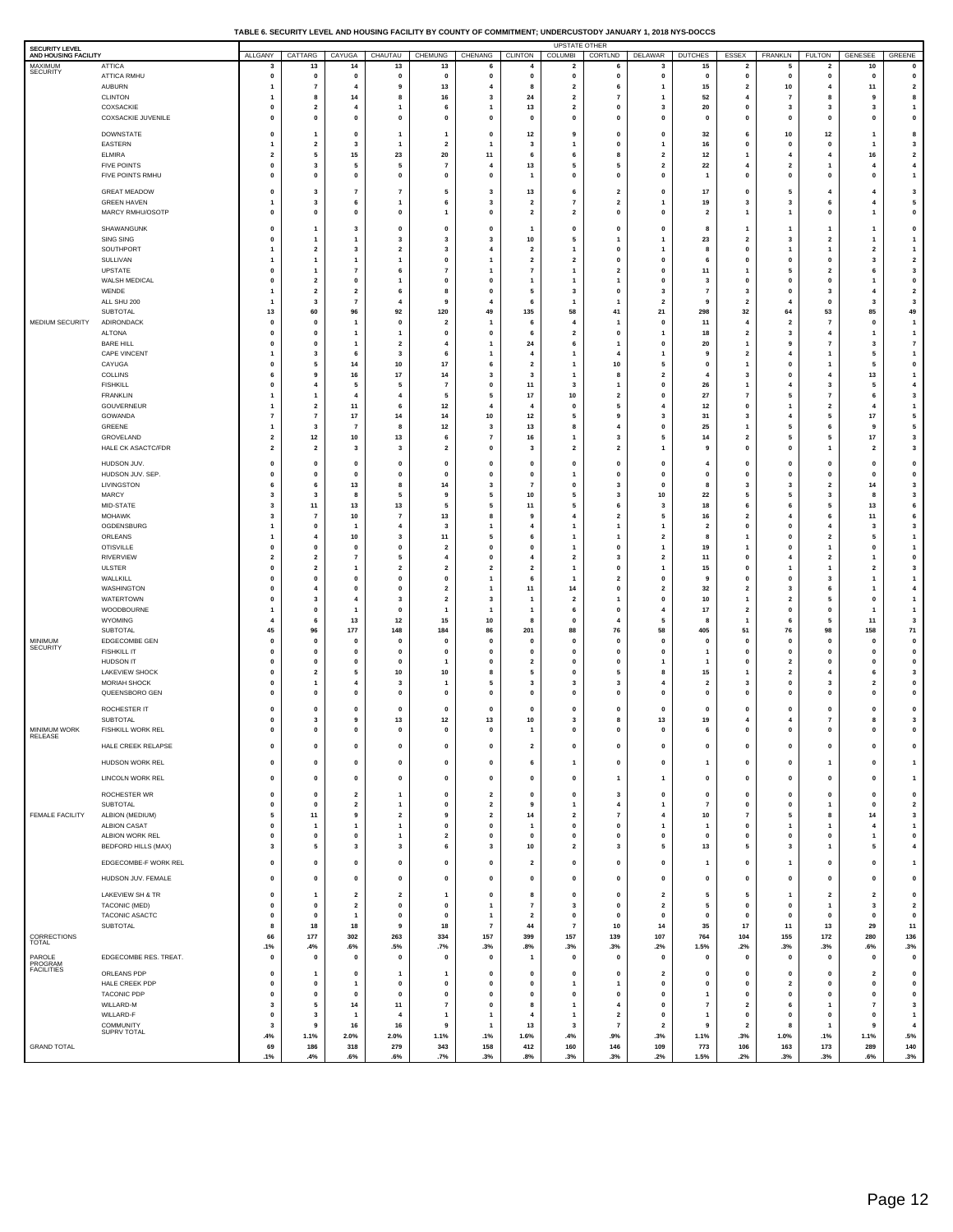### **TABLE 6. SECURITY LEVEL AND HOUSING FACILITY BY COUNTY OF COMMITMENT; UNDERCUSTODY JANUARY 1, 2018 NYS-DOCCS**

| SECURITY LEVEL<br>AND HOUSING FACILITY |                                        | ALLGANY                          | CATTARG                                       | CAYUGA                                             | CHAUTAU                          | <b>CHEMUNG</b>                | CHENANG                        | <b>CLINTON</b>                            | <b>UPSTATE OTHER</b><br><b>COLUMBI</b>  | CORTLND                                            | <b>DELAWAR</b>                                     | <b>DUTCHES</b>                  | ESSEX                                   | FRANKLN                                   | <b>FULTON</b>                             | <b>GENESEE</b>                            | GREENE                               |
|----------------------------------------|----------------------------------------|----------------------------------|-----------------------------------------------|----------------------------------------------------|----------------------------------|-------------------------------|--------------------------------|-------------------------------------------|-----------------------------------------|----------------------------------------------------|----------------------------------------------------|---------------------------------|-----------------------------------------|-------------------------------------------|-------------------------------------------|-------------------------------------------|--------------------------------------|
| MAXIMUM<br>SECURITY                    | <b>ATTICA</b>                          | з                                | 13                                            | 14                                                 | 13                               | 13                            |                                | 4                                         | 2                                       | 6                                                  | 3                                                  | 15                              | $\overline{\mathbf{2}}$                 | 5                                         | 2                                         | 10                                        | $\pmb{0}$                            |
|                                        | ATTICA RMHU<br>AUBURN                  | $\mathbf 0$<br>1                 | $\mathbf{0}$<br>$\overline{7}$                | $\mathbf 0$<br>4                                   | $\mathbf 0$<br>9                 | 0<br>13                       | $\mathbf 0$<br>4               | $\mathbf 0$<br>8                          | $\mathbf 0$<br>$\overline{\mathbf{2}}$  | $\pmb{0}$<br>6                                     | 0                                                  | $\mathbf{o}$<br>15              | $\mathbf{0}$<br>$\mathbf 2$             | $\mathbf 0$<br>10                         | $\pmb{\mathsf{o}}$<br>$\overline{4}$      | $\mathbf 0$<br>11                         | $\mathbf 0$<br>$\mathbf{2}$          |
|                                        | <b>CLINTON</b>                         | 1                                | 8                                             | 14                                                 | 8                                | 16                            | 3                              | 24                                        | $\overline{2}$                          | $\overline{7}$                                     |                                                    | 52                              | $\overline{4}$                          | 7                                         | 8                                         | 9                                         | 8                                    |
|                                        | COXSACKIE<br>COXSACKIE JUVENILE        | $\mathbf 0$<br>$\pmb{0}$         | $\overline{\mathbf{2}}$<br>$\mathbf{0}$       | 4<br>$\mathbf{0}$                                  | o                                | 6<br>$\pmb{0}$                | $\mathbf{1}$<br>$\mathbf 0$    | 13<br>$\mathbf{0}$                        | $\overline{\mathbf{2}}$<br>$\mathbf{0}$ | 0<br>0                                             | 3<br>$\mathbf 0$                                   | 20<br>$\mathbf{0}$              | 0<br>$\mathbf 0$                        | 3<br>$\mathbf{0}$                         | 3<br>$\mathbf{0}$                         | 3<br>$\mathbf{0}$                         | $\mathbf{1}$<br>$\pmb{0}$            |
|                                        | <b>DOWNSTATE</b>                       | $\pmb{0}$                        | -1                                            | $\mathbf{0}$                                       | 1                                | 1                             | 0                              | 12                                        | 9                                       | $\mathbf 0$                                        | 0                                                  | 32                              | 6                                       | 10                                        | 12                                        | -1                                        | 8                                    |
|                                        | EASTERN                                | $\overline{1}$                   | $\overline{\mathbf{2}}$                       | 3                                                  | 1                                | $\overline{\mathbf{2}}$       | 1                              | $\mathbf{3}$                              | 1                                       | 0                                                  |                                                    | 16                              | 0                                       | $\mathbf 0$                               | $\pmb{\mathsf{o}}$                        | $\mathbf{1}$                              | 3                                    |
|                                        | <b>ELMIRA</b>                          | $\overline{\mathbf{2}}$<br>0     | 5<br>3                                        | 15<br>5                                            | 23<br>5                          | 20<br>$\overline{7}$          | 11<br>$\overline{4}$           | 6                                         | 6<br>5                                  | 8<br>5                                             | $\overline{2}$<br>$\overline{2}$                   | $12$                            | $\mathbf{1}$<br>$\overline{4}$          | $\overline{4}$<br>$\overline{\mathbf{2}}$ | $\overline{4}$<br>1                       | 16<br>$\overline{4}$                      | $\mathbf{2}$<br>$\overline{4}$       |
|                                        | <b>FIVE POINTS</b><br>FIVE POINTS RMHU | $\pmb{0}$                        | $\mathbf 0$                                   | $\pmb{0}$                                          | 0                                | $\mathbf 0$                   | $\mathbf 0$                    | 13<br>1                                   | $\mathbf{0}$                            | 0                                                  | $\mathbf{0}$                                       | 22<br>$\overline{1}$            | $\mathbf 0$                             | 0                                         | $\mathbf 0$                               | $\mathbf 0$                               | $\mathbf{1}$                         |
|                                        | <b>GREAT MEADOW</b>                    | $\pmb{0}$                        | 3                                             | 7                                                  | $\overline{7}$                   | 5                             | 3                              | 13                                        | 6                                       | $\overline{\mathbf{2}}$                            | $\mathbf{0}$                                       | $17\,$                          | $\mathbf 0$                             | 5                                         | $\overline{4}$                            | $\overline{4}$                            | $\mathbf 3$                          |
|                                        | <b>GREEN HAVEN</b>                     | $\overline{1}$                   | 3                                             | 6                                                  | 1                                | 6                             | 3                              | $\overline{2}$                            | $\overline{7}$                          | $\overline{\mathbf{2}}$                            |                                                    | 19                              | $\mathbf{3}$                            | 3                                         | 6                                         | $\overline{4}$                            | 5                                    |
|                                        | MARCY RMHU/OSOTP                       | $\mathbf 0$                      | $\mathbf 0$                                   | $\pmb{0}$                                          | 0                                | 1                             | $\mathbf 0$                    | $\overline{\mathbf{2}}$                   | $\overline{\mathbf{2}}$                 | 0                                                  | $\mathbf{0}$                                       | $\overline{\mathbf{2}}$         | $\overline{1}$                          | 1                                         | $\mathbf{0}$                              | $\overline{1}$                            | $\pmb{0}$                            |
|                                        | SHAWANGUNK                             | $\mathbf 0$<br>$\pmb{0}$         | 1                                             | 3                                                  | 0<br>3                           | 0<br>3                        | 0<br>3                         | 1                                         | 0<br>5                                  | 0                                                  | $\mathbf 0$                                        | 8                               | $\mathbf{1}$<br>$\overline{\mathbf{2}}$ | $\mathbf{1}$<br>$\overline{\mathbf{3}}$   | 1<br>$\overline{\mathbf{2}}$              | $\overline{\mathbf{1}}$                   | $\pmb{0}$<br>$\mathbf{1}$            |
|                                        | SING SING<br>SOUTHPORT                 | $\overline{1}$                   | -1<br>$\overline{\mathbf{2}}$                 | $\overline{1}$<br>3                                | $\overline{2}$                   | 3                             | $\overline{4}$                 | $10$<br>$\overline{\mathbf{2}}$           | 1                                       | 0                                                  | -1                                                 | 23<br>8                         | $\mathbf{0}$                            | 1                                         | 1                                         | $\overline{1}$<br>$\overline{\mathbf{2}}$ | $\mathbf{1}$                         |
|                                        | SULLIVAN                               | 1                                | -1                                            | $\overline{1}$                                     | 1                                | $\pmb{0}$                     | $\mathbf{1}$                   | $\overline{2}$                            | $\overline{2}$                          | $\mathbf 0$                                        | $\Omega$                                           | 6                               | $\mathbf{0}$                            | $\mathbf{0}$                              | $\mathbf{0}$                              | $\overline{\mathbf{3}}$                   | $\overline{\mathbf{2}}$              |
|                                        | UPSTATE<br>WALSH MEDICAL               | $\mathbf 0$<br>$\pmb{0}$         | $\mathbf{1}$<br>$\overline{2}$                | 7<br>$\mathbf{0}$                                  | 6<br>1                           | $\overline{7}$<br>$\mathbf 0$ | 1<br>$\mathbf 0$               | $\overline{7}$<br>1                       | 1<br>1                                  | $\overline{\mathbf{2}}$<br>1                       | $\mathbf 0$<br>$\mathbf 0$                         | $11$<br>$\overline{\mathbf{3}}$ | $\mathbf{1}$<br>$\mathbf{0}$            | 5<br>$\mathbf{0}$                         | $\overline{\mathbf{2}}$<br>$\mathbf{0}$   | 6<br>$\overline{1}$                       | $\mathbf{3}$<br>$\pmb{0}$            |
|                                        | WENDE                                  | $\mathbf{1}$                     | $\overline{\mathbf{2}}$                       | $\overline{\mathbf{2}}$                            | 6                                | 8                             | $\mathbf 0$                    | 5                                         | 3                                       | $\Omega$                                           | -3                                                 | $\overline{7}$                  | 3                                       | $\mathbf 0$                               | 3                                         | $\overline{4}$                            | $\overline{\mathbf{2}}$              |
|                                        | ALL SHU 200<br>SUBTOTAL                | $\overline{1}$<br>13             | 3<br>60                                       | $\overline{7}$<br>96                               | 92                               | 9<br>120                      | 4<br>49                        | 6<br>135                                  | $\mathbf{1}$<br>58                      | $\mathbf{1}$<br>41                                 | $\overline{\mathbf{2}}$<br>21                      | 9<br>298                        | $\overline{\mathbf{2}}$<br>$32\,$       | 64                                        | $\pmb{\mathsf{o}}$<br>53                  | 3<br>85                                   | $\mathbf 3$<br>49                    |
| MEDIUM SECURITY                        | ADIRONDACK                             | $\mathbf 0$                      | $\mathbf 0$                                   | $\mathbf{1}$                                       | $\mathbf 0$                      | $\overline{\mathbf{2}}$       | $\overline{1}$                 | 6                                         | 4                                       |                                                    | $\mathbf 0$                                        | $11$                            | $\overline{\mathbf{4}}$                 | $\overline{\mathbf{2}}$                   | $\overline{7}$                            | $\mathbf 0$                               | $\overline{1}$                       |
|                                        | <b>ALTONA</b>                          | $\mathbf 0$                      | $\Omega$                                      | $\overline{\mathbf{1}}$                            | 1                                | 0                             | 0                              | 6                                         | $\overline{2}$                          | $\mathbf 0$                                        |                                                    | 18                              | $\overline{\mathbf{2}}$                 | 3                                         | $\overline{4}$                            | $\overline{1}$                            | $\mathbf{1}$                         |
|                                        | <b>BARE HILL</b><br>CAPE VINCENT       | $\mathbf 0$<br>1                 | $\mathbf 0$<br>3                              | 1<br>6                                             | $\overline{2}$<br>3              | 4<br>6                        | 1<br>1                         | ${\bf 24}$<br>$\overline{4}$              | 6<br>1                                  | 4                                                  | $\mathbf 0$                                        | 20<br>9                         | $\mathbf{1}$<br>$\overline{\mathbf{2}}$ | 9<br>4                                    | $\overline{7}$<br>1                       | 3<br>5                                    | $\scriptstyle\rm{7}$<br>$\mathbf{1}$ |
|                                        | CAYUGA                                 | $\mathbf 0$                      | 5                                             | 14                                                 | $10$                             | 17                            | 6                              | $\overline{\mathbf{2}}$                   | 1                                       | 10                                                 | 5                                                  | 0                               | $\overline{1}$                          | $\mathbf{0}$                              | 1                                         | 5                                         | $\pmb{0}$                            |
|                                        | COLLINS<br><b>FISHKILL</b>             | 6<br>$\pmb{0}$                   | 9<br>$\overline{4}$                           | 16<br>5                                            | $17\,$<br>5                      | 14<br>$\overline{7}$          | 3<br>$\mathbf 0$               | 3<br>11                                   | $\mathbf{1}$<br>3                       | 8<br>$\mathbf{1}$                                  | $\overline{\mathbf{2}}$<br>$\mathbf 0$             | $\overline{4}$<br>26            | $\mathbf{3}$<br>$\overline{1}$          | $\mathbf 0$<br>$\overline{4}$             | $\overline{4}$<br>3                       | 13<br>5                                   | $\mathbf{1}$<br>$\overline{4}$       |
|                                        | <b>FRANKLIN</b>                        | $\overline{1}$                   | $\mathbf{1}$                                  | $\overline{4}$                                     | $\overline{4}$                   | 5                             | 5                              | 17                                        | 10                                      | $\overline{2}$                                     | $\mathbf 0$                                        | 27                              | $\overline{7}$                          | 5                                         | $\overline{7}$                            | 6                                         | $\mathbf 3$                          |
|                                        | GOUVERNEUR<br>GOWANDA                  | $\overline{1}$<br>$\overline{7}$ | $\overline{\mathbf{2}}$<br>$\overline{7}$     | 11<br>17                                           | 6<br>14                          | $12$<br>14                    | 4<br>10                        | $\overline{4}$<br>12                      | $\mathbf 0$<br>5                        | 5<br>9                                             | $\overline{4}$<br>$\overline{\mathbf{3}}$          | $12$<br>31                      | 0<br>$\mathbf{3}$                       | $\mathbf{1}$<br>$\overline{4}$            | $\overline{\mathbf{2}}$<br>5              | $\overline{4}$<br>17                      | $\mathbf{1}$<br>${\bf 5}$            |
|                                        | GREENE                                 | $\overline{1}$                   | 3                                             | 7                                                  | 8                                | 12                            | 3                              | 13                                        | 8                                       | $\overline{4}$                                     | $\mathbf 0$                                        | 25                              | $\overline{1}$                          | 5                                         | 6                                         | 9                                         | 5                                    |
|                                        | GROVELAND                              | $\overline{\mathbf{2}}$          | $12$                                          | 10                                                 | 13                               | 6                             | $\overline{7}$                 | 16                                        | 1                                       | $\overline{\mathbf{3}}$                            | 5                                                  | 14                              | $\overline{\mathbf{2}}$<br>$\mathbf 0$  | 5                                         | 5                                         | 17                                        | $\mathbf{3}$                         |
|                                        | HALE CK ASACTC/FDR                     | $\overline{\mathbf{2}}$          | $\overline{\mathbf{2}}$                       | 3                                                  | 3                                | $\overline{\mathbf{2}}$       | 0                              | 3                                         | $\overline{\mathbf{2}}$                 | $\overline{\mathbf{2}}$                            |                                                    | 9                               |                                         | 0                                         | 1                                         | $\overline{\mathbf{2}}$                   | 3                                    |
|                                        | HUDSON JUV.<br>HUDSON JUV. SEP.        | $\mathbf 0$<br>$\mathbf 0$       | $\mathbf 0$<br>$\mathbf 0$                    | $\mathbf 0$<br>$\mathbf 0$                         | $\mathbf 0$<br>0                 | 0<br>$\mathbf 0$              | 0<br>$\mathbf 0$               | $\mathbf{0}$<br>$\mathbf 0$               | $\mathbf 0$<br>1                        | $\mathbf 0$<br>0                                   | $\mathbf 0$<br>$\mathbf{0}$                        | $\overline{\bf{4}}$<br>0        | $\mathbf{o}$<br>$\mathbf 0$             | $\mathbf 0$<br>0                          | $\mathbf{0}$<br>$\pmb{0}$                 | $\mathbf 0$<br>$\mathbf 0$                | $\pmb{0}$<br>$\pmb{0}$               |
|                                        | LIVINGSTON                             | 6                                | 6                                             | 13                                                 | 8                                | 14                            | 3                              | $\overline{7}$                            | $\mathbf 0$                             | 3                                                  | $\mathbf{o}$                                       | 8                               | 3                                       | 3                                         | $\overline{\mathbf{2}}$                   | 14                                        | $\mathbf{3}$                         |
|                                        | MARCY<br>MID-STATE                     | 3<br>3                           | $\overline{\mathbf{3}}$<br>11                 | 8<br>13                                            | 5<br>13                          | 9<br>5                        | 5<br>5                         | $10$<br>11                                | 5<br>5                                  | 3<br>6                                             | 10<br>3                                            | 22<br>18                        | 5<br>6                                  | 5<br>6                                    | 3<br>5                                    | 8<br>13                                   | $\mathbf 3$<br>6                     |
|                                        | <b>MOHAWK</b>                          | $\mathbf{3}$                     | $\overline{7}$                                | 10                                                 | $\overline{7}$                   | 13                            | 8                              | 9                                         |                                         | $\overline{2}$                                     | 5                                                  | 16                              | $\mathbf 2$                             | 4                                         | 6                                         | 11                                        | 6                                    |
|                                        | OGDENSBURG<br>ORLEANS                  | $\mathbf{1}$<br>$\overline{1}$   | $\mathbf{0}$<br>$\overline{4}$                | -1<br>10                                           | 4<br>3                           | 3<br>11                       | $\mathbf{1}$<br>5              | 4<br>6                                    | 1<br>1                                  | -1<br>$\mathbf{1}$                                 | $\mathbf{1}$<br>$\overline{\mathbf{2}}$            | $\overline{2}$<br>8             | $\mathbf 0$<br>$\mathbf{1}$             | $\mathbf{0}$<br>0                         | $\overline{4}$<br>$\overline{\mathbf{2}}$ | $\overline{\mathbf{3}}$<br>5              | $\mathbf 3$<br>$\mathbf{1}$          |
|                                        | <b>OTISVILLE</b>                       | $\pmb{0}$                        | $\mathbf{0}$                                  | 0                                                  | $\mathbf 0$                      | $\overline{\mathbf{2}}$       | $\mathbf 0$                    | $\mathbf{0}$                              | $\mathbf{1}$                            | $\mathbf 0$                                        | $\mathbf{1}$                                       | 19                              | $\mathbf{1}$                            | $\mathbf{0}$                              | $\overline{1}$                            | $\mathbf{0}$                              | $\overline{1}$                       |
|                                        | RIVERVIEW                              | $\overline{\mathbf{2}}$          | $\overline{\mathbf{2}}$                       | $\overline{7}$                                     | 5                                | $\overline{4}$                | $\mathbf 0$                    | $\overline{\mathbf{4}}$<br>$\overline{2}$ | $\overline{\mathbf{2}}$                 | 3                                                  | $\overline{\mathbf{2}}$                            | 11                              | $\mathbf 0$                             | 4                                         | $\overline{\mathbf{2}}$                   | $\overline{1}$                            | $\pmb{0}$                            |
|                                        | <b>ULSTER</b><br>WALLKILL              | $\pmb{0}$<br>$\mathbf 0$         | $\overline{\mathbf{2}}$<br>$\pmb{\mathsf{o}}$ | 1<br>$\mathbf 0$                                   | $\overline{2}$<br>$\mathbf 0$    | $\overline{\mathbf{2}}$<br>0  | $\overline{2}$<br>1            | 6                                         | $\mathbf{1}$<br>1                       | $\mathbf 0$<br>$\overline{\mathbf{2}}$             | -1<br>$\mathbf 0$                                  | 15<br>9                         | $\mathbf 0$<br>$\mathbf 0$              | 1<br>$\mathbf 0$                          | $\overline{1}$<br>3                       | $\overline{\mathbf{2}}$<br>$\mathbf{1}$   | $\mathbf 3$<br>$\mathbf{1}$          |
|                                        | WASHINGTON                             | $\mathbf 0$                      | $\overline{4}$                                | $\mathbf{0}$                                       | 0                                | $\overline{\mathbf{2}}$       | $\mathbf{1}$                   | 11                                        | 14                                      | $\mathbf 0$                                        | $\overline{\mathbf{2}}$                            | 32                              | $\overline{\mathbf{2}}$                 | 3                                         | 6                                         | -1                                        | $\overline{4}$                       |
|                                        | WATERTOWN<br>WOODBOURNE                | $\mathbf 0$<br>$\overline{1}$    | 3<br>$\mathbf 0$                              | $\overline{4}$<br>$\overline{1}$                   | 3<br>0                           | $\overline{\mathbf{2}}$<br>1  | 3<br>$\overline{1}$            | $\overline{1}$<br>1                       | $\overline{\mathbf{2}}$<br>6            | $\mathbf 0$                                        | $\mathbf 0$<br>$\overline{4}$                      | 10<br>$17\,$                    | $\overline{1}$<br>$\mathbf{2}$          | $\overline{\mathbf{2}}$<br>$\mathbf 0$    | 5<br>$\pmb{0}$                            | $\mathbf 0$<br>$\overline{1}$             | $\mathbf{1}$<br>$\mathbf{1}$         |
|                                        | WYOMING                                | $\overline{4}$                   | 6                                             | 13                                                 | $12$                             | 15                            | 10                             | 8                                         | $\mathbf 0$                             | 4                                                  | 5                                                  | 8                               | $\overline{1}$                          | 6                                         | 5                                         | 11                                        | $\mathbf{3}$                         |
| <b>MINIMUM</b>                         | SUBTOTAL<br>EDGECOMBE GEN              | 45<br>$\mathbf 0$                | 96<br>$\mathbf 0$                             | 177<br>0                                           | 148<br>$\mathbf 0$               | 184<br>$\mathbf 0$            | 86<br>$\mathbf 0$              | 201<br>$\mathbf 0$                        | 88<br>$\mathbf 0$                       | 76<br>$\mathbf 0$                                  | 58<br>$\Omega$                                     | 405<br>$\mathbf{o}$             | 51<br>$\mathbf 0$                       | 76<br>$\mathbf 0$                         | 98<br>$\mathbf 0$                         | 158<br>$\mathbf 0$                        | 71<br>$\mathbf 0$                    |
| <b>SECURITY</b>                        | <b>FISHKILL IT</b>                     | $\mathbf 0$                      | $\mathbf 0$                                   | $\mathbf 0$                                        | 0                                | $\mathbf 0$                   | $\mathbf 0$                    | 0                                         | $\mathbf{0}$                            | 0                                                  | $\mathbf 0$                                        | $\mathbf{1}$                    | $\mathbf 0$                             | 0                                         | $\mathbf 0$                               | $\mathbf 0$                               | $\pmb{0}$                            |
|                                        | HUDSON IT<br>LAKEVIEW SHOCK            | $\mathbf 0$<br>$\mathbf 0$       | $\mathbf{0}$<br>$\overline{\mathbf{2}}$       | $\mathbf 0$<br>5                                   | $\mathbf 0$<br>$10$              | 1<br>10                       | 0<br>8                         | $\overline{2}$<br>5                       | $\mathbf 0$<br>0                        | 0<br>5                                             | 8                                                  | $\mathbf{1}$<br>15              | $\mathbf 0$<br>$\mathbf{1}$             | $\overline{2}$<br>$\overline{\mathbf{2}}$ | $\mathbf 0$<br>$\overline{4}$             | $\mathbf 0$<br>6                          | $\mathbf 0$<br>$\mathbf 3$           |
|                                        | MORIAH SHOCK                           | $\mathbf{0}$                     | $\overline{1}$                                | $\overline{4}$                                     | 3                                | 1                             | 5                              | 3                                         | 3                                       | 3                                                  |                                                    | $\overline{\mathbf{2}}$         | 3                                       | $\mathbf 0$                               | 3                                         | $\overline{\mathbf{2}}$                   | $\mathbf 0$                          |
|                                        | QUEENSBORO GEN                         | $\pmb{0}$                        | $\mathbf{0}$                                  | $\pmb{0}$                                          | $\mathbf 0$                      | $\mathbf 0$                   | 0                              | $\mathbf 0$                               | 0                                       | $\mathbf 0$                                        | $\Omega$                                           | 0                               | $\mathbf 0$                             | 0                                         | $\pmb{\mathsf{o}}$                        | $\mathbf 0$                               | $\pmb{0}$                            |
|                                        | ROCHESTER IT<br><b>SUBTOTAL</b>        | $\mathbf 0$<br>$\pmb{0}$         | $\pmb{\mathsf{o}}$<br>$\overline{\mathbf{3}}$ | $\mathbf 0$<br>9                                   | 0                                | $\mathbf 0$                   | $\mathbf 0$                    | 0                                         | 0                                       | 0                                                  | $\mathbf 0$                                        | 0                               | $\mathbf{0}$<br>$\overline{4}$          | 0                                         | $\pmb{\mathsf{o}}$<br>$\overline{7}$      | $\mathbf 0$                               | $\pmb{0}$                            |
| MINIMUM WORK                           | FISHKILL WORK REL                      | $\pmb{0}$                        | $\mathbf{0}$                                  | 0                                                  | 13<br>$\mathbf 0$                | 12<br>0                       | 13<br>0                        | $10$<br>$\overline{1}$                    | 3<br>$\mathbf{0}$                       | 8<br>$\mathbf 0$                                   | 13<br>0                                            | 19<br>6                         | $\Omega$                                | 4<br>$\mathbf{0}$                         | $\pmb{0}$                                 | 8<br>$\mathbf 0$                          | $\mathbf 3$<br>$\pmb{0}$             |
| RELEASE                                | HALE CREEK RELAPSE                     | 0                                | $\mathbf{0}$                                  | 0                                                  | $\mathbf 0$                      | 0                             | $\mathbf 0$                    | $\overline{\mathbf{2}}$                   | 0                                       | 0                                                  | $\mathbf{o}$                                       | $\mathbf{o}$                    | $\mathbf{o}$                            | $\mathbf 0$                               | $\mathbf{0}$                              | $\mathbf 0$                               | $\pmb{0}$                            |
|                                        | HUDSON WORK REL                        | 0                                | $\pmb{0}$                                     | 0                                                  | $\mathbf 0$                      | 0                             | 0                              | 6                                         | $\mathbf{1}$                            | $\pmb{0}$                                          | 0                                                  | $\mathbf{1}$                    | 0                                       | $\mathbf 0$                               | $\mathbf{1}$                              | $\mathbf 0$                               | $\mathbf{1}$                         |
|                                        | LINCOLN WORK REL                       | $\pmb{0}$                        | $\pmb{\mathsf{o}}$                            | 0                                                  | $\mathbf 0$                      | $\pmb{0}$                     | 0                              | $\mathbf 0$                               | $\mathbf{0}$                            | -1                                                 | $\mathbf{1}$                                       | $\mathbf 0$                     | 0                                       | $\mathbf{0}$                              | $\pmb{0}$                                 | $\mathbf 0$                               | $\mathbf{1}$                         |
|                                        | ROCHESTER WR                           | $\pmb{0}$                        | $\pmb{\mathsf{o}}$                            | $\overline{\mathbf{2}}$                            | $\mathbf{1}$                     | $\pmb{0}$                     | $\overline{\mathbf{2}}$        | $\mathbf{0}$                              | $\mathbf{0}$                            | $\overline{\mathbf{3}}$                            | $\mathbf 0$                                        | $\mathbf{0}$                    | $\pmb{0}$                               | $\mathbf{0}$                              | $\mathbf 0$                               | $\mathbf 0$                               | $\pmb{0}$                            |
|                                        | SUBTOTAL                               | $\pmb{0}$                        | $\pmb{0}$                                     | $\overline{\mathbf{2}}$                            | $\overline{1}$                   | 0                             | $\overline{\mathbf{2}}$        | 9                                         | 1                                       | 4                                                  | $\overline{1}$                                     | $\overline{7}$                  | 0                                       | 0                                         | $\mathbf{1}$                              | $\mathbf 0$                               | $\overline{\mathbf{2}}$              |
| FEMALE FACILITY                        | ALBION (MEDIUM)<br><b>ALBION CASAT</b> | 5<br>$\pmb{0}$                   | 11<br>$\mathbf{1}$                            | 9<br>$\mathbf{1}$                                  | $\overline{2}$<br>$\overline{1}$ | 9<br>0                        | $\overline{\mathbf{2}}$<br>0   | 14<br>$\overline{1}$                      | $\overline{2}$<br>$\mathbf 0$           | $\overline{\mathbf{r}}$<br>$\pmb{0}$               | $\overline{4}$<br>$\mathbf{1}$                     | 10<br>$\overline{1}$            | $\scriptstyle\rm 7$<br>0                | 5<br>$\mathbf{1}$                         | 8<br>$\mathbf{1}$                         | 14<br>$\overline{4}$                      | $\mathbf{3}$<br>$\mathbf{1}$         |
|                                        | ALBION WORK REL                        | $\pmb{0}$                        | $\pmb{\mathsf{o}}$                            | $\mathbf 0$                                        | $\overline{1}$                   | $\overline{\mathbf{2}}$       | $\pmb{0}$                      | $\mathbf{0}$                              | $\mathbf{0}$                            | $\mathbf 0$                                        | $\pmb{0}$                                          | $\pmb{0}$                       | $\pmb{0}$                               | $\mathbf{0}$                              | $\pmb{0}$                                 | $\overline{1}$                            | $\pmb{0}$                            |
|                                        | <b>BEDFORD HILLS (MAX)</b>             | 3                                | 5                                             | 3                                                  | 3                                | 6                             | 3                              | $10$                                      | $\overline{\mathbf{2}}$                 | 3                                                  | 5                                                  | 13                              | 5                                       | 3                                         | $\mathbf{1}$                              | 5                                         | $\overline{4}$                       |
|                                        | EDGECOMBE-F WORK REL                   | $\pmb{0}$                        | $\pmb{\mathsf{o}}$                            | 0                                                  | $\mathbf 0$                      | $\mathbf 0$                   | 0                              | $\overline{\mathbf{2}}$                   | $\mathbf 0$                             | $\mathbf 0$                                        | $\mathbf{o}$                                       | $\mathbf{1}$                    | 0                                       | $\mathbf{1}$                              | $\pmb{0}$                                 | $\mathbf 0$                               | $\mathbf{1}$                         |
|                                        | HUDSON JUV. FEMALE                     | $\pmb{0}$                        | $\mathbf 0$                                   | $\mathbf 0$                                        | $\mathbf 0$                      | 0                             | 0                              | $\mathbf 0$                               | $\mathbf 0$                             | $\mathbf 0$                                        | $\mathbf 0$                                        | $\mathbf 0$                     | 0                                       | $\mathbf 0$                               | $\pmb{0}$                                 | $\pmb{0}$                                 | $\pmb{0}$                            |
|                                        | LAKEVIEW SH & TR<br>TACONIC (MED)      | $\pmb{0}$<br>$\pmb{0}$           | $\mathbf{1}$<br>$\pmb{0}$                     | $\overline{\mathbf{2}}$<br>$\overline{\mathbf{2}}$ | $\overline{2}$<br>$\mathbf 0$    | $\overline{1}$<br>0           | $\mathbf 0$<br>$\mathbf{1}$    | 8<br>$\overline{7}$                       | $\mathbf{0}$<br>3                       | $\mathbf 0$<br>$\mathbf 0$                         | $\overline{\mathbf{2}}$<br>$\overline{\mathbf{2}}$ | 5<br>5                          | 5<br>$\pmb{0}$                          | -1<br>$\mathbf 0$                         | $\overline{2}$<br>$\mathbf{1}$            | $\overline{2}$<br>$\mathbf{3}$            | $\pmb{0}$                            |
|                                        | TACONIC ASACTC                         | $\pmb{0}$                        | $\pmb{\mathsf{o}}$                            | $\overline{1}$                                     | $\mathbf{0}$                     | $\pmb{0}$                     | $\overline{1}$                 | $\overline{2}$                            | $\mathbf{0}$                            | $\mathbf 0$                                        | $\pmb{0}$                                          | $\mathbf 0$                     | $\pmb{0}$                               | $\mathbf{0}$                              | $\pmb{0}$                                 | $\mathbf 0$                               | $\overline{\mathbf{2}}$<br>$\pmb{0}$ |
|                                        | SUBTOTAL                               | 8                                | 18                                            | 18                                                 | 9                                | 18                            | $\overline{\phantom{a}}$       | 44                                        | $\overline{7}$                          | 10                                                 | 14                                                 | 35                              | 17                                      | 11                                        | 13                                        | 29                                        | 11                                   |
| CORRECTIONS<br>TOTAL                   |                                        | 66<br>.1%                        | 177<br>.4%                                    | 302<br>.6%                                         | 263<br>.5%                       | 334<br>.7%                    | 157<br>.3%                     | 399<br>.8%                                | 157<br>.3%                              | 139<br>.3%                                         | 107<br>.2%                                         | 764<br>1.5%                     | 104<br>.2%                              | 155<br>.3%                                | 172<br>.3%                                | 280<br>.6%                                | 136<br>.3%                           |
| PAROLE<br>PROGRAM                      | EDGECOMBE RES. TREAT.                  | $\mathbf 0$                      | $\pmb{\mathsf{o}}$                            | $\pmb{0}$                                          | $\mathbf 0$                      | 0                             | 0                              | $\mathbf{1}$                              | $\mathbf 0$                             | $\pmb{0}$                                          | $\pmb{0}$                                          | 0                               | $\pmb{0}$                               | $\mathbf 0$                               | $\pmb{0}$                                 | $\mathbf 0$                               | $\pmb{0}$                            |
| <b>FACILITIES</b>                      | ORLEANS PDP                            | $\mathbf 0$                      | $\overline{1}$                                | $\mathbf 0$                                        | $\mathbf{1}$                     | $\overline{1}$                | 0                              | $\mathbf 0$                               | 0                                       | $\mathbf 0$                                        | $\overline{\mathbf{2}}$                            | 0                               | $\mathbf 0$                             | 0                                         | $\pmb{\mathsf{o}}$                        | $\overline{\mathbf{2}}$                   | $\pmb{0}$                            |
|                                        | HALE CREEK PDP<br><b>TACONIC PDP</b>   | $\pmb{0}$<br>$\pmb{0}$           | 0<br>$\pmb{\mathsf{o}}$                       | $\mathbf{1}$<br>$\mathbf 0$                        | $\mathbf 0$<br>$\mathbf 0$       | 0<br>$\pmb{0}$                | 0<br>$\pmb{0}$                 | $\mathbf 0$<br>$\mathbf 0$                | 1<br>$\mathbf 0$                        | $\mathbf{1}$<br>$\mathbf 0$                        | 0<br>$\pmb{0}$                                     | 0<br>$\mathbf{1}$               | 0<br>$\pmb{0}$                          | $\overline{2}$<br>$\mathbf 0$             | $\pmb{0}$<br>$\pmb{\mathsf{o}}$           | $\mathbf 0$<br>$\mathbf 0$                | $\mathbf 0$<br>$\pmb{0}$             |
|                                        | WILLARD-M                              | $\mathbf{3}$                     | 5                                             | 14                                                 | 11                               | $\overline{\mathbf{7}}$       | $\mathbf 0$                    | 8                                         | $\mathbf{1}$                            | 4                                                  | $\mathbf{0}$                                       | $\scriptstyle\rm{7}$            | $\overline{\mathbf{2}}$                 | 6                                         | $\mathbf{1}$                              | $\overline{7}$                            | $\mathbf{3}$                         |
|                                        | WILLARD-F<br><b>COMMUNITY</b>          | $\pmb{0}$<br>3                   | 3<br>9                                        | $\mathbf{1}$<br>16                                 | $\overline{4}$<br>16             | $\mathbf{1}$<br>9             | $\mathbf{1}$<br>$\overline{1}$ | $\overline{4}$<br>13                      | $\mathbf{1}$<br>$\overline{\mathbf{3}}$ | $\overline{\mathbf{2}}$<br>$\overline{\mathbf{r}}$ | $\mathbf{0}$<br>$\overline{\mathbf{2}}$            | $\overline{1}$<br>9             | $\pmb{0}$<br>$\overline{\mathbf{2}}$    | $\mathbf{0}$<br>8                         | $\pmb{0}$<br>$\overline{1}$               | $\mathbf 0$<br>9                          | $\mathbf{1}$<br>$\overline{4}$       |
|                                        | SUPRV TOTAL                            | .4%                              | 1.1%                                          | 2.0%                                               | 2.0%                             | 1.1%                          | .1%                            | 1.6%                                      | .4%                                     | .9%                                                | .3%                                                | 1.1%                            | .3%                                     | 1.0%                                      | .1%                                       | 1.1%                                      | .5%                                  |
| <b>GRAND TOTAL</b>                     |                                        | 69<br>.1%                        | 186<br>.4%                                    | 318<br>.6%                                         | 279<br>.6%                       | 343<br>.7%                    | 158<br>.3%                     | 412<br>.8%                                | 160<br>.3%                              | 146<br>.3%                                         | 109<br>.2%                                         | 773<br>1.5%                     | 106<br>.2%                              | 163<br>.3%                                | 173<br>.3%                                | 289<br>.6%                                | 140<br>.3%                           |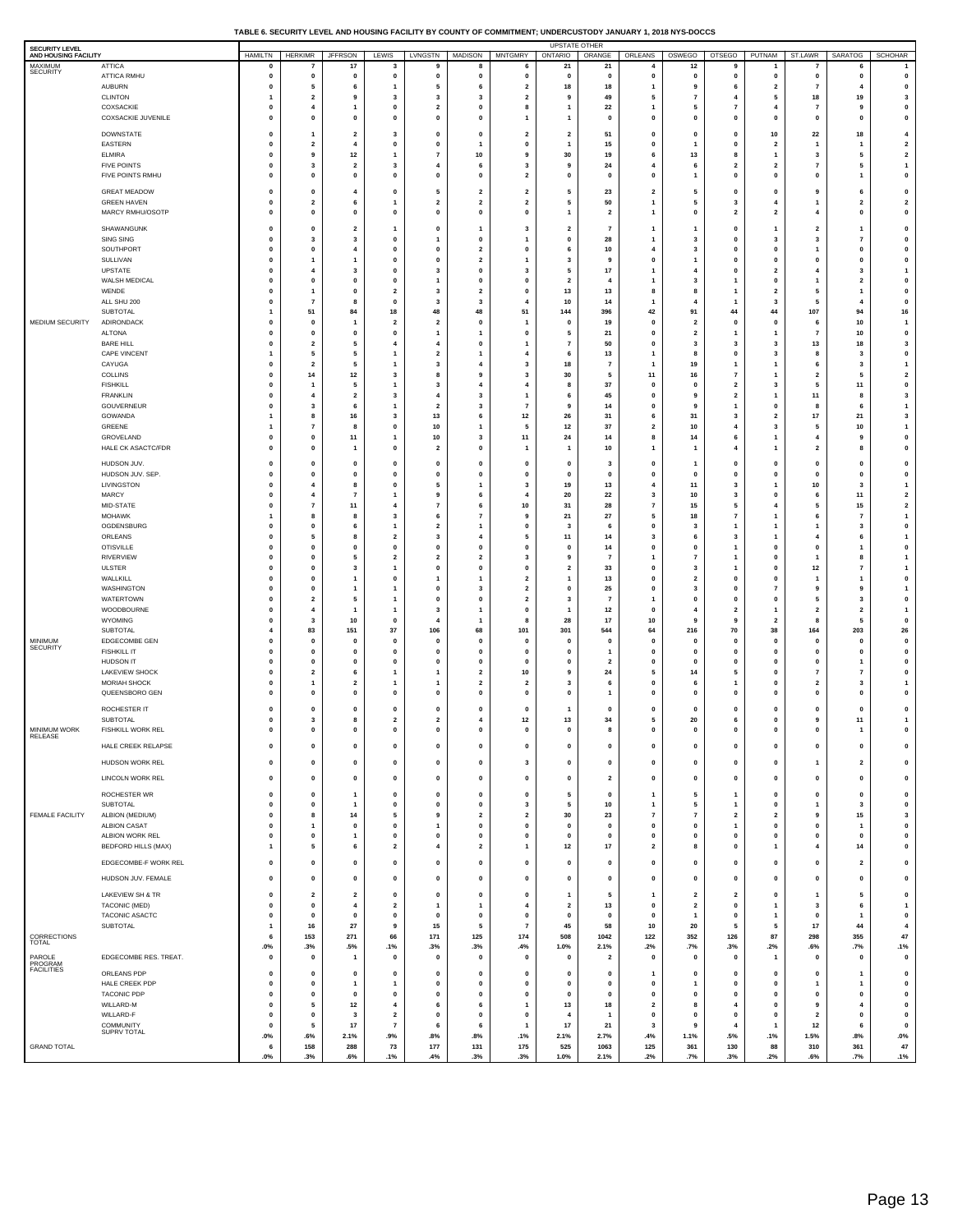### **TABLE 6. SECURITY LEVEL AND HOUSING FACILITY BY COUNTY OF COMMITMENT; UNDERCUSTODY JANUARY 1, 2018 NYS-DOCCS**

| SECURITY LEVEL<br>AND HOUSING FACILITY |                                           | <b>HAMILTN</b>                       | <b>HERKIMR</b>                          | <b>JFFRSON</b>                            | LEWIS                                     | LVNGSTN                                 | <b>MADISON</b>                            | <b>MNTGMRY</b>                                     | UPSTATE OTHER<br><b>ONTARIO</b>           | ORANGE                          | ORLEANS                                 | OSWEGO                             | <b>OTSEGO</b>                                      | PUTNAM                                  | ST.LAWR                       | SARATOG                                | <b>SCHOHAR</b>                                     |
|----------------------------------------|-------------------------------------------|--------------------------------------|-----------------------------------------|-------------------------------------------|-------------------------------------------|-----------------------------------------|-------------------------------------------|----------------------------------------------------|-------------------------------------------|---------------------------------|-----------------------------------------|------------------------------------|----------------------------------------------------|-----------------------------------------|-------------------------------|----------------------------------------|----------------------------------------------------|
| MAXIMUM<br><b>SECURITY</b>             | <b>ATTICA</b>                             | 0                                    | $\overline{7}$                          | 17                                        | 3                                         | 9                                       | 8                                         | 6                                                  | 21                                        | 21                              | 4                                       | 12                                 | 9                                                  |                                         |                               | 6                                      | 1                                                  |
|                                        | ATTICA RMHU<br>AUBURN                     | $\mathbf 0$<br>$\pmb{0}$             | $\mathbf{0}$<br>5                       | $\mathbf{0}$<br>6                         | $\mathbf 0$<br>1                          | 0<br>5                                  | $\mathbf 0$<br>6                          | $\pmb{0}$<br>$\overline{\mathbf{2}}$               | $\mathbf 0$<br>18                         | $\mathbf 0$<br>18               | $\mathbf 0$<br>1                        | $\mathbf 0$<br>9                   | $\mathbf{0}$<br>6                                  | $\mathbf{0}$<br>$\overline{\mathbf{2}}$ | $\mathbf 0$<br>$\overline{7}$ | $\mathbf{0}$<br>$\overline{4}$         | $\pmb{0}$<br>0                                     |
|                                        | <b>CLINTON</b>                            | 1                                    | $\overline{2}$                          | 9                                         | 3                                         | $\mathbf{3}$                            | 3                                         | $\overline{2}$                                     | 9                                         | 49                              | 5                                       | $\overline{7}$                     | $\overline{4}$                                     | 5                                       | 18                            | 19                                     | 3                                                  |
|                                        | COXSACKIE<br><b>COXSACKIE JUVENILE</b>    | 0                                    | $\overline{4}$<br>$\mathbf{0}$          | -1<br>$\mathbf 0$                         | 0<br>$\pmb{0}$                            | $\overline{\mathbf{z}}$<br>$\pmb{0}$    | $\mathbf 0$<br>$\mathbf 0$                | 8<br>$\mathbf{1}$                                  | $\overline{1}$<br>$\overline{1}$          | 22                              | $\overline{\mathbf{1}}$<br>$\mathbf 0$  | 5<br>$\pmb{0}$                     | $\overline{7}$<br>$\mathbf 0$                      | 4                                       | $\overline{7}$<br>$\pmb{0}$   | -9<br>$\mathbf{0}$                     | $\pmb{0}$<br>$\pmb{0}$                             |
|                                        |                                           | $\pmb{0}$                            |                                         |                                           |                                           |                                         |                                           |                                                    |                                           | $\pmb{0}$                       |                                         |                                    |                                                    | 0                                       |                               |                                        |                                                    |
|                                        | <b>DOWNSTATE</b><br>EASTERN               | $\pmb{0}$<br>0                       | $\mathbf{1}$<br>$\overline{2}$          | $\overline{\mathbf{2}}$<br>$\overline{4}$ | 3<br>$\pmb{0}$                            | $\pmb{0}$<br>$\pmb{0}$                  | 0<br>$\mathbf{1}$                         | $\overline{\mathbf{2}}$<br>$\mathbf{0}$            | $\overline{\mathbf{2}}$<br>$\overline{1}$ | 51<br>15                        | $\pmb{0}$<br>$\mathbf 0$                | $\pmb{0}$<br>$\mathbf{1}$          | $\mathbf 0$<br>$\mathbf 0$                         | 10<br>$\overline{\mathbf{2}}$           | 22<br>$\mathbf{1}$            | 18<br>$\overline{1}$                   | $\overline{\mathbf{4}}$<br>$\overline{\mathbf{2}}$ |
|                                        | <b>ELMIRA</b>                             | $\pmb{0}$                            | 9                                       | 12                                        | 1                                         | $\overline{7}$                          | 10                                        | 9                                                  | 30                                        | 19                              | 6                                       | 13                                 | 8                                                  | $\overline{1}$                          | 3                             | 5                                      | $\mathbf 2$                                        |
|                                        | <b>FIVE POINTS</b><br>FIVE POINTS RMHU    | $\mathbf 0$<br>$\pmb{0}$             | $\overline{\mathbf{3}}$<br>0            | $\overline{2}$<br>$\pmb{0}$               | 3<br>0                                    | $\overline{4}$<br>0                     | 6<br>0                                    | $\overline{\mathbf{3}}$<br>$\overline{\mathbf{2}}$ | 9<br>$\pmb{0}$                            | 24<br>$\pmb{\mathsf{o}}$        | $\overline{4}$<br>$\pmb{0}$             | 6<br>$\mathbf{1}$                  | $\overline{2}$<br>$\mathbf 0$                      | $\overline{2}$<br>0                     | $\overline{7}$<br>$\pmb{0}$   | 5<br>1                                 | $\overline{1}$<br>$\pmb{0}$                        |
|                                        |                                           |                                      |                                         |                                           |                                           |                                         |                                           |                                                    |                                           |                                 |                                         |                                    |                                                    |                                         |                               |                                        |                                                    |
|                                        | <b>GREAT MEADOW</b><br><b>GREEN HAVEN</b> | $\pmb{\mathsf{o}}$<br>$\pmb{0}$      | 0<br>$\overline{2}$                     | $\overline{\mathbf{4}}$<br>6              | 0<br>$\mathbf{1}$                         | 5<br>$\mathbf{2}$                       | $\overline{\mathbf{2}}$<br>$\overline{2}$ | $\overline{\mathbf{2}}$<br>$\overline{\mathbf{2}}$ | 5<br>5                                    | 23<br>50                        | $\overline{2}$<br>$\mathbf{1}$          | 5<br>5                             | $\mathbf 0$<br>$\overline{\mathbf{3}}$             | 0<br>$\overline{4}$                     | 9<br>$\overline{1}$           | 6<br>$\overline{2}$                    | 0<br>$\overline{\mathbf{2}}$                       |
|                                        | MARCY RMHU/OSOTP                          | $\pmb{0}$                            | 0                                       | $\mathbf{0}$                              | 0                                         | 0                                       | 0                                         | $\pmb{0}$                                          | $\mathbf{1}$                              | $\overline{\mathbf{2}}$         | 1                                       | $\pmb{0}$                          | $\overline{\mathbf{2}}$                            | $\overline{\mathbf{2}}$                 | $\overline{\mathbf{4}}$       | 0                                      | $\pmb{0}$                                          |
|                                        | SHAWANGUNK                                | 0                                    | $\mathbf{0}$                            | $\overline{\mathbf{2}}$                   | 1                                         | $\mathbf 0$                             | $\mathbf{1}$                              | 3                                                  | $\overline{\mathbf{2}}$                   | $\overline{7}$                  | $\mathbf{1}$                            | $\mathbf{1}$                       | $\mathbf 0$                                        | $\mathbf{1}$                            | $\overline{\mathbf{2}}$       | $\overline{1}$                         | 0                                                  |
|                                        | SING SING                                 | $\pmb{\mathsf{o}}$                   | 3                                       | 3                                         | 0                                         | $\overline{1}$                          | $\mathbf 0$                               | $\mathbf{1}$                                       | $\pmb{0}$                                 | 28                              | $\mathbf{1}$                            | 3                                  | $\mathbf 0$                                        | 3                                       | 3                             | $\overline{7}$                         | $\pmb{0}$                                          |
|                                        | SOUTHPORT<br>SULLIVAN                     | 0<br>$\pmb{\mathsf{o}}$              | $\mathbf 0$<br>$\mathbf{1}$             | $\overline{4}$<br>-1                      | 0<br>0                                    | $\mathbf 0$<br>0                        | $\overline{\mathbf{2}}$<br>$\overline{2}$ | 0<br>$\mathbf{1}$                                  | 6<br>$\overline{\mathbf{3}}$              | 10<br>9                         | $\overline{4}$<br>$\mathbf 0$           | 3<br>$\mathbf{1}$                  | $\mathbf{0}$<br>$\mathbf 0$                        | 0<br>0                                  | $\overline{1}$<br>$\pmb{0}$   | $\mathbf{0}$<br>$\mathbf{0}$           | $\pmb{0}$<br>$\pmb{0}$                             |
|                                        | UPSTATE                                   | 0                                    | 4                                       | 3                                         | $\pmb{0}$                                 | $\mathbf{3}$                            | $\mathbf 0$                               | 3                                                  | 5                                         | $17$                            | $\overline{1}$                          | $\overline{\mathbf{A}}$            | $\mathbf{0}$                                       | $\overline{\mathbf{2}}$                 | $\overline{4}$                | 3                                      | $\overline{1}$                                     |
|                                        | WALSH MEDICAL<br>WENDE                    | $\pmb{0}$<br>$\mathbf 0$             | $\mathbf{0}$<br>$\mathbf{1}$            | $\mathbf 0$<br>$\mathbf{0}$               | $\pmb{0}$<br>$\mathbf{2}$                 | $\overline{1}$<br>$\mathbf{3}$          | $\mathbf 0$<br>$\overline{2}$             | $\mathbf 0$<br>$\mathbf{0}$                        | $\overline{2}$<br>13                      | $\overline{4}$<br>13            | $\overline{1}$<br>8                     | 3<br>8                             | $\overline{1}$<br>-1                               | 0<br>$\overline{\mathbf{2}}$            | $\overline{1}$<br>5           | $\overline{\mathbf{2}}$<br>1           | $\pmb{0}$<br>$\pmb{0}$                             |
|                                        | ALL SHU 200                               | $\pmb{0}$                            | $\overline{7}$                          | 8                                         | $\pmb{0}$                                 | $\mathbf{3}$                            | 3                                         | $\overline{4}$                                     | 10                                        | 14                              | $\overline{\mathbf{1}}$                 | 4                                  | $\overline{\mathbf{1}}$                            | 3                                       | 5                             | $\overline{4}$                         | 0                                                  |
| MEDIUM SECURITY                        | <b>SUBTOTAL</b><br>ADIRONDACK             | $\mathbf{1}$<br>$\pmb{\mathsf{o}}$   | 51<br>0                                 | 84<br>$\overline{1}$                      | 18<br>$\overline{\mathbf{2}}$             | 48<br>$\overline{\mathbf{2}}$           | 48<br>$\mathbf 0$                         | 51<br>$\mathbf{1}$                                 | 144<br>$\pmb{0}$                          | 396<br>19                       | 42<br>$\mathbf 0$                       | 91<br>$\overline{\mathbf{2}}$      | 44<br>$\mathbf 0$                                  | 44<br>0                                 | 107<br>6                      | 94<br>10                               | 16<br>$\overline{1}$                               |
|                                        | <b>ALTONA</b>                             | $\pmb{0}$                            | $\mathbf{0}$                            | $\mathbf{0}$                              | $\pmb{0}$                                 | $\overline{1}$                          | 1                                         | $\mathbf{0}$                                       | 5                                         | 21                              | $\mathbf 0$                             | $\overline{2}$                     | 1                                                  | $\mathbf{1}$                            | $\overline{7}$                | 10                                     | $\pmb{0}$                                          |
|                                        | <b>BARE HILL</b>                          | $\pmb{0}$                            | $\overline{\mathbf{2}}$                 | 5                                         | 4                                         | $\overline{\mathbf{4}}$                 | 0                                         | $\mathbf{1}$                                       | $\overline{7}$                            | 50                              | $\pmb{0}$                               | 3                                  | 3                                                  | 3                                       | 13                            | 18                                     | 3                                                  |
|                                        | CAPE VINCENT<br>CAYUGA                    | 1<br>$\pmb{\mathsf{o}}$              | 5<br>$\overline{\mathbf{2}}$            | 5<br>5                                    | $\mathbf{1}$<br>1                         | $\overline{\mathbf{2}}$<br>$\mathbf{3}$ | 1<br>$\overline{4}$                       | $\overline{4}$<br>3                                | 6<br>18                                   | 13<br>$\overline{7}$            | -1<br>1                                 | 8<br>19                            | $\mathbf{0}$<br>$\overline{1}$                     | $\overline{\mathbf{3}}$<br>1            | 8<br>6                        | $\overline{\mathbf{3}}$<br>3           | $\pmb{0}$<br>$\mathbf{1}$                          |
|                                        | COLLINS                                   | $\mathbf 0$                          | 14                                      | $12$                                      | $\overline{\mathbf{3}}$                   | 8                                       | 9                                         | $\overline{\mathbf{3}}$                            | 30                                        | 5                               | 11                                      | 16                                 | $\overline{7}$                                     | $\mathbf{1}$                            | $\overline{\mathbf{2}}$       | 5                                      | $\overline{\mathbf{2}}$                            |
|                                        | <b>FISHKILL</b><br><b>FRANKLIN</b>        | 0<br>$\pmb{0}$                       | $\mathbf{1}$<br>$\overline{\mathbf{4}}$ | 5<br>$\overline{\mathbf{2}}$              | 1<br>3                                    | 3<br>$\overline{\mathbf{4}}$            | 4<br>3                                    | 4<br>$\mathbf{1}$                                  | 8<br>6                                    | 37<br>45                        | 0<br>$\pmb{0}$                          | $\mathbf 0$<br>9                   | $\overline{\mathbf{2}}$<br>$\overline{\mathbf{2}}$ | 3<br>$\mathbf{1}$                       | 5<br>11                       | 11<br>8                                | $\pmb{0}$<br>3                                     |
|                                        | GOUVERNEUR                                | $\pmb{0}$                            | $\overline{\mathbf{3}}$                 | 6                                         | 1                                         | $\overline{\mathbf{2}}$                 | 3                                         | $\overline{7}$                                     | -9                                        | 14                              | $\mathbf 0$                             | 9                                  | 1                                                  | 0                                       | 8                             | 6                                      | $\mathbf{1}$                                       |
|                                        | GOWANDA                                   | 1                                    | 8                                       | 16                                        | 3                                         | 13                                      | 6                                         | 12                                                 | 26                                        | 31                              | 6                                       | 31                                 | 3                                                  | $\overline{\mathbf{2}}$                 | $17\,$                        | 21                                     | 3                                                  |
|                                        | GREENE<br>GROVELAND                       | $\mathbf{1}$<br>$\pmb{\mathsf{o}}$   | $\overline{7}$<br>0                     | 8<br>11                                   | 0<br>$\mathbf{1}$                         | 10<br>10                                | $\mathbf{1}$<br>3                         | 5<br>11                                            | 12<br>24                                  | 37<br>14                        | $\overline{\mathbf{2}}$<br>8            | 10<br>14                           | $\overline{4}$<br>6                                | 3<br>1                                  | 5<br>$\overline{\mathbf{4}}$  | 10<br>9                                | $\mathbf{1}$<br>$\pmb{0}$                          |
|                                        | <b>HALE CK ASACTC/FDR</b>                 | 0                                    | $\mathbf 0$                             | $\overline{1}$                            | 0                                         | $\overline{2}$                          | $\mathbf 0$                               | $\mathbf{1}$                                       | $\overline{1}$                            | 10                              | $\overline{\mathbf{1}}$                 | $\mathbf{1}$                       | $\overline{\mathbf{4}}$                            | $\mathbf{1}$                            | $\overline{\mathbf{2}}$       | 8                                      | $\pmb{0}$                                          |
|                                        | HUDSON JUV.                               | $\mathbf 0$                          | $\mathbf{0}$                            | $\mathbf 0$                               | 0                                         | $\mathbf 0$                             | $\mathbf 0$                               | $\mathbf 0$                                        | $\mathbf 0$                               | $\overline{\mathbf{3}}$         | $\mathbf 0$                             | -1                                 | $\mathbf 0$                                        | $\mathbf{o}$                            | $\mathbf 0$                   | $\mathbf{0}$                           | $\pmb{0}$                                          |
|                                        | HUDSON JUV. SEP.<br>LIVINGSTON            | $\pmb{\mathsf{o}}$<br>$\mathbf 0$    | 0<br>$\overline{4}$                     | $\mathbf{0}$<br>8                         | 0<br>$\mathbf 0$                          | $\mathbf 0$<br>5                        | 0                                         | $\pmb{0}$<br>$\overline{\mathbf{3}}$               | $\mathbf{0}$<br>19                        | $\pmb{\mathsf{o}}$<br>13        | $\pmb{0}$<br>$\overline{4}$             | $\pmb{0}$<br>11                    | $\mathbf 0$<br>3                                   | 0<br>$\mathbf{1}$                       | $\pmb{0}$                     | $\mathbf 0$<br>$\overline{\mathbf{3}}$ | $\pmb{0}$<br>$\mathbf{1}$                          |
|                                        | MARCY                                     | $\pmb{\mathsf{o}}$                   | $\overline{4}$                          | $\overline{7}$                            | 1                                         | 9                                       | 1<br>6                                    | $\overline{4}$                                     | 20                                        | 22                              | 3                                       | 10                                 | 3                                                  | 0                                       | 10<br>6                       | 11                                     | $\overline{\mathbf{2}}$                            |
|                                        | MID-STATE                                 | $\pmb{0}$                            | $\overline{7}$                          | 11                                        | $\overline{4}$                            | $\overline{7}$                          | 6                                         | 10                                                 | 31                                        | 28                              | $\overline{7}$                          | 15                                 | 5                                                  | $\overline{4}$                          | 5                             | 15                                     | $\overline{\mathbf{2}}$                            |
|                                        | <b>MOHAWK</b><br>OGDENSBURG               | $\mathbf{1}$<br>$\pmb{0}$            | 8<br>0                                  | 8<br>6                                    | 3<br>1                                    | 6<br>$\overline{\mathbf{2}}$            | $\overline{7}$<br>$\mathbf{1}$            | 9<br>$\mathbf 0$                                   | 21<br>$\overline{\mathbf{3}}$             | 27<br>6                         | 5<br>$\pmb{0}$                          | 18<br>3                            | $\overline{7}$<br>1                                | $\mathbf{1}$<br>$\mathbf{1}$            | 6<br>$\mathbf{1}$             | $\overline{7}$<br>3                    | $\mathbf{1}$<br>$\pmb{0}$                          |
|                                        | ORLEANS                                   | 0                                    | 5                                       | 8                                         | $\overline{\mathbf{2}}$                   | $\mathbf{3}$                            | $\overline{4}$                            | 5                                                  | 11                                        | 14                              | 3                                       | 6                                  | 3                                                  | $\mathbf{1}$                            | $\overline{4}$                | 6                                      | $\mathbf{1}$                                       |
|                                        | <b>OTISVILLE</b><br>RIVERVIEW             | $\pmb{\mathsf{o}}$                   | 0<br>$\mathbf 0$                        | $\mathbf 0$<br>5                          | $\pmb{0}$                                 | 0                                       | $\mathbf 0$<br>$\overline{2}$             | $\mathbf{0}$                                       | $\mathbf 0$<br>9                          | 14                              | $\mathbf 0$                             | $\mathbf 0$<br>$\overline{7}$      | $\overline{1}$<br>$\overline{1}$                   | 0<br>$\mathbf{o}$                       | $\pmb{0}$<br>$\overline{1}$   | 1<br>8                                 | $\pmb{0}$                                          |
|                                        | <b>ULSTER</b>                             | 0<br>$\pmb{\mathsf{o}}$              | 0                                       | $\overline{\mathbf{3}}$                   | $\mathbf{2}$<br>1                         | $\overline{2}$<br>$\pmb{0}$             | 0                                         | 3<br>$\mathbf 0$                                   | $\overline{\mathbf{2}}$                   | $\overline{7}$<br>33            | $\mathbf{1}$<br>$\mathbf 0$             | 3                                  | $\overline{1}$                                     | 0                                       | $12$                          | $\overline{7}$                         | $\mathbf{1}$<br>$\overline{1}$                     |
|                                        | WALLKILL                                  | 0                                    | $\mathbf 0$                             | $\overline{1}$                            | 0                                         | $\overline{1}$                          | $\mathbf{1}$                              | $\overline{\mathbf{2}}$                            | $\overline{1}$                            | 13                              | $\mathbf 0$                             | $\overline{2}$                     | $\mathbf{0}$                                       | 0                                       | $\overline{1}$                | 1                                      | 0                                                  |
|                                        | WASHINGTON<br>WATERTOWN                   | $\pmb{\mathsf{o}}$<br>0              | $\mathbf{0}$<br>$\overline{\mathbf{2}}$ | -1<br>5                                   | 1<br>1                                    | $\mathbf 0$<br>$\mathbf 0$              | 3<br>0                                    | $\mathbf 2$<br>$\overline{\mathbf{2}}$             | $\mathbf 0$<br>3                          | 25<br>$\overline{7}$            | $\mathbf 0$<br>$\mathbf{1}$             | 3<br>$\mathbf 0$                   | $\mathbf 0$<br>$\mathbf 0$                         | $\overline{7}$<br>0                     | 9<br>5                        | 9<br>3                                 | $\overline{1}$<br>0                                |
|                                        | WOODBOURNE                                | $\pmb{0}$                            | $\overline{4}$                          | $\overline{1}$                            | 1                                         | $\mathbf{3}$                            | 1                                         | $\pmb{0}$                                          | $\overline{\mathbf{1}}$                   | $12$                            | $\pmb{0}$                               | 4                                  | $\overline{\mathbf{2}}$                            | $\mathbf{1}$                            | $\overline{\mathbf{2}}$       | $\overline{\mathbf{2}}$                | $\mathbf{1}$                                       |
|                                        | WYOMING<br>SUBTOTAL                       | $\pmb{0}$<br>$\overline{\mathbf{4}}$ | 3<br>83                                 | 10<br>151                                 | $\mathbf 0$<br>37                         | $\overline{4}$<br>106                   | -1<br>68                                  | 8<br>101                                           | 28<br>301                                 | 17<br>544                       | 10<br>64                                | 9<br>216                           | 9<br>70                                            | $\overline{\mathbf{2}}$<br>38           | 8<br>164                      | 5<br>203                               | $\pmb{0}$<br>${\bf 26}$                            |
| MINIMUM                                | EDGECOMBE GEN                             | $\mathbf 0$                          | $\mathbf{0}$                            | $\mathbf 0$                               | 0                                         | $\mathbf{0}$                            | $\mathbf 0$                               | $\mathbf 0$                                        | $\mathbf 0$                               | $\mathbf{0}$                    | $\mathbf 0$                             | $\mathbf 0$                        | $\mathbf 0$                                        | $\mathbf 0$                             | $\mathbf{0}$                  | $\mathbf 0$                            | $\pmb{0}$                                          |
| <b>SECURITY</b>                        | <b>FISHKILL IT</b><br>HUDSON IT           | $\pmb{\mathsf{o}}$                   | 0                                       | $\mathbf 0$                               | 0                                         | $\mathbf 0$                             | 0                                         | $\mathbf 0$                                        | $\mathbf{0}$                              | $\mathbf{1}$                    | $\pmb{0}$                               | 0                                  | $\mathbf 0$                                        | 0                                       | $\pmb{0}$                     | $\mathbf 0$                            | 0                                                  |
|                                        | <b>LAKEVIEW SHOCK</b>                     | $\mathbf 0$<br>$\pmb{\mathsf{o}}$    | $\mathbf{0}$<br>$\overline{\mathbf{2}}$ | $\mathbf{0}$<br>6                         | $\mathbf 0$<br>1                          | $\mathbf 0$<br>$\overline{1}$           | $\mathbf 0$<br>$\overline{2}$             | $\mathbf{0}$<br>10                                 | $\mathbf 0$<br>9                          | $\overline{2}$<br>24            | $\mathbf 0$<br>5                        | $\mathbf{0}$<br>14                 | $\mathbf{0}$<br>5                                  | $\mathbf 0$<br>0                        | $\mathbf 0$<br>$\overline{7}$ | 1<br>$\overline{7}$                    | $\pmb{0}$<br>$\pmb{0}$                             |
|                                        | <b>MORIAH SHOCK</b>                       | $\mathbf 0$                          | $\mathbf{1}$                            | $\overline{2}$                            | $\mathbf{1}$                              | $\overline{1}$                          | $\overline{2}$                            | $\overline{2}$                                     | 3                                         | 6                               | $\mathbf 0$                             | 6                                  | $\overline{1}$                                     | $\mathbf{o}$                            | $\overline{\mathbf{2}}$       | $\overline{\mathbf{3}}$                | $\overline{1}$                                     |
|                                        | QUEENSBORO GEN                            | 0                                    | $\mathbf 0$                             | $\mathbf 0$                               | 0                                         | $\mathbf 0$                             | 0                                         | $\mathbf{o}$                                       | $\mathbf 0$                               | -1                              | $\mathbf 0$                             | $\mathbf 0$                        | $\mathbf 0$                                        | $\mathbf 0$                             | 0                             | $\mathbf{o}$                           | $\pmb{0}$                                          |
|                                        | ROCHESTER IT<br>SUBTOTAL                  | 0<br>$\pmb{0}$                       | $\mathbf 0$<br>3                        | $\mathbf 0$<br>8                          | 0<br>$\mathbf{2}$                         | 0<br>$\mathbf 2$                        | $\mathbf 0$<br>4                          | $\mathbf 0$<br>12                                  | 13                                        | $\mathbf 0$<br>34               | $\mathbf 0$<br>5                        | $\mathbf 0$<br>20                  | $\mathbf 0$<br>6                                   | 0<br>0                                  | 0<br>9                        | $\mathbf 0$<br>$11$                    | 0<br>$\mathbf{1}$                                  |
| <b>MINIMUM WORK</b>                    | FISHKILL WORK REL                         | $\pmb{0}$                            | $\mathbf 0$                             | $\mathbf 0$                               | 0                                         | 0                                       | $\mathbf 0$                               | $\pmb{0}$                                          | $\pmb{0}$                                 | 8                               | $\mathbf 0$                             | $\Omega$                           | $\mathbf 0$                                        | $\mathbf{o}$                            | $\mathbf 0$                   | 1                                      | $\pmb{0}$                                          |
| RELEASE                                | HALE CREEK RELAPSE                        | $\pmb{0}$                            | $\mathbf 0$                             | $\mathbf{0}$                              | $\mathbf 0$                               | $\pmb{0}$                               | $\mathbf{0}$                              | $\pmb{0}$                                          | $\mathbf 0$                               | $\mathbf{0}$                    | $\mathbf 0$                             | $\mathbf{0}$                       | $\mathbf 0$                                        | $\mathbf{0}$                            | $\mathbf{0}$                  | $\mathbf{0}$                           | $\pmb{0}$                                          |
|                                        | HUDSON WORK REL                           | $\pmb{0}$                            | $\pmb{0}$                               | $\mathbf{0}$                              | 0                                         | $\pmb{0}$                               | $\mathbf 0$                               | $\mathbf{3}$                                       | $\mathbf 0$                               | $\mathbf{0}$                    | $\mathbf 0$                             | $\mathbf 0$                        | $\mathbf 0$                                        | $\pmb{0}$                               | $\overline{1}$                | $\overline{2}$                         | $\pmb{0}$                                          |
|                                        | LINCOLN WORK REL                          | $\pmb{0}$                            | $\pmb{0}$                               | $\pmb{0}$                                 | $\pmb{0}$                                 | $\pmb{0}$                               | $\mathbf 0$                               | $\pmb{0}$                                          | $\pmb{0}$                                 | $\mathbf 2$                     | 0                                       | $\pmb{\mathsf{o}}$                 | $\mathbf 0$                                        | $\pmb{0}$                               | $\pmb{0}$                     | $\pmb{0}$                              | $\pmb{0}$                                          |
|                                        | ROCHESTER WR                              | $\pmb{0}$                            | $\pmb{0}$                               | -1                                        | $\pmb{0}$                                 | $\pmb{0}$                               | $\mathbf 0$                               | $\pmb{0}$                                          | 5                                         | $\pmb{0}$                       | $\overline{1}$                          | 5                                  | $\overline{\mathbf{1}}$                            | 0                                       | $\pmb{0}$                     | 0                                      | $\pmb{0}$                                          |
|                                        | SUBTOTAL                                  | $\bf{0}$                             | $\pmb{0}$                               | -1                                        | 0                                         | $\pmb{0}$                               | 0                                         | 3                                                  | 5                                         | $10\,$                          | $\mathbf{1}$                            | 5                                  | $\overline{1}$                                     | 0                                       | $\overline{\mathbf{1}}$       | 3                                      | 0                                                  |
| FEMALE FACILITY                        | ALBION (MEDIUM)<br><b>ALBION CASAT</b>    | $\pmb{0}$                            | 8<br>$\mathbf{1}$                       | 14<br>$\mathbf{0}$                        | 5                                         | $\mathbf{9}$<br>$\overline{1}$          | $\overline{2}$<br>$\mathbf{0}$            | $\overline{\mathbf{2}}$<br>$\mathbf{0}$            | 30<br>$\mathbf 0$                         | 23<br>$\mathbf{0}$              | $\overline{7}$<br>$\mathbf 0$           | $\scriptstyle\rm 7$<br>$\mathbf 0$ | $\overline{\mathbf{2}}$<br>$\overline{1}$          | $\mathbf 2$<br>$\mathbf{0}$             | 9                             | 15<br>$\overline{1}$                   | 3<br>$\pmb{0}$                                     |
|                                        | ALBION WORK REL                           | $\pmb{0}$<br>$\pmb{0}$               | $\pmb{0}$                               | $\overline{1}$                            | 0<br>$\mathbf 0$                          | $\pmb{0}$                               | $\mathbf 0$                               | $\pmb{0}$                                          | $\mathbf{0}$                              | $\pmb{0}$                       | $\pmb{0}$                               | $\pmb{0}$                          | $\mathbf 0$                                        | $\pmb{0}$                               | $\pmb{0}$<br>$\pmb{0}$        | 0                                      | $\pmb{0}$                                          |
|                                        | <b>BEDFORD HILLS (MAX)</b>                | $\overline{1}$                       | 5                                       | 6                                         | $\mathbf{2}$                              | $\overline{4}$                          | $\overline{2}$                            | $\mathbf{1}$                                       | $12$                                      | 17                              | $\overline{\mathbf{2}}$                 | 8                                  | $\mathbf{0}$                                       | $\mathbf{1}$                            | $\overline{4}$                | 14                                     | $\pmb{0}$                                          |
|                                        | EDGECOMBE-F WORK REL                      | $\pmb{0}$                            | $\pmb{0}$                               | $\mathbf{0}$                              | $\mathbf 0$                               | $\pmb{0}$                               | $\mathbf{0}$                              | $\pmb{0}$                                          | $\mathbf 0$                               | $\mathbf 0$                     | $\mathbf 0$                             | $\mathbf{0}$                       | $\mathbf{0}$                                       | $\pmb{0}$                               | $\pmb{0}$                     | $\overline{2}$                         | $\pmb{0}$                                          |
|                                        | HUDSON JUV. FEMALE                        | $\pmb{0}$                            | $\pmb{\mathsf{o}}$                      | $\mathbf{0}$                              | $\pmb{0}$                                 | $\pmb{0}$                               | 0                                         | $\pmb{0}$                                          | $\mathbf 0$                               | $\mathbf 0$                     | $\mathbf 0$                             | $\pmb{\mathsf{o}}$                 | $\mathbf{0}$                                       | $\pmb{0}$                               | $\pmb{0}$                     | $\pmb{0}$                              | $\pmb{0}$                                          |
|                                        | LAKEVIEW SH & TR                          | $\pmb{0}$                            | $\overline{\mathbf{2}}$                 | $\overline{\mathbf{2}}$                   | $\pmb{0}$                                 | $\pmb{0}$                               | $\mathbf 0$                               | $\pmb{0}$                                          | $\overline{1}$                            | 5                               | $\overline{1}$                          | $\overline{\mathbf{2}}$            | $\overline{\mathbf{2}}$                            | $\pmb{0}$                               | $\mathbf{1}$                  | 5                                      | $\pmb{0}$                                          |
|                                        | TACONIC (MED)                             | 0                                    | $\mathbf{0}$                            | $\overline{\mathbf{4}}$                   | $\overline{\mathbf{2}}$                   | $\overline{1}$                          | $\mathbf{1}$                              | $\overline{4}$                                     | $\overline{\mathbf{2}}$                   | 13                              | $\mathbf{o}$                            | $\overline{2}$                     | $\mathbf{o}$                                       | $\mathbf{1}$                            | 3                             | 6                                      | $\overline{1}$                                     |
|                                        | TACONIC ASACTC<br>SUBTOTAL                | $\pmb{0}$<br>$\mathbf{1}$            | $\pmb{0}$<br>16                         | $\mathbf 0$<br>27                         | $\mathbf 0$<br>9                          | $\pmb{0}$<br>15                         | $\mathbf 0$<br>5                          | $\pmb{0}$<br>$\overline{7}$                        | $\mathbf 0$<br>45                         | $\pmb{0}$<br>58                 | $\mathbf 0$<br>10                       | $\overline{1}$<br>20               | $\mathbf 0$<br>5                                   | $\overline{1}$<br>5                     | $\pmb{0}$<br>17               | 1<br>44                                | $\pmb{0}$<br>$\overline{\mathbf{4}}$               |
| CORRECTIONS<br>TOTAL                   |                                           | 6                                    | 153                                     | 271                                       | 66                                        | 171                                     | 125                                       | 174                                                | 508                                       | 1042                            | 122                                     | 352                                | 126                                                | 87                                      | 298                           | 355                                    | 47                                                 |
| PAROLE                                 | EDGECOMBE RES. TREAT.                     | $.0\%$<br>$\pmb{\mathsf{o}}$         | .3%<br>$\pmb{0}$                        | .5%<br>$\overline{1}$                     | .1%<br>0                                  | .3%<br>$\pmb{0}$                        | .3%<br>$\mathbf 0$                        | .4%<br>$\mathbf{0}$                                | 1.0%<br>$\pmb{0}$                         | 2.1%<br>$\overline{\mathbf{2}}$ | .2%<br>$\mathbf 0$                      | .7%<br>$\pmb{0}$                   | .3%<br>$\mathbf 0$                                 | .2%<br>$\overline{1}$                   | .6%<br>$\pmb{0}$              | .7%<br>$\mathbf 0$                     | .1%<br>0                                           |
| PROGRAM<br>FACILITIES                  |                                           |                                      |                                         |                                           |                                           |                                         |                                           |                                                    |                                           |                                 |                                         |                                    |                                                    |                                         |                               |                                        |                                                    |
|                                        | ORLEANS PDP<br>HALE CREEK PDP             | $\pmb{0}$<br>$\pmb{0}$               | $\pmb{0}$<br>$\pmb{\mathsf{o}}$         | $\pmb{0}$<br>$\overline{1}$               | 0<br>$\mathbf{1}$                         | $\pmb{0}$<br>$\pmb{0}$                  | 0<br>$\mathbf 0$                          | $\pmb{0}$<br>$\pmb{0}$                             | $\pmb{0}$<br>$\pmb{\mathsf{o}}$           | $\pmb{0}$<br>$\pmb{\mathsf{o}}$ | $\overline{1}$<br>$\mathbf 0$           | $\pmb{0}$<br>$\overline{1}$        | $\mathbf 0$<br>$\mathbf{0}$                        | 0<br>$\pmb{0}$                          | $\pmb{0}$<br>$\overline{1}$   | $\overline{1}$<br>$\overline{1}$       | 0<br>$\pmb{0}$                                     |
|                                        | <b>TACONIC PDP</b>                        | $\pmb{0}$                            | $\pmb{0}$                               | $\mathbf{0}$                              | $\pmb{0}$                                 | $\pmb{0}$                               | 0                                         | $\mathbf{0}$                                       | $\mathbf 0$                               | $\pmb{0}$                       | 0                                       | $\pmb{0}$                          | $\mathbf 0$                                        | 0                                       | $\pmb{0}$                     | 0                                      | $\pmb{0}$                                          |
|                                        | WILLARD-M<br>WILLARD-F                    | $\pmb{0}$<br>0                       | 5<br>$\mathbf{0}$                       | 12<br>3                                   | $\overline{4}$<br>$\overline{\mathbf{2}}$ | 6<br>$\mathbf 0$                        | 6<br>$\mathbf 0$                          | $\mathbf{1}$<br>$\mathbf 0$                        | 13<br>-4                                  | 18<br>$\mathbf{1}$              | $\overline{\mathbf{2}}$<br>$\mathbf{0}$ | 8<br>$\mathbf 0$                   | $\overline{4}$<br>$\mathbf{o}$                     | $\pmb{0}$<br>0                          | 9<br>$\overline{2}$           | $\overline{4}$<br>$\mathbf{o}$         | $\pmb{0}$<br>$\pmb{0}$                             |
|                                        | COMMUNITY                                 | $\pmb{0}$                            | 5                                       | 17                                        | $\scriptstyle\rm 7$                       | 6                                       | 6                                         | $\mathbf{1}$                                       | 17                                        | 21                              | 3                                       | 9                                  | $\overline{4}$                                     | $\mathbf{1}$                            | 12                            | 6                                      | $\pmb{0}$                                          |
| <b>GRAND TOTAL</b>                     | SUPRV TOTAL                               | $.0\%$<br>6                          | .6%<br>158                              | 2.1%<br>288                               | .9%<br>73                                 | .8%<br>177                              | .8%<br>131                                | .1%<br>175                                         | 2.1%<br>525                               | 2.7%<br>1063                    | .4%<br>125                              | 1.1%<br>361                        | .5%<br>130                                         | .1%<br>88                               | 1.5%<br>310                   | .8%<br>361                             | .0%<br>47                                          |
|                                        |                                           | $.0\%$                               | .3%                                     | $.6\%$                                    | .1%                                       | .4%                                     | .3%                                       | .3%                                                | 1.0%                                      | 2.1%                            | .2%                                     | .7%                                | .3%                                                | .2%                                     | $.6\%$                        | .7%                                    | .1%                                                |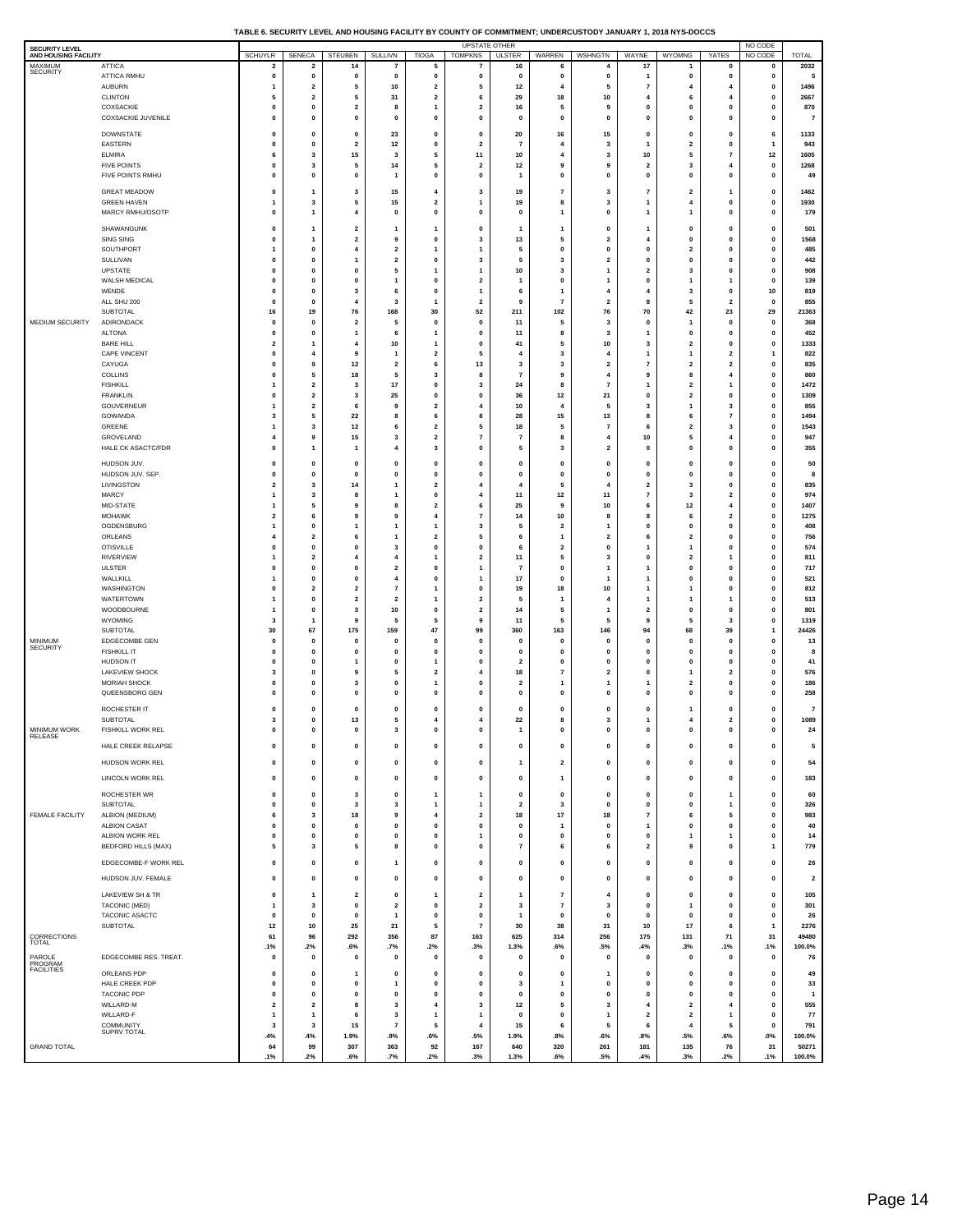| SECURITY LEVEL<br>AND HOUSING FACILITY |                                               |                                         |                                               |                                                    |                                            |                                           | <b>UPSTATE OTHER</b>                               |                               |                                           |                                        |                         |                              |                                        | NO CODE                     |                          |
|----------------------------------------|-----------------------------------------------|-----------------------------------------|-----------------------------------------------|----------------------------------------------------|--------------------------------------------|-------------------------------------------|----------------------------------------------------|-------------------------------|-------------------------------------------|----------------------------------------|-------------------------|------------------------------|----------------------------------------|-----------------------------|--------------------------|
| MAXIMUM                                | ATTICA                                        | SCHUYLR<br>$\overline{2}$               | SENECA<br>$\overline{\mathbf{2}}$             | STEUBEN<br>14                                      | SULLIVN<br>7                               | <b>TIOGA</b><br>5                         | <b>TOMPKNS</b><br>7                                | <b>ULSTER</b><br>16           | WARREN<br>6                               | WSHNGTN<br>4                           | WAYNE<br>17             | WYOMNG                       | YATES<br>$\mathbf 0$                   | NO CODE<br>$\mathbf 0$      | <b>TOTAL</b><br>2032     |
| <b>SECURITY</b>                        | ATTICA RMHU                                   | 0                                       | $\pmb{0}$                                     | 0                                                  | 0                                          | 0                                         | 0                                                  | 0                             | 0                                         | 0                                      | 1                       | 0                            | 0                                      | O                           | 5                        |
|                                        | <b>AUBURN</b>                                 | -1                                      | $\mathbf 2$                                   | 5                                                  | 10                                         | $\mathbf 2$                               | 5                                                  | 12                            | $\overline{4}$                            | 5                                      | 7                       | 4                            | 4                                      | 0                           | 1496                     |
|                                        | <b>CLINTON</b><br>COXSACKIE                   | 5<br>0                                  | $\overline{\mathbf{2}}$<br>$\pmb{0}$          | 5<br>$\overline{\mathbf{2}}$                       | 31<br>8                                    | $\overline{\mathbf{2}}$<br>$\mathbf{1}$   | 6<br>$\mathbf{2}$                                  | 29<br>16                      | 18<br>5                                   | 10<br>9                                | $\overline{4}$<br>0     | 6<br>0                       | $\overline{a}$<br>$\mathbf 0$          | O<br>$\mathbf 0$            | 2667<br>870              |
|                                        | <b>COXSACKIE JUVENILE</b>                     | $\mathbf{0}$                            | 0                                             | 0                                                  | $\mathbf 0$                                | 0                                         | 0                                                  | 0                             | 0                                         | 0                                      | 0                       | 0                            | $\mathbf 0$                            | 0                           | $\overline{7}$           |
|                                        | <b>DOWNSTATE</b>                              | $\mathbf 0$                             | 0                                             | 0                                                  | 23                                         | 0                                         | 0                                                  | 20                            | 16                                        | 15                                     | 0                       | 0                            | 0                                      | 6                           | 1133                     |
|                                        | EASTERN                                       | 0                                       | $\pmb{0}$                                     | $\overline{\mathbf{2}}$                            | $12$                                       | $\pmb{0}$                                 | $\mathbf{2}$                                       | $\overline{7}$                | $\overline{\mathbf{4}}$                   | 3                                      | 1                       | $\overline{\mathbf{2}}$      | 0                                      | 1                           | 943                      |
|                                        | <b>ELMIRA</b><br><b>FIVE POINTS</b>           | 6<br>0                                  | 3<br>3                                        | 15<br>5                                            | 3<br>14                                    | 5<br>5                                    | 11<br>$\mathbf{2}$                                 | 10<br>12                      | 4<br>9                                    | 3<br>9                                 | 10<br>$\overline{2}$    | 5<br>3                       | $\overline{7}$<br>$\overline{4}$       | 12<br>$\mathbf 0$           | 1605<br>1268             |
|                                        | FIVE POINTS RMHU                              | $\mathbf 0$                             | $\pmb{\mathsf{o}}$                            | $\mathbf{0}$                                       | $\mathbf{1}$                               | $\pmb{\mathsf{o}}$                        | $\mathbf{0}$                                       | 1                             | $\mathbf 0$                               | $\mathbf 0$                            | $\mathbf 0$             | $\mathbf{0}$                 | $\mathbf 0$                            | $\mathbf 0$                 | 49                       |
|                                        | <b>GREAT MEADOW</b>                           | $\mathbf 0$                             | $\mathbf{1}$                                  | $\overline{\mathbf{3}}$                            | 15                                         | $\overline{4}$                            | 3                                                  | 19                            | $\overline{7}$                            | 3                                      | $\overline{7}$          | $\overline{2}$               | 1                                      | 0                           | 1462                     |
|                                        | <b>GREEN HAVEN</b>                            |                                         | 3                                             | 5                                                  | 15                                         | $\overline{\mathbf{2}}$                   | $\mathbf{1}$                                       | 19                            | 8                                         | 3                                      | 1                       | 4                            | 0                                      | 0                           | 1930                     |
|                                        | MARCY RMHU/OSOTP                              | $\mathbf 0$                             | $\mathbf{1}$                                  | $\overline{4}$                                     | $\mathbf{0}$                               | $\pmb{\mathsf{o}}$                        | $\mathbf{0}$                                       | $\mathbf 0$                   | -1                                        | $\mathbf 0$                            | 1                       | 1                            | $\mathbf 0$                            | $\mathbf 0$                 | 179                      |
|                                        | SHAWANGUNK                                    | $\mathbf{0}$                            | 1                                             | $\overline{\mathbf{2}}$                            | 1                                          | $\overline{1}$                            | 0                                                  | 1                             | 1                                         | 0                                      | 1                       | 0                            | 0                                      | O                           | 501                      |
|                                        | SING SING<br>SOUTHPORT                        | $\mathbf 0$<br>1                        | $\mathbf{1}$<br>$\pmb{0}$                     | $\overline{\mathbf{2}}$<br>$\overline{\mathbf{4}}$ | 9<br>$\overline{\mathbf{2}}$               | 0<br>$\mathbf{1}$                         | 3<br>$\overline{\mathbf{1}}$                       | 13<br>5                       | 5<br>$\pmb{0}$                            | $\overline{\mathbf{2}}$<br>$\mathbf 0$ | 4<br>0                  | 0<br>$\overline{\mathbf{2}}$ | $\mathbf 0$<br>$\mathbf 0$             | $\mathbf 0$<br>o            | 1568<br>485              |
|                                        | SULLIVAN                                      | $\mathbf 0$                             | 0                                             | $\overline{1}$                                     | $\overline{\mathbf{2}}$                    | 0                                         | 3                                                  | 5                             | 3                                         | $\overline{\mathbf{2}}$                | 0                       | 0                            | $\mathbf 0$                            | 0                           | 442                      |
|                                        | UPSTATE                                       | $\mathbf{0}$                            | $\pmb{0}$                                     | $\mathbf 0$                                        | 5                                          | 1                                         | $\overline{\mathbf{1}}$                            | ${\bf 10}$                    | 3                                         | 1                                      | $\overline{\mathbf{2}}$ | 3                            | $\mathbf 0$                            | O                           | 908                      |
|                                        | WALSH MEDICAL<br>WENDE                        | $\Omega$<br>$\mathbf 0$                 | 0<br>0                                        | $\mathbf{0}$<br>3                                  | $\mathbf{1}$<br>6                          | 0<br>0                                    | $\overline{\mathbf{2}}$<br>$\overline{\mathbf{1}}$ | 1<br>6                        | $\mathbf{0}$<br>$\mathbf{1}$              | 1<br>$\overline{4}$                    | 0<br>4                  | 1<br>3                       | 1<br>0                                 | $\mathbf 0$<br>10           | 139<br>819               |
|                                        | ALL SHU 200                                   | 0                                       | $\pmb{\mathsf{o}}$                            | $\overline{4}$                                     | 3                                          | $\mathbf{1}$                              | $\overline{2}$                                     | 9                             | $\overline{7}$                            | $\overline{2}$                         | 8                       | 5                            | $\overline{2}$                         | 0                           | 855                      |
|                                        | SUBTOTAL                                      | 16                                      | 19                                            | 76                                                 | 168                                        | 30                                        | 52                                                 | 211                           | 102                                       | 76                                     | 70                      | 42                           | 23                                     | 29                          | 21363                    |
| MEDIUM SECURITY                        | ADIRONDACK<br><b>ALTONA</b>                   | $\mathbf 0$<br>0                        | $\pmb{0}$<br>0                                | $\overline{\mathbf{2}}$<br>$\mathbf{1}$            | 5<br>6                                     | $\mathbf{0}$<br>$\overline{1}$            | $\mathbf{0}$<br>0                                  | 11<br>11                      | 5<br>8                                    | $\overline{\mathbf{3}}$<br>3           | $\mathbf 0$<br>1        | 1<br>0                       | $\mathbf{0}$<br>0                      | 0<br>$\mathbf 0$            | 368<br>452               |
|                                        | <b>BARE HILL</b>                              | $\overline{2}$                          | $\mathbf{1}$                                  | $\overline{4}$                                     | 10                                         | $\mathbf{1}$                              | $\mathbf{0}$                                       | 41                            | 5                                         | 10                                     | 3                       | $\overline{\mathbf{2}}$      | $\mathbf 0$                            | 0                           | 1333                     |
|                                        | <b>CAPE VINCENT</b>                           | $\mathbf 0$                             | $\overline{4}$                                | 9                                                  | 1                                          | $\overline{\mathbf{2}}$                   | 5                                                  | 4                             | 3                                         | $\overline{4}$                         | 1                       | 1                            | $\overline{2}$                         | 1                           | 822                      |
|                                        | CAYUGA<br>COLLINS                             | $\mathbf 0$<br>$\mathbf 0$              | 9<br>5                                        | $12$<br>18                                         | $\overline{2}$<br>5                        | 6<br>3                                    | 13<br>8                                            | 3<br>7                        | 3<br>9                                    | $\overline{2}$<br>$\overline{4}$       | $\overline{7}$<br>9     | $\overline{2}$<br>8          | $\overline{2}$<br>$\overline{4}$       | 0<br>$\mathbf 0$            | 835<br>860               |
|                                        | <b>FISHKILL</b>                               | -1                                      | $\mathbf 2$                                   | 3                                                  | $17$                                       | $\pmb{0}$                                 | 3                                                  | 24                            | 8                                         | 7                                      | 1                       | $\overline{\mathbf{2}}$      | 1                                      | O                           | 1472                     |
|                                        | <b>FRANKLIN</b>                               | $\mathbf 0$                             | $\overline{\mathbf{2}}$                       | 3                                                  | 25                                         | 0                                         | 0<br>4                                             | 36                            | 12<br>$\overline{4}$                      | 21                                     | 0                       | 2                            | $\mathbf 0$                            | $\mathbf 0$                 | 1309                     |
|                                        | GOUVERNEUR<br>GOWANDA                         | -1<br>3                                 | $\mathbf 2$<br>5                              | 6<br>22                                            | 9<br>8                                     | $\mathbf 2$<br>6                          | 8                                                  | 10<br>28                      | 15                                        | 5<br>13                                | 3<br>8                  | 1<br>6                       | 3<br>$\overline{7}$                    | O<br>$\mathbf 0$            | 855<br>1494              |
|                                        | GREENE                                        | 1                                       | $\mathbf 3$                                   | $12$                                               | 6                                          | $\mathbf 2$                               | 5                                                  | 18                            | 5                                         | 7                                      | 6                       | $\overline{\mathbf{2}}$      | 3                                      | o                           | 1543                     |
|                                        | GROVELAND                                     | 4<br>$\mathbf{0}$                       | 9<br>1                                        | 15                                                 | 3                                          | $\overline{\mathbf{2}}$                   | $\overline{7}$                                     | 7                             | 8<br>3                                    | 4                                      | 10                      | 5                            | 4<br>$\mathbf 0$                       | 0                           | 947                      |
|                                        | HALE CK ASACTC/FDR                            |                                         |                                               | 1                                                  | 4                                          | $\mathbf 3$                               | 0                                                  | 5                             |                                           | $\overline{\mathbf{2}}$                | 0                       | 0                            |                                        | O                           | 355                      |
|                                        | HUDSON JUV.<br>HUDSON JUV. SEP.               | 0<br>$\mathbf 0$                        | 0<br>$\pmb{\mathsf{o}}$                       | $\mathbf 0$<br>$\mathbf{0}$                        | 0<br>$\mathbf{0}$                          | 0<br>$\pmb{\mathsf{o}}$                   | 0<br>$\mathbf{0}$                                  | 0<br>$\mathbf 0$              | $\pmb{0}$<br>$\mathbf{0}$                 | 0<br>$\mathbf{0}$                      | 0<br>$\mathbf 0$        | 0<br>$\mathbf{0}$            | 0<br>$\mathbf 0$                       | O<br>0                      | 50<br>8                  |
|                                        | LIVINGSTON                                    | $\overline{\mathbf{2}}$                 | 3                                             | 14                                                 | 1                                          | $\overline{\mathbf{2}}$                   | 4                                                  | 4                             | 5                                         | $\overline{4}$                         | $\overline{\mathbf{2}}$ | 3                            | $\mathbf 0$                            | O                           | 835                      |
|                                        | MARCY                                         | 1                                       | 3                                             | 8                                                  | $\mathbf{1}$                               | $\mathbf{0}$                              | 4                                                  | 11                            | 12                                        | 11                                     | $\overline{7}$          | 3                            | $\overline{2}$                         | 0                           | 974                      |
|                                        | MID-STATE<br><b>MOHAWK</b>                    | $\mathbf{1}$<br>$\overline{2}$          | 5<br>6                                        | 9<br>9                                             | 8<br>9                                     | $\overline{\mathbf{2}}$<br>$\overline{4}$ | 6<br>$\overline{7}$                                | 25<br>14                      | 9<br>10                                   | 10<br>8                                | 6<br>8                  | 12<br>6                      | $\overline{4}$<br>$\overline{2}$       | 0<br>0                      | 1407<br>1275             |
|                                        | OGDENSBURG                                    | $\mathbf{1}$                            | 0                                             | $\overline{1}$                                     | $\mathbf{1}$                               | $\mathbf{1}$                              | 3                                                  | 5                             | $\overline{2}$                            | $\mathbf{1}$                           | 0                       | 0                            | $\mathbf 0$                            | $\mathbf 0$                 | 408                      |
|                                        | ORLEANS                                       |                                         | $\mathbf 2$                                   | 6                                                  | $\overline{1}$                             | $\mathbf 2$                               | 5                                                  | 6                             | $\mathbf{1}$                              | $\overline{\mathbf{2}}$                | 6                       | $\overline{\mathbf{2}}$      | $\mathbf 0$                            | O                           | 756                      |
|                                        | <b>OTISVILLE</b><br>RIVERVIEW                 | $\mathbf 0$<br>-1                       | $\pmb{0}$<br>$\mathbf 2$                      | 0<br>4                                             | 3<br>4                                     | 0<br>$\mathbf{1}$                         | 0<br>$\mathbf 2$                                   | 6<br>11                       | $\overline{\mathbf{2}}$<br>5              | 0<br>3                                 | 1<br>0                  | 1<br>$\overline{\mathbf{2}}$ | 0<br>1                                 | 0<br>O                      | 574<br>811               |
|                                        | <b>ULSTER</b>                                 | $\mathbf 0$                             | 0                                             | $\mathbf{0}$                                       | $\overline{\mathbf{2}}$                    | 0                                         | 1                                                  | 7                             | $\mathbf{0}$                              | $\mathbf{1}$                           | 1                       | 0                            | $\mathbf 0$                            | 0                           | 717                      |
|                                        | WALLKILL                                      | -1<br>$\mathbf 0$                       | $\pmb{0}$                                     | $\mathbf 0$<br>$\overline{\mathbf{2}}$             | $\overline{4}$<br>$\overline{\phantom{a}}$ | $\pmb{0}$<br>1                            | 1<br>0                                             | 17<br>19                      | $\pmb{0}$                                 | 1                                      | 1<br>1                  | 0<br>1                       | $\mathbf 0$<br>0                       | O<br>0                      | 521                      |
|                                        | WASHINGTON<br>WATERTOWN                       | -1                                      | $\overline{\mathbf{2}}$<br>$\pmb{0}$          | $\overline{\mathbf{2}}$                            | $\overline{\mathbf{2}}$                    | $\mathbf{1}$                              | $\mathbf{2}$                                       | 5                             | 18                                        | 10<br>$\overline{4}$                   | 1                       | 1                            | 1                                      | O                           | 812<br>513               |
|                                        | WOODBOURNE                                    | 1                                       | $\pmb{\mathsf{o}}$                            | $\overline{\mathbf{3}}$                            | 10                                         | $\pmb{\mathsf{o}}$                        | $\overline{2}$                                     | 14                            | 5                                         | -1                                     | $\overline{2}$          | $\mathbf{0}$                 | $\mathbf 0$                            | 0                           | 801                      |
|                                        | <b>WYOMING</b><br><b>SUBTOTAL</b>             | 3<br>30                                 | $\mathbf{1}$<br>67                            | 9<br>175                                           | 5<br>159                                   | 5<br>47                                   | 9<br>99                                            | 11<br>360                     | 5<br>163                                  | 5<br>146                               | 9<br>94                 | 5<br>68                      | 3<br>39                                | 0<br>1                      | 1319<br>24426            |
| MINIMUM                                | EDGECOMBE GEN                                 | 0                                       | 0                                             | 0                                                  | 0                                          | 0                                         | 0                                                  | 0                             | 0                                         | 0                                      | 0                       | 0                            | 0                                      | 0                           | 13                       |
| <b>SECURITY</b>                        | <b>FISHKILL IT</b>                            | $\mathbf 0$                             | $\pmb{\mathsf{o}}$                            | $\mathbf 0$                                        | $\mathbf{0}$                               | $\pmb{\mathsf{o}}$                        | $\mathbf{0}$                                       | $\mathbf 0$                   | $\mathbf{0}$                              | $\mathbf 0$                            | $\mathbf 0$             | $\mathbf 0$                  | $\mathbf 0$                            | 0                           | 8                        |
|                                        | <b>HUDSON IT</b><br>LAKEVIEW SHOCK            | $\mathbf 0$<br>3                        | 0<br>$\pmb{\mathsf{o}}$                       | 1<br>9                                             | 0<br>5                                     | $\overline{1}$<br>$\mathbf 2$             | 0<br>4                                             | $\overline{\mathbf{2}}$<br>18 | $\pmb{0}$<br>$\overline{7}$               | 0<br>$\overline{\mathbf{2}}$           | 0<br>$\mathbf 0$        | 0<br>1                       | $\mathbf 0$<br>$\overline{2}$          | O<br>0                      | 41<br>576                |
|                                        | <b>MORIAH SHOCK</b>                           | $\mathbf 0$                             | 0                                             | 3                                                  | 0                                          | 1                                         | 0                                                  | 2                             |                                           | 1                                      | 1                       | $\overline{\mathbf{2}}$      | 0                                      | O                           | 186                      |
|                                        | QUEENSBORO GEN                                | $\mathbf 0$                             | 0                                             | $\mathbf 0$                                        | 0                                          | 0                                         | 0                                                  | 0                             | $\pmb{0}$                                 | 0                                      | 0                       | 0                            | $\mathbf 0$                            | O                           | 258                      |
|                                        | ROCHESTER IT                                  | $\mathbf{0}$                            | 0                                             | $\mathbf 0$                                        | 0                                          | 0                                         | 0                                                  | 0                             | $\pmb{0}$                                 | 0                                      | 0                       | 1                            | 0                                      | O                           | $\overline{\phantom{a}}$ |
| <b>MINIMUM WORK</b>                    | SUBTOTAL<br>FISHKILL WORK REL                 | 3<br>$\mathbf{0}$                       | 0<br>$\mathbf{0}$                             | 13<br>$\mathbf 0$                                  | 5<br>3                                     | 4<br>$\mathbf{0}$                         | 4<br>$\mathbf{0}$                                  | 22                            | 8<br>0                                    | 3<br>$\mathbf 0$                       | 1<br>$\mathbf 0$        | 4<br>$\mathbf 0$             | $\overline{\mathbf{2}}$<br>$\mathbf 0$ | $\mathbf 0$<br>$\mathbf 0$  | 1089<br>24               |
| RELEASE                                | HALE CREEK RELAPSE                            | 0                                       | 0                                             | 0                                                  | 0                                          | 0                                         | 0                                                  | 0                             | 0                                         | 0                                      | 0                       | 0                            | 0                                      | $\pmb{0}$                   | 5                        |
|                                        |                                               |                                         |                                               |                                                    |                                            |                                           |                                                    |                               |                                           |                                        |                         |                              |                                        |                             |                          |
|                                        | HUDSON WORK REL                               | $\pmb{0}$                               | 0                                             | $\pmb{0}$                                          | 0                                          | $\pmb{0}$                                 | 0                                                  | 1                             | $\overline{\mathbf{2}}$                   | 0                                      | 0                       | 0                            | 0                                      | 0                           | 54                       |
|                                        | LINCOLN WORK REL                              | 0                                       | $\pmb{0}$                                     | $\pmb{0}$                                          | 0                                          | $\pmb{0}$                                 | 0                                                  | 0                             | $\mathbf{1}$                              | $\mathbf 0$                            | 0                       | 0                            | 0                                      | 0                           | 183                      |
|                                        | ROCHESTER WR<br>SUBTOTAL                      | $\mathbf{0}$<br>0                       | $\pmb{0}$<br>$\pmb{0}$                        | 3<br>3                                             | 0<br>3                                     | $\mathbf{1}$<br>$\mathbf{1}$              | 1<br>$\mathbf{1}$                                  | 0<br>$\overline{\mathbf{2}}$  | $\pmb{0}$<br>3                            | $\mathbf 0$<br>$\pmb{0}$               | 0<br>$\bf{0}$           | 0<br>$\pmb{0}$               | $\mathbf{1}$<br>$\mathbf{1}$           | $\mathbf{0}$<br>O           | 60<br>326                |
| FEMALE FACILITY                        | ALBION (MEDIUM)                               | 6                                       | 3                                             | 18                                                 | 9                                          | 4                                         | $\mathbf{2}$                                       | 18                            | 17                                        | 18                                     | 7                       | 6                            | 5                                      | $\mathbf 0$                 | 983                      |
|                                        | <b>ALBION CASAT</b>                           | $\pmb{0}$                               | $\pmb{0}$                                     | $\pmb{0}$                                          | $\pmb{0}$                                  | $\pmb{0}$                                 | 0                                                  | 0                             | $\mathbf{1}$                              | 0                                      | $\mathbf{1}$            | 0                            | $\mathbf 0$                            | 0                           | 40                       |
|                                        | ALBION WORK REL<br><b>BEDFORD HILLS (MAX)</b> | $\mathbf{0}$<br>5                       | $\pmb{0}$<br>3                                | $\pmb{0}$<br>5                                     | 0<br>8                                     | $\bf{0}$<br>$\pmb{0}$                     | 1<br>0                                             | 0<br>$\overline{7}$           | $\pmb{0}$<br>6                            | $\mathbf 0$<br>6                       | 0<br>2                  | 1<br>9                       | $\mathbf{1}$<br>0                      | $\mathbf 0$<br>1            | 14<br>779                |
|                                        | EDGECOMBE-F WORK REL                          | $\pmb{0}$                               | 0                                             | $\pmb{0}$                                          | 1                                          | $\pmb{0}$                                 | 0                                                  | 0                             | 0                                         | 0                                      | 0                       | 0                            | 0                                      | $\pmb{0}$                   | 26                       |
|                                        |                                               |                                         |                                               |                                                    |                                            |                                           |                                                    |                               |                                           |                                        |                         |                              |                                        |                             |                          |
|                                        | HUDSON JUV. FEMALE                            | 0                                       | 0                                             | $\pmb{0}$                                          | 0                                          | $\mathbf 0$                               | 0                                                  | 0                             | $\pmb{0}$                                 | 0                                      | 0                       | 0                            | 0                                      | $\pmb{0}$                   | $\overline{\mathbf{2}}$  |
|                                        | LAKEVIEW SH & TR<br>TACONIC (MED)             | 0<br>$\mathbf{1}$                       | $\mathbf{1}$<br>$\mathbf 3$                   | $\overline{\mathbf{2}}$<br>$\pmb{0}$               | 0<br>$\mathbf{2}$                          | $\mathbf{1}$<br>$\pmb{0}$                 | $\mathbf{2}$<br>$\mathbf{2}$                       | 1<br>$\mathbf{3}$             | $\overline{7}$<br>$\overline{\mathbf{r}}$ | $\overline{4}$<br>3                    | 0<br>0                  | 0<br>1                       | $\pmb{0}$<br>$\mathbf 0$               | $\mathbf 0$<br>$\mathbf 0$  | 105<br>301               |
|                                        | TACONIC ASACTC                                | $\mathbf{0}$                            | 0                                             | $\pmb{0}$                                          | $\mathbf{1}$                               | 0                                         | $\mathbf 0$                                        | 1                             | $\mathbf{0}$                              | $\mathbf{0}$                           | 0                       | $\mathbf{0}$                 | $\mathbf 0$                            | $\pmb{0}$                   | 26                       |
|                                        | SUBTOTAL                                      | $12$                                    | $10\,$                                        | 25                                                 | 21                                         | 5                                         | $\overline{7}$                                     | 30                            | 38                                        | 31                                     | 10                      | 17                           | 6                                      | $\overline{\mathbf{1}}$     | 2276                     |
| CORRECTIONS<br>TOTAL                   |                                               | 61<br>.1%                               | 96<br>.2%                                     | 292<br>.6%                                         | 356<br>.7%                                 | 87<br>.2%                                 | 163<br>.3%                                         | 625<br>1.3%                   | 314<br>.6%                                | 256<br>.5%                             | 175<br>.4%              | 131<br>.3%                   | 71<br>.1%                              | 31<br>.1%                   | 49480<br>100.0%          |
| PAROLE                                 | EDGECOMBE RES. TREAT.                         | $\mathbf{0}$                            | $\pmb{\mathsf{o}}$                            | $\mathbf 0$                                        | $\mathbf 0$                                | $\pmb{0}$                                 | $\mathbf 0$                                        | 0                             | $\mathbf{0}$                              | $\mathbf 0$                            | $\mathbf 0$             | $\mathbf{0}$                 | $\mathbf 0$                            | $\mathbf 0$                 | 76                       |
| PROGRAM<br><b>FACILITIES</b>           | ORLEANS PDP                                   | $\mathbf{0}$                            | $\mathbf{0}$                                  | -1                                                 | $\mathbf{0}$                               | $\pmb{\mathsf{o}}$                        | $\mathbf{0}$                                       | $\mathbf{0}$                  | $\mathbf{0}$                              | $\mathbf{1}$                           | $\mathbf 0$             | $\mathbf 0$                  | $\mathbf{0}$                           | $\mathbf{0}$                | 49                       |
|                                        | HALE CREEK PDP                                | 0                                       | 0                                             | $\mathbf 0$                                        | $\overline{1}$                             | 0                                         | 0                                                  | 3                             | $\mathbf{1}$                              | 0                                      | 0                       | 0                            | $\mathbf 0$                            | 0                           | 33                       |
|                                        | <b>TACONIC PDP</b><br>WILLARD-M               | $\mathbf{0}$<br>$\overline{\mathbf{2}}$ | $\pmb{\mathsf{o}}$<br>$\overline{\mathbf{2}}$ | $\mathbf 0$<br>8                                   | $\pmb{0}$<br>3                             | $\pmb{\mathsf{o}}$<br>4                   | $\mathbf{0}$<br>3                                  | 0<br>12                       | $\pmb{0}$<br>5                            | $\pmb{0}$<br>3                         | $\mathbf 0$<br>4        | 0<br>$\mathbf{2}$            | $\mathbf{0}$<br>$\overline{4}$         | $\mathbf{0}$<br>$\mathbf 0$ | $\overline{1}$<br>555    |
|                                        | WILLARD-F                                     | $\mathbf{1}$                            | $\mathbf 1$                                   | $\bf{6}$                                           | 3                                          | $\mathbf 1$                               | $\mathbf{1}$                                       | 0                             | $\pmb{0}$                                 | $\mathbf{1}$                           | $\mathbf 2$             | $\mathbf 2$                  | $\overline{1}$                         | $\pmb{0}$                   | ${\bf 77}$               |
|                                        | <b>COMMUNITY</b><br>SUPRV TOTAL               | 3                                       | 3                                             | $15\,$                                             | $\overline{\mathbf{r}}$                    | 5                                         | $\overline{4}$                                     | 15                            | 6                                         | 5                                      | 6                       | $\overline{4}$               | 5                                      | $\mathbf{0}$                | 791                      |
| <b>GRAND TOTAL</b>                     |                                               | .4%<br>64                               | .4%<br>99                                     | 1.9%<br>307                                        | .9%<br>363                                 | .6%<br>92                                 | .5%<br>167                                         | 1.9%<br>640                   | .8%<br>320                                | .6%<br>261                             | .8%<br>181              | .5%<br>135                   | .6%<br>76                              | $.0\%$<br>31                | 100.0%<br>50271          |
|                                        |                                               | .1%                                     | .2%                                           | .6%                                                | .7%                                        | .2%                                       | .3%                                                | 1.3%                          | .6%                                       | .5%                                    | .4%                     | .3%                          | .2%                                    | .1%                         | 100.0%                   |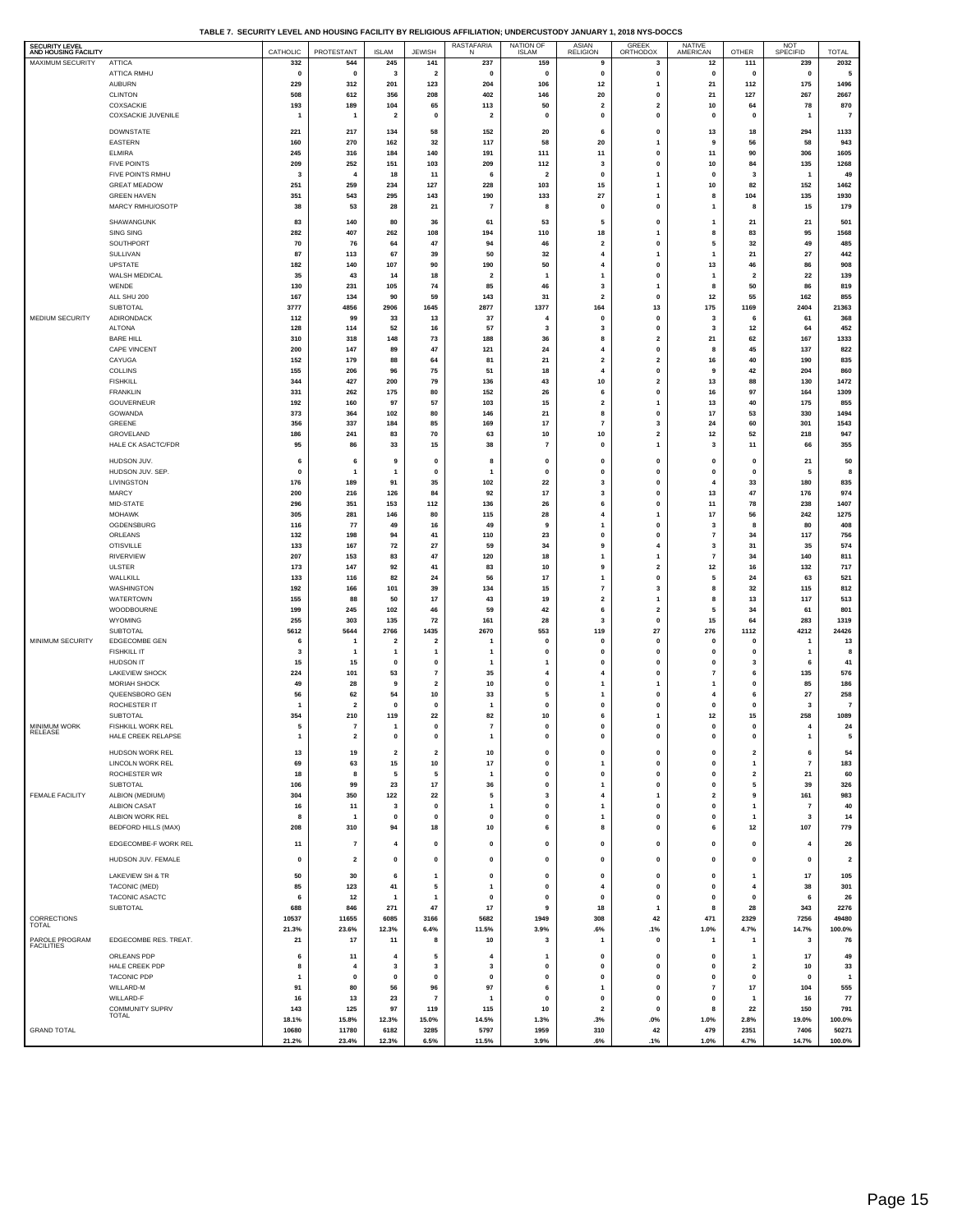**TABLE 7. SECURITY LEVEL AND HOUSING FACILITY BY RELIGIOUS AFFILIATION; UNDERCUSTODY JANUARY 1, 2018 NYS-DOCCS**

| <b>SECURITY LEVEL</b> |                          |                         |                |                         |                         | RASTAFARIA<br>N         | NATION OF<br>ISLAM      | ASIAN                   | GREEK                   | NATIVE         |                         | NOT<br>SPECIFID      |                |
|-----------------------|--------------------------|-------------------------|----------------|-------------------------|-------------------------|-------------------------|-------------------------|-------------------------|-------------------------|----------------|-------------------------|----------------------|----------------|
| AND HOUSING FACILITY  |                          | CATHOLIC                | PROTESTANT     | <b>ISLAM</b>            | <b>JEWISH</b>           |                         |                         | <b>RELIGION</b>         | ORTHODOX                | AMERICAN       | OTHER                   |                      | <b>TOTAL</b>   |
| MAXIMUM SECURITY      | <b>ATTICA</b>            | 332                     | 544            | 245                     | 141                     | 237                     | 159                     | 9                       | 3                       | 12             | 111                     | 239                  | 2032           |
|                       | ATTICA RMHU              | $\mathbf{0}$            | $\mathbf{0}$   | $\overline{\mathbf{3}}$ | $\overline{\mathbf{2}}$ | $\mathbf 0$             | $\mathbf 0$             | $\pmb{0}$               | $\mathbf 0$             | $\mathbf 0$    | $\mathbf{0}$            | $\mathbf{0}$         | 5              |
|                       | <b>AUBURN</b>            | 229                     | 312            | 201                     | 123                     | 204                     | 106                     | 12                      | 1                       | 21             | 112                     | 175                  | 1496           |
|                       | <b>CLINTON</b>           | 508                     | 612            | 356                     | 208                     | 402                     | 146                     | 20                      | $\mathbf 0$             | 21             | 127                     | 267                  | 2667           |
|                       | COXSACKIE                | 193                     | 189            | 104                     | 65                      | 113                     | 50                      | $\overline{\mathbf{2}}$ | $\overline{\mathbf{2}}$ | 10             | 64                      | 78                   | 870            |
|                       |                          |                         |                |                         |                         |                         |                         | $\mathbf 0$             | $\mathbf 0$             |                | $\mathbf{0}$            | $\overline{1}$       |                |
|                       | COXSACKIE JUVENILE       | $\mathbf{1}$            | $\overline{1}$ | $\overline{\mathbf{2}}$ | 0                       | $\overline{\mathbf{2}}$ | $\mathbf{0}$            |                         |                         | $\mathbf{0}$   |                         |                      | $\overline{7}$ |
|                       | DOWNSTATE                | 221                     | 217            | 134                     | 58                      | 152                     | 20                      | 6                       | 0                       | 13             | 18                      | 294                  | 1133           |
|                       | EASTERN                  | 160                     | 270            | 162                     | 32                      | 117                     | 58                      | 20                      | $\overline{1}$          | 9              | 56                      | 58                   | 943            |
|                       | <b>ELMIRA</b>            | 245                     | 316            | 184                     |                         | 191                     | 111                     | 11                      | $\mathbf 0$             |                | 90                      | 306                  | 1605           |
|                       |                          |                         |                |                         | 140                     |                         |                         |                         |                         | 11             |                         |                      |                |
|                       | <b>FIVE POINTS</b>       | 209                     | 252            | 151                     | 103                     | 209                     | 112                     | 3                       | 0                       | 10             | 84                      | 135                  | 1268           |
|                       | FIVE POINTS RMHU         | 3                       | 4              | 18                      | 11                      | 6                       | $\overline{\mathbf{2}}$ | $\mathbf 0$             | $\mathbf{1}$            | $\mathbf 0$    | 3                       | 1                    | 49             |
|                       | <b>GREAT MEADOW</b>      | 251                     | 259            | 234                     | 127                     | 228                     | 103                     | 15                      | $\mathbf{1}$            | 10             | 82                      | 152                  | 1462           |
|                       | <b>GREEN HAVEN</b>       | 351                     | 543            | 295                     | 143                     | 190                     | 133                     | 27                      | 1                       | 8              | 104                     | 135                  | 1930           |
|                       | MARCY RMHU/OSOTP         | 38                      | 53             | 28                      | 21                      | $\overline{7}$          | 8                       | $\mathbf 0$             | $\mathbf 0$             | 1              | 8                       | 15                   | 179            |
|                       |                          |                         |                |                         |                         |                         |                         |                         |                         |                |                         |                      |                |
|                       | SHAWANGUNK               | 83                      | 140            | 80                      | 36                      | 61                      | 53                      | 5                       | $\mathbf 0$             | -1             | 21                      | 21                   | 501            |
|                       | SING SING                | 282                     | 407            | 262                     | 108                     | 194                     | 110                     | 18                      | 1                       | 8              | 83                      | 95                   | 1568           |
|                       | SOUTHPORT                | 70                      | 76             | 64                      | 47                      | 94                      | 46                      | $\overline{2}$          | $\mathbf 0$             | 5              | 32                      | 49                   | 485            |
|                       | SULLIVAN                 | 87                      | 113            | 67                      | 39                      | 50                      | 32                      | 4                       | 1                       | 1              | 21                      | 27                   | 442            |
|                       | UPSTATE                  | 182                     | 140            | 107                     | 90                      | 190                     | 50                      | $\overline{4}$          | $\mathbf 0$             | 13             | 46                      | 86                   | 908            |
|                       | WALSH MEDICAL            | 35                      | 43             | 14                      | 18                      | $\overline{2}$          | $\overline{1}$          |                         | 0                       | $\overline{1}$ | $\overline{2}$          | 22                   | 139            |
|                       |                          |                         |                |                         |                         |                         |                         |                         |                         |                |                         |                      |                |
|                       | WENDE                    | 130                     | 231            | 105                     | 74                      | 85                      | 46                      | 3                       | $\mathbf{1}$            | 8              | 50                      | 86                   | 819            |
|                       | ALL SHU 200              | 167                     | 134            | 90                      | 59                      | 143                     | 31                      | $\overline{2}$          | 0                       | $12$           | 55                      | 162                  | 855            |
|                       | SUBTOTAL                 | 3777                    | 4856           | 2906                    | 1645                    | 2877                    | 1377                    | 164                     | 13                      | 175            | 1169                    | 2404                 | 21363          |
| MEDIUM SECURITY       | ADIRONDACK               | 112                     | 99             | 33                      | 13                      | 37                      | $\overline{4}$          | $\mathbf 0$             | 0                       | 3              | 6                       | 61                   | 368            |
|                       | <b>ALTONA</b>            | 128                     | 114            | 52                      | 16                      | 57                      | 3                       | 3                       | $\mathbf 0$             | 3              | 12                      | 64                   | 452            |
|                       | <b>BARE HILL</b>         | 310                     | 318            | 148                     | 73                      | 188                     | 36                      | 8                       | $\overline{\mathbf{2}}$ | 21             | 62                      | 167                  | 1333           |
|                       | CAPE VINCENT             | 200                     | 147            | 89                      | 47                      | 121                     | 24                      | $\overline{4}$          | 0                       | 8              | 45                      | 137                  | 822            |
|                       | CAYUGA                   | 152                     | 179            | 88                      | 64                      | 81                      | 21                      | $\overline{\mathbf{2}}$ | $\overline{2}$          | 16             | 40                      | 190                  | 835            |
|                       |                          |                         |                |                         |                         |                         |                         |                         |                         |                |                         |                      |                |
|                       | COLLINS                  | 155                     | 206            | 96                      | 75                      | 51                      | 18                      | 4                       | 0                       | 9              | 42                      | 204                  | 860            |
|                       | <b>FISHKILL</b>          | 344                     | 427            | 200                     | 79                      | 136                     | 43                      | 10                      | $\overline{\mathbf{2}}$ | 13             | 88                      | 130                  | 1472           |
|                       | <b>FRANKLIN</b>          | 331                     | 262            | 175                     | 80                      | 152                     | 26                      | 6                       | 0                       | 16             | 97                      | 164                  | 1309           |
|                       | GOUVERNEUR               | 192                     | 160            | 97                      | 57                      | 103                     | 15                      | $\overline{2}$          | $\mathbf{1}$            | 13             | 40                      | 175                  | 855            |
|                       | GOWANDA                  | 373                     | 364            | 102                     | 80                      | 146                     | 21                      | 8                       | 0                       | 17             | 53                      | 330                  | 1494           |
|                       | GREENE                   | 356                     | 337            | 184                     | 85                      | 169                     | 17                      | $\overline{7}$          | 3                       | 24             | 60                      | 301                  | 1543           |
|                       | GROVELAND                | 186                     | 241            | 83                      | 70                      | 63                      | 10                      | 10                      | $\mathbf 2$             | 12             | 52                      | 218                  | 947            |
|                       | HALE CK ASACTC/FDR       | 95                      | 86             | 33                      | 15                      | 38                      | $\overline{7}$          | $\mathbf 0$             | $\mathbf{1}$            | 3              | 11                      | 66                   | 355            |
|                       |                          |                         |                |                         |                         |                         |                         |                         |                         |                |                         |                      |                |
|                       | HUDSON JUV.              | 6                       | 6              | 9                       | 0                       | 8                       | 0                       | $\mathbf 0$             | $\mathbf 0$             | 0              | $\mathbf{0}$            | 21                   | 50             |
|                       | HUDSON JUV. SEP.         | $\mathbf{0}$            | $\mathbf{1}$   | 1                       | $\pmb{0}$               | 1                       | $\mathbf{0}$            | $\pmb{0}$               | 0                       | 0              | $\mathbf{0}$            | 5                    | 8              |
|                       | LIVINGSTON               | 176                     | 189            | 91                      | 35                      | 102                     | 22                      | 3                       | $\mathbf 0$             | 4              | 33                      | 180                  | 835            |
|                       |                          |                         |                |                         |                         |                         |                         |                         |                         |                |                         |                      |                |
|                       | <b>MARCY</b>             | 200                     | 216            | 126                     | 84                      | 92                      | 17                      | 3                       | $\pmb{0}$               | 13             | 47                      | 176                  | 974            |
|                       | MID-STATE                | 296                     | 351            | 153                     | 112                     | 136                     | 26                      | 6                       | 0                       | 11             | 78                      | 238                  | 1407           |
|                       | <b>MOHAWK</b>            | 305                     | 281            | 146                     | 80                      | 115                     | 28                      | $\overline{4}$          | $\mathbf{1}$            | 17             | 56                      | 242                  | 1275           |
|                       | OGDENSBURG               | 116                     | 77             | 49                      | 16                      | 49                      | 9                       | $\mathbf{1}$            | 0                       | 3              | 8                       | 80                   | 408            |
|                       | ORLEANS                  | 132                     | 198            | 94                      | 41                      | 110                     | 23                      | $\mathbf 0$             | $\mathbf 0$             | $\overline{7}$ | 34                      | 117                  | 756            |
|                       | <b>OTISVILLE</b>         | 133                     | 167            | 72                      | 27                      | 59                      | 34                      | 9                       | $\overline{4}$          | 3              | 31                      | 35                   | 574            |
|                       | RIVERVIEW                | 207                     | 153            | 83                      | 47                      | 120                     | 18                      | $\mathbf{1}$            | $\overline{1}$          | $\overline{7}$ | 34                      | 140                  | 811            |
|                       | <b>ULSTER</b>            | 173                     | 147            | 92                      | 41                      | 83                      | 10                      | 9                       | $\overline{\mathbf{2}}$ | 12             | 16                      | 132                  | 717            |
|                       |                          |                         |                |                         |                         | 56                      |                         |                         |                         |                |                         |                      |                |
|                       | WALLKILL                 | 133                     | 116            | 82                      | 24                      |                         | 17                      | $\mathbf{1}$            | $\mathbf 0$             | 5              | 24                      | 63                   | 521            |
|                       | WASHINGTON               | 192                     | 166            | 101                     | 39                      | 134                     | 15                      | $\overline{7}$          | 3                       | 8              | 32                      | 115                  | 812            |
|                       | WATERTOWN                | 155                     | 88             | 50                      | $17\,$                  | 43                      | 19                      | $\overline{\mathbf{2}}$ | $\mathbf{1}$            | 8              | 13                      | 117                  | 513            |
|                       | WOODBOURNE               | 199                     | 245            | 102                     | 46                      | 59                      | 42                      | 6                       | $\mathbf 2$             | 5              | 34                      | 61                   | 801            |
|                       | WYOMING                  | 255                     | 303            | 135                     | 72                      | 161                     | 28                      | 3                       | $\mathbf 0$             | 15             | 64                      | 283                  | 1319           |
|                       | <b>SUBTOTAL</b>          | 5612                    | 5644           | 2766                    | 1435                    | 2670                    | 553                     | 119                     | 27                      | 276            | 1112                    | 4212                 | 24426          |
| MINIMUM SECURITY      | EDGECOMBE GEN            | 6                       |                | $\overline{2}$          | $\overline{\mathbf{2}}$ |                         | 0                       | 0                       | 0                       | 0              | 0                       | 1                    | 13             |
|                       | <b>FISHKILL IT</b>       | $\overline{\mathbf{3}}$ | $\mathbf{1}$   | 1                       | $\overline{1}$          | 1                       | $\mathbf{0}$            | $\mathbf 0$             | $\mathbf 0$             | $\mathbf{0}$   | $\mathbf{0}$            | $\overline{1}$       | 8              |
|                       | <b>HUDSON IT</b>         | 15                      | 15             | 0                       | 0                       | 1                       | 1                       | 0                       | 0                       | 0              | 3                       | 6                    | 41             |
|                       |                          | 224                     | 101            | 53                      | $\overline{7}$          | 35                      | $\overline{\mathbf{4}}$ | $\overline{4}$          | $\mathbf 0$             | $\overline{7}$ |                         | 135                  | 576            |
|                       | <b>LAKEVIEW SHOCK</b>    |                         |                |                         |                         |                         |                         |                         |                         |                | 6                       |                      |                |
|                       | MORIAH SHOCK             | 49                      | 28             | 9                       | $\overline{\mathbf{2}}$ | 10                      | 0                       | $\mathbf{1}$            | 1                       | 1              | $\mathbf{0}$            | 85                   | 186            |
|                       | QUEENSBORO GEN           | 56                      | 62             | 54                      | 10                      | 33                      | 5                       | $\mathbf{1}$            | $\mathbf 0$             | 4              | -6                      | 27                   | 258            |
|                       | ROCHESTER IT             | $\mathbf{1}$            | $\overline{2}$ | $\mathbf 0$             | 0                       | $\overline{1}$          | $\mathbf{0}$            | $\mathbf 0$             | $\mathbf 0$             | $\mathbf 0$    | $\mathbf{0}$            | 3                    | $\overline{7}$ |
|                       | SUBTOTAL                 | 354                     | 210            | 119                     | 22                      | 82                      | 10                      | 6                       | $\mathbf{1}$            | 12             | 15                      | 258                  | 1089           |
| MINIMUM WORK          | FISHKILL WORK REL        | 5                       | 7              | 1                       | $\pmb{0}$               | $\overline{7}$          | $\mathbf{0}$            | $\mathbf 0$             | $\mathbf 0$             | 0              | $\mathbf{0}$            | $\overline{4}$       | 24             |
| RELEASE               | HALE CREEK RELAPSE       |                         | 2              | 0                       |                         |                         | 0                       | $\Omega$                |                         | 0              | $\Omega$                |                      | 5              |
|                       |                          |                         |                |                         |                         |                         |                         |                         |                         |                |                         |                      |                |
|                       | HUDSON WORK REL          | 13                      | 19             | $\overline{2}$          | $\overline{\mathbf{2}}$ | 10                      | 0                       | 0                       | 0                       | $\mathbf 0$    | $\overline{\mathbf{2}}$ | 6                    | 54             |
|                       | LINCOLN WORK REL         | 69                      | 63             | 15                      | 10                      | 17                      | $\pmb{0}$               | 1                       | $\pmb{0}$               | $\mathbf 0$    | $\mathbf{1}$            | $\scriptstyle\rm{7}$ | 183            |
|                       | ROCHESTER WR             | 18                      | -8             | 5                       | 5                       | $\mathbf{1}$            | $\mathbf 0$             | $\mathbf 0$             | $\mathbf 0$             | $\mathbf{0}$   | $\overline{2}$          | 21                   | 60             |
|                       | <b>SUBTOTAL</b>          | 106                     | 99             | 23                      | 17                      | 36                      | $\pmb{0}$               | $\mathbf{1}$            | $\pmb{0}$               | $\mathbf{0}$   | 5                       | 39                   | 326            |
| FEMALE FACILITY       | ALBION (MEDIUM)          | 304                     | 350            | 122                     | 22                      | 5                       | 3                       | 4                       | 1                       | 2              | 9                       | 161                  | 983            |
|                       | ALBION CASAT             | 16                      | 11             | $\mathbf{3}$            | $\pmb{0}$               | $\mathbf{1}$            | $\mathbf 0$             | $\mathbf{1}$            | $\pmb{0}$               | $\mathbf{0}$   | $\mathbf{1}$            | $\overline{7}$       | 40             |
|                       | ALBION WORK REL          | 8                       | $\mathbf{1}$   | 0                       | 0                       | 0                       | 0                       | $\overline{1}$          | 0                       | 0              | $\mathbf{1}$            | 3                    | 14             |
|                       |                          | 208                     | 310            | 94                      | 18                      | 10                      | 6                       | 8                       | $\pmb{0}$               | 6              | 12                      | 107                  | 779            |
|                       | BEDFORD HILLS (MAX)      |                         |                |                         |                         |                         |                         |                         |                         |                |                         |                      |                |
|                       | EDGECOMBE-F WORK REL     | 11                      | $\overline{7}$ | 4                       | $\pmb{0}$               | $\mathbf{0}$            | $\mathbf 0$             | $\mathbf 0$             | $\pmb{0}$               | $\mathbf 0$    | $\pmb{0}$               | 4                    | 26             |
|                       |                          |                         |                |                         |                         |                         |                         |                         |                         |                |                         |                      |                |
|                       | HUDSON JUV. FEMALE       | $\mathbf{0}$            | $\overline{2}$ | $\mathbf 0$             | $\pmb{0}$               | $\mathbf 0$             | $\mathbf 0$             | $\mathbf{0}$            | $\mathbf 0$             | $\mathbf 0$    | $\mathbf 0$             | 0                    | $\overline{2}$ |
|                       |                          |                         |                |                         |                         |                         |                         |                         |                         |                |                         |                      |                |
|                       | LAKEVIEW SH & TR         | 50                      | 30             | 6                       | $\mathbf{1}$            | $\mathbf{0}$            | $\pmb{0}$               | $\pmb{0}$               | $\mathbf 0$             | $\mathbf 0$    | $\mathbf{1}$            | 17                   | 105            |
|                       | <b>TACONIC (MED)</b>     | 85                      | 123            | 41                      | 5                       | 1                       | 0                       | $\overline{4}$          | 0                       | $\mathbf 0$    | 4                       | 38                   | 301            |
|                       | TACONIC ASACTC           | 6                       | 12             | $\overline{1}$          | $\mathbf{1}$            | $\mathbf 0$             | $\pmb{0}$               | $\mathbf 0$             | $\mathbf 0$             | $\mathbf{0}$   | $\mathbf{0}$            | 6                    | 26             |
|                       | SUBTOTAL                 | 688                     | 846            | 271                     | 47                      | 17                      | 9                       | 18                      | 1                       | 8              | 28                      | 343                  | 2276           |
| CORRECTIONS           |                          | 10537                   | 11655          | 6085                    | 3166                    | 5682                    | 1949                    | 308                     | 42                      | 471            | 2329                    | 7256                 | 49480          |
| <b>TOTAL</b>          |                          | 21.3%                   | 23.6%          | 12.3%                   | 6.4%                    | 11.5%                   | 3.9%                    | .6%                     | .1%                     | 1.0%           | 4.7%                    | 14.7%                | 100.0%         |
| PAROLE PROGRAM        | EDGECOMBE RES. TREAT.    | 21                      | 17             | 11                      | 8                       | 10                      | 3                       | $\overline{1}$          | $\mathbf 0$             | $\overline{1}$ | $\mathbf{1}$            | 3                    | 76             |
| <b>FACILITIES</b>     |                          |                         |                |                         |                         |                         |                         |                         |                         |                |                         |                      |                |
|                       | ORLEANS PDP              | 6                       | 11             | 4                       | 5                       | 4                       | $\mathbf{1}$            | $\mathbf{0}$            | $\mathbf 0$             | $\mathbf{0}$   | $\mathbf{1}$            | 17                   | 49             |
|                       | HALE CREEK PDP           | 8                       | $\overline{4}$ | 3                       | 3                       | 3                       | $\pmb{0}$               | $\mathbf{0}$            | $\mathbf 0$             | $\mathbf 0$    | $\overline{2}$          | 10                   | 33             |
|                       | <b>TACONIC PDP</b>       | $\overline{1}$          | $\mathbf 0$    | 0                       | 0                       | $\mathbf 0$             | 0                       | $\mathbf 0$             | $\mathbf 0$             | $\mathbf{0}$   | $\mathbf{0}$            | $\mathbf{0}$         | $\mathbf{1}$   |
|                       | WILLARD-M                | 91                      | 80             | 56                      | 96                      | 97                      | 6                       | $\overline{1}$          | $\pmb{0}$               | $\overline{7}$ | 17                      | 104                  | 555            |
|                       |                          |                         |                |                         |                         |                         | $\mathbf 0$             |                         | $\mathbf 0$             | $\mathbf 0$    |                         |                      |                |
|                       | WILLARD-F                | 16                      | 13             | 23                      | $\overline{7}$          | $\mathbf{1}$            |                         | 0                       |                         |                | $\mathbf{1}$            | 16                   | 77             |
|                       | COMMUNITY SUPRV<br>TOTAL | 143                     | 125            | 97                      | 119                     | 115                     | 10                      | $\overline{\mathbf{2}}$ | $\mathbf 0$             | 8              | 22                      | 150                  | 791            |
|                       |                          | 18.1%                   | 15.8%          | 12.3%                   | 15.0%                   | 14.5%                   | 1.3%                    | .3%                     | $.0\%$                  | 1.0%           | 2.8%                    | 19.0%                | 100.0%         |
| <b>GRAND TOTAL</b>    |                          | 10680                   | 11780          | 6182                    | 3285                    | 5797                    | 1959                    | 310                     | 42                      | 479            | 2351                    | 7406                 | 50271          |
|                       |                          | 21.2%                   | 23.4%          | 12.3%                   | 6.5%                    | 11.5%                   | 3.9%                    | .6%                     | .1%                     | 1.0%           | 4.7%                    | 14.7%                | 100.0%         |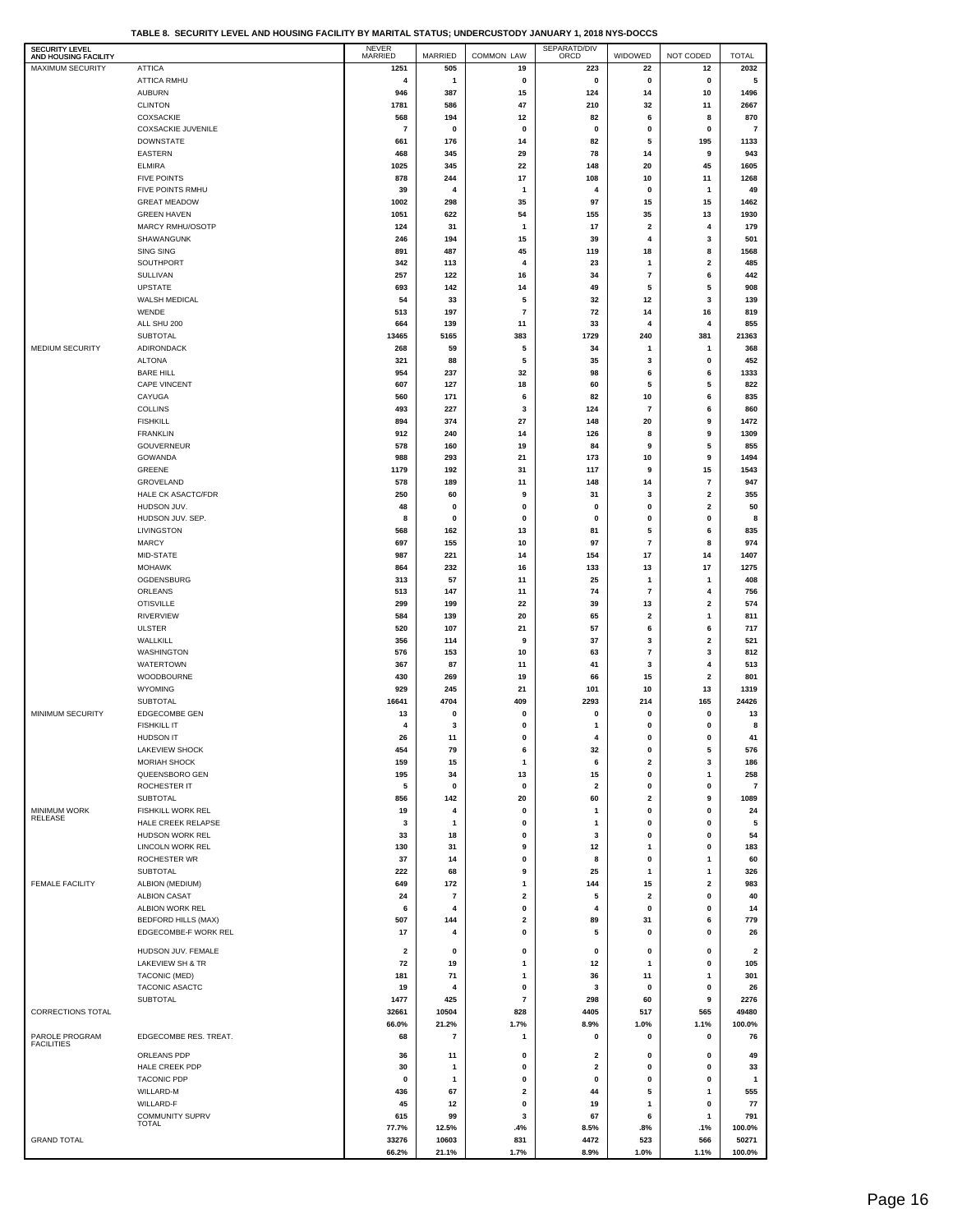| TABLE 8.  SECURITY LEVEL AND HOUSING FACILITY BY MARITAL STATUS: UNDERCUSTODY JANUARY 1. 2018 NYS-DOCCS |  |  |  |  |  |  |
|---------------------------------------------------------------------------------------------------------|--|--|--|--|--|--|
|---------------------------------------------------------------------------------------------------------|--|--|--|--|--|--|

| SECURITY LEVEL                           |                                           | NEVER<br>MARRIED              |                |                          | SEPARATD/DIV |                         |                         |                                |
|------------------------------------------|-------------------------------------------|-------------------------------|----------------|--------------------------|--------------|-------------------------|-------------------------|--------------------------------|
| AND HOUSING FACILITY<br>MAXIMUM SECURITY | <b>ATTICA</b>                             | 1251                          | MARRIED<br>505 | COMMON LAW<br>19         | 223          | WIDOWED<br>22           | NOT CODED<br>12         | <b>TOTAL</b><br>2032           |
|                                          | ATTICA RMHU                               | 4                             | 1              | 0                        | 0            | $\pmb{0}$               | 0                       | 5                              |
|                                          | <b>AUBURN</b>                             | 946                           | 387            | 15                       | 124          | 14                      | 10                      | 1496                           |
|                                          | <b>CLINTON</b>                            | 1781                          | 586            | 47                       | 210          | 32                      | 11                      | 2667                           |
|                                          | <b>COXSACKIE</b>                          | 568                           | 194            | 12                       | 82           | 6                       | 8                       | 870                            |
|                                          | <b>COXSACKIE JUVENILE</b>                 | $\overline{\phantom{a}}$      | 0              | 0                        | 0            | 0                       | 0                       | $\overline{7}$                 |
|                                          | <b>DOWNSTATE</b>                          | 661                           | 176            | 14                       | 82           | 5                       | 195                     | 1133                           |
|                                          | EASTERN                                   | 468                           | 345            | 29                       | 78           | 14                      | 9                       | 943                            |
|                                          | <b>ELMIRA</b>                             | 1025                          | 345            | 22                       | 148          | 20                      | 45                      | 1605                           |
|                                          | <b>FIVE POINTS</b>                        | 878                           | 244            | 17                       | 108          | 10                      | 11                      | 1268                           |
|                                          | FIVE POINTS RMHU                          | 39                            | 4              | 1                        | 4            | 0                       | 1                       | 49                             |
|                                          | <b>GREAT MEADOW</b><br><b>GREEN HAVEN</b> | 1002<br>1051                  | 298<br>622     | 35<br>54                 | 97<br>155    | 15<br>35                | 15<br>13                | 1462<br>1930                   |
|                                          | MARCY RMHU/OSOTP                          | 124                           | 31             | 1                        | 17           | $\mathbf 2$             | 4                       | 179                            |
|                                          | SHAWANGUNK                                | 246                           | 194            | 15                       | 39           | 4                       | 3                       | 501                            |
|                                          | <b>SING SING</b>                          | 891                           | 487            | 45                       | 119          | 18                      | 8                       | 1568                           |
|                                          | SOUTHPORT                                 | 342                           | 113            | 4                        | 23           | -1                      | $\overline{\mathbf{2}}$ | 485                            |
|                                          | SULLIVAN                                  | 257                           | 122            | 16                       | 34           | $\overline{\mathbf{r}}$ | 6                       | 442                            |
|                                          | UPSTATE                                   | 693                           | 142            | 14                       | 49           | 5                       | 5                       | 908                            |
|                                          | WALSH MEDICAL                             | 54                            | 33             | 5                        | 32           | 12                      | 3                       | 139                            |
|                                          | WENDE                                     | 513                           | 197            | $\overline{\mathbf{r}}$  | 72           | 14                      | 16                      | 819                            |
|                                          | ALL SHU 200                               | 664                           | 139            | 11                       | 33           | $\overline{4}$          | $\overline{4}$          | 855                            |
|                                          | SUBTOTAL                                  | 13465                         | 5165           | 383                      | 1729         | 240                     | 381                     | 21363                          |
| MEDIUM SECURITY                          | ADIRONDACK<br><b>ALTONA</b>               | 268                           | 59             | 5                        | 34<br>35     | 1                       | $\mathbf{1}$            | 368<br>452                     |
|                                          | <b>BARE HILL</b>                          | 321<br>954                    | 88<br>237      | 5<br>32                  | 98           | 3<br>6                  | 0<br>6                  | 1333                           |
|                                          | CAPE VINCENT                              | 607                           | 127            | 18                       | 60           | 5                       | 5                       | 822                            |
|                                          | CAYUGA                                    | 560                           | 171            | 6                        | 82           | 10                      | 6                       | 835                            |
|                                          | <b>COLLINS</b>                            | 493                           | 227            | 3                        | 124          | $\overline{7}$          | 6                       | 860                            |
|                                          | <b>FISHKILL</b>                           | 894                           | 374            | 27                       | 148          | 20                      | 9                       | 1472                           |
|                                          | <b>FRANKLIN</b>                           | 912                           | 240            | 14                       | 126          | 8                       | 9                       | 1309                           |
|                                          | GOUVERNEUR                                | 578                           | 160            | 19                       | 84           | 9                       | 5                       | 855                            |
|                                          | GOWANDA                                   | 988                           | 293            | 21                       | 173          | 10                      | 9                       | 1494                           |
|                                          | GREENE                                    | 1179                          | 192            | 31                       | 117          | 9                       | 15                      | 1543                           |
|                                          | GROVELAND                                 | 578                           | 189            | 11                       | 148          | 14                      | $\overline{7}$          | 947                            |
|                                          | HALE CK ASACTC/FDR                        | 250                           | 60             | 9                        | 31           | 3                       | $\overline{\mathbf{2}}$ | 355                            |
|                                          | HUDSON JUV.                               | 48                            | 0              | 0                        | 0            | 0                       | $\overline{\mathbf{2}}$ | 50                             |
|                                          | HUDSON JUV. SEP.                          | 8                             | 0              | 0                        | 0            | 0                       | 0                       | 8                              |
|                                          | LIVINGSTON<br><b>MARCY</b>                | 568<br>697                    | 162<br>155     | 13<br>10                 | 81<br>97     | 5<br>$\overline{7}$     | 6<br>8                  | 835<br>974                     |
|                                          | MID-STATE                                 | 987                           | 221            | 14                       | 154          | 17                      | 14                      | 1407                           |
|                                          | <b>MOHAWK</b>                             | 864                           | 232            | 16                       | 133          | 13                      | 17                      | 1275                           |
|                                          | OGDENSBURG                                | 313                           | 57             | 11                       | 25           | 1                       | 1                       | 408                            |
|                                          | ORLEANS                                   | 513                           | 147            | 11                       | 74           | $\overline{7}$          | 4                       | 756                            |
|                                          | <b>OTISVILLE</b>                          | 299                           | 199            | 22                       | 39           | 13                      | $\overline{\mathbf{2}}$ | 574                            |
|                                          | <b>RIVERVIEW</b>                          | 584                           | 139            | 20                       | 65           | $\overline{\mathbf{2}}$ | $\mathbf{1}$            | 811                            |
|                                          | <b>ULSTER</b>                             | 520                           | 107            | 21                       | 57           | 6                       | 6                       | 717                            |
|                                          | WALLKILL                                  | 356                           | 114            | 9                        | 37           | 3                       | $\overline{\mathbf{2}}$ | 521                            |
|                                          | <b>WASHINGTON</b>                         | 576                           | 153            | 10                       | 63           | $\overline{7}$          | 3                       | 812                            |
|                                          | WATERTOWN                                 | 367                           | 87             | 11                       | 41           | 3                       | $\overline{4}$          | 513                            |
|                                          | WOODBOURNE                                | 430                           | 269            | 19                       | 66           | 15                      | $\overline{\mathbf{2}}$ | 801                            |
|                                          | <b>WYOMING</b><br><b>SUBTOTAL</b>         | 929<br>16641                  | 245<br>4704    | 21<br>409                | 101<br>2293  | 10<br>214               | 13<br>165               | 1319<br>24426                  |
| MINIMUM SECURITY                         | EDGECOMBE GEN                             | 13                            | 0              | 0                        | 0            | 0                       | 0                       | 13                             |
|                                          | <b>FISHKILL IT</b>                        | 4                             | 3              | 0                        | $\mathbf{1}$ | 0                       | 0                       | 8                              |
|                                          | HUDSON IT                                 | 26                            | 11             |                          |              |                         | u                       | 41                             |
|                                          | LAKEVIEW SHOCK                            | 454                           | 79             | 6                        | 32           | 0                       | 5                       | 576                            |
|                                          | MORIAH SHOCK                              | 159                           | 15             | $\mathbf{1}$             | 6            | 2                       | 3                       | 186                            |
|                                          | QUEENSBORO GEN                            | 195                           | 34             | 13                       | 15           | 0                       | $\mathbf{1}$            | 258                            |
|                                          | ROCHESTER IT                              | 5                             | 0              | 0                        | $\mathbf 2$  | $\pmb{0}$               | 0                       | $\overline{7}$                 |
|                                          | <b>SUBTOTAL</b>                           | 856                           | 142            | 20                       | 60           | $\overline{\mathbf{2}}$ | 9                       | 1089                           |
| MINIMUM WORK<br>RELEASE                  | FISHKILL WORK REL                         | 19                            | 4              | 0                        | 1            | $\mathbf 0$             | 0                       | 24                             |
|                                          | HALE CREEK RELAPSE                        | 3                             | 1              | 0                        | $\mathbf{1}$ | $\mathbf 0$             | $\mathbf{0}$            | 5                              |
|                                          | HUDSON WORK REL                           | 33                            | 18             | 0                        | 3            | $\mathbf 0$             | $\pmb{0}$               | 54                             |
|                                          | LINCOLN WORK REL<br><b>ROCHESTER WR</b>   | 130                           | 31             | 9                        | 12           | 1                       | 0                       | 183                            |
|                                          | SUBTOTAL                                  | 37<br>222                     | 14<br>68       | 0<br>9                   | 8<br>25      | 0<br>1                  | 1<br>$\mathbf{1}$       | 60<br>326                      |
| FEMALE FACILITY                          | ALBION (MEDIUM)                           | 649                           | 172            | $\mathbf{1}$             | 144          | 15                      | 2                       | 983                            |
|                                          | <b>ALBION CASAT</b>                       | 24                            | 7              | $\mathbf 2$              | 5            | $\overline{\mathbf{2}}$ | 0                       | 40                             |
|                                          | ALBION WORK REL                           | 6                             | 4              | 0                        | 4            | 0                       | 0                       | 14                             |
|                                          | <b>BEDFORD HILLS (MAX)</b>                | 507                           | 144            | $\overline{\mathbf{2}}$  | 89           | 31                      | 6                       | 779                            |
|                                          | EDGECOMBE-F WORK REL                      | 17                            | 4              | $\pmb{0}$                | 5            | $\mathbf 0$             | 0                       | 26                             |
|                                          |                                           |                               |                |                          |              |                         |                         |                                |
|                                          | HUDSON JUV. FEMALE<br>LAKEVIEW SH & TR    | $\overline{\mathbf{2}}$<br>72 | 0<br>19        | 0<br>$\mathbf{1}$        | 0<br>12      | 0<br>$\mathbf{1}$       | 0<br>$\mathbf{0}$       | $\overline{\mathbf{2}}$<br>105 |
|                                          | TACONIC (MED)                             | 181                           | 71             | 1                        | 36           | 11                      | 1                       | 301                            |
|                                          | TACONIC ASACTC                            | 19                            | 4              | 0                        | 3            | 0                       | 0                       | 26                             |
|                                          | <b>SUBTOTAL</b>                           | 1477                          | 425            | $\overline{\phantom{a}}$ | 298          | 60                      | 9                       | 2276                           |
| CORRECTIONS TOTAL                        |                                           | 32661                         | 10504          | 828                      | 4405         | 517                     | 565                     | 49480                          |
|                                          |                                           | 66.0%                         | 21.2%          | 1.7%                     | 8.9%         | 1.0%                    | 1.1%                    | 100.0%                         |
| PAROLE PROGRAM                           | EDGECOMBE RES. TREAT.                     | 68                            | 7              | 1                        | 0            | 0                       | 0                       | 76                             |
| <b>FACILITIES</b>                        | ORLEANS PDP                               | 36                            | 11             | 0                        | 2            | 0                       | 0                       | 49                             |
|                                          | HALE CREEK PDP                            | 30                            | 1              | 0                        | 2            | 0                       | 0                       | 33                             |
|                                          | <b>TACONIC PDP</b>                        | 0                             | 1              | 0                        | $\pmb{0}$    | 0                       | 0                       | $\mathbf{1}$                   |
|                                          | WILLARD-M                                 | 436                           | 67             | $\mathbf 2$              | 44           | 5                       | $\mathbf{1}$            | 555                            |
|                                          | WILLARD-F                                 | 45                            | 12             | 0                        | 19           | 1                       | $\mathbf 0$             | 77                             |
|                                          | <b>COMMUNITY SUPRV</b>                    | 615                           | 99             | 3                        | 67           | 6                       | 1                       | 791                            |
|                                          | <b>TOTAL</b>                              | 77.7%                         | 12.5%          | .4%                      | 8.5%         | .8%                     | .1%                     | 100.0%                         |
| <b>GRAND TOTAL</b>                       |                                           | 33276                         | 10603          | 831                      | 4472         | 523                     | 566                     | 50271                          |
|                                          |                                           | 66.2%                         | 21.1%          | 1.7%                     | 8.9%         | 1.0%                    | 1.1%                    | 100.0%                         |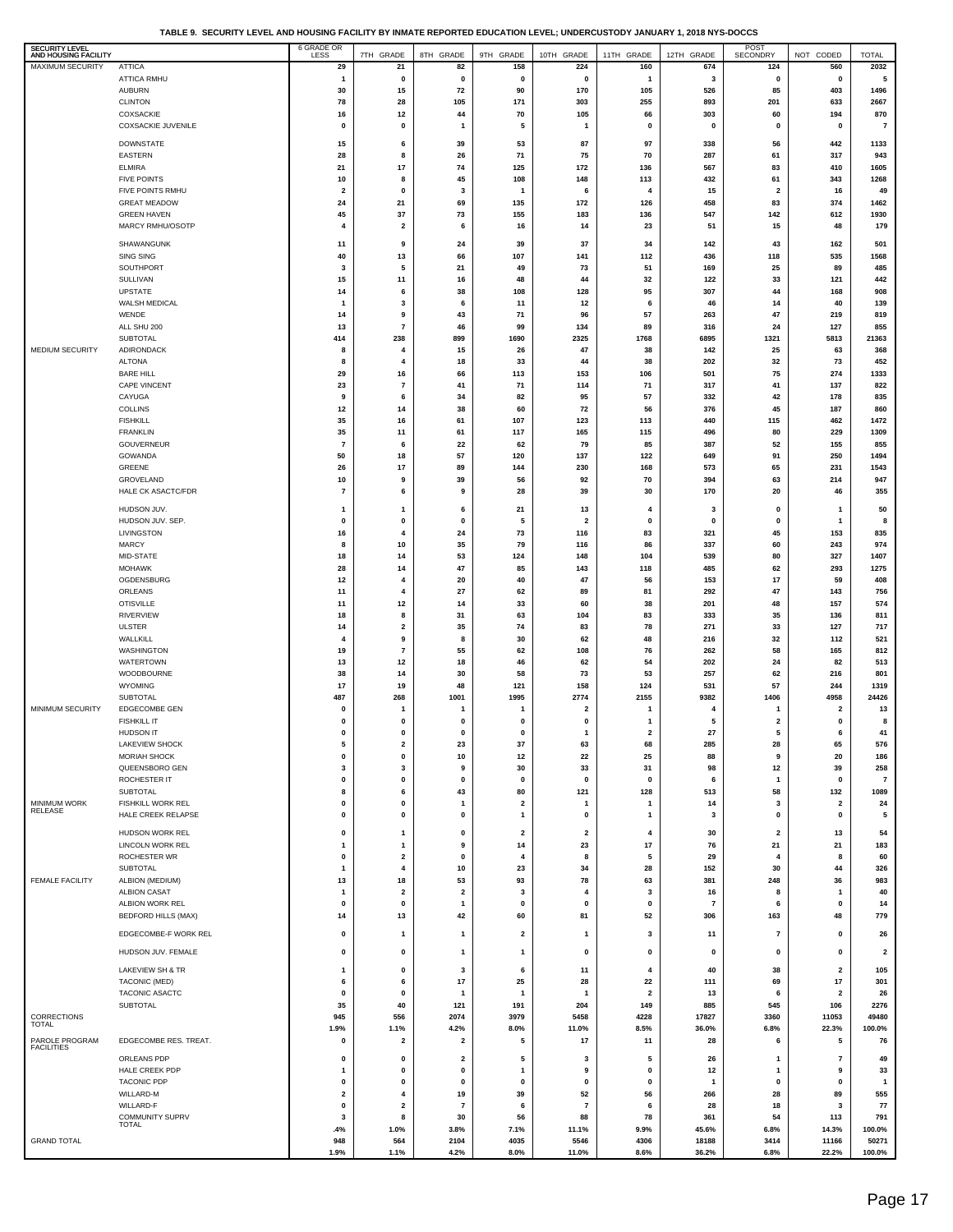**TABLE 9. SECURITY LEVEL AND HOUSING FACILITY BY INMATE REPORTED EDUCATION LEVEL; UNDERCUSTODY JANUARY 1, 2018 NYS-DOCCS**

| <b>SECURITY LEVEL</b><br>AND HOUSING FACILITY |                                                | 6 GRADE OR                             | 7TH GRADE                                 | 8TH GRADE                     | 9TH GRADE                    | 10TH GRADE                    | 11TH GRADE                   | 12TH GRADE         | POST<br>SECONDRY        | NOT CODED                       | <b>TOTAL</b>            |
|-----------------------------------------------|------------------------------------------------|----------------------------------------|-------------------------------------------|-------------------------------|------------------------------|-------------------------------|------------------------------|--------------------|-------------------------|---------------------------------|-------------------------|
| <b>MAXIMUM SECURITY</b>                       | <b>ATTICA</b>                                  | 29                                     | 21                                        | 82                            | 158                          | 224                           | 160                          | 674                | 124                     | 560                             | 2032                    |
|                                               | <b>ATTICA RMHU</b><br><b>AUBURN</b>            | -1<br>30                               | $\mathbf 0$<br>15                         | $\pmb{0}$<br>72               | $\mathbf 0$<br>90            | 0<br>170                      | $\mathbf{1}$<br>105          | 3<br>526           | 0<br>85                 | $\mathbf 0$<br>403              | 5<br>1496               |
|                                               | <b>CLINTON</b>                                 | 78                                     | 28                                        | 105                           | 171                          | 303                           | 255                          | 893                | 201                     | 633                             | 2667                    |
|                                               | COXSACKIE                                      | 16                                     | 12                                        | 44                            | 70                           | 105                           | 66                           | 303                | 60                      | 194                             | 870                     |
|                                               | <b>COXSACKIE JUVENILE</b>                      | $\mathbf 0$                            | $\mathbf 0$                               | $\mathbf{1}$                  | 5                            | 1                             | 0                            | $\mathbf 0$        | $\pmb{0}$               | $\mathbf 0$                     | $\overline{7}$          |
|                                               | <b>DOWNSTATE</b>                               | 15                                     | 6                                         | 39                            | 53                           | 87                            | 97                           | 338                | 56                      | 442                             | 1133                    |
|                                               | <b>EASTERN</b><br><b>ELMIRA</b>                | 28<br>21                               | 8<br>17                                   | 26<br>74                      | 71<br>125                    | 75<br>172                     | 70<br>136                    | 287<br>567         | 61<br>83                | 317<br>410                      | 943<br>1605             |
|                                               | <b>FIVE POINTS</b>                             | 10                                     | 8                                         | 45                            | 108                          | 148                           | 113                          | 432                | 61                      | 343                             | 1268                    |
|                                               | FIVE POINTS RMHU                               | $\overline{\mathbf{2}}$                | $\mathbf 0$                               | 3                             | 1                            | 6                             | 4                            | 15                 | $\overline{\mathbf{2}}$ | 16                              | 49                      |
|                                               | <b>GREAT MEADOW</b>                            | 24                                     | 21                                        | 69                            | 135                          | 172                           | 126                          | 458                | 83                      | 374                             | 1462                    |
|                                               | <b>GREEN HAVEN</b><br>MARCY RMHU/OSOTP         | 45<br>$\overline{4}$                   | 37<br>$\overline{\mathbf{2}}$             | 73<br>6                       | 155<br>16                    | 183<br>14                     | 136<br>23                    | 547<br>51          | 142<br>15               | 612<br>48                       | 1930<br>179             |
|                                               |                                                |                                        |                                           |                               |                              |                               |                              |                    |                         |                                 |                         |
|                                               | SHAWANGUNK<br>SING SING                        | 11<br>40                               | 9<br>13                                   | 24<br>66                      | 39<br>107                    | 37<br>141                     | 34<br>112                    | 142<br>436         | 43<br>118               | 162<br>535                      | 501<br>1568             |
|                                               | SOUTHPORT                                      | 3                                      | 5                                         | 21                            | 49                           | 73                            | 51                           | 169                | 25                      | 89                              | 485                     |
|                                               | SULLIVAN                                       | 15                                     | 11                                        | 16                            | 48                           | 44                            | 32                           | 122                | 33                      | 121                             | 442                     |
|                                               | <b>UPSTATE</b><br>WALSH MEDICAL                | 14<br>-1                               | 6<br>3                                    | 38<br>6                       | 108<br>11                    | 128<br>12                     | 95<br>6                      | 307<br>46          | 44<br>14                | 168<br>40                       | 908<br>139              |
|                                               | WENDE                                          | 14                                     | 9                                         | 43                            | 71                           | 96                            | 57                           | 263                | 47                      | 219                             | 819                     |
|                                               | ALL SHU 200                                    | 13                                     | $\overline{7}$                            | 46                            | 99                           | 134                           | 89                           | 316                | 24                      | 127                             | 855                     |
|                                               | SUBTOTAL                                       | 414                                    | 238                                       | 899                           | 1690                         | 2325                          | 1768                         | 6895               | 1321                    | 5813                            | 21363                   |
| MEDIUM SECURITY                               | ADIRONDACK<br><b>ALTONA</b>                    | 8<br>8                                 | $\overline{4}$<br>$\overline{4}$          | 15<br>18                      | 26<br>33                     | 47<br>44                      | 38<br>38                     | 142<br>202         | 25<br>32                | 63<br>73                        | 368<br>452              |
|                                               | <b>BARE HILL</b>                               | 29                                     | 16                                        | 66                            | 113                          | 153                           | 106                          | 501                | 75                      | 274                             | 1333                    |
|                                               | <b>CAPE VINCENT</b>                            | 23                                     | $\overline{7}$                            | 41                            | 71                           | 114                           | 71                           | 317                | 41                      | 137                             | 822                     |
|                                               | CAYUGA                                         | 9                                      | 6                                         | 34                            | 82                           | 95                            | 57                           | 332                | 42                      | 178                             | 835                     |
|                                               | <b>COLLINS</b><br><b>FISHKILL</b>              | 12<br>35                               | 14<br>16                                  | 38<br>61                      | 60<br>107                    | 72<br>123                     | 56<br>113                    | 376<br>440         | 45<br>115               | 187<br>462                      | 860<br>1472             |
|                                               | <b>FRANKLIN</b>                                | 35                                     | 11                                        | 61                            | 117                          | 165                           | 115                          | 496                | 80                      | 229                             | 1309                    |
|                                               | <b>GOUVERNEUR</b>                              | $\overline{\mathbf{r}}$                | 6                                         | 22                            | 62                           | 79                            | 85                           | 387                | 52                      | 155                             | 855                     |
|                                               | GOWANDA<br>GREENE                              | 50<br>26                               | 18<br>17                                  | 57<br>89                      | 120<br>144                   | 137<br>230                    | 122<br>168                   | 649<br>573         | 91<br>65                | 250<br>231                      | 1494<br>1543            |
|                                               | GROVELAND                                      | 10                                     | 9                                         | 39                            | 56                           | 92                            | 70                           | 394                | 63                      | 214                             | 947                     |
|                                               | HALE CK ASACTC/FDR                             | $\overline{\mathbf{r}}$                | 6                                         | 9                             | 28                           | 39                            | 30                           | 170                | 20                      | 46                              | 355                     |
|                                               | HUDSON JUV.                                    | $\mathbf{1}$                           | $\mathbf{1}$                              | 6                             | 21                           | 13                            | 4                            | 3                  | 0                       | 1                               | 50                      |
|                                               | HUDSON JUV. SEP.                               | 0                                      | $\mathbf 0$                               | 0                             | 5                            | 2                             | 0                            | 0                  | 0                       | 1                               | 8                       |
|                                               | LIVINGSTON<br><b>MARCY</b>                     | 16                                     | $\overline{4}$<br>10                      | 24<br>35                      | 73<br>79                     | 116                           | 83<br>86                     | 321<br>337         | 45<br>60                | 153<br>243                      | 835<br>974              |
|                                               | MID-STATE                                      | 8<br>18                                | 14                                        | 53                            | 124                          | 116<br>148                    | 104                          | 539                | 80                      | 327                             | 1407                    |
|                                               | <b>MOHAWK</b>                                  | 28                                     | 14                                        | 47                            | 85                           | 143                           | 118                          | 485                | 62                      | 293                             | 1275                    |
|                                               | OGDENSBURG                                     | 12                                     | $\overline{4}$                            | 20                            | 40                           | 47                            | 56                           | 153                | 17                      | 59                              | 408                     |
|                                               | ORLEANS<br><b>OTISVILLE</b>                    | 11<br>11                               | $\overline{4}$<br>12                      | 27<br>14                      | 62<br>33                     | 89<br>60                      | 81<br>38                     | 292<br>201         | 47<br>48                | 143<br>157                      | 756<br>574              |
|                                               | <b>RIVERVIEW</b>                               | 18                                     | 8                                         | 31                            | 63                           | 104                           | 83                           | 333                | 35                      | 136                             | 811                     |
|                                               | <b>ULSTER</b>                                  | 14                                     | $\mathbf{2}$                              | 35                            | 74                           | 83                            | 78                           | 271                | 33                      | 127                             | 717                     |
|                                               | WALLKILL                                       | 4                                      | 9<br>$\overline{7}$                       | 8<br>55                       | 30                           | 62                            | 48                           | 216                | 32<br>58                | 112                             | 521<br>812              |
|                                               | WASHINGTON<br>WATERTOWN                        | 19<br>13                               | 12                                        | 18                            | 62<br>46                     | 108<br>62                     | 76<br>54                     | 262<br>202         | 24                      | 165<br>82                       | 513                     |
|                                               | WOODBOURNE                                     | 38                                     | 14                                        | 30                            | 58                           | 73                            | 53                           | 257                | 62                      | 216                             | 801                     |
|                                               | WYOMING                                        | 17                                     | 19                                        | 48                            | 121                          | 158                           | 124                          | 531                | 57                      | 244                             | 1319                    |
| <b>MINIMUM SECURITY</b>                       | <b>SUBTOTAL</b><br>EDGECOMBE GEN               | 487<br>$\mathbf 0$                     | 268<br>-1                                 | 1001<br>-1                    | 1995<br>1                    | 2774<br>2                     | 2155<br>1                    | 9382<br>4          | 1406<br>-1              | 4958<br>$\overline{\mathbf{2}}$ | 24426<br>13             |
|                                               | <b>FISHKILL IT</b>                             | $\mathbf 0$                            | $\mathbf 0$                               | $\pmb{0}$                     | $\pmb{0}$                    | 0                             | $\mathbf{1}$                 | 5                  | $\mathbf{2}$            | $\mathbf 0$                     | 8                       |
|                                               | HUDSON IT                                      | $\mathbf 0$                            | $\pmb{0}$                                 | $\mathbf{0}$                  | $\mathbf{0}$                 | $\mathbf{1}$                  | $\overline{\mathbf{2}}$      | 27                 | 5                       | 6                               | 41                      |
|                                               | <b>LAKEVIEW SHOCK</b><br>MORIAH SHOCK          | 5<br>0                                 | $\overline{\mathbf{2}}$<br>$\pmb{0}$      | 23<br>10                      | 37<br>12                     | 63<br>22                      | 68<br>25                     | 285<br>88          | 28<br>9                 | 65<br>20                        | 576<br>186              |
|                                               | QUEENSBORO GEN                                 | $\mathbf{3}$                           | $\overline{\mathbf{3}}$                   | 9                             | 30                           | 33                            | 31                           | 98                 | 12                      | 39                              | 258                     |
|                                               | ROCHESTER IT                                   | 0                                      | $\mathbf 0$                               | 0                             | $\mathbf 0$                  | 0                             | 0                            | 6                  | 1                       | 0                               | $\overline{7}$          |
|                                               | SUBTOTAL                                       | 8                                      | 6                                         | 43                            | 80                           | 121                           | 128                          | 513                | 58                      | 132                             | 1089                    |
| MINIMUM WORK<br>RELEASE                       | <b>FISHKILL WORK REL</b><br>HALE CREEK RELAPSE | 0<br>0                                 | $\mathbf 0$<br>$\mathbf 0$                | $\mathbf{1}$<br>0             | $\overline{\mathbf{2}}$<br>1 | $\mathbf{1}$<br>0             | $\overline{\mathbf{1}}$<br>1 | 14<br>$\mathbf{3}$ | 3<br>0                  | $\overline{\mathbf{2}}$<br>0    | 24<br>5                 |
|                                               | HUDSON WORK REL                                | $\mathbf 0$                            | $\overline{1}$                            | $\pmb{0}$                     | $\overline{\mathbf{2}}$      | $\overline{\mathbf{2}}$       | $\overline{4}$               | 30                 | $\overline{\mathbf{2}}$ | 13                              | 54                      |
|                                               | <b>LINCOLN WORK REL</b>                        | $\mathbf{1}$                           | $\overline{1}$                            | 9                             | 14                           | 23                            | 17                           | 76                 | 21                      | 21                              | 183                     |
|                                               | ROCHESTER WR                                   | $\mathbf 0$                            | $\overline{\mathbf{2}}$                   | $\pmb{0}$                     | 4                            | 8                             | 5                            | 29                 | $\overline{4}$          | 8                               | 60                      |
|                                               | <b>SUBTOTAL</b>                                | $\mathbf{1}$                           | $\overline{4}$                            | $10\,$                        | 23                           | 34                            | 28                           | 152                | 30                      | 44                              | 326                     |
| <b>FEMALE FACILITY</b>                        | ALBION (MEDIUM)<br><b>ALBION CASAT</b>         | 13<br>$\mathbf{1}$                     | 18<br>$\overline{\mathbf{2}}$             | 53<br>$\overline{\mathbf{2}}$ | 93<br>3                      | 78<br>4                       | 63<br>3                      | 381<br>16          | 248<br>8                | 36<br>1                         | 983<br>40               |
|                                               | ALBION WORK REL                                | 0                                      | $\mathbf 0$                               | 1                             | $\mathbf 0$                  | 0                             | 0                            | $\overline{7}$     | 6                       | 0                               | 14                      |
|                                               | BEDFORD HILLS (MAX)                            | 14                                     | 13                                        | 42                            | 60                           | 81                            | 52                           | 306                | 163                     | 48                              | 779                     |
|                                               | EDGECOMBE-F WORK REL                           | $\mathbf 0$                            | $\overline{1}$                            | $\mathbf{1}$                  | $\overline{\mathbf{2}}$      | $\mathbf{1}$                  | 3                            | 11                 | $\overline{7}$          | $\mathbf 0$                     | 26                      |
|                                               | HUDSON JUV. FEMALE                             | $\mathbf 0$                            | $\mathbf 0$                               | $\mathbf{1}$                  | $\overline{1}$               | 0                             | 0                            | $\mathbf 0$        | 0                       | $\mathbf 0$                     | $\overline{\mathbf{2}}$ |
|                                               |                                                |                                        |                                           |                               |                              |                               | 4                            |                    |                         |                                 |                         |
|                                               | LAKEVIEW SH & TR<br>TACONIC (MED)              | $\mathbf{1}$<br>6                      | $\mathbf 0$<br>6                          | 3<br>17                       | 6<br>25                      | 11<br>28                      | 22                           | 40<br>111          | 38<br>69                | $\overline{\mathbf{2}}$<br>17   | 105<br>301              |
|                                               | TACONIC ASACTC                                 | $\mathbf 0$                            | $\mathbf 0$                               | $\mathbf{1}$                  | $\mathbf{1}$                 | 1                             | $\overline{\mathbf{2}}$      | 13                 | 6                       | $\overline{\mathbf{2}}$         | 26                      |
|                                               | <b>SUBTOTAL</b>                                | 35                                     | 40                                        | 121                           | 191                          | 204                           | 149                          | 885                | 545                     | 106                             | 2276                    |
| CORRECTIONS<br><b>TOTAL</b>                   |                                                | 945<br>1.9%                            | 556<br>1.1%                               | 2074<br>4.2%                  | 3979<br>8.0%                 | 5458<br>11.0%                 | 4228<br>8.5%                 | 17827<br>36.0%     | 3360<br>6.8%            | 11053<br>22.3%                  | 49480<br>100.0%         |
| PAROLE PROGRAM                                | EDGECOMBE RES. TREAT.                          | $\mathbf 0$                            | $\overline{\mathbf{2}}$                   | $\overline{\mathbf{2}}$       | 5                            | 17                            | 11                           | 28                 | 6                       | 5                               | 76                      |
| <b>FACILITIES</b>                             | ORLEANS PDP                                    | $\mathbf 0$                            | $\mathbf 0$                               | $\overline{\mathbf{2}}$       | 5                            | 3                             | 5                            | 26                 | $\mathbf{1}$            | $\overline{7}$                  | 49                      |
|                                               | HALE CREEK PDP                                 | $\mathbf{1}$                           | $\mathbf{0}$                              | $\pmb{0}$                     | $\mathbf{1}$                 | 9                             | 0                            | 12                 | $\mathbf{1}$            | 9                               | 33                      |
|                                               | <b>TACONIC PDP</b>                             | $\mathbf 0$                            | $\mathbf 0$                               | $\pmb{0}$                     | $\mathbf 0$                  | 0                             | 0                            | $\overline{1}$     | 0                       | $\mathbf 0$                     | $\mathbf{1}$            |
|                                               | WILLARD-M<br>WILLARD-F                         | $\overline{\mathbf{2}}$<br>$\mathbf 0$ | $\overline{4}$<br>$\overline{\mathbf{2}}$ | 19<br>$\overline{7}$          | 39<br>6                      | 52<br>$\overline{\mathbf{r}}$ | 56<br>6                      | 266<br>28          | 28<br>18                | 89<br>3                         | 555<br>77               |
|                                               | COMMUNITY SUPRV                                | 3                                      | 8                                         | 30                            | 56                           | 88                            | 78                           | 361                | 54                      | 113                             | 791                     |
|                                               | <b>TOTAL</b>                                   | .4%                                    | 1.0%                                      | 3.8%                          | 7.1%                         | 11.1%                         | 9.9%                         | 45.6%              | 6.8%                    | 14.3%                           | 100.0%                  |
| <b>GRAND TOTAL</b>                            |                                                | 948<br>1.9%                            | 564<br>1.1%                               | 2104<br>4.2%                  | 4035<br>8.0%                 | 5546<br>11.0%                 | 4306<br>8.6%                 | 18188<br>36.2%     | 3414<br>6.8%            | 11166<br>22.2%                  | 50271<br>100.0%         |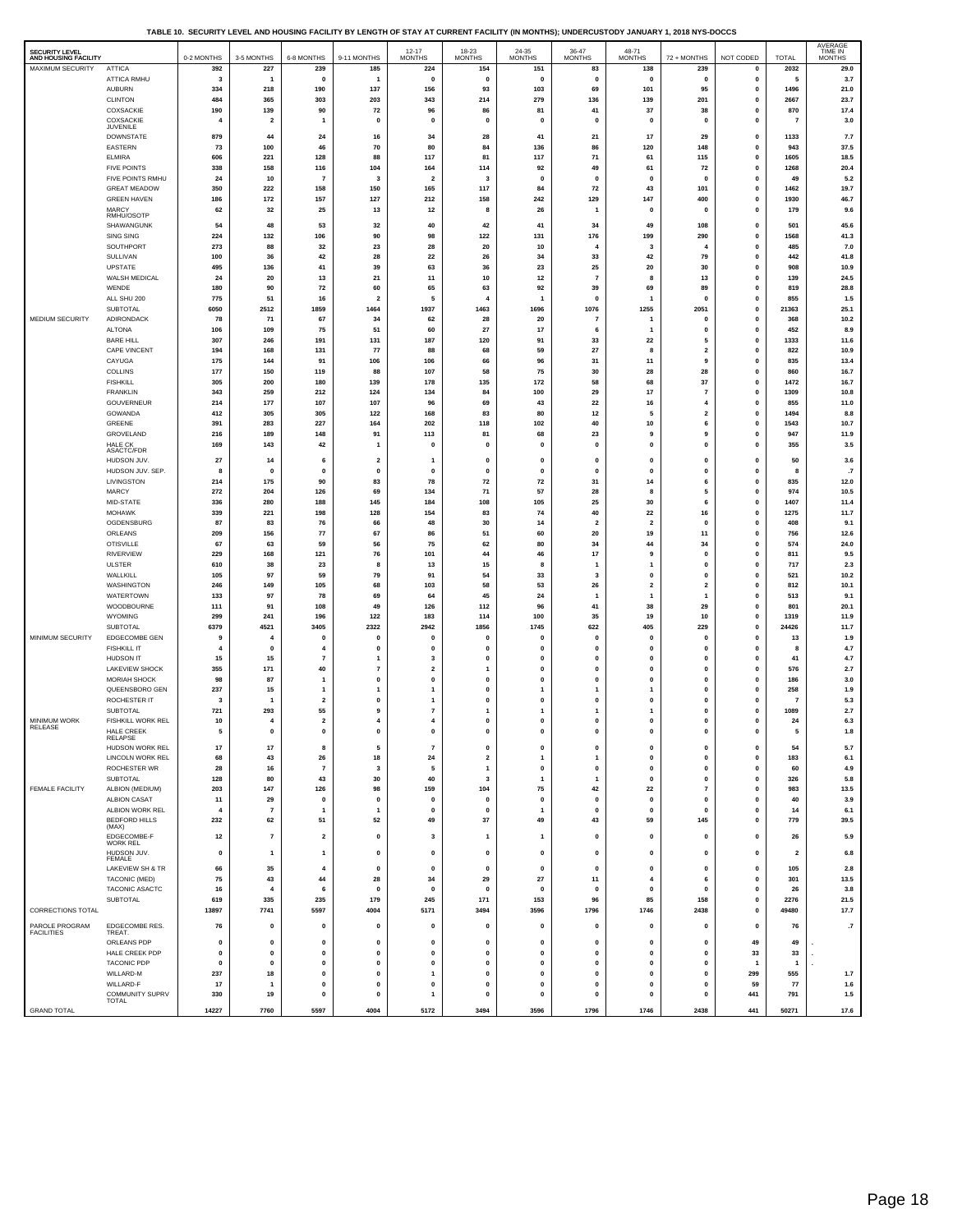**TABLE 10. SECURITY LEVEL AND HOUSING FACILITY BY LENGTH OF STAY AT CURRENT FACILITY (IN MONTHS); UNDERCUSTODY JANUARY 1, 2018 NYS-DOCCS**

| <b>SECURITY LEVEL</b><br>AND HOUSING FACILITY |                                        | 0-2 MONTHS           | 3-5 MONTHS              | 6-8 MONTHS                    | 9-11 MONTHS                    | $12 - 17$<br><b>MONTHS</b>   | 18-23<br><b>MONTHS</b>       | 24-35<br><b>MONTHS</b>         | 36-47<br><b>MONTHS</b>  | 48-71<br><b>MONTHS</b>    | 72 + MONTHS                  | NOT CODED                   | <b>TOTAL</b>            | AVERAGE<br>TIME IN<br><b>MONTHS</b> |
|-----------------------------------------------|----------------------------------------|----------------------|-------------------------|-------------------------------|--------------------------------|------------------------------|------------------------------|--------------------------------|-------------------------|---------------------------|------------------------------|-----------------------------|-------------------------|-------------------------------------|
| <b>MAXIMUM SECURITY</b>                       | <b>ATTICA</b>                          | 392                  | 227                     | 239                           | 185                            | 224                          | 154                          | 151                            | 83                      | 138                       | 239                          | $\mathbf{0}$                | 2032                    | 29.0                                |
|                                               | <b>ATTICA RMHU</b>                     | 3                    | $\overline{\mathbf{1}}$ | $\mathbf 0$                   | $\overline{1}$                 | 0                            | 0                            | 0                              | $\mathbf 0$             | 0                         | 0                            | 0                           | 5                       | 3.7                                 |
|                                               | <b>AUBURN</b>                          | 334                  | 218                     | 190                           | 137                            | 156                          | 93                           | 103                            | 69                      | 101                       | 95                           | 0                           | 1496                    | 21.0                                |
|                                               | <b>CLINTON</b>                         | 484                  | 365                     | 303                           | 203                            | 343                          | 214                          | 279                            | 136                     | 139                       | 201                          | $\mathbf 0$                 | 2667                    | 23.7                                |
|                                               | COXSACKIE                              | 190                  | 139                     | 90                            | 72                             | 96                           | 86                           | 81                             | 41                      | 37                        | 38                           | $\mathbf{0}$                | 870                     | 17.4                                |
|                                               | COXSACKIE<br><b>JUVENILE</b>           | $\overline{4}$       | $\overline{2}$          | $\mathbf{1}$                  | 0                              | 0                            | 0                            | $\mathbf 0$                    | $\mathbf 0$             | 0                         | $\mathbf{0}$                 | 0                           | $\overline{7}$          | 3.0                                 |
|                                               | <b>DOWNSTATE</b>                       | 879                  | 44                      | 24                            | 16                             | 34                           | 28                           | 41                             | 21                      | 17                        | 29                           | $\mathbf{0}$                | 1133                    | 7.7                                 |
|                                               | EASTERN                                | 73                   | 100                     | 46                            | 70                             | 80                           | 84                           | 136                            | 86                      | 120                       | 148                          | 0                           | 943                     | 37.5                                |
|                                               | <b>ELMIRA</b>                          | 606                  | 221                     | 128                           | 88                             | 117                          | 81                           | 117                            | 71                      | 61                        | 115                          | $\mathbf 0$                 | 1605                    | 18.5                                |
|                                               | <b>FIVE POINTS</b>                     | 338                  | 158                     | 116                           | 104                            | 164                          | 114                          | 92                             | 49                      | 61                        | 72                           | 0                           | 1268                    | 20.4                                |
|                                               | FIVE POINTS RMHU                       | 24                   | 10                      | $\overline{7}$                | 3                              | $\overline{2}$               | 3                            | $\mathbf{0}$                   | $\mathbf 0$             | $\pmb{0}$                 | $\mathbf{0}$                 | $\mathbf{0}$                | 49                      | 5.2                                 |
|                                               | <b>GREAT MEADOW</b>                    | 350                  | 222                     | 158                           | 150                            | 165                          | 117                          | 84                             | 72                      | 43                        | 101                          | 0                           | 1462                    | 19.7                                |
|                                               | <b>GREEN HAVEN</b>                     | 186                  | 172                     | 157                           | 127                            | 212                          | 158                          | 242                            | 129                     | 147                       | 400                          | $\mathbf 0$                 | 1930                    | 46.7                                |
|                                               | MARCY<br>RMHU/OSOTP                    | 62                   | 32                      | 25                            | 13                             | 12                           | 8                            | 26                             | 1                       | 0                         | $\mathbf{0}$                 | 0                           | 179                     | 9.6                                 |
|                                               | SHAWANGUNK                             | 54                   | 48                      | 53                            | 32                             | 40                           | 42                           | 41                             | 34                      | 49                        | 108                          | 0                           | 501                     | 45.6                                |
|                                               | SING SING                              | 224                  | 132                     | 106                           | 90                             | 98                           | 122                          | 131                            | 176                     | 199                       | 290                          | 0                           | 1568                    | 41.3                                |
|                                               | SOUTHPORT                              | 273                  | 88                      | 32                            | 23                             | 28                           | 20                           | 10                             | $\overline{4}$          | 3                         | $\overline{4}$               | 0                           | 485                     | 7.0                                 |
|                                               | SULLIVAN                               | 100                  | 36                      | 42                            | 28                             | 22                           | 26                           | 34                             | 33                      | 42                        | 79                           | 0                           | 442                     | 41.8                                |
|                                               | <b>UPSTATE</b>                         | 495                  | 136                     | 41                            | 39                             | 63                           | 36                           | 23                             | 25                      | 20                        | 30                           | $\mathbf{0}$                | 908                     | 10.9                                |
|                                               | WALSH MEDICAL                          | 24                   | 20                      | 13                            | 21                             | 11                           | 10                           | 12                             | $\overline{7}$          | 8                         | 13                           | 0                           | 139                     | 24.5                                |
|                                               | WENDE                                  | 180                  | 90                      | 72                            | 60                             | 65                           | 63                           | 92                             | 39                      | 69                        | 89                           | $\mathbf{0}$                | 819                     | 28.8                                |
|                                               | ALL SHU 200                            | 775                  | 51                      | 16                            | $\overline{\mathbf{2}}$        | 5                            | $\overline{4}$               | $\overline{1}$                 | $\mathbf 0$             | $\overline{1}$            | $\mathbf{0}$                 | 0                           | 855                     | $1.5$                               |
|                                               | <b>SUBTOTAL</b>                        | 6050                 | 2512                    | 1859                          | 1464                           | 1937                         | 1463                         | 1696                           | 1076                    | 1255                      | 2051                         | $\mathbf{0}$                | 21363                   | 25.1                                |
| MEDIUM SECURITY                               | ADIRONDACK                             | 78                   | 71                      | 67                            | 34                             | 62                           | 28                           | 20                             | $\overline{7}$          | $\overline{1}$            | $\mathbf{0}$                 | 0                           | 368                     | 10.2                                |
|                                               | <b>ALTONA</b>                          | 106                  | 109                     | 75                            | 51                             | 60                           | 27                           | 17                             | 6                       | $\overline{1}$            | $\mathbf{0}$                 | $\mathbf 0$                 | 452                     | 8.9                                 |
|                                               | <b>BARE HILL</b>                       | 307                  | 246                     | 191                           | 131                            | 187                          | 120                          | 91                             | 33                      | 22                        | 5                            | 0                           | 1333                    | 11.6                                |
|                                               | CAPE VINCENT                           | 194                  | 168                     | 131                           | ${\bf 77}$                     | 88                           | 68                           | 59                             | 27                      | 8                         | $\mathbf 2$                  | 0                           | 822                     | 10.9                                |
|                                               | CAYUGA<br>COLLINS                      | 175<br>177           | 144<br>150              | 91<br>119                     | 106                            | 106<br>107                   | 66<br>58                     | 96<br>75                       | 31<br>30                | 11<br>28                  | 9<br>28                      | 0<br>0                      | 835                     | 13.4<br>16.7                        |
|                                               | <b>FISHKILL</b>                        | 305                  | 200                     | 180                           | 88<br>139                      | 178                          | 135                          | 172                            | 58                      | 68                        | 37                           | 0                           | 860<br>1472             | 16.7                                |
|                                               | <b>FRANKLIN</b>                        | 343                  | 259                     | 212                           | 124                            | 134                          | 84                           | 100                            | 29                      | 17                        | $\overline{7}$               | 0                           | 1309                    | 10.8                                |
|                                               | GOUVERNEUR                             | 214                  | 177                     | 107                           | 107                            | 96                           | 69                           | 43                             | 22                      | 16                        | 4                            | $\mathbf 0$                 | 855                     | 11.0                                |
|                                               | GOWANDA                                | 412                  | 305                     | 305                           | 122                            | 168                          | 83                           | 80                             | 12                      | 5                         | $\mathbf 2$                  | 0                           | 1494                    | 8.8                                 |
|                                               | GREENE                                 | 391                  | 283                     | 227                           | 164                            | 202                          | 118                          | 102                            | 40                      | 10                        | 6                            | $\mathbf{0}$                | 1543                    | 10.7                                |
|                                               | GROVELAND                              | 216                  | 189                     | 148                           | 91                             | 113                          | 81                           | 68                             | 23                      | 9                         | 9                            | 0                           | 947                     | 11.9                                |
|                                               | HALE CK                                | 169                  | 143                     | 42                            | $\mathbf{1}$                   | $\mathbf{0}$                 | $\mathbf{0}$                 | $\mathbf{0}$                   | $\mathbf{0}$            | $\pmb{0}$                 | $\pmb{\mathsf{o}}$           | $\mathbf{0}$                | 355                     | 3.5                                 |
|                                               | ASACTC/FDR<br>HUDSON JUV.              | 27                   | 14                      | 6                             | $\overline{2}$                 |                              | $\mathbf 0$                  | $\mathbf{0}$                   | $\mathbf{0}$            | $\pmb{0}$                 | $\pmb{\mathsf{o}}$           | $\mathbf{0}$                | 50                      |                                     |
|                                               | HUDSON JUV. SEP                        | 8                    | $\mathbf 0$             | 0                             | 0                              | -1<br>0                      | $\pmb{0}$                    | $\mathbf{0}$                   | 0                       | 0                         | 0                            | 0                           | 8                       | 3.6<br>$\cdot$                      |
|                                               | LIVINGSTON                             | 214                  | 175                     | 90                            | 83                             | 78                           | 72                           | 72                             | 31                      | 14                        | 6                            | 0                           | 835                     | 12.0                                |
|                                               | MARCY                                  | 272                  | 204                     | 126                           | 69                             | 134                          | 71                           | 57                             | 28                      | 8                         | 5                            | 0                           | 974                     | 10.5                                |
|                                               | MID-STATE                              | 336                  | 280                     | 188                           | 145                            | 184                          | 108                          | 105                            | 25                      | 30                        | 6                            | 0                           | 1407                    | 11.4                                |
|                                               | <b>MOHAWK</b>                          | 339                  | 221                     | 198                           | 128                            | 154                          | 83                           | 74                             | 40                      | 22                        | 16                           | 0                           | 1275                    | 11.7                                |
|                                               | OGDENSBURG                             | 87                   | 83                      | 76                            | 66                             | 48                           | 30                           | 14                             | $\overline{2}$          | $\mathbf 2$               | $\mathbf{0}$                 | 0                           | 408                     | 9.1                                 |
|                                               | ORLEANS                                | 209                  | 156                     | 77                            | 67                             | 86                           | 51                           | 60                             | 20                      | 19                        | 11                           | 0                           | 756                     | 12.6                                |
|                                               | <b>OTISVILLE</b>                       | 67                   | 63                      | 59                            | 56                             | 75                           | 62                           | 80                             | 34                      | 44                        | 34                           | 0                           | 574                     | 24.0                                |
|                                               | <b>RIVERVIEW</b>                       | 229                  | 168                     | 121                           | 76                             | 101                          | 44                           | 46                             | 17                      | 9                         | $\mathbf{0}$                 | $\mathbf{0}$                | 811                     | 9.5                                 |
|                                               | <b>ULSTER</b>                          | 610                  | 38                      | 23                            | 8                              | 13                           | 15                           | 8                              | $\overline{1}$          | $\mathbf{1}$              | 0                            | 0                           | 717                     | 2.3                                 |
|                                               | WALLKILL                               | 105                  | 97                      | 59                            | 79                             | 91                           | 54                           | 33                             | $\overline{\mathbf{3}}$ | $\pmb{0}$                 | $\pmb{\mathsf{o}}$           | $\mathbf{0}$                | 521                     | 10.2                                |
|                                               | WASHINGTON                             | 246                  | 149                     | 105                           | 68                             | 103                          | 58                           | 53                             | 26                      | $\overline{\mathbf{2}}$   | $\overline{\mathbf{2}}$      | 0                           | 812                     | 10.1                                |
|                                               | WATERTOWN                              | 133                  | 97                      | 78                            | 69                             | 64                           | 45                           | 24                             | $\overline{1}$          | $\mathbf{1}$              | $\mathbf{1}$                 | $\mathbf{0}$                | 513                     | 9.1                                 |
|                                               | WOODBOURNE<br><b>WYOMING</b>           | 111<br>299           | 91<br>241               | 108<br>196                    | 49<br>122                      | 126<br>183                   | 112<br>114                   | 96<br>100                      | 41<br>35                | 38<br>19                  | 29<br>10                     | 0<br>$\mathbf{0}$           | 801<br>1319             | 20.1<br>11.9                        |
|                                               | SUBTOTAL                               | 6379                 | 4521                    | 3405                          | 2322                           | 2942                         | 1856                         | 1745                           | 622                     | 405                       | 229                          | 0                           | 24426                   | 11.7                                |
| MINIMUM SECURITY                              | EDGECOMBE GEN                          | 9                    | 4                       | 0                             | 0                              | 0                            | $\pmb{0}$                    | $\mathbf{0}$                   | 0                       | 0                         | $\mathbf 0$                  | 0                           | 13                      | 1.9                                 |
|                                               | <b>FISHKILL IT</b>                     | $\overline{4}$       | $\mathbf 0$             | $\overline{4}$                | 0                              | $\mathbf 0$                  | 0                            | $\pmb{0}$                      | 0                       | 0                         | 0                            | 0                           | 8                       | 4.7                                 |
|                                               | HUDSON IT                              | 15                   | 15                      | $\overline{7}$                | $\overline{1}$                 | 3                            | 0                            | $\pmb{0}$                      | $\mathbf 0$             | $\pmb{0}$                 | $\pmb{0}$                    | $\mathbf{0}$                | 41                      | 4.7                                 |
|                                               | LAKEVIEW SHOCK                         | 355                  | 171                     | 40                            | $\overline{7}$                 | $\overline{2}$               | 1                            | $\mathbf{0}$                   | $\mathbf 0$             | $\mathbf{0}$              | $\mathbf{0}$                 | 0                           | 576                     | 2.7                                 |
|                                               | MORIAH SHOCK                           | 98                   | 87                      | $\overline{1}$                | $\mathbf{0}$                   | 0                            | 0                            | $\mathbf{0}$                   | $\mathbf 0$             | $\pmb{0}$                 | $\mathbf{0}$                 | 0                           | 186                     | $3.0\,$                             |
|                                               | QUEENSBORO GEN                         | 237                  | 15                      | $\mathbf{1}$                  | $\mathbf{1}$                   | 1                            | $\mathbf 0$                  | $\mathbf{1}$                   | 1                       | $\mathbf{1}$              | $\pmb{0}$                    | 0                           | 258                     | 1.9                                 |
|                                               | ROCHESTER IT                           | 3                    | 1                       | $\mathbf{2}$                  | 0                              | 1                            | $\mathbf{0}$                 | $\mathbf{0}$                   | $\mathbf 0$             | $\pmb{0}$                 | $\mathbf{0}$                 | 0                           | $\overline{7}$          | 5.3                                 |
|                                               | <b>SUBTOTAL</b>                        | 721                  | 293                     | 55                            | 9                              | $\overline{7}$               | 1                            | $\mathbf{1}$                   | 1                       | $\mathbf{1}$              | $\mathbf{0}$                 | $\mathbf{0}$                | 1089                    | 2.7                                 |
| MINIMUM WORK<br>RELEASE                       | FISHKILL WORK REL<br><b>HALE CREEK</b> | 10                   | 4                       | $\overline{\mathbf{2}}$       | $\overline{4}$                 | 4<br>$\mathbf{0}$            | 0<br>$\mathbf 0$             | $\pmb{0}$<br>$\mathbf{0}$      | 0                       | 0                         | $\mathbf{0}$<br>$\mathbf{0}$ | 0<br>$\mathbf 0$            | 24                      | 6.3                                 |
|                                               | RELAPSE                                | 5                    | $\mathbf 0$             | $\pmb{0}$                     | $\mathbf{0}$                   |                              |                              |                                | $\mathbf 0$             | $\pmb{0}$                 |                              |                             | 5                       | $1.8\,$                             |
|                                               | HUDSON WORK REL                        | 17                   | 17                      | 8                             | 5                              | -7                           | $\mathbf{0}$                 | $\mathbf{0}$                   | $\mathbf 0$             | 0                         | 0                            | $\mathbf{0}$                | 54                      | 5.7                                 |
|                                               | LINCOLN WORK REL                       | 68                   | 43                      | 26                            | 18                             | 24                           | $\overline{\mathbf{2}}$      | $\mathbf{1}$                   | 1                       | 0                         | 0                            | 0                           | 183                     | 6.1                                 |
|                                               | ROCHESTER WR                           | 28                   | 16                      | $\scriptstyle\rm 7$           | 3                              | 5                            | $\mathbf{1}$                 | $\mathbf 0$                    | 0                       | $\pmb{0}$                 | $\mathbf{0}$                 | $\mathbf{0}$                | 60                      | 4.9                                 |
|                                               | SUBTOTAL                               | 128                  | 80                      | 43                            | 30                             | 40                           | 3                            | $\mathbf{1}$                   | $\mathbf{1}$            | 0                         | 0                            | 0                           | 326                     | $5.8\,$                             |
| FEMALE FACILITY                               | ALBION (MEDIUM)                        | 203                  | 147                     | 126                           | 98                             | 159                          | 104                          | 75                             | 42                      | 22                        | $\overline{7}$               | 0                           | 983                     | 13.5                                |
|                                               | ALBION CASAT<br>ALBION WORK REL        | 11<br>$\overline{4}$ | 29<br>$\overline{7}$    | $\mathbf 0$<br>$\overline{1}$ | $\mathbf{0}$<br>$\overline{1}$ | $\mathbf{0}$<br>$\mathbf{0}$ | $\mathbf{0}$<br>$\mathbf{0}$ | $\mathbf{0}$<br>$\overline{1}$ | 0<br>$\mathbf 0$        | $\mathbf{0}$<br>$\pmb{0}$ | $\mathbf{0}$<br>$\mathbf{0}$ | $\mathbf 0$<br>$\mathbf{0}$ | 40<br>14                | 3.9<br>6.1                          |
|                                               | BEDFORD HILLS                          | 232                  | 62                      | 51                            | 52                             | 49                           | 37                           | 49                             | 43                      | 59                        | 145                          | 0                           | 779                     | 39.5                                |
|                                               | (MAX)                                  |                      |                         |                               |                                |                              |                              |                                |                         |                           |                              |                             |                         |                                     |
|                                               | EDGECOMBE-F<br>WORK REL                | 12                   | $\overline{7}$          | $\overline{2}$                | $\mathbf{0}$                   | -3                           | $\mathbf{1}$                 | $\overline{1}$                 | $\mathbf 0$             | $\mathbf{0}$              | $\mathbf{0}$                 | $\mathbf{0}$                | 26                      | 5.9                                 |
|                                               | HUDSON JUV.                            | 0                    | $\mathbf{1}$            | $\mathbf{1}$                  | 0                              | $\mathbf 0$                  | $\mathbf 0$                  | $\pmb{0}$                      | $\mathbf 0$             | $\pmb{0}$                 | $\mathbf{0}$                 | $\mathbf 0$                 | $\overline{\mathbf{2}}$ | $\bf6.8$                            |
|                                               | FEMALE                                 |                      |                         |                               |                                |                              |                              |                                |                         |                           |                              |                             |                         |                                     |
|                                               | LAKEVIEW SH & TR                       | 66<br>75             | 35                      | $\overline{4}$<br>44          | $\mathbf{0}$                   | $\mathbf{0}$                 | $\mathbf{0}$                 | $\mathbf{0}$                   | $\mathbf 0$             | 0<br>$\overline{4}$       | $\mathbf{0}$                 | $\mathbf{0}$                | 105                     | 2.8                                 |
|                                               | TACONIC (MED)<br>TACONIC ASACTC        | 16                   | 43                      | 6                             | 28<br>$\mathbf{0}$             | 34<br>O                      | 29<br>$\mathbf{0}$           | 27<br>$\mathbf{0}$             | 11<br>$\mathbf 0$       | $\mathbf{0}$              | 6<br>$\mathbf 0$             | $\mathbf 0$<br>0            | 301<br>26               | 13.5<br>3.8                         |
|                                               | SUBTOTAL                               | 619                  | 335                     | 235                           | 179                            | 245                          | 171                          | 153                            | 96                      | 85                        | 158                          | 0                           | 2276                    | 21.5                                |
| CORRECTIONS TOTAL                             |                                        | 13897                | 7741                    | 5597                          | 4004                           | 5171                         | 3494                         | 3596                           | 1796                    | 1746                      | 2438                         | $\pmb{0}$                   | 49480                   | 17.7                                |
|                                               |                                        |                      |                         |                               |                                |                              |                              |                                |                         |                           |                              |                             |                         |                                     |
| PAROLE PROGRAM<br><b>FACILITIES</b>           | EDGECOMBE RES.<br>TREAT.               | 76                   | $\mathbf 0$             | $\mathbf 0$                   | 0                              | $\mathbf 0$                  | 0                            | $\pmb{0}$                      | 0                       | 0                         | 0                            | $\pmb{0}$                   | 76                      | .7                                  |
|                                               | ORLEANS PDP                            | 0                    | 0                       | 0                             | 0                              | 0                            | 0                            | $\pmb{0}$                      | 0                       | 0                         | 0                            | 49                          | 49                      |                                     |
|                                               | HALE CREEK PDP                         | $\mathbf 0$          | $\mathbf{0}$            | $\pmb{0}$                     | $\mathbf{0}$                   | $\mathbf 0$                  | $\mathbf 0$                  | $\mathbf{0}$                   | $\mathbf 0$             | $\pmb{0}$                 | $\mathbf{0}$                 | 33                          | 33                      |                                     |
|                                               | <b>TACONIC PDP</b>                     | $\mathbf 0$          | $\mathbf{0}$            | 0                             | 0                              | $\mathbf{0}$                 | 0                            | $\mathbf{0}$                   | $\mathbf 0$             | 0                         | $\mathbf{0}$                 |                             | $\overline{1}$          |                                     |
|                                               | WILLARD-M                              | 237                  | 18                      | $\mathbf 0$                   | $\mathbf{0}$                   | 1                            | 0                            | $\mathbf{0}$                   | $\mathbf 0$             | $\pmb{0}$                 | $\mathbf 0$                  | 299                         | 555                     | 1.7                                 |
|                                               | WILLARD-F                              | 17                   | $\mathbf{1}$            | 0                             | 0                              | $\mathbf 0$                  | $\mathbf{0}$                 | $\pmb{0}$                      | $\mathbf 0$             | 0                         | $\mathbf{0}$                 | 59                          | 77                      | 1.6                                 |
|                                               | COMMUNITY SUPRV<br>TOTAL               | 330                  | 19                      | $\pmb{0}$                     | 0                              | 1                            | $\pmb{0}$                    | $\pmb{0}$                      | $\mathbf{0}$            | $\pmb{0}$                 | $\pmb{0}$                    | 441                         | 791                     | 1.5                                 |
| <b>GRAND TOTAL</b>                            |                                        | 14227                | 7760                    | 5597                          | 4004                           | 5172                         | 3494                         | 3596                           | 1796                    | 1746                      | 2438                         | 441                         | 50271                   | 17.6                                |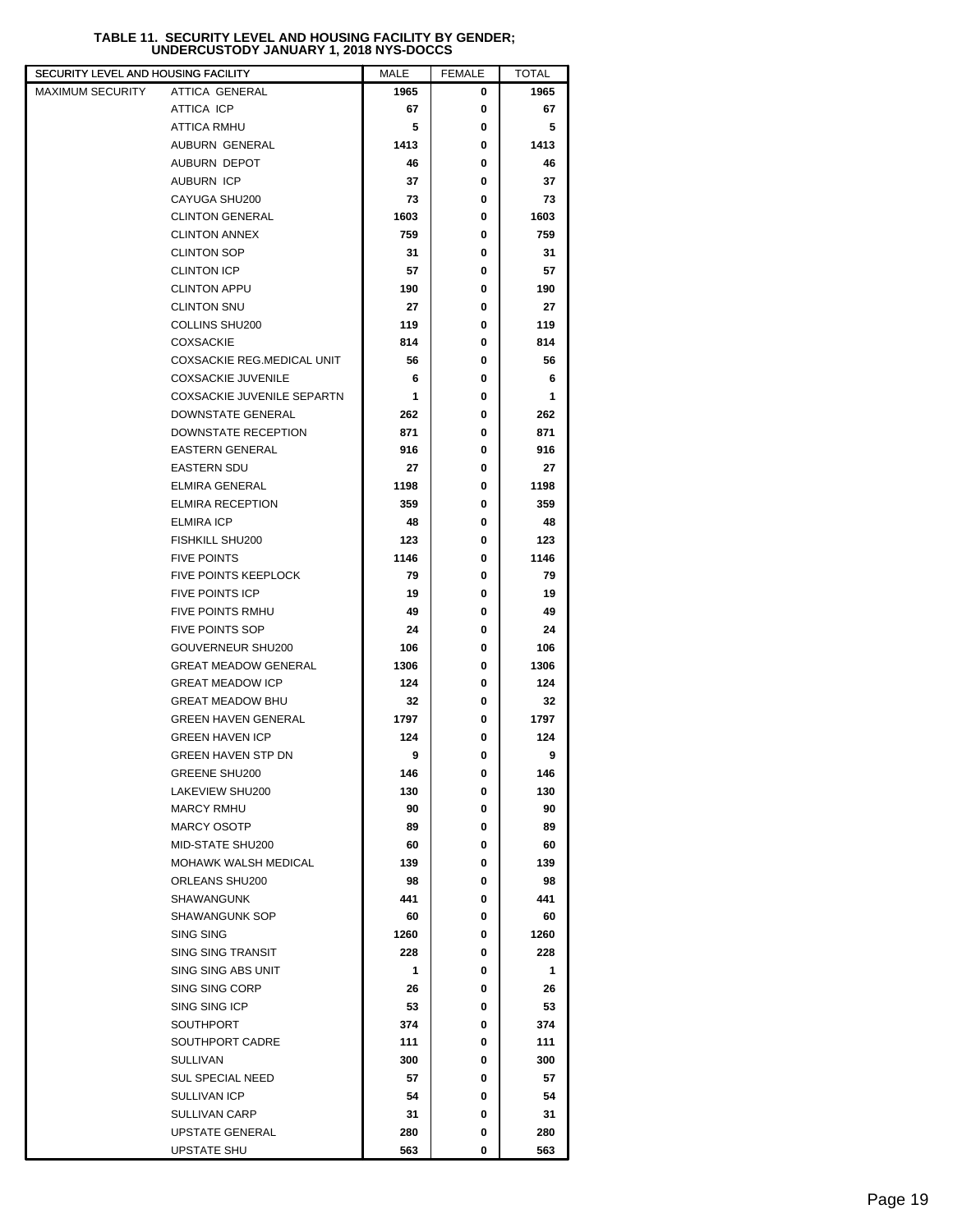## **TABLE 11. SECURITY LEVEL AND HOUSING FACILITY BY GENDER; UNDERCUSTODY JANUARY 1, 2018 NYS-DOCCS**

| SECURITY LEVEL AND HOUSING FACILITY       |                                                        | MALE       | <b>FEMALE</b> | <b>TOTAL</b> |  |
|-------------------------------------------|--------------------------------------------------------|------------|---------------|--------------|--|
| MAXIMUM SECURITY<br><b>ATTICA GENERAL</b> |                                                        | 1965       | 0             | 1965         |  |
| ATTICA ICP                                |                                                        | 67         | 0             | 67           |  |
| ATTICA RMHU                               |                                                        | 5          | 0             | 5            |  |
| AUBURN GENERAL                            |                                                        | 1413       | 0             | 1413         |  |
| AUBURN DEPOT                              |                                                        | 46         | 0             | 46           |  |
| <b>AUBURN ICP</b>                         |                                                        | 37         | 0             | 37           |  |
| CAYUGA SHU200                             |                                                        | 73         | 0             | 73           |  |
| <b>CLINTON GENERAL</b>                    |                                                        | 1603       | 0             | 1603         |  |
| <b>CLINTON ANNEX</b>                      |                                                        | 759        | 0             | 759          |  |
| <b>CLINTON SOP</b>                        |                                                        | 31         | 0             | 31           |  |
| <b>CLINTON ICP</b>                        |                                                        | 57         | 0             | 57           |  |
| <b>CLINTON APPU</b>                       |                                                        | 190        | 0             | 190          |  |
| <b>CLINTON SNU</b>                        |                                                        | 27         | 0             | 27           |  |
| COLLINS SHU200                            |                                                        | 119        | 0             | 119          |  |
| <b>COXSACKIE</b>                          |                                                        | 814        | 0             | 814          |  |
|                                           | COXSACKIE REG.MEDICAL UNIT                             | 56         | 0             | 56           |  |
|                                           | <b>COXSACKIE JUVENILE</b>                              | 6          | 0             | 6            |  |
|                                           | COXSACKIE JUVENILE SEPARTN                             | 1          | 0             | 1            |  |
|                                           | DOWNSTATE GENERAL                                      | 262        | 0             | 262          |  |
|                                           | DOWNSTATE RECEPTION                                    | 871        | 0             | 871          |  |
| <b>EASTERN GENERAL</b>                    |                                                        | 916        | 0             | 916          |  |
| <b>EASTERN SDU</b>                        |                                                        | 27         | 0             | 27           |  |
| <b>ELMIRA GENERAL</b>                     |                                                        | 1198       | 0             | 1198         |  |
| <b>ELMIRA RECEPTION</b>                   |                                                        | 359        | 0             | 359          |  |
| <b>ELMIRA ICP</b>                         |                                                        | 48         | 0             | 48           |  |
| <b>FISHKILL SHU200</b>                    |                                                        | 123        | 0             | 123          |  |
| <b>FIVE POINTS</b>                        |                                                        | 1146       | 0             | 1146         |  |
|                                           | FIVE POINTS KEEPLOCK                                   | 79         | 0             | 79           |  |
| <b>FIVE POINTS ICP</b>                    |                                                        | 19         | 0             | 19           |  |
| <b>FIVE POINTS RMHU</b>                   |                                                        | 49         | 0             | 49           |  |
| <b>FIVE POINTS SOP</b>                    |                                                        | 24         | 0             | 24           |  |
|                                           | GOUVERNEUR SHU200                                      | 106        | 0             | 106          |  |
|                                           | <b>GREAT MEADOW GENERAL</b><br><b>GREAT MEADOW ICP</b> | 1306       | 0<br>0        | 1306         |  |
|                                           |                                                        | 124        |               | 124          |  |
|                                           | <b>GREAT MEADOW BHU</b><br><b>GREEN HAVEN GENERAL</b>  | 32<br>1797 | 0<br>0        | 32           |  |
| <b>GREEN HAVEN ICP</b>                    |                                                        | 124        | 0             | 1797         |  |
|                                           | <b>GREEN HAVEN STP DN</b>                              | 9          | 0             | 124<br>9     |  |
| <b>GREENE SHU200</b>                      |                                                        | 146        | 0             | 146          |  |
| LAKEVIEW SHU200                           |                                                        | 130        | 0             | 130          |  |
| <b>MARCY RMHU</b>                         |                                                        | 90         | 0             | 90           |  |
| <b>MARCY OSOTP</b>                        |                                                        | 89         | 0             | 89           |  |
| MID-STATE SHU200                          |                                                        | 60         | 0             | 60           |  |
|                                           | MOHAWK WALSH MEDICAL                                   | 139        | 0             | 139          |  |
| ORLEANS SHU200                            |                                                        | 98         | 0             | 98           |  |
| <b>SHAWANGUNK</b>                         |                                                        | 441        | 0             | 441          |  |
| <b>SHAWANGUNK SOP</b>                     |                                                        | 60         | 0             | 60           |  |
| SING SING                                 |                                                        | 1260       | 0             | 1260         |  |
| <b>SING SING TRANSIT</b>                  |                                                        | 228        | 0             | 228          |  |
|                                           | SING SING ABS UNIT                                     | 1          | 0             | 1            |  |
| SING SING CORP                            |                                                        | 26         | 0             | 26           |  |
| SING SING ICP                             |                                                        | 53         | 0             | 53           |  |
| SOUTHPORT                                 |                                                        | 374        | 0             | 374          |  |
|                                           | SOUTHPORT CADRE                                        | 111        | 0             | 111          |  |
| <b>SULLIVAN</b>                           |                                                        | 300        | 0             | 300          |  |
| <b>SUL SPECIAL NEED</b>                   |                                                        | 57         | 0             | 57           |  |
| SULLIVAN ICP                              |                                                        | 54         | 0             | 54           |  |
| SULLIVAN CARP                             |                                                        | 31         | 0             | 31           |  |
| UPSTATE GENERAL                           |                                                        | 280        | 0             | 280          |  |
| UPSTATE SHU                               |                                                        | 563        | 0             | 563          |  |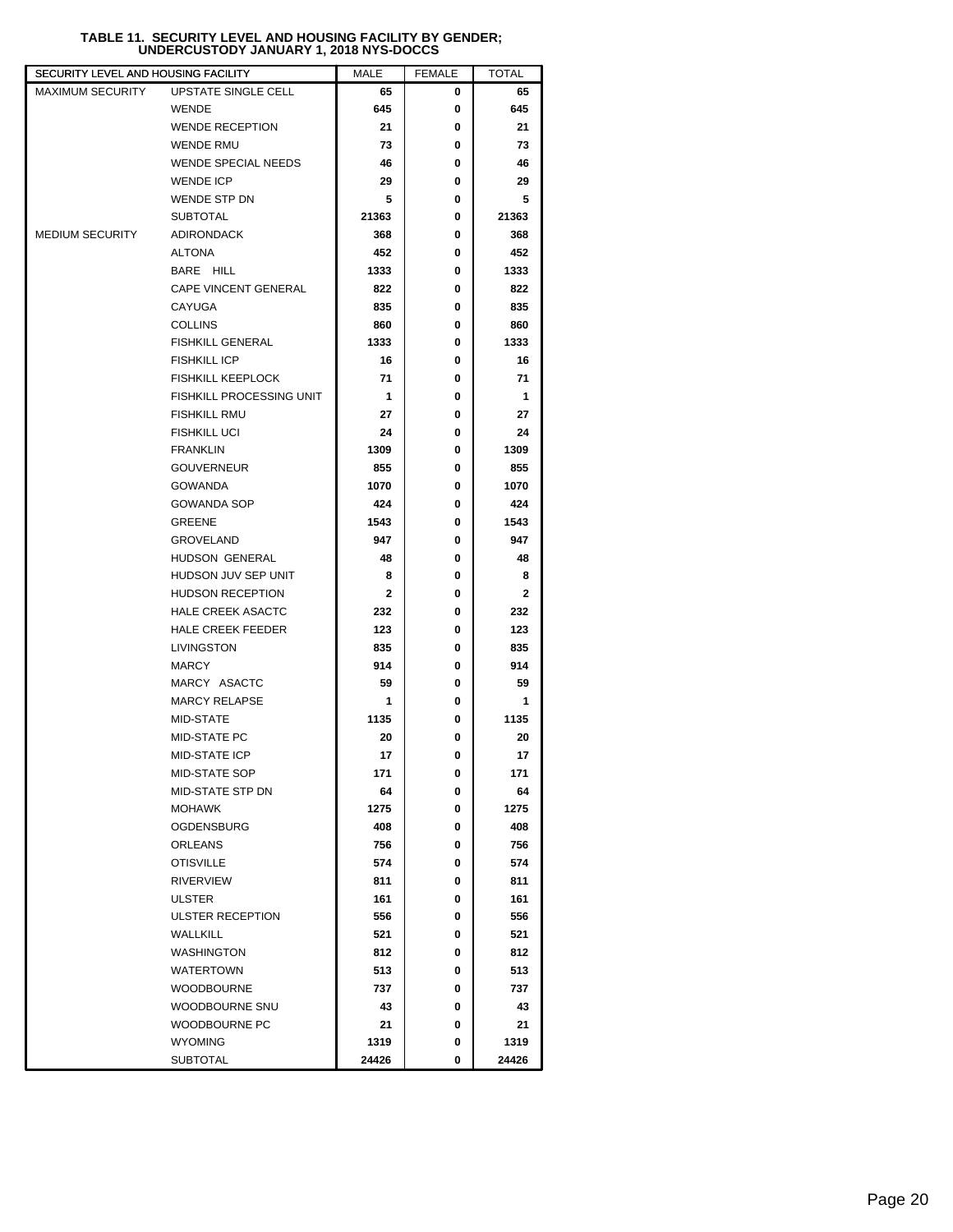## **TABLE 11. SECURITY LEVEL AND HOUSING FACILITY BY GENDER; UNDERCUSTODY JANUARY 1, 2018 NYS-DOCCS**

| SECURITY LEVEL AND HOUSING FACILITY |                             | MALE         | <b>FEMALE</b> | TOTAL |
|-------------------------------------|-----------------------------|--------------|---------------|-------|
| <b>MAXIMUM SECURITY</b>             | UPSTATE SINGLE CELL         | 65           | 0             | 65    |
|                                     | <b>WENDE</b>                | 645          | 0             | 645   |
|                                     | <b>WENDE RECEPTION</b>      | 21           | 0             | 21    |
|                                     | WENDE RMU                   | 73           | 0             | 73    |
|                                     | <b>WENDE SPECIAL NEEDS</b>  | 46           | 0             | 46    |
|                                     | <b>WENDE ICP</b>            | 29           | 0             | 29    |
|                                     | <b>WENDE STP DN</b>         | 5            | 0             | 5     |
|                                     | <b>SUBTOTAL</b>             | 21363        | 0             | 21363 |
| <b>MEDIUM SECURITY</b>              | <b>ADIRONDACK</b>           | 368          | 0             | 368   |
|                                     | <b>ALTONA</b>               | 452          | 0             | 452   |
|                                     | BARE HILL                   | 1333         | 0             | 1333  |
|                                     | <b>CAPE VINCENT GENERAL</b> | 822          | 0             | 822   |
|                                     | CAYUGA                      | 835          | 0             | 835   |
|                                     | <b>COLLINS</b>              | 860          | 0             | 860   |
|                                     | <b>FISHKILL GENERAL</b>     | 1333         | 0             | 1333  |
|                                     | <b>FISHKILL ICP</b>         | 16           | 0             | 16    |
|                                     | <b>FISHKILL KEEPLOCK</b>    | 71           | 0             | 71    |
|                                     | FISHKILL PROCESSING UNIT    | 1            | 0             | 1     |
|                                     | <b>FISHKILL RMU</b>         | 27           | 0             | 27    |
|                                     | <b>FISHKILL UCI</b>         | 24           | 0             | 24    |
|                                     | <b>FRANKLIN</b>             | 1309         | 0             | 1309  |
|                                     | <b>GOUVERNEUR</b>           | 855          | 0             | 855   |
|                                     | <b>GOWANDA</b>              | 1070         | 0             | 1070  |
|                                     | <b>GOWANDA SOP</b>          | 424          | 0             | 424   |
|                                     | <b>GREENE</b>               | 1543         | 0             | 1543  |
|                                     | <b>GROVELAND</b>            | 947          | 0             | 947   |
|                                     | HUDSON GENERAL              | 48           | 0             | 48    |
|                                     | HUDSON JUV SEP UNIT         | 8            | 0             | 8     |
|                                     | <b>HUDSON RECEPTION</b>     | $\mathbf{2}$ | 0             | 2     |
|                                     | <b>HALE CREEK ASACTC</b>    | 232          | 0             | 232   |
|                                     | <b>HALE CREEK FEEDER</b>    | 123          | 0             | 123   |
|                                     | LIVINGSTON                  | 835          | 0             | 835   |
|                                     | <b>MARCY</b>                | 914          | 0             | 914   |
|                                     | MARCY ASACTC                | 59           | 0             | 59    |
|                                     | <b>MARCY RELAPSE</b>        | 1            | 0             | 1     |
|                                     | MID-STATE                   | 1135         | 0             | 1135  |
|                                     | <b>MID-STATE PC</b>         | 20           | 0             | 20    |
|                                     | <b>MID-STATE ICP</b>        | 17           | 0             | 17    |
|                                     | MID-STATE SOP               | 171          | 0             | 171   |
|                                     | MID-STATE STP DN            | 64           | 0             | 64    |
|                                     | <b>MOHAWK</b>               | 1275         | 0             | 1275  |
|                                     | <b>OGDENSBURG</b>           | 408          | 0             | 408   |
|                                     | ORLEANS                     | 756          | 0             | 756   |
|                                     | <b>OTISVILLE</b>            | 574          | 0             | 574   |
|                                     | <b>RIVERVIEW</b>            | 811          | 0             | 811   |
|                                     | <b>ULSTER</b>               | 161          | 0             | 161   |
|                                     | <b>ULSTER RECEPTION</b>     | 556          | 0             | 556   |
|                                     | WALLKILL                    | 521          | 0             | 521   |
|                                     | <b>WASHINGTON</b>           | 812          | 0             | 812   |
|                                     | <b>WATERTOWN</b>            | 513          | 0             | 513   |
|                                     | <b>WOODBOURNE</b>           | 737          | 0             | 737   |
|                                     | WOODBOURNE SNU              | 43           | 0             | 43    |
|                                     | WOODBOURNE PC               | 21           | 0             | 21    |
|                                     | <b>WYOMING</b>              | 1319         | 0             | 1319  |
|                                     | <b>SUBTOTAL</b>             | 24426        | 0             | 24426 |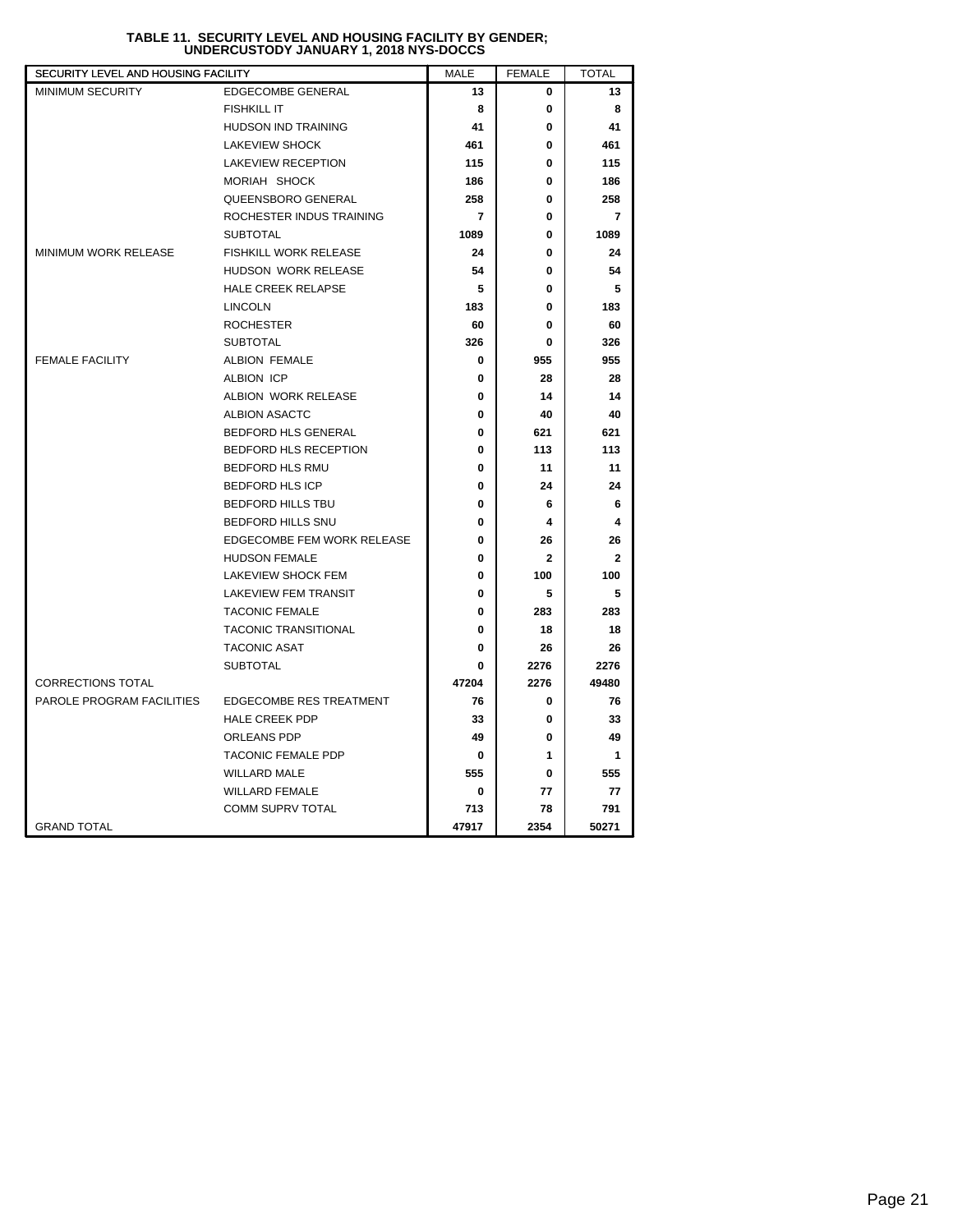| SECURITY LEVEL AND HOUSING FACILITY |                                | <b>MALE</b>    | <b>FEMALE</b> | <b>TOTAL</b>            |
|-------------------------------------|--------------------------------|----------------|---------------|-------------------------|
| MINIMUM SECURITY                    | EDGECOMBE GENERAL              | 13             | 0             | 13                      |
|                                     | <b>FISHKILL IT</b>             | 8              | 0             | 8                       |
|                                     | <b>HUDSON IND TRAINING</b>     | 41             | 0             | 41                      |
|                                     | <b>LAKEVIEW SHOCK</b>          | 461            | 0             | 461                     |
|                                     | <b>LAKEVIEW RECEPTION</b>      | 115            | 0             | 115                     |
|                                     | MORIAH SHOCK                   | 186            | 0             | 186                     |
|                                     | QUEENSBORO GENERAL             | 258            | 0             | 258                     |
|                                     | ROCHESTER INDUS TRAINING       | $\overline{7}$ | 0             | $\overline{7}$          |
|                                     | <b>SUBTOTAL</b>                | 1089           | 0             | 1089                    |
| MINIMUM WORK RELEASE                | FISHKILL WORK RELEASE          | 24             | 0             | 24                      |
|                                     | <b>HUDSON WORK RELEASE</b>     | 54             | 0             | 54                      |
|                                     | <b>HALE CREEK RELAPSE</b>      | 5              | 0             | 5                       |
|                                     | <b>LINCOLN</b>                 | 183            | 0             | 183                     |
|                                     | <b>ROCHESTER</b>               | 60             | 0             | 60                      |
|                                     | <b>SUBTOTAL</b>                | 326            | 0             | 326                     |
| <b>FEMALE FACILITY</b>              | <b>ALBION FEMALE</b>           | 0              | 955           | 955                     |
|                                     | ALBION ICP                     | 0              | 28            | 28                      |
|                                     | ALBION WORK RELEASE            | 0              | 14            | 14                      |
|                                     | <b>ALBION ASACTC</b>           | 0              | 40            | 40                      |
|                                     | <b>BEDFORD HLS GENERAL</b>     | 0              | 621           | 621                     |
|                                     | BEDFORD HLS RECEPTION          | 0              | 113           | 113                     |
|                                     | <b>BEDFORD HLS RMU</b>         | 0              | 11            | 11                      |
|                                     | <b>BEDFORD HLS ICP</b>         | 0              | 24            | 24                      |
|                                     | <b>BEDFORD HILLS TBU</b>       | 0              | 6             | 6                       |
|                                     | <b>BEDFORD HILLS SNU</b>       | 0              | 4             | $\overline{\mathbf{4}}$ |
|                                     | EDGECOMBE FEM WORK RELEASE     | 0              | 26            | 26                      |
|                                     | <b>HUDSON FEMALE</b>           | 0              | $\mathbf{2}$  | $\overline{2}$          |
|                                     | <b>LAKEVIEW SHOCK FEM</b>      | 0              | 100           | 100                     |
|                                     | <b>LAKEVIEW FEM TRANSIT</b>    | 0              | 5             | 5                       |
|                                     | <b>TACONIC FEMALE</b>          | 0              | 283           | 283                     |
|                                     | <b>TACONIC TRANSITIONAL</b>    | 0              | 18            | 18                      |
|                                     | <b>TACONIC ASAT</b>            | 0              | 26            | 26                      |
|                                     | <b>SUBTOTAL</b>                | 0              | 2276          | 2276                    |
| <b>CORRECTIONS TOTAL</b>            |                                | 47204          | 2276          | 49480                   |
| PAROLE PROGRAM FACILITIES           | <b>EDGECOMBE RES TREATMENT</b> | 76             | 0             | 76                      |
|                                     | <b>HALE CREEK PDP</b>          | 33             | 0             | 33                      |
|                                     | ORLEANS PDP                    | 49             | 0             | 49                      |
|                                     | <b>TACONIC FEMALE PDP</b>      | 0              | 1             | $\mathbf{1}$            |
|                                     | <b>WILLARD MALE</b>            | 555            | 0             | 555                     |
|                                     | <b>WILLARD FEMALE</b>          | 0              | 77            | 77                      |
|                                     | COMM SUPRV TOTAL               | 713            | 78            | 791                     |
| <b>GRAND TOTAL</b>                  |                                | 47917          | 2354          | 50271                   |

# **TABLE 11. SECURITY LEVEL AND HOUSING FACILITY BY GENDER; UNDERCUSTODY JANUARY 1, 2018 NYS-DOCCS**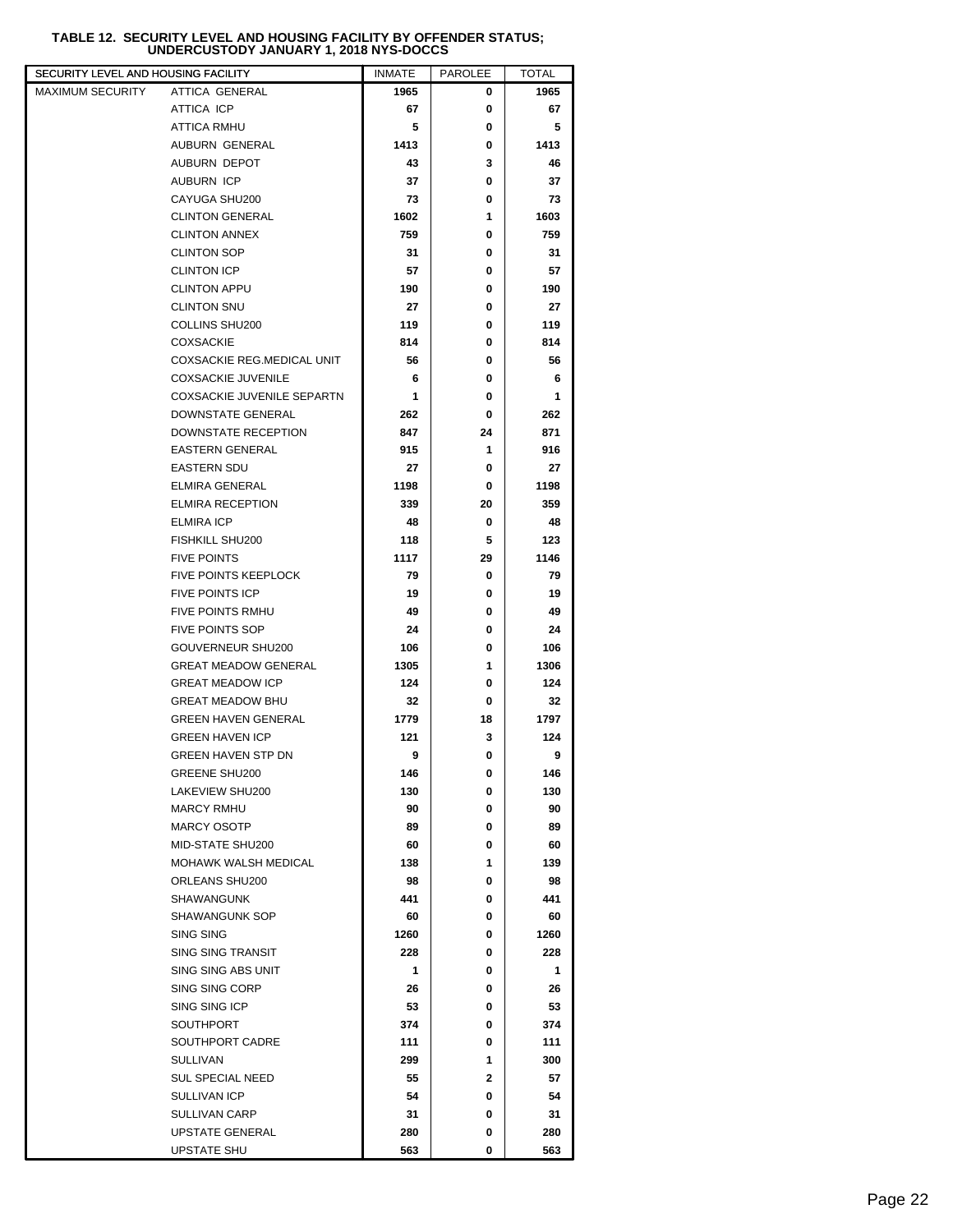# **TABLE 12. SECURITY LEVEL AND HOUSING FACILITY BY OFFENDER STATUS; UNDERCUSTODY JANUARY 1, 2018 NYS-DOCCS**

| SECURITY LEVEL AND HOUSING FACILITY |                                   | <b>INMATE</b> | PAROLEE      | <b>TOTAL</b> |
|-------------------------------------|-----------------------------------|---------------|--------------|--------------|
| <b>MAXIMUM SECURITY</b>             | <b>ATTICA GENERAL</b>             | 1965          | 0            | 1965         |
|                                     | ATTICA ICP                        | 67            | 0            | 67           |
|                                     | <b>ATTICA RMHU</b>                | 5             | 0            | 5            |
|                                     | AUBURN GENERAL                    | 1413          | 0            | 1413         |
|                                     | AUBURN DEPOT                      | 43            | 3            | 46           |
|                                     | <b>AUBURN ICP</b>                 | 37            | 0            | 37           |
|                                     | CAYUGA SHU200                     | 73            | 0            | 73           |
|                                     | <b>CLINTON GENERAL</b>            | 1602          | 1            | 1603         |
|                                     | <b>CLINTON ANNEX</b>              | 759           | 0            | 759          |
|                                     | <b>CLINTON SOP</b>                | 31            | 0            | 31           |
|                                     | <b>CLINTON ICP</b>                | 57            | 0            | 57           |
|                                     | <b>CLINTON APPU</b>               | 190           | 0            | 190          |
|                                     | <b>CLINTON SNU</b>                | 27            | 0            | 27           |
|                                     | COLLINS SHU200                    | 119           | 0            | 119          |
|                                     | <b>COXSACKIE</b>                  | 814           | 0            | 814          |
|                                     | COXSACKIE REG.MEDICAL UNIT        | 56            | 0            | 56           |
|                                     | <b>COXSACKIE JUVENILE</b>         | 6             | 0            | 6            |
|                                     | <b>COXSACKIE JUVENILE SEPARTN</b> | 1             | 0            | 1            |
|                                     | DOWNSTATE GENERAL                 | 262           | 0            | 262          |
|                                     | <b>DOWNSTATE RECEPTION</b>        | 847           | 24           | 871          |
|                                     | <b>EASTERN GENERAL</b>            | 915           | 1            | 916          |
|                                     | <b>EASTERN SDU</b>                | 27            | 0            | 27           |
|                                     | <b>ELMIRA GENERAL</b>             | 1198          | 0            | 1198         |
|                                     | <b>ELMIRA RECEPTION</b>           | 339           | 20           | 359          |
|                                     | <b>ELMIRA ICP</b>                 | 48            | 0            | 48           |
|                                     | FISHKILL SHU200                   | 118           | 5            | 123          |
|                                     | <b>FIVE POINTS</b>                | 1117          | 29           | 1146         |
|                                     | FIVE POINTS KEEPLOCK              | 79            | 0            | 79           |
|                                     | <b>FIVE POINTS ICP</b>            | 19            | 0            | 19           |
|                                     | <b>FIVE POINTS RMHU</b>           | 49            | 0            | 49           |
|                                     | <b>FIVE POINTS SOP</b>            | 24            | 0            | 24           |
|                                     | GOUVERNEUR SHU200                 | 106           | 0            | 106          |
|                                     | <b>GREAT MEADOW GENERAL</b>       | 1305          | 1            | 1306         |
|                                     | <b>GREAT MEADOW ICP</b>           | 124           | 0            | 124          |
|                                     | <b>GREAT MEADOW BHU</b>           | 32            | 0            | 32           |
|                                     | <b>GREEN HAVEN GENERAL</b>        | 1779          | 18           | 1797         |
|                                     | <b>GREEN HAVEN ICP</b>            | 121           | 3            | 124          |
|                                     | <b>GREEN HAVEN STP DN</b>         | 9             | 0            | 9            |
|                                     | GREENE SHU200                     | 146           | 0            | 146          |
|                                     | LAKEVIEW SHU200                   | 130           | 0            | 130          |
|                                     | <b>MARCY RMHU</b>                 | 90            | 0            | 90           |
|                                     | <b>MARCY OSOTP</b>                | 89            | 0            | 89           |
|                                     | MID-STATE SHU200                  | 60            | 0            | 60           |
|                                     | MOHAWK WALSH MEDICAL              | 138           | 1            | 139          |
|                                     | ORLEANS SHU200                    | 98            | 0            | 98           |
|                                     | SHAWANGUNK                        | 441           | 0            | 441          |
|                                     | SHAWANGUNK SOP                    | 60            | 0            | 60           |
|                                     | SING SING                         | 1260          | 0            | 1260         |
|                                     | SING SING TRANSIT                 | 228           | 0            | 228          |
|                                     | SING SING ABS UNIT                | 1             | 0            | 1            |
|                                     | SING SING CORP                    | 26            | 0            | 26           |
|                                     | SING SING ICP                     | 53            | 0            | 53           |
|                                     | SOUTHPORT                         | 374           | 0            | 374          |
|                                     | SOUTHPORT CADRE                   | 111           | 0            | 111          |
|                                     | <b>SULLIVAN</b>                   | 299           | 1            | 300          |
|                                     | <b>SUL SPECIAL NEED</b>           | 55            | $\mathbf{2}$ | 57           |
|                                     | SULLIVAN ICP                      | 54            | 0            | 54           |
|                                     | <b>SULLIVAN CARP</b>              | 31            | 0            | 31           |
|                                     | <b>UPSTATE GENERAL</b>            | 280           | 0            | 280          |
|                                     | <b>UPSTATE SHU</b>                | 563           | 0            | 563          |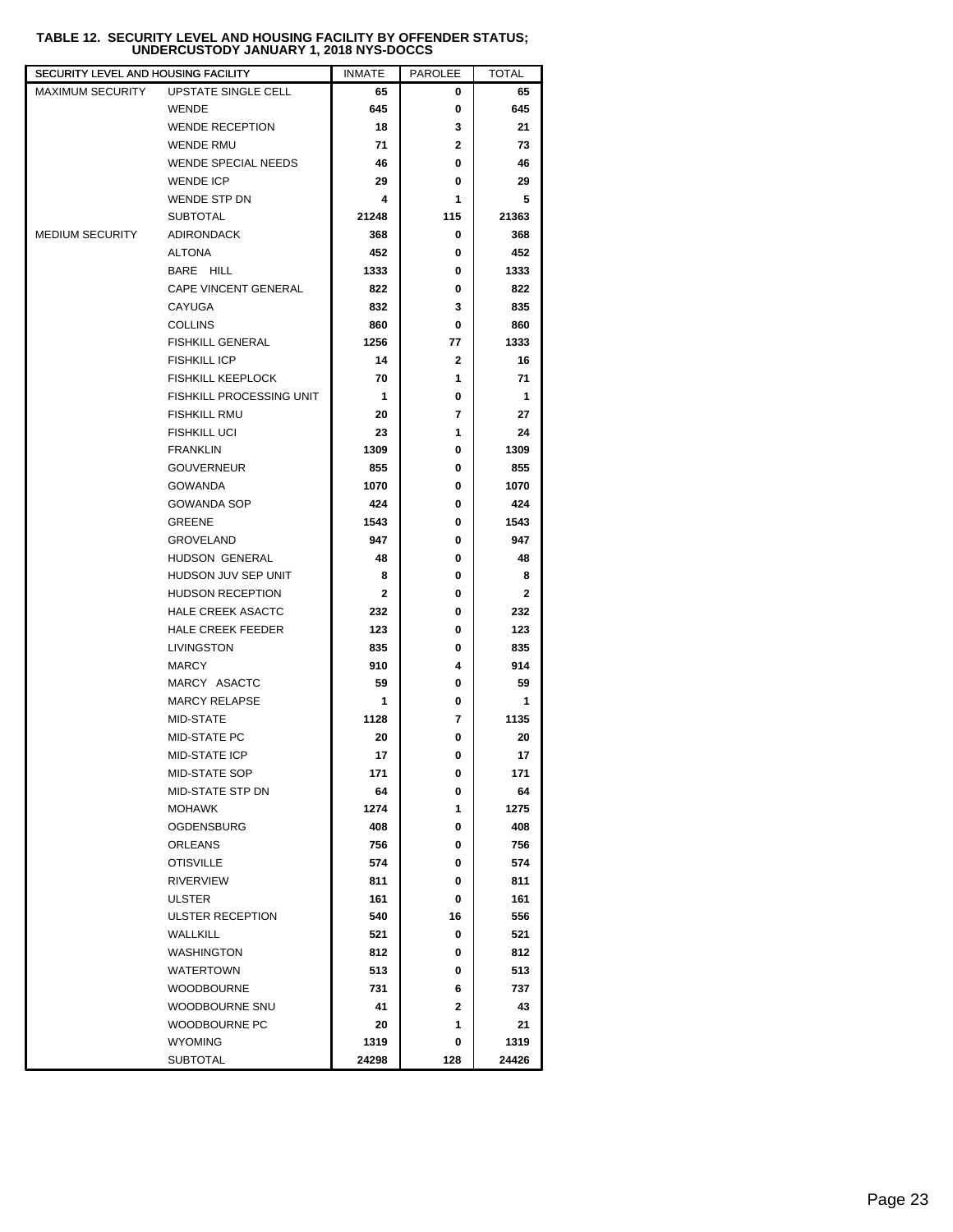### **TABLE 12. SECURITY LEVEL AND HOUSING FACILITY BY OFFENDER STATUS; UNDERCUSTODY JANUARY 1, 2018 NYS-DOCCS**

| SECURITY LEVEL AND HOUSING FACILITY |                            | <b>INMATE</b> | <b>PAROLEE</b> | <b>TOTAL</b> |
|-------------------------------------|----------------------------|---------------|----------------|--------------|
| <b>MAXIMUM SECURITY</b>             | UPSTATE SINGLE CELL        | 65            | 0              | 65           |
|                                     | <b>WENDE</b>               | 645           | 0              | 645          |
|                                     | <b>WENDE RECEPTION</b>     | 18            | 3              | 21           |
|                                     | <b>WENDE RMU</b>           | 71            | 2              | 73           |
|                                     | <b>WENDE SPECIAL NEEDS</b> | 46            | 0              | 46           |
|                                     | <b>WENDE ICP</b>           | 29            | 0              | 29           |
|                                     | WENDE STP DN               | 4             | 1              | 5            |
|                                     | <b>SUBTOTAL</b>            | 21248         | 115            | 21363        |
| <b>MEDIUM SECURITY</b>              | <b>ADIRONDACK</b>          | 368           | 0              | 368          |
|                                     | <b>ALTONA</b>              | 452           | 0              | 452          |
|                                     | BARE HILL                  | 1333          | 0              | 1333         |
|                                     | CAPE VINCENT GENERAL       | 822           | 0              | 822          |
|                                     | CAYUGA                     | 832           | 3              | 835          |
|                                     | <b>COLLINS</b>             | 860           | 0              | 860          |
|                                     | <b>FISHKILL GENERAL</b>    | 1256          | 77             | 1333         |
|                                     | <b>FISHKILL ICP</b>        | 14            | 2              | 16           |
|                                     | <b>FISHKILL KEEPLOCK</b>   | 70            | 1              | 71           |
|                                     | FISHKILL PROCESSING UNIT   | 1             | 0              | 1            |
|                                     | <b>FISHKILL RMU</b>        | 20            | 7              | 27           |
|                                     | <b>FISHKILL UCI</b>        | 23            | 1              | 24           |
|                                     | <b>FRANKLIN</b>            | 1309          | 0              | 1309         |
|                                     | <b>GOUVERNEUR</b>          | 855           | 0              | 855          |
|                                     | <b>GOWANDA</b>             | 1070          | 0              | 1070         |
|                                     | <b>GOWANDA SOP</b>         | 424           | 0              | 424          |
|                                     | <b>GREENE</b>              | 1543          | 0              | 1543         |
|                                     | <b>GROVELAND</b>           | 947           | 0              | 947          |
|                                     | HUDSON GENERAL             | 48            | 0              | 48           |
|                                     | HUDSON JUV SEP UNIT        | 8             | 0              | 8            |
|                                     | <b>HUDSON RECEPTION</b>    | $\mathbf{2}$  | 0              | 2            |
|                                     | <b>HALE CREEK ASACTC</b>   | 232           | 0              | 232          |
|                                     | <b>HALE CREEK FEEDER</b>   | 123           | 0              | 123          |
|                                     | LIVINGSTON                 | 835           | 0              | 835          |
|                                     | <b>MARCY</b>               | 910           | 4              | 914          |
|                                     | MARCY ASACTC               | 59            | 0              | 59           |
|                                     | <b>MARCY RELAPSE</b>       | 1             | 0              | 1            |
|                                     | MID-STATE                  | 1128          | 7              | 1135         |
|                                     | <b>MID-STATE PC</b>        | 20            | 0              | 20           |
|                                     | <b>MID-STATE ICP</b>       | 17            | 0              | 17           |
|                                     | MID-STATE SOP              | 171           | 0              | 171          |
|                                     | MID-STATE STP DN           | 64            | 0              | 64           |
|                                     |                            |               | 1              |              |
|                                     | <b>MOHAWK</b>              | 1274          |                | 1275         |
|                                     | <b>OGDENSBURG</b>          | 408           | 0              | 408          |
|                                     | <b>ORLEANS</b>             | 756           | 0              | 756          |
|                                     | <b>OTISVILLE</b>           | 574           | 0              | 574          |
|                                     | <b>RIVERVIEW</b>           | 811           | 0              | 811          |
|                                     | <b>ULSTER</b>              | 161           | 0              | 161          |
|                                     | <b>ULSTER RECEPTION</b>    | 540           | 16             | 556          |
|                                     | WALLKILL                   | 521           | 0              | 521          |
|                                     | <b>WASHINGTON</b>          | 812           | 0              | 812          |
|                                     | <b>WATERTOWN</b>           | 513           | 0              | 513          |
|                                     | <b>WOODBOURNE</b>          | 731           | 6              | 737          |
|                                     | WOODBOURNE SNU             | 41            | $\mathbf{2}$   | 43           |
|                                     | WOODBOURNE PC              | 20            | 1              | 21           |
|                                     | <b>WYOMING</b>             | 1319          | 0              | 1319         |
|                                     | <b>SUBTOTAL</b>            | 24298         | 128            | 24426        |